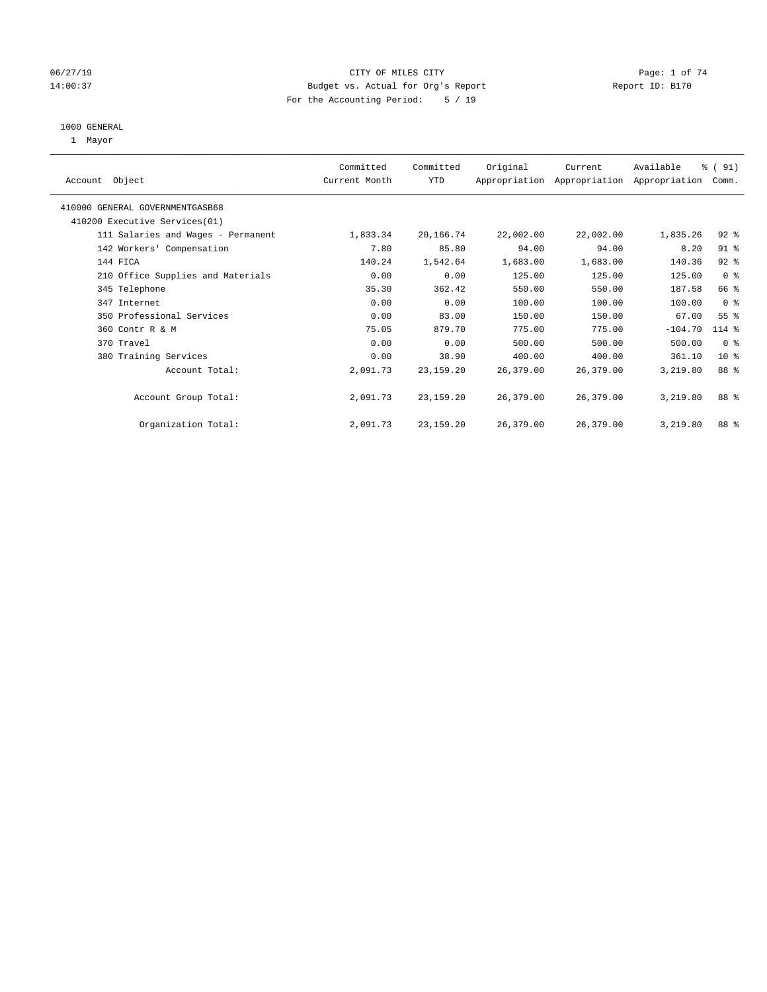### 06/27/19 CITY OF MILES CITY CHANNEL CITY CONTROL Page: 1 of 74 14:00:37 Budget vs. Actual for Org's Report Report ID: B170 For the Accounting Period: 5 / 19

#### 1000 GENERAL

1 Mayor

| Account Object                     | Committed<br>Current Month | Committed<br>YTD | Original  | Current<br>Appropriation Appropriation Appropriation | Available | % (91)<br>Comm. |
|------------------------------------|----------------------------|------------------|-----------|------------------------------------------------------|-----------|-----------------|
| 410000 GENERAL GOVERNMENTGASB68    |                            |                  |           |                                                      |           |                 |
| 410200 Executive Services (01)     |                            |                  |           |                                                      |           |                 |
| 111 Salaries and Wages - Permanent | 1,833.34                   | 20,166.74        | 22,002.00 | 22,002.00                                            | 1,835.26  | $92$ $%$        |
| 142 Workers' Compensation          | 7.80                       | 85.80            | 94.00     | 94.00                                                | 8.20      | $91$ %          |
| 144 FICA                           | 140.24                     | 1,542.64         | 1,683.00  | 1,683.00                                             | 140.36    | $92$ $%$        |
| 210 Office Supplies and Materials  | 0.00                       | 0.00             | 125.00    | 125.00                                               | 125.00    | 0 <sup>8</sup>  |
| 345 Telephone                      | 35.30                      | 362.42           | 550.00    | 550.00                                               | 187.58    | 66 %            |
| 347 Internet                       | 0.00                       | 0.00             | 100.00    | 100.00                                               | 100.00    | 0 <sup>8</sup>  |
| 350 Professional Services          | 0.00                       | 83.00            | 150.00    | 150.00                                               | 67.00     | 55 <sup>°</sup> |
| 360 Contr R & M                    | 75.05                      | 879.70           | 775.00    | 775.00                                               | $-104.70$ | 114 %           |
| 370 Travel                         | 0.00                       | 0.00             | 500.00    | 500.00                                               | 500.00    | 0 <sub>8</sub>  |
| 380 Training Services              | 0.00                       | 38.90            | 400.00    | 400.00                                               | 361.10    | 10 <sup>8</sup> |
| Account Total:                     | 2,091.73                   | 23, 159. 20      | 26,379.00 | 26,379.00                                            | 3,219.80  | 88 %            |
| Account Group Total:               | 2,091.73                   | 23,159.20        | 26,379.00 | 26,379.00                                            | 3,219.80  | 88 %            |
| Organization Total:                | 2,091.73                   | 23, 159, 20      | 26,379.00 | 26,379.00                                            | 3,219.80  | 88 %            |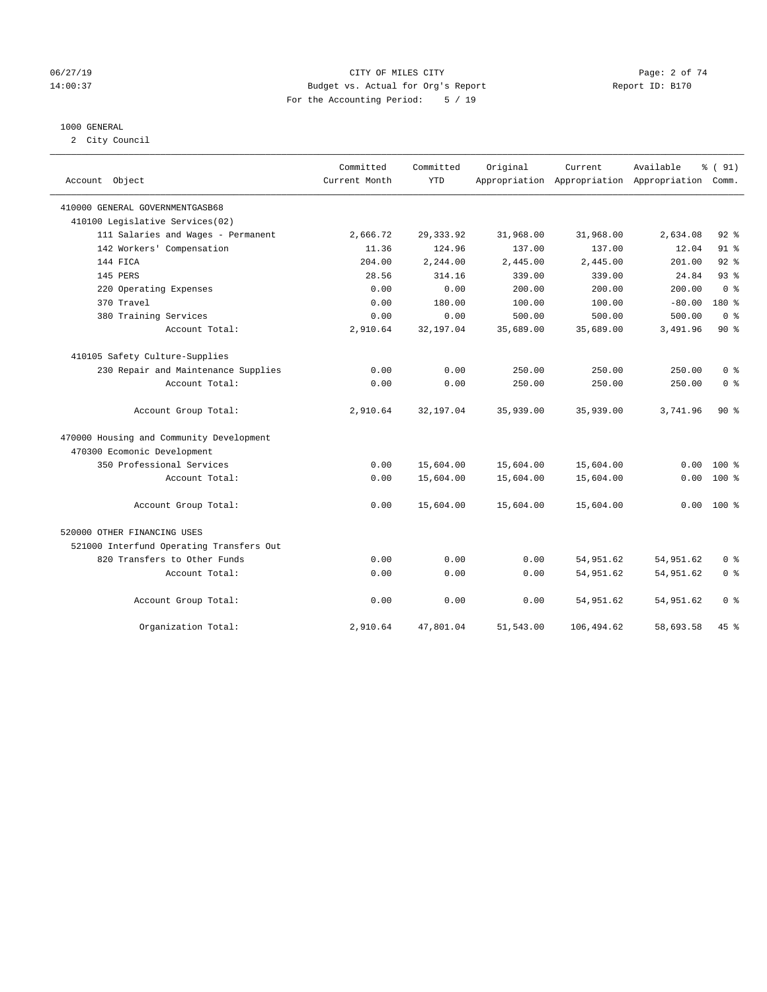### 06/27/19 CITY OF MILES CITY Page: 2 of 74 14:00:37 Budget vs. Actual for Org's Report Report ID: B170 For the Accounting Period: 5 / 19

#### 1000 GENERAL

2 City Council

| Account Object                           | Committed<br>Current Month | Committed<br><b>YTD</b> | Original  | Current<br>Appropriation Appropriation Appropriation Comm. | Available | % (91)         |
|------------------------------------------|----------------------------|-------------------------|-----------|------------------------------------------------------------|-----------|----------------|
| 410000 GENERAL GOVERNMENTGASB68          |                            |                         |           |                                                            |           |                |
| 410100 Legislative Services(02)          |                            |                         |           |                                                            |           |                |
| 111 Salaries and Wages - Permanent       | 2,666.72                   | 29, 333.92              | 31,968.00 | 31,968.00                                                  | 2,634.08  | $92$ %         |
| 142 Workers' Compensation                | 11.36                      | 124.96                  | 137.00    | 137.00                                                     | 12.04     | $91$ %         |
| 144 FICA                                 | 204.00                     | 2,244.00                | 2,445.00  | 2.445.00                                                   | 201.00    | $92$ $%$       |
| 145 PERS                                 | 28.56                      | 314.16                  | 339.00    | 339.00                                                     | 24.84     | 93%            |
| 220 Operating Expenses                   | 0.00                       | 0.00                    | 200.00    | 200.00                                                     | 200.00    | 0 <sup>8</sup> |
| 370 Travel                               | 0.00                       | 180.00                  | 100.00    | 100.00                                                     | $-80.00$  | $180*$         |
| 380 Training Services                    | 0.00                       | 0.00                    | 500.00    | 500.00                                                     | 500.00    | 0 <sup>8</sup> |
| Account Total:                           | 2,910.64                   | 32,197.04               | 35,689.00 | 35,689.00                                                  | 3,491.96  | $90*$          |
| 410105 Safety Culture-Supplies           |                            |                         |           |                                                            |           |                |
| 230 Repair and Maintenance Supplies      | 0.00                       | 0.00                    | 250.00    | 250.00                                                     | 250.00    | 0 <sup>8</sup> |
| Account Total:                           | 0.00                       | 0.00                    | 250.00    | 250.00                                                     | 250.00    | 0 <sup>8</sup> |
| Account Group Total:                     | 2,910.64                   | 32,197.04               | 35,939.00 | 35,939.00                                                  | 3,741.96  | $90*$          |
| 470000 Housing and Community Development |                            |                         |           |                                                            |           |                |
| 470300 Ecomonic Development              |                            |                         |           |                                                            |           |                |
| 350 Professional Services                | 0.00                       | 15,604.00               | 15,604.00 | 15,604.00                                                  | 0.00      | $100*$         |
| Account Total:                           | 0.00                       | 15,604.00               | 15,604.00 | 15,604.00                                                  | 0.00      | $100*$         |
| Account Group Total:                     | 0.00                       | 15,604.00               | 15,604.00 | 15,604.00                                                  | 0.00      | 100 %          |
| 520000 OTHER FINANCING USES              |                            |                         |           |                                                            |           |                |
| 521000 Interfund Operating Transfers Out |                            |                         |           |                                                            |           |                |
| 820 Transfers to Other Funds             | 0.00                       | 0.00                    | 0.00      | 54,951.62                                                  | 54,951.62 | 0 <sup>8</sup> |
| Account Total:                           | 0.00                       | 0.00                    | 0.00      | 54,951.62                                                  | 54,951.62 | 0 <sup>8</sup> |
| Account Group Total:                     | 0.00                       | 0.00                    | 0.00      | 54,951.62                                                  | 54,951.62 | 0 %            |
| Organization Total:                      | 2,910.64                   | 47,801.04               | 51,543.00 | 106,494.62                                                 | 58,693.58 | $45$ %         |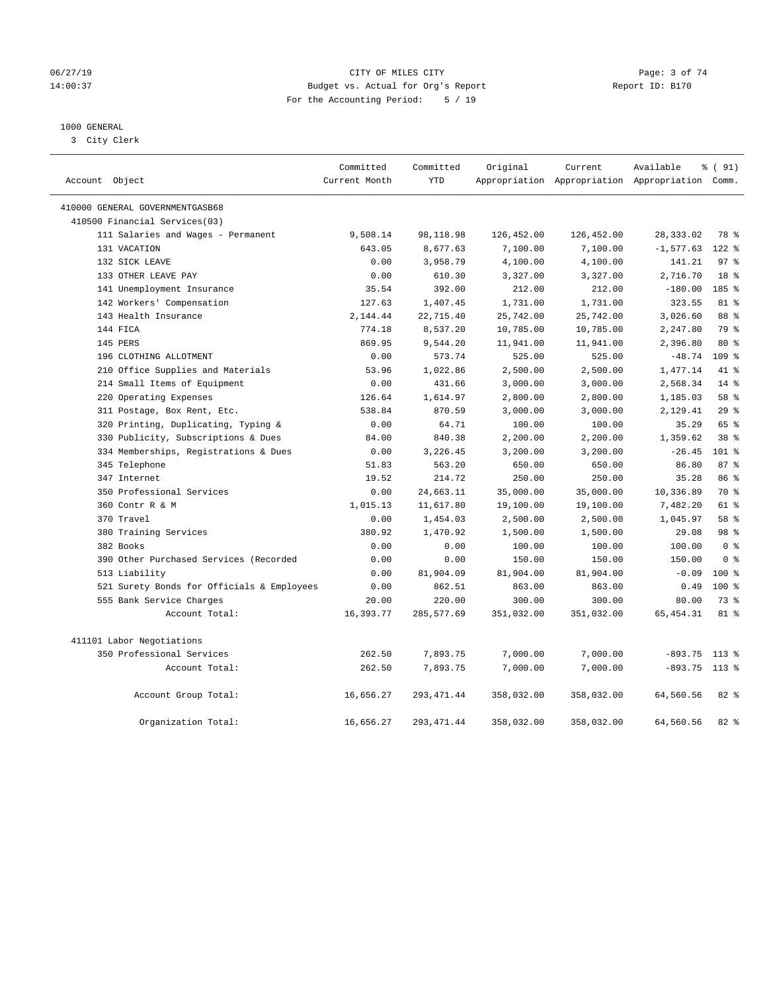### 06/27/19 CITY OF MILES CITY Page: 3 of 74 14:00:37 Budget vs. Actual for Org's Report Report ID: B170 For the Accounting Period: 5 / 19

## 1000 GENERAL

3 City Clerk

| Account Object                             | Committed<br>Current Month | Committed<br><b>YTD</b> | Original   | Current    | Available<br>Appropriation Appropriation Appropriation Comm. | % (91)           |
|--------------------------------------------|----------------------------|-------------------------|------------|------------|--------------------------------------------------------------|------------------|
| 410000 GENERAL GOVERNMENTGASB68            |                            |                         |            |            |                                                              |                  |
| 410500 Financial Services(03)              |                            |                         |            |            |                                                              |                  |
| 111 Salaries and Wages - Permanent         | 9,508.14                   | 98,118.98               | 126,452.00 | 126,452.00 | 28, 333.02                                                   | 78 %             |
| 131 VACATION                               | 643.05                     | 8,677.63                | 7,100.00   | 7,100.00   | $-1, 577.63$                                                 | $122$ %          |
| 132 SICK LEAVE                             | 0.00                       | 3,958.79                | 4,100.00   | 4,100.00   | 141.21                                                       | 97 <sub>8</sub>  |
| 133 OTHER LEAVE PAY                        | 0.00                       | 610.30                  | 3,327.00   | 3,327.00   | 2,716.70                                                     | 18 <sup>°</sup>  |
| 141 Unemployment Insurance                 | 35.54                      | 392.00                  | 212.00     | 212.00     | $-180.00$                                                    | 185 %            |
| 142 Workers' Compensation                  | 127.63                     | 1,407.45                | 1,731.00   | 1,731.00   | 323.55                                                       | 81 %             |
| 143 Health Insurance                       | 2,144.44                   | 22,715.40               | 25,742.00  | 25,742.00  | 3,026.60                                                     | 88 %             |
| 144 FICA                                   | 774.18                     | 8,537.20                | 10,785.00  | 10,785.00  | 2,247.80                                                     | 79 %             |
| 145 PERS                                   | 869.95                     | 9,544.20                | 11,941.00  | 11,941.00  | 2,396.80                                                     | $80*$            |
| 196 CLOTHING ALLOTMENT                     | 0.00                       | 573.74                  | 525.00     | 525.00     | $-48.74$                                                     | 109 <sub>8</sub> |
| 210 Office Supplies and Materials          | 53.96                      | 1,022.86                | 2,500.00   | 2,500.00   | 1,477.14                                                     | 41 %             |
| 214 Small Items of Equipment               | 0.00                       | 431.66                  | 3,000.00   | 3,000.00   | 2,568.34                                                     | $14*$            |
| 220 Operating Expenses                     | 126.64                     | 1,614.97                | 2,800.00   | 2,800.00   | 1,185.03                                                     | 58 %             |
| 311 Postage, Box Rent, Etc.                | 538.84                     | 870.59                  | 3,000.00   | 3,000.00   | 2,129.41                                                     | 29%              |
| 320 Printing, Duplicating, Typing &        | 0.00                       | 64.71                   | 100.00     | 100.00     | 35.29                                                        | 65 %             |
| 330 Publicity, Subscriptions & Dues        | 84.00                      | 840.38                  | 2,200.00   | 2,200.00   | 1,359.62                                                     | 38 <sup>8</sup>  |
| 334 Memberships, Registrations & Dues      | 0.00                       | 3,226.45                | 3,200.00   | 3,200.00   | $-26.45$                                                     | $101$ %          |
| 345 Telephone                              | 51.83                      | 563.20                  | 650.00     | 650.00     | 86.80                                                        | 87%              |
| 347 Internet                               | 19.52                      | 214.72                  | 250.00     | 250.00     | 35.28                                                        | 86 %             |
| 350 Professional Services                  | 0.00                       | 24,663.11               | 35,000.00  | 35,000.00  | 10,336.89                                                    | 70 %             |
| 360 Contr R & M                            | 1,015.13                   | 11,617.80               | 19,100.00  | 19,100.00  | 7,482.20                                                     | 61 %             |
| 370 Travel                                 | 0.00                       | 1,454.03                | 2,500.00   | 2,500.00   | 1,045.97                                                     | 58 %             |
| 380 Training Services                      | 380.92                     | 1,470.92                | 1,500.00   | 1,500.00   | 29.08                                                        | 98 <sup>8</sup>  |
| 382 Books                                  | 0.00                       | 0.00                    | 100.00     | 100.00     | 100.00                                                       | 0 <sup>8</sup>   |
| 390 Other Purchased Services (Recorded     | 0.00                       | 0.00                    | 150.00     | 150.00     | 150.00                                                       | 0 <sup>8</sup>   |
| 513 Liability                              | 0.00                       | 81,904.09               | 81,904.00  | 81,904.00  | $-0.09$                                                      | $100*$           |
| 521 Surety Bonds for Officials & Employees | 0.00                       | 862.51                  | 863.00     | 863.00     | 0.49                                                         | $100*$           |
| 555 Bank Service Charges                   | 20.00                      | 220.00                  | 300.00     | 300.00     | 80.00                                                        | 73.8             |
| Account Total:                             | 16,393.77                  | 285,577.69              | 351,032.00 | 351,032.00 | 65, 454.31                                                   | $81$ %           |
| 411101 Labor Negotiations                  |                            |                         |            |            |                                                              |                  |
| 350 Professional Services                  | 262.50                     | 7,893.75                | 7,000.00   | 7,000.00   | $-893.75$ 113 %                                              |                  |
| Account Total:                             | 262.50                     | 7,893.75                | 7,000.00   | 7,000.00   | $-893.75$ 113 %                                              |                  |
| Account Group Total:                       | 16,656.27                  | 293, 471.44             | 358,032.00 | 358,032.00 | 64,560.56                                                    | $82$ $%$         |
| Organization Total:                        | 16,656.27                  | 293, 471.44             | 358,032.00 | 358,032.00 | 64,560.56                                                    | 82%              |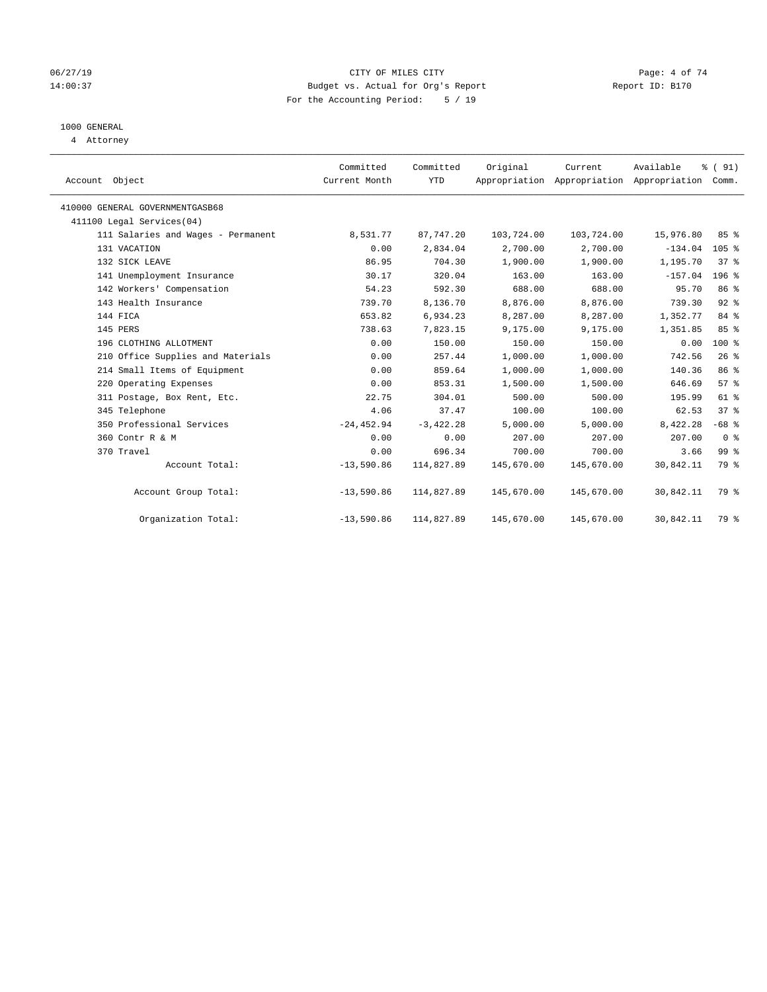### 06/27/19 CITY OF MILES CITY Page: 4 of 74 14:00:37 Budget vs. Actual for Org's Report Report ID: B170 For the Accounting Period: 5 / 19

# 1000 GENERAL

4 Attorney

| Account Object                     | Committed<br>Current Month | Committed<br><b>YTD</b> | Original   | Current<br>Appropriation Appropriation Appropriation | Available | % (91)<br>Comm. |  |
|------------------------------------|----------------------------|-------------------------|------------|------------------------------------------------------|-----------|-----------------|--|
| 410000 GENERAL GOVERNMENTGASB68    |                            |                         |            |                                                      |           |                 |  |
| 411100 Legal Services(04)          |                            |                         |            |                                                      |           |                 |  |
| 111 Salaries and Wages - Permanent | 8,531.77                   | 87,747.20               | 103,724.00 | 103,724.00                                           | 15,976.80 | 85%             |  |
| 131 VACATION                       | 0.00                       | 2,834.04                | 2,700.00   | 2,700.00                                             | $-134.04$ | 105%            |  |
| 132 SICK LEAVE                     | 86.95                      | 704.30                  | 1,900.00   | 1,900.00                                             | 1,195.70  | 37%             |  |
| 141 Unemployment Insurance         | 30.17                      | 320.04                  | 163.00     | 163.00                                               | $-157.04$ | 196 %           |  |
| 142 Workers' Compensation          | 54.23                      | 592.30                  | 688.00     | 688.00                                               | 95.70     | 86 <sup>8</sup> |  |
| 143 Health Insurance               | 739.70                     | 8,136.70                | 8,876.00   | 8,876.00                                             | 739.30    | 92%             |  |
| 144 FICA                           | 653.82                     | 6,934.23                | 8,287.00   | 8,287.00                                             | 1,352.77  | 84 %            |  |
| 145 PERS                           | 738.63                     | 7,823.15                | 9,175.00   | 9,175.00                                             | 1,351.85  | 85 %            |  |
| 196 CLOTHING ALLOTMENT             | 0.00                       | 150.00                  | 150.00     | 150.00                                               | 0.00      | $100*$          |  |
| 210 Office Supplies and Materials  | 0.00                       | 257.44                  | 1,000.00   | 1,000.00                                             | 742.56    | 26%             |  |
| 214 Small Items of Equipment       | 0.00                       | 859.64                  | 1,000.00   | 1,000.00                                             | 140.36    | 86 <sup>8</sup> |  |
| 220 Operating Expenses             | 0.00                       | 853.31                  | 1,500.00   | 1,500.00                                             | 646.69    | 57%             |  |
| 311 Postage, Box Rent, Etc.        | 22.75                      | 304.01                  | 500.00     | 500.00                                               | 195.99    | 61 %            |  |
| 345 Telephone                      | 4.06                       | 37.47                   | 100.00     | 100.00                                               | 62.53     | 37 <sup>8</sup> |  |
| 350 Professional Services          | $-24, 452.94$              | $-3,422.28$             | 5,000.00   | 5,000.00                                             | 8,422.28  | $-68$ %         |  |
| 360 Contr R & M                    | 0.00                       | 0.00                    | 207.00     | 207.00                                               | 207.00    | 0 <sup>8</sup>  |  |
| 370 Travel                         | 0.00                       | 696.34                  | 700.00     | 700.00                                               | 3.66      | 99 <sup>°</sup> |  |
| Account Total:                     | $-13,590.86$               | 114,827.89              | 145,670.00 | 145,670.00                                           | 30,842.11 | 79 %            |  |
| Account Group Total:               | $-13,590.86$               | 114,827.89              | 145,670.00 | 145,670.00                                           | 30,842.11 | 79 %            |  |
| Organization Total:                | $-13,590.86$               | 114,827.89              | 145,670.00 | 145,670.00                                           | 30,842.11 | 79 %            |  |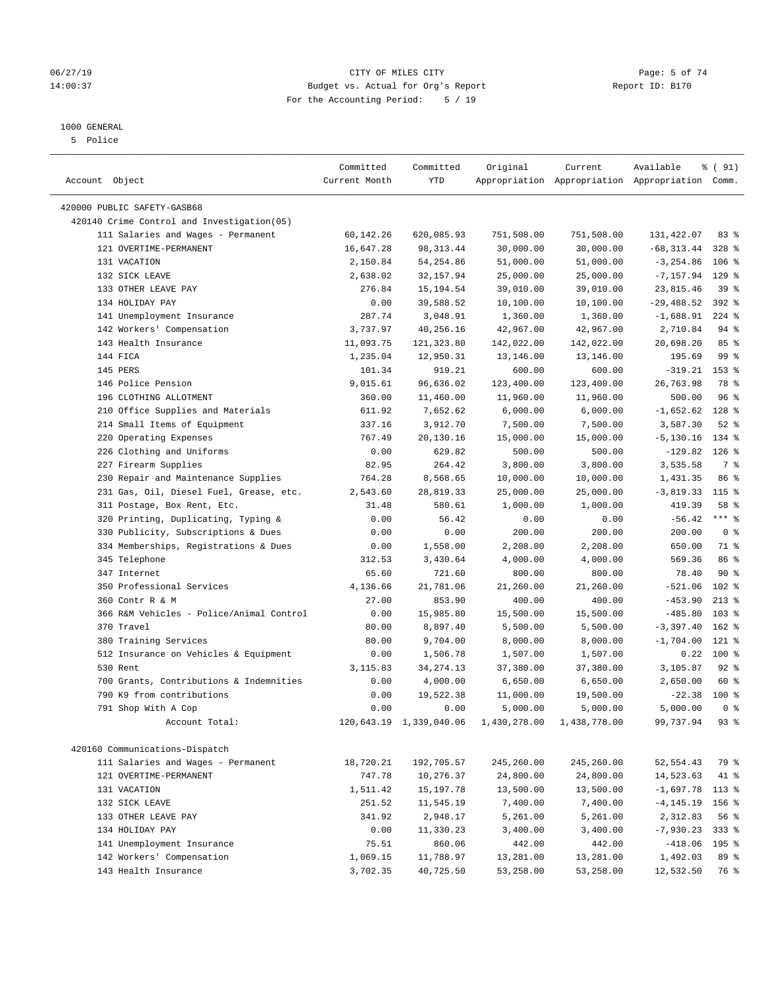#### 1000 GENERAL

5 Police

| Account Object                              | Committed<br>Current Month | Committed<br>YTD        | Original     | Current      | Available<br>Appropriation Appropriation Appropriation Comm. | % (91)          |  |
|---------------------------------------------|----------------------------|-------------------------|--------------|--------------|--------------------------------------------------------------|-----------------|--|
| 420000 PUBLIC SAFETY-GASB68                 |                            |                         |              |              |                                                              |                 |  |
| 420140 Crime Control and Investigation (05) |                            |                         |              |              |                                                              |                 |  |
| 111 Salaries and Wages - Permanent          | 60,142.26                  | 620,085.93              | 751,508.00   | 751,508.00   | 131,422.07                                                   | 83%             |  |
| 121 OVERTIME-PERMANENT                      | 16,647.28                  | 98, 313.44              | 30,000.00    | 30,000.00    | $-68, 313.44$                                                | $328$ %         |  |
| 131 VACATION                                | 2,150.84                   | 54, 254.86              | 51,000.00    | 51,000.00    | $-3, 254.86$                                                 | $106$ %         |  |
| 132 SICK LEAVE                              | 2,638.02                   | 32, 157.94              | 25,000.00    | 25,000.00    | $-7, 157.94$                                                 | $129$ %         |  |
| 133 OTHER LEAVE PAY                         | 276.84                     | 15, 194.54              | 39,010.00    | 39,010.00    | 23,815.46                                                    | 39%             |  |
| 134 HOLIDAY PAY                             | 0.00                       | 39,588.52               | 10,100.00    | 10,100.00    | $-29,488.52$                                                 | $392$ $%$       |  |
| 141 Unemployment Insurance                  | 287.74                     | 3,048.91                | 1,360.00     | 1,360.00     | $-1,688.91$                                                  | $224$ %         |  |
| 142 Workers' Compensation                   | 3,737.97                   | 40,256.16               | 42,967.00    | 42,967.00    | 2,710.84                                                     | $94$ %          |  |
| 143 Health Insurance                        | 11,093.75                  | 121,323.80              | 142,022.00   | 142,022.00   | 20,698.20                                                    | 85%             |  |
| 144 FICA                                    | 1,235.04                   | 12,950.31               | 13,146.00    | 13,146.00    | 195.69                                                       | 99 <sub>8</sub> |  |
| 145 PERS                                    | 101.34                     | 919.21                  | 600.00       | 600.00       | $-319.21$                                                    | $153$ %         |  |
| 146 Police Pension                          | 9,015.61                   | 96,636.02               | 123,400.00   | 123,400.00   | 26,763.98                                                    | 78 %            |  |
| 196 CLOTHING ALLOTMENT                      | 360.00                     | 11,460.00               | 11,960.00    | 11,960.00    | 500.00                                                       | 96%             |  |
| 210 Office Supplies and Materials           | 611.92                     | 7,652.62                | 6,000.00     | 6,000.00     | $-1,652.62$                                                  | $128$ %         |  |
| 214 Small Items of Equipment                | 337.16                     | 3,912.70                | 7,500.00     | 7,500.00     | 3,587.30                                                     | $52$ $%$        |  |
| 220 Operating Expenses                      | 767.49                     | 20,130.16               | 15,000.00    | 15,000.00    | $-5, 130.16$                                                 | 134 %           |  |
| 226 Clothing and Uniforms                   | 0.00                       | 629.82                  | 500.00       | 500.00       | $-129.82$                                                    | $126$ %         |  |
| 227 Firearm Supplies                        | 82.95                      | 264.42                  | 3,800.00     | 3,800.00     | 3,535.58                                                     | 7 %             |  |
| 230 Repair and Maintenance Supplies         | 764.28                     | 8,568.65                | 10,000.00    | 10,000.00    | 1,431.35                                                     | 86 %            |  |
| 231 Gas, Oil, Diesel Fuel, Grease, etc.     | 2,543.60                   | 28,819.33               | 25,000.00    | 25,000.00    | $-3,819.33$                                                  | $115$ %         |  |
| 311 Postage, Box Rent, Etc.                 | 31.48                      | 580.61                  | 1,000.00     | 1,000.00     | 419.39                                                       | 58 %            |  |
| 320 Printing, Duplicating, Typing &         | 0.00                       | 56.42                   | 0.00         | 0.00         | $-56.42$                                                     | $***$ $%$       |  |
| 330 Publicity, Subscriptions & Dues         | 0.00                       | 0.00                    | 200.00       | 200.00       | 200.00                                                       | 0 <sup>8</sup>  |  |
| 334 Memberships, Registrations & Dues       | 0.00                       | 1,558.00                | 2,208.00     | 2,208.00     | 650.00                                                       | 71 %            |  |
| 345 Telephone                               | 312.53                     | 3,430.64                | 4,000.00     | 4,000.00     | 569.36                                                       | 86 %            |  |
| 347 Internet                                | 65.60                      | 721.60                  | 800.00       | 800.00       | 78.40                                                        | 90%             |  |
| 350 Professional Services                   | 4,136.66                   | 21,781.06               | 21,260.00    | 21,260.00    | $-521.06$                                                    | 102 %           |  |
| 360 Contr R & M                             | 27.00                      | 853.90                  | 400.00       | 400.00       | $-453.90$                                                    | $213*$          |  |
| 366 R&M Vehicles - Police/Animal Control    | 0.00                       | 15,985.80               | 15,500.00    | 15,500.00    | $-485.80$                                                    | $103$ %         |  |
| 370 Travel                                  | 80.00                      | 8,897.40                | 5,500.00     | 5,500.00     | $-3,397.40$                                                  | $162$ %         |  |
| 380 Training Services                       | 80.00                      | 9,704.00                | 8,000.00     | 8,000.00     | $-1,704.00$                                                  | $121$ %         |  |
| 512 Insurance on Vehicles & Equipment       | 0.00                       | 1,506.78                | 1,507.00     | 1,507.00     | 0.22                                                         | 100 %           |  |
| 530 Rent                                    | 3,115.83                   | 34, 274. 13             | 37,380.00    | 37,380.00    | 3,105.87                                                     | $92$ $%$        |  |
| 700 Grants, Contributions & Indemnities     | 0.00                       | 4,000.00                | 6,650.00     | 6,650.00     | 2,650.00                                                     | 60 %            |  |
| 790 K9 from contributions                   | 0.00                       | 19,522.38               | 11,000.00    | 19,500.00    | $-22.38$                                                     | 100%            |  |
| 791 Shop With A Cop                         | 0.00                       | 0.00                    | 5,000.00     | 5,000.00     | 5,000.00                                                     | 0 <sup>8</sup>  |  |
| Account Total:                              |                            | 120,643.19 1,339,040.06 | 1,430,278.00 | 1,438,778.00 | 99,737.94                                                    | 93%             |  |
|                                             |                            |                         |              |              |                                                              |                 |  |
| 420160 Communications-Dispatch              |                            |                         |              |              |                                                              |                 |  |
| 111 Salaries and Wages - Permanent          | 18,720.21                  | 192,705.57              | 245,260.00   | 245,260.00   | 52, 554.43                                                   | 79 %            |  |
| 121 OVERTIME-PERMANENT                      | 747.78                     | 10,276.37               | 24,800.00    | 24,800.00    | 14,523.63                                                    | 41 %            |  |
| 131 VACATION                                | 1,511.42                   | 15, 197. 78             | 13,500.00    | 13,500.00    | $-1,697.78$                                                  | 113 %           |  |
| 132 SICK LEAVE                              | 251.52                     | 11,545.19               | 7,400.00     | 7,400.00     | $-4, 145.19$                                                 | 156 %           |  |
| 133 OTHER LEAVE PAY                         | 341.92                     | 2,948.17                | 5,261.00     | 5,261.00     | 2,312.83                                                     | 56 %            |  |
| 134 HOLIDAY PAY                             | 0.00                       | 11,330.23               | 3,400.00     | 3,400.00     | $-7,930.23$                                                  | $333$ $%$       |  |
| 141 Unemployment Insurance                  | 75.51                      | 860.06                  | 442.00       | 442.00       | $-418.06$                                                    | 195 %           |  |
| 142 Workers' Compensation                   | 1,069.15<br>3,702.35       | 11,788.97               | 13,281.00    | 13,281.00    | 1,492.03                                                     | 89 %            |  |
| 143 Health Insurance                        |                            | 40,725.50               | 53,258.00    | 53,258.00    | 12,532.50                                                    | 76 %            |  |

### 06/27/19 Page: 5 of 74 14:00:37 Budget vs. Actual for Org's Report Report ID: B170 For the Accounting Period: 5 / 19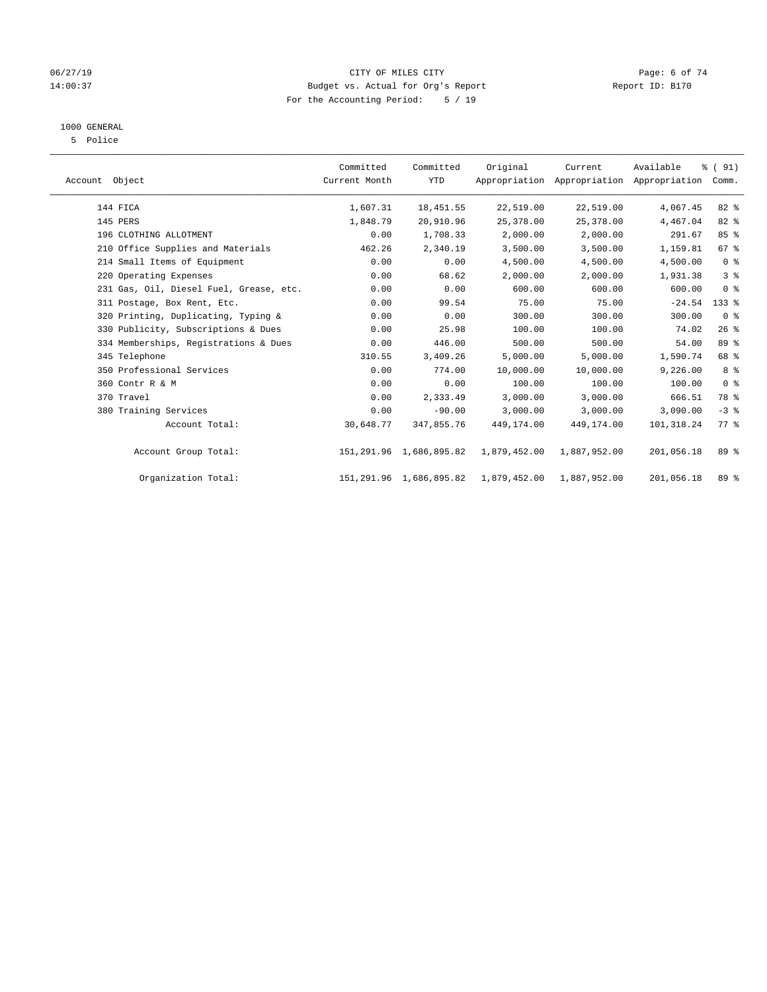### 06/27/19 CITY OF MILES CITY Page: 6 of 74 14:00:37 Budget vs. Actual for Org's Report Report ID: B170 For the Accounting Period: 5 / 19

# 1000 GENERAL

5 Police

| Account Object |                                         | Committed<br>Current Month | Committed<br><b>YTD</b>    | Original     | Current      | Available<br>Appropriation Appropriation Appropriation | % (91)<br>Comm. |  |
|----------------|-----------------------------------------|----------------------------|----------------------------|--------------|--------------|--------------------------------------------------------|-----------------|--|
|                | 144 FICA                                | 1,607.31                   | 18,451.55                  | 22,519.00    | 22,519.00    | 4,067.45                                               | 82%             |  |
|                | 145 PERS                                | 1,848.79                   | 20,910.96                  | 25, 378.00   | 25,378.00    | 4,467.04                                               | 82 %            |  |
|                | 196 CLOTHING ALLOTMENT                  | 0.00                       | 1,708.33                   | 2,000.00     | 2,000.00     | 291.67                                                 | 85 %            |  |
|                | 210 Office Supplies and Materials       | 462.26                     | 2,340.19                   | 3,500.00     | 3,500.00     | 1,159.81                                               | 67%             |  |
|                | 214 Small Items of Equipment            | 0.00                       | 0.00                       | 4,500.00     | 4,500.00     | 4,500.00                                               | 0 <sup>8</sup>  |  |
|                | 220 Operating Expenses                  | 0.00                       | 68.62                      | 2,000.00     | 2,000.00     | 1,931.38                                               | 3%              |  |
|                | 231 Gas, Oil, Diesel Fuel, Grease, etc. | 0.00                       | 0.00                       | 600.00       | 600.00       | 600.00                                                 | 0 <sup>8</sup>  |  |
|                | 311 Postage, Box Rent, Etc.             | 0.00                       | 99.54                      | 75.00        | 75.00        | $-24.54$                                               | $133$ $%$       |  |
|                | 320 Printing, Duplicating, Typing &     | 0.00                       | 0.00                       | 300.00       | 300.00       | 300.00                                                 | 0 <sup>8</sup>  |  |
|                | 330 Publicity, Subscriptions & Dues     | 0.00                       | 25.98                      | 100.00       | 100.00       | 74.02                                                  | 26%             |  |
|                | 334 Memberships, Registrations & Dues   | 0.00                       | 446.00                     | 500.00       | 500.00       | 54.00                                                  | 89 %            |  |
|                | 345 Telephone                           | 310.55                     | 3,409.26                   | 5,000.00     | 5,000.00     | 1,590.74                                               | 68 %            |  |
|                | 350 Professional Services               | 0.00                       | 774.00                     | 10,000.00    | 10,000.00    | 9,226.00                                               | 8%              |  |
|                | 360 Contr R & M                         | 0.00                       | 0.00                       | 100.00       | 100.00       | 100.00                                                 | 0 <sup>8</sup>  |  |
|                | 370 Travel                              | 0.00                       | 2,333.49                   | 3,000.00     | 3,000.00     | 666.51                                                 | 78 %            |  |
|                | 380 Training Services                   | 0.00                       | $-90.00$                   | 3,000.00     | 3,000.00     | 3,090.00                                               | $-3$ $%$        |  |
|                | Account Total:                          | 30,648.77                  | 347,855.76                 | 449,174.00   | 449,174.00   | 101,318.24                                             | $77*$           |  |
|                | Account Group Total:                    |                            | 151,291.96 1,686,895.82    | 1,879,452.00 | 1,887,952.00 | 201,056.18                                             | 89 %            |  |
|                | Organization Total:                     |                            | 151, 291.96 1, 686, 895.82 | 1,879,452.00 | 1,887,952.00 | 201,056.18                                             | 89 %            |  |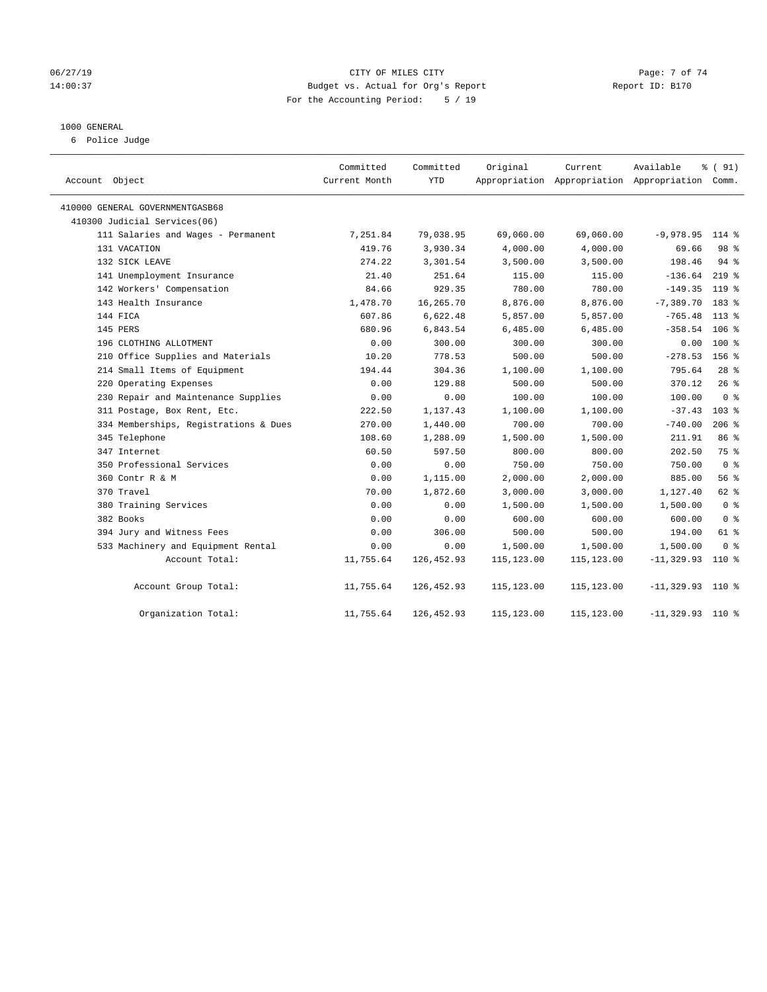### 06/27/19 Page: 7 of 74 14:00:37 Budget vs. Actual for Org's Report Report ID: B170 For the Accounting Period: 5 / 19

#### 1000 GENERAL

6 Police Judge

| Account Object                        | Committed<br>Current Month | Committed<br>YTD | Original    | Current    | Available<br>Appropriation Appropriation Appropriation Comm. | % (91)         |
|---------------------------------------|----------------------------|------------------|-------------|------------|--------------------------------------------------------------|----------------|
| 410000 GENERAL GOVERNMENTGASB68       |                            |                  |             |            |                                                              |                |
| 410300 Judicial Services(06)          |                            |                  |             |            |                                                              |                |
| 111 Salaries and Wages - Permanent    | 7,251.84                   | 79,038.95        | 69,060.00   | 69,060.00  | $-9,978.95$                                                  | $114$ %        |
| 131 VACATION                          | 419.76                     | 3,930.34         | 4,000.00    | 4,000.00   | 69.66                                                        | 98 %           |
| 132 SICK LEAVE                        | 274.22                     | 3,301.54         | 3,500.00    | 3,500.00   | 198.46                                                       | $94$ $%$       |
| 141 Unemployment Insurance            | 21.40                      | 251.64           | 115.00      | 115.00     | $-136.64$                                                    | $219$ %        |
| 142 Workers' Compensation             | 84.66                      | 929.35           | 780.00      | 780.00     | $-149.35$                                                    | $119$ %        |
| 143 Health Insurance                  | 1,478.70                   | 16,265.70        | 8,876.00    | 8,876.00   | $-7,389.70$                                                  | 183 %          |
| 144 FICA                              | 607.86                     | 6,622.48         | 5,857.00    | 5,857.00   | $-765.48$                                                    | $113*$         |
| 145 PERS                              | 680.96                     | 6,843.54         | 6,485.00    | 6,485.00   | $-358.54$                                                    | 106 %          |
| 196 CLOTHING ALLOTMENT                | 0.00                       | 300.00           | 300.00      | 300.00     | 0.00                                                         | $100*$         |
| 210 Office Supplies and Materials     | 10.20                      | 778.53           | 500.00      | 500.00     | $-278.53$                                                    | 156 %          |
| 214 Small Items of Equipment          | 194.44                     | 304.36           | 1,100.00    | 1,100.00   | 795.64                                                       | $28$ %         |
| 220 Operating Expenses                | 0.00                       | 129.88           | 500.00      | 500.00     | 370.12                                                       | 26%            |
| 230 Repair and Maintenance Supplies   | 0.00                       | 0.00             | 100.00      | 100.00     | 100.00                                                       | 0 <sup>8</sup> |
| 311 Postage, Box Rent, Etc.           | 222.50                     | 1,137.43         | 1,100.00    | 1,100.00   | $-37.43$                                                     | $103$ %        |
| 334 Memberships, Registrations & Dues | 270.00                     | 1,440.00         | 700.00      | 700.00     | $-740.00$                                                    | $206$ %        |
| 345 Telephone                         | 108.60                     | 1,288.09         | 1,500.00    | 1,500.00   | 211.91                                                       | 86 %           |
| 347 Internet                          | 60.50                      | 597.50           | 800.00      | 800.00     | 202.50                                                       | 75 %           |
| 350 Professional Services             | 0.00                       | 0.00             | 750.00      | 750.00     | 750.00                                                       | 0 <sup>8</sup> |
| 360 Contr R & M                       | 0.00                       | 1,115.00         | 2,000.00    | 2,000.00   | 885.00                                                       | 56%            |
| 370 Travel                            | 70.00                      | 1,872.60         | 3,000.00    | 3,000.00   | 1,127.40                                                     | 62 %           |
| 380 Training Services                 | 0.00                       | 0.00             | 1,500.00    | 1,500.00   | 1,500.00                                                     | 0 <sup>8</sup> |
| 382 Books                             | 0.00                       | 0.00             | 600.00      | 600.00     | 600.00                                                       | 0 <sup>8</sup> |
| 394 Jury and Witness Fees             | 0.00                       | 306.00           | 500.00      | 500.00     | 194.00                                                       | 61 %           |
| 533 Machinery and Equipment Rental    | 0.00                       | 0.00             | 1,500.00    | 1,500.00   | 1,500.00                                                     | 0 <sup>8</sup> |
| Account Total:                        | 11,755.64                  | 126,452.93       | 115, 123.00 | 115,123.00 | $-11, 329.93$                                                | $110*$         |
| Account Group Total:                  | 11,755.64                  | 126,452.93       | 115,123.00  | 115,123.00 | $-11,329.93$ 110 %                                           |                |
| Organization Total:                   | 11,755.64                  | 126, 452.93      | 115,123.00  | 115,123.00 | $-11, 329.93$                                                | $110*$         |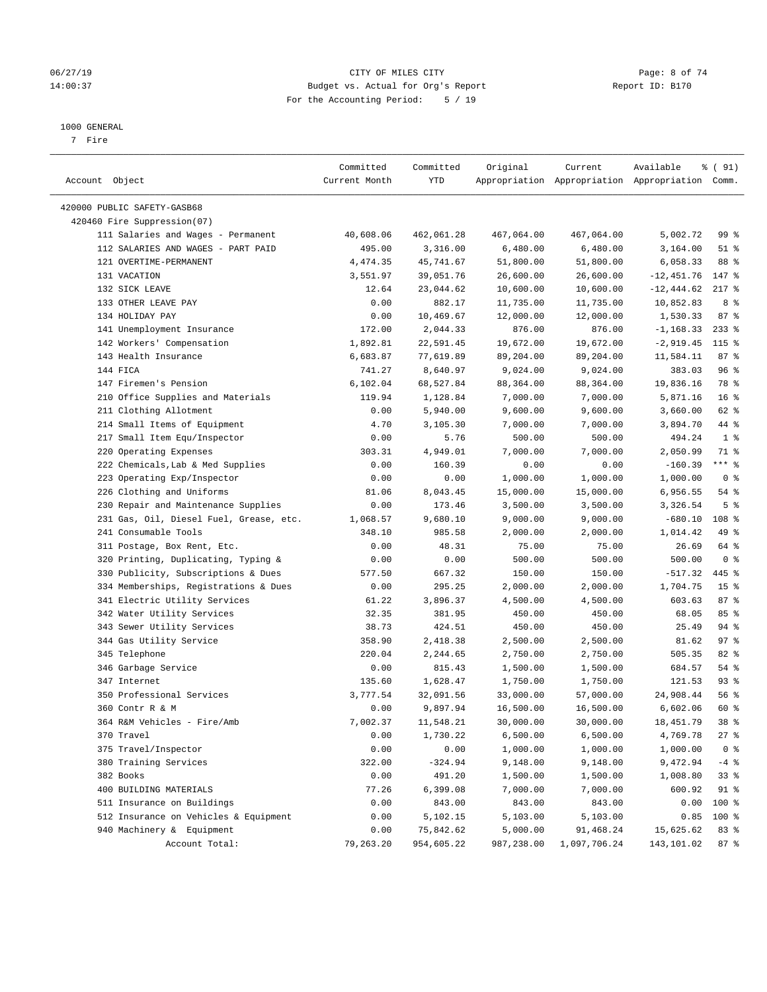### 06/27/19 CITY OF MILES CITY Page: 8 of 74 14:00:37 Budget vs. Actual for Org's Report Report ID: B170 For the Accounting Period: 5 / 19

————————————————————————————————————————————————————————————————————————————————————————————————————————————————————————————————————

#### 1000 GENERAL

7 Fire

|                                         | Committed     | Committed  | Original   | Current      | Available                                       | % (91)          |
|-----------------------------------------|---------------|------------|------------|--------------|-------------------------------------------------|-----------------|
| Account Object                          | Current Month | YTD        |            |              | Appropriation Appropriation Appropriation Comm. |                 |
|                                         |               |            |            |              |                                                 |                 |
| 420000 PUBLIC SAFETY-GASB68             |               |            |            |              |                                                 |                 |
| 420460 Fire Suppression(07)             |               |            |            |              |                                                 |                 |
| 111 Salaries and Wages - Permanent      | 40,608.06     | 462,061.28 | 467,064.00 | 467,064.00   | 5,002.72                                        | 99 %            |
| 112 SALARIES AND WAGES - PART PAID      | 495.00        | 3,316.00   | 6,480.00   | 6,480.00     | 3,164.00                                        | $51$ %          |
| 121 OVERTIME-PERMANENT                  | 4,474.35      | 45,741.67  | 51,800.00  | 51,800.00    | 6,058.33                                        | 88 %            |
| 131 VACATION                            | 3,551.97      | 39,051.76  | 26,600.00  | 26,600.00    | $-12,451.76$                                    | $147$ %         |
| 132 SICK LEAVE                          | 12.64         | 23,044.62  | 10,600.00  | 10,600.00    | $-12, 444.62$                                   | $217$ %         |
| 133 OTHER LEAVE PAY                     | 0.00          | 882.17     | 11,735.00  | 11,735.00    | 10,852.83                                       | 8%              |
| 134 HOLIDAY PAY                         | 0.00          | 10,469.67  | 12,000.00  | 12,000.00    | 1,530.33                                        | 87%             |
| 141 Unemployment Insurance              | 172.00        | 2,044.33   | 876.00     | 876.00       | $-1, 168.33$                                    | $233$ $%$       |
| 142 Workers' Compensation               | 1,892.81      | 22,591.45  | 19,672.00  | 19,672.00    | $-2,919.45$                                     | $115$ %         |
| 143 Health Insurance                    | 6,683.87      | 77,619.89  | 89,204.00  | 89,204.00    | 11,584.11                                       | 87%             |
| 144 FICA                                | 741.27        | 8,640.97   | 9,024.00   | 9,024.00     | 383.03                                          | 96%             |
| 147 Firemen's Pension                   | 6, 102.04     | 68,527.84  | 88,364.00  | 88,364.00    | 19,836.16                                       | 78 %            |
| 210 Office Supplies and Materials       | 119.94        | 1,128.84   | 7,000.00   | 7,000.00     | 5,871.16                                        | 16 <sup>8</sup> |
| 211 Clothing Allotment                  | 0.00          | 5,940.00   | 9,600.00   | 9,600.00     | 3,660.00                                        | 62 %            |
| 214 Small Items of Equipment            | 4.70          | 3,105.30   | 7,000.00   | 7,000.00     | 3,894.70                                        | 44 %            |
| 217 Small Item Equ/Inspector            | 0.00          | 5.76       | 500.00     | 500.00       | 494.24                                          | 1 <sup>°</sup>  |
| 220 Operating Expenses                  | 303.31        | 4,949.01   | 7,000.00   | 7,000.00     | 2,050.99                                        | 71 %            |
| 222 Chemicals, Lab & Med Supplies       | 0.00          | 160.39     | 0.00       | 0.00         | $-160.39$                                       | *** %           |
| 223 Operating Exp/Inspector             | 0.00          | 0.00       | 1,000.00   | 1,000.00     | 1,000.00                                        | 0 <sup>8</sup>  |
| 226 Clothing and Uniforms               | 81.06         | 8,043.45   | 15,000.00  | 15,000.00    | 6,956.55                                        | $54$ %          |
| 230 Repair and Maintenance Supplies     | 0.00          | 173.46     | 3,500.00   | 3,500.00     | 3,326.54                                        | 5 <sup>°</sup>  |
| 231 Gas, Oil, Diesel Fuel, Grease, etc. | 1,068.57      | 9,680.10   | 9,000.00   | 9,000.00     | $-680.10$                                       | 108 %           |
| 241 Consumable Tools                    | 348.10        | 985.58     | 2,000.00   | 2,000.00     | 1,014.42                                        | 49 %            |
| 311 Postage, Box Rent, Etc.             | 0.00          | 48.31      | 75.00      | 75.00        | 26.69                                           | 64 %            |
| 320 Printing, Duplicating, Typing &     | 0.00          | 0.00       | 500.00     | 500.00       | 500.00                                          | 0 <sup>8</sup>  |
| 330 Publicity, Subscriptions & Dues     | 577.50        | 667.32     | 150.00     | 150.00       | $-517.32$                                       | 445 %           |
| 334 Memberships, Registrations & Dues   | 0.00          | 295.25     | 2,000.00   | 2,000.00     | 1,704.75                                        | 15 <sup>8</sup> |
| 341 Electric Utility Services           | 61.22         | 3,896.37   | 4,500.00   | 4,500.00     | 603.63                                          | 87%             |
| 342 Water Utility Services              | 32.35         | 381.95     | 450.00     | 450.00       | 68.05                                           | 85%             |
| 343 Sewer Utility Services              | 38.73         | 424.51     | 450.00     | 450.00       | 25.49                                           | $94$ %          |
| 344 Gas Utility Service                 | 358.90        | 2,418.38   | 2,500.00   | 2,500.00     | 81.62                                           | 97%             |
| 345 Telephone                           | 220.04        | 2,244.65   | 2,750.00   | 2,750.00     | 505.35                                          | 82%             |
| 346 Garbage Service                     | 0.00          | 815.43     | 1,500.00   | 1,500.00     | 684.57                                          | $54$ %          |
| 347 Internet                            | 135.60        | 1,628.47   | 1,750.00   | 1,750.00     | 121.53                                          | 93%             |
| 350 Professional Services               | 3,777.54      | 32,091.56  | 33,000.00  | 57,000.00    | 24,908.44                                       | 56%             |
| 360 Contr R & M                         | 0.00          | 9,897.94   | 16,500.00  | 16,500.00    | 6,602.06                                        | 60 %            |
| 364 R&M Vehicles - Fire/Amb             | 7,002.37      | 11,548.21  | 30,000.00  | 30,000.00    | 18,451.79                                       | 38 %            |
| 370 Travel                              | 0.00          | 1,730.22   | 6,500.00   | 6,500.00     | 4,769.78                                        | $27$ %          |
| 375 Travel/Inspector                    | 0.00          | 0.00       | 1,000.00   | 1,000.00     | 1,000.00                                        | 0 <sup>8</sup>  |
| 380 Training Services                   | 322.00        | $-324.94$  | 9,148.00   | 9,148.00     | 9,472.94                                        | $-4$ %          |
| 382 Books                               | 0.00          | 491.20     | 1,500.00   | 1,500.00     | 1,008.80                                        | 33%             |
| 400 BUILDING MATERIALS                  | 77.26         | 6,399.08   | 7,000.00   | 7,000.00     | 600.92                                          | 91 %            |
| 511 Insurance on Buildings              | 0.00          | 843.00     | 843.00     | 843.00       | 0.00                                            | 100 %           |
| 512 Insurance on Vehicles & Equipment   | 0.00          | 5,102.15   | 5,103.00   | 5,103.00     | 0.85                                            | 100 %           |
| 940 Machinery & Equipment               |               |            |            |              |                                                 |                 |
|                                         | 0.00          | 75,842.62  | 5,000.00   | 91,468.24    | 15,625.62                                       | 83 %            |
| Account Total:                          | 79,263.20     | 954,605.22 | 987,238.00 | 1,097,706.24 | 143,101.02                                      | $87$ %          |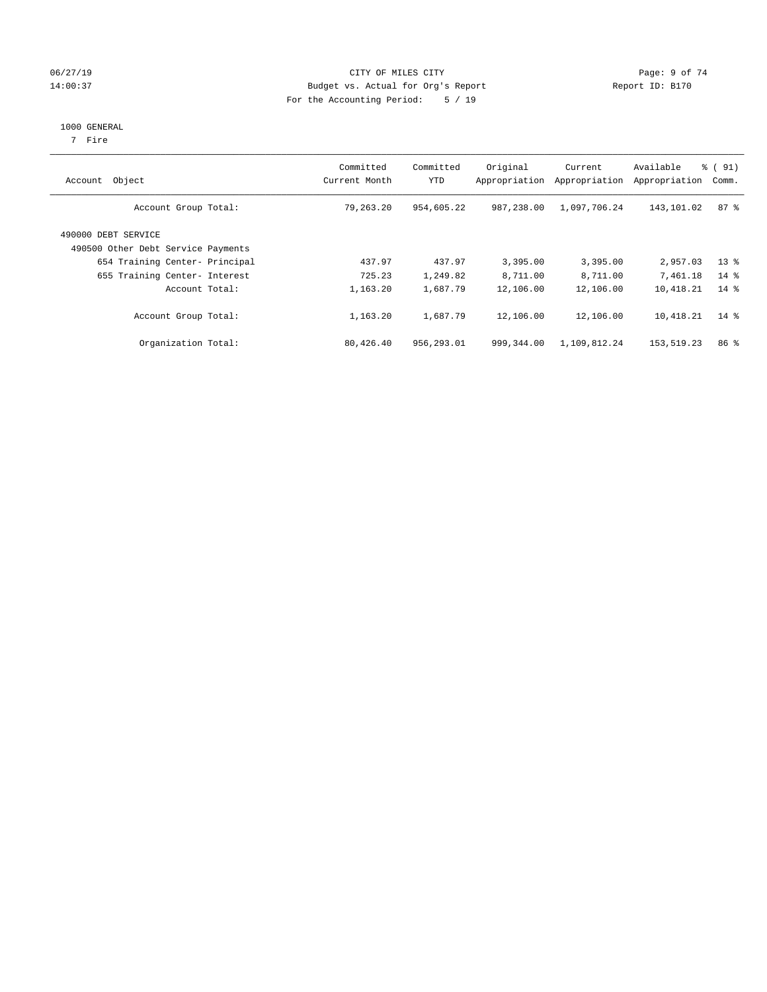### 06/27/19 Page: 9 of 74 14:00:37 Budget vs. Actual for Org's Report Report ID: B170 For the Accounting Period: 5 / 19

#### 1000 GENERAL

7 Fire

| Account Object                                            | Committed<br>Current Month | Committed<br>YTD | Original<br>Appropriation | Current<br>Appropriation | Available<br>Appropriation | $\frac{1}{6}$ (91)<br>Comm. |
|-----------------------------------------------------------|----------------------------|------------------|---------------------------|--------------------------|----------------------------|-----------------------------|
| Account Group Total:                                      | 79,263.20                  | 954,605.22       | 987,238.00                | 1,097,706.24             | 143,101.02                 | 87%                         |
| 490000 DEBT SERVICE<br>490500 Other Debt Service Payments |                            |                  |                           |                          |                            |                             |
| 654 Training Center- Principal                            | 437.97                     | 437.97           | 3,395.00                  | 3,395.00                 | 2,957.03                   | $13*$                       |
| 655 Training Center- Interest                             | 725.23                     | 1,249.82         | 8,711.00                  | 8,711.00                 | 7,461.18                   | $14*$                       |
| Account Total:                                            | 1,163.20                   | 1,687.79         | 12,106.00                 | 12,106.00                | 10,418.21                  | $14*$                       |
| Account Group Total:                                      | 1,163.20                   | 1,687.79         | 12,106.00                 | 12,106.00                | 10,418.21                  | $14*$                       |
| Organization Total:                                       | 80,426.40                  | 956,293.01       | 999,344.00                | 1,109,812.24             | 153,519.23                 | 86 <sup>8</sup>             |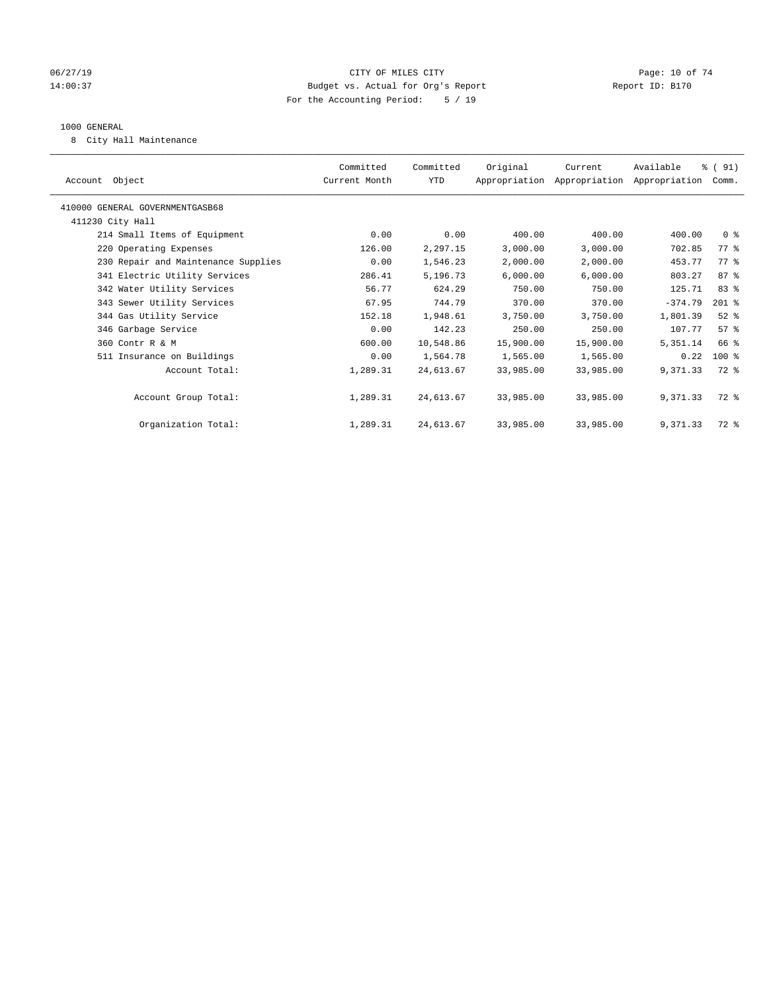### 06/27/19 **Page: 10 of 74** CITY OF MILES CITY **Page: 10 of 74** 14:00:37 Budget vs. Actual for Org's Report Report ID: B170 For the Accounting Period: 5 / 19

#### 1000 GENERAL

8 City Hall Maintenance

| Account Object                      | Committed<br>Current Month | Committed<br>YTD | Original  | Current<br>Appropriation Appropriation Appropriation | Available | % (91)<br>Comm. |  |
|-------------------------------------|----------------------------|------------------|-----------|------------------------------------------------------|-----------|-----------------|--|
| 410000 GENERAL GOVERNMENTGASB68     |                            |                  |           |                                                      |           |                 |  |
| 411230 City Hall                    |                            |                  |           |                                                      |           |                 |  |
| 214 Small Items of Equipment        | 0.00                       | 0.00             | 400.00    | 400.00                                               | 400.00    | 0 <sup>8</sup>  |  |
| 220 Operating Expenses              | 126.00                     | 2,297.15         | 3,000.00  | 3,000.00                                             | 702.85    | 77.8            |  |
| 230 Repair and Maintenance Supplies | 0.00                       | 1,546.23         | 2,000.00  | 2,000.00                                             | 453.77    | $77*$           |  |
| 341 Electric Utility Services       | 286.41                     | 5,196.73         | 6,000.00  | 6,000.00                                             | 803.27    | 87%             |  |
| 342 Water Utility Services          | 56.77                      | 624.29           | 750.00    | 750.00                                               | 125.71    | 83 %            |  |
| 343 Sewer Utility Services          | 67.95                      | 744.79           | 370.00    | 370.00                                               | $-374.79$ | $201$ %         |  |
| 344 Gas Utility Service             | 152.18                     | 1,948.61         | 3,750.00  | 3,750.00                                             | 1,801.39  | $52$ %          |  |
| 346 Garbage Service                 | 0.00                       | 142.23           | 250.00    | 250.00                                               | 107.77    | 57%             |  |
| 360 Contr R & M                     | 600.00                     | 10,548.86        | 15,900.00 | 15,900.00                                            | 5,351.14  | 66 %            |  |
| 511 Insurance on Buildings          | 0.00                       | 1,564.78         | 1,565.00  | 1,565.00                                             | 0.22      | $100$ %         |  |
| Account Total:                      | 1,289.31                   | 24,613.67        | 33,985.00 | 33,985.00                                            | 9,371.33  | 72 %            |  |
|                                     |                            |                  |           |                                                      |           |                 |  |
| Account Group Total:                | 1,289.31                   | 24,613.67        | 33,985.00 | 33,985.00                                            | 9,371.33  | 72 %            |  |
|                                     |                            |                  |           |                                                      |           |                 |  |
| Organization Total:                 | 1,289.31                   | 24,613.67        | 33,985.00 | 33,985.00                                            | 9,371.33  | $72*$           |  |
|                                     |                            |                  |           |                                                      |           |                 |  |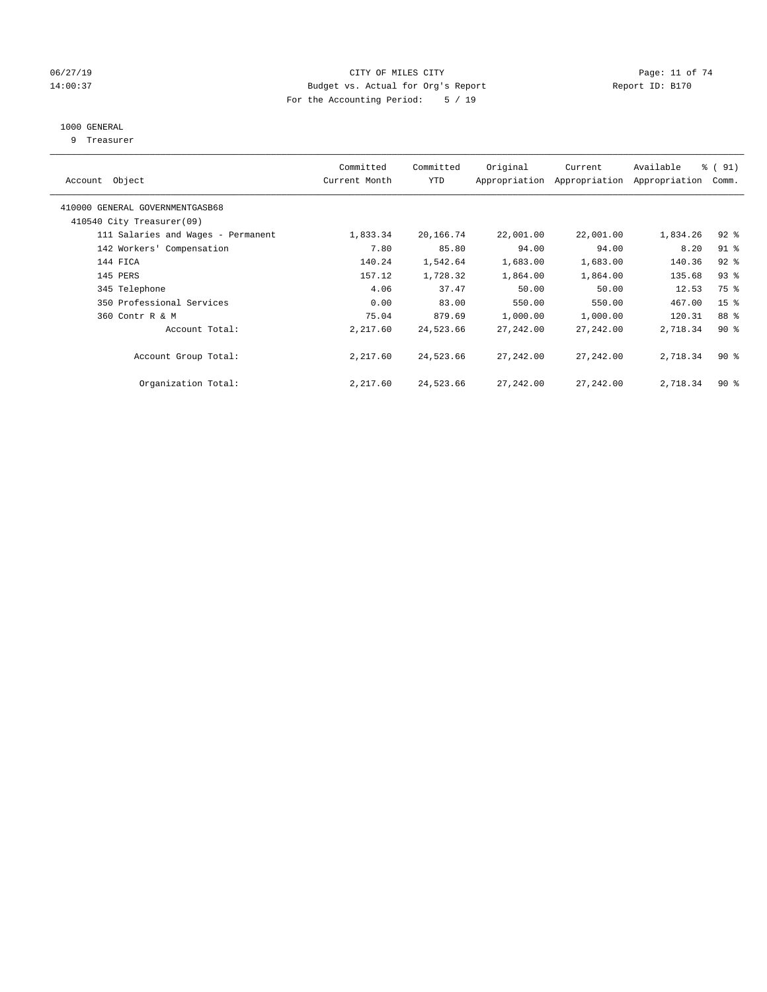### 06/27/19 **Page: 11 of 74** CITY OF MILES CITY **Page: 11 of 74** 14:00:37 Budget vs. Actual for Org's Report Report ID: B170 For the Accounting Period: 5 / 19

# 1000 GENERAL

9 Treasurer

| Account Object                     | Committed<br>Current Month | Committed<br><b>YTD</b> | Original  | Current<br>Appropriation Appropriation | Available<br>Appropriation | % (91)<br>Comm. |
|------------------------------------|----------------------------|-------------------------|-----------|----------------------------------------|----------------------------|-----------------|
| 410000 GENERAL GOVERNMENTGASB68    |                            |                         |           |                                        |                            |                 |
| 410540 City Treasurer(09)          |                            |                         |           |                                        |                            |                 |
| 111 Salaries and Wages - Permanent | 1,833.34                   | 20,166.74               | 22,001.00 | 22,001.00                              | 1,834.26                   | $92$ $%$        |
| 142 Workers' Compensation          | 7.80                       | 85.80                   | 94.00     | 94.00                                  | 8.20                       | $91$ %          |
| 144 FICA                           | 140.24                     | 1,542.64                | 1,683.00  | 1,683.00                               | 140.36                     | $92$ $%$        |
| 145 PERS                           | 157.12                     | 1,728.32                | 1,864.00  | 1,864.00                               | 135.68                     | 93%             |
| 345 Telephone                      | 4.06                       | 37.47                   | 50.00     | 50.00                                  | 12.53                      | 75 %            |
| 350 Professional Services          | 0.00                       | 83.00                   | 550.00    | 550.00                                 | 467.00                     | 15 <sup>8</sup> |
| 360 Contr R & M                    | 75.04                      | 879.69                  | 1,000.00  | 1,000.00                               | 120.31                     | 88 %            |
| Account Total:                     | 2,217.60                   | 24,523.66               | 27,242.00 | 27,242.00                              | 2,718.34                   | $90*$           |
| Account Group Total:               | 2,217.60                   | 24,523.66               | 27,242.00 | 27,242.00                              | 2,718.34                   | 90%             |
| Organization Total:                | 2,217.60                   | 24,523.66               | 27,242.00 | 27,242.00                              | 2,718.34                   | $90*$           |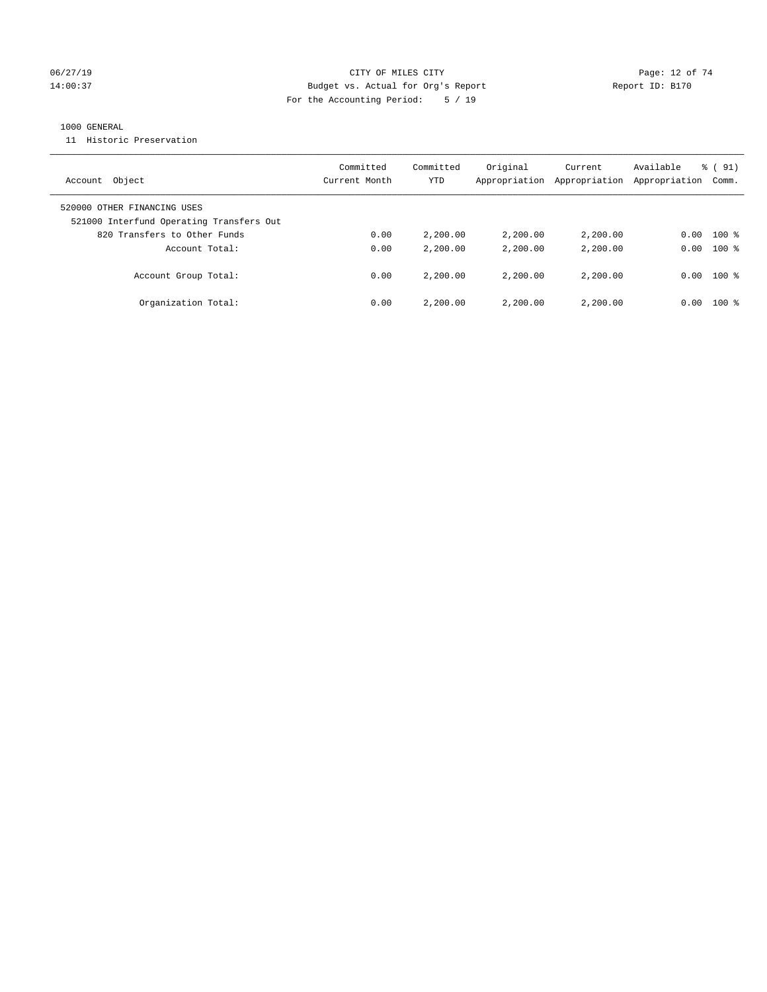### 06/27/19 **Page: 12 of 74** CITY OF MILES CITY **Page: 12 of 74** 14:00:37 Budget vs. Actual for Org's Report Report ID: B170 For the Accounting Period: 5 / 19

### 1000 GENERAL

11 Historic Preservation

| Object<br>Account                                                       | Committed<br>Current Month | Committed<br>YTD | Original<br>Appropriation | Current<br>Appropriation | Available<br>Appropriation | $\frac{1}{6}$ (91)<br>Comm. |
|-------------------------------------------------------------------------|----------------------------|------------------|---------------------------|--------------------------|----------------------------|-----------------------------|
| 520000 OTHER FINANCING USES<br>521000 Interfund Operating Transfers Out |                            |                  |                           |                          |                            |                             |
| 820 Transfers to Other Funds                                            | 0.00                       | 2,200.00         | 2,200.00                  | 2,200.00                 | 0.00                       | $100$ %                     |
| Account Total:                                                          | 0.00                       | 2,200.00         | 2,200.00                  | 2,200.00                 | 0.00                       | $100*$                      |
| Account Group Total:                                                    | 0.00                       | 2,200.00         | 2,200.00                  | 2,200,00                 | 0.00                       | $100*$                      |
| Organization Total:                                                     | 0.00                       | 2,200.00         | 2,200.00                  | 2,200,00                 | 0.00                       | $100*$                      |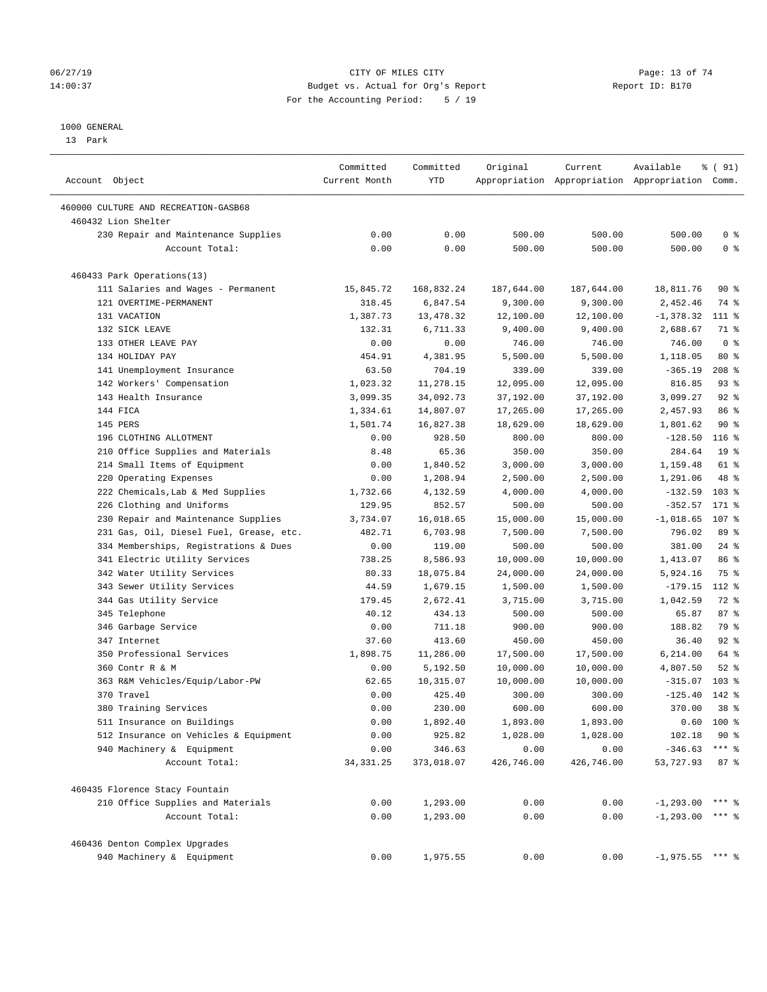### 06/27/19 **Page: 13 of 74** CITY OF MILES CITY **CITY Page: 13 of 74** 14:00:37 Budget vs. Actual for Org's Report Report ID: B170 For the Accounting Period: 5 / 19

————————————————————————————————————————————————————————————————————————————————————————————————————————————————————————————————————

#### 1000 GENERAL

13 Park

|                                         | Committed     | Committed  | Original   | Current    | Available                                       | % (91)           |
|-----------------------------------------|---------------|------------|------------|------------|-------------------------------------------------|------------------|
| Account Object                          | Current Month | YTD        |            |            | Appropriation Appropriation Appropriation Comm. |                  |
| 460000 CULTURE AND RECREATION-GASB68    |               |            |            |            |                                                 |                  |
| 460432 Lion Shelter                     |               |            |            |            |                                                 |                  |
| 230 Repair and Maintenance Supplies     | 0.00          | 0.00       | 500.00     | 500.00     | 500.00                                          | 0 <sup>8</sup>   |
| Account Total:                          | 0.00          | 0.00       | 500.00     | 500.00     | 500.00                                          | 0 <sup>8</sup>   |
| 460433 Park Operations(13)              |               |            |            |            |                                                 |                  |
| 111 Salaries and Wages - Permanent      | 15,845.72     | 168,832.24 | 187,644.00 | 187,644.00 | 18,811.76                                       | 90 %             |
| 121 OVERTIME-PERMANENT                  | 318.45        | 6,847.54   | 9,300.00   | 9,300.00   | 2,452.46                                        | 74 %             |
| 131 VACATION                            | 1,387.73      | 13, 478.32 | 12,100.00  | 12,100.00  | $-1,378.32$                                     | 111 %            |
| 132 SICK LEAVE                          | 132.31        | 6,711.33   | 9,400.00   | 9,400.00   | 2,688.67                                        | 71 %             |
| 133 OTHER LEAVE PAY                     | 0.00          | 0.00       | 746.00     | 746.00     | 746.00                                          | 0 <sup>8</sup>   |
| 134 HOLIDAY PAY                         | 454.91        | 4,381.95   | 5,500.00   | 5,500.00   | 1,118.05                                        | $80*$            |
| 141 Unemployment Insurance              | 63.50         | 704.19     | 339.00     | 339.00     | $-365.19$                                       | $208$ %          |
| 142 Workers' Compensation               | 1,023.32      | 11,278.15  | 12,095.00  | 12,095.00  | 816.85                                          | $93$ $%$         |
| 143 Health Insurance                    | 3,099.35      | 34,092.73  | 37,192.00  | 37,192.00  | 3,099.27                                        | $92$ %           |
| 144 FICA                                | 1,334.61      | 14,807.07  | 17,265.00  | 17,265.00  | 2,457.93                                        | 86 %             |
| 145 PERS                                | 1,501.74      | 16,827.38  | 18,629.00  | 18,629.00  | 1,801.62                                        | 90%              |
| 196 CLOTHING ALLOTMENT                  | 0.00          | 928.50     | 800.00     | 800.00     | $-128.50$                                       | 116 <sup>8</sup> |
| 210 Office Supplies and Materials       | 8.48          | 65.36      | 350.00     | 350.00     | 284.64                                          | 19 <sup>°</sup>  |
| 214 Small Items of Equipment            | 0.00          | 1,840.52   | 3,000.00   | 3,000.00   | 1,159.48                                        | 61 %             |
| 220 Operating Expenses                  | 0.00          | 1,208.94   | 2,500.00   | 2,500.00   | 1,291.06                                        | 48 %             |
| 222 Chemicals, Lab & Med Supplies       | 1,732.66      | 4,132.59   | 4,000.00   | 4,000.00   | $-132.59$                                       | $103$ %          |
| 226 Clothing and Uniforms               | 129.95        | 852.57     | 500.00     | 500.00     | $-352.57$                                       | 171 %            |
| 230 Repair and Maintenance Supplies     | 3,734.07      | 16,018.65  | 15,000.00  | 15,000.00  | $-1,018.65$                                     | 107 %            |
| 231 Gas, Oil, Diesel Fuel, Grease, etc. | 482.71        | 6,703.98   | 7,500.00   | 7,500.00   | 796.02                                          | 89 %             |
| 334 Memberships, Registrations & Dues   | 0.00          | 119.00     | 500.00     | 500.00     | 381.00                                          | $24$ %           |
| 341 Electric Utility Services           | 738.25        | 8,586.93   | 10,000.00  | 10,000.00  | 1,413.07                                        | 86 %             |
| 342 Water Utility Services              | 80.33         | 18,075.84  | 24,000.00  | 24,000.00  | 5,924.16                                        | 75 %             |
| 343 Sewer Utility Services              | 44.59         | 1,679.15   | 1,500.00   | 1,500.00   | $-179.15$                                       | $112*$           |
| 344 Gas Utility Service                 | 179.45        | 2,672.41   | 3,715.00   | 3,715.00   | 1,042.59                                        | 72 %             |
| 345 Telephone                           | 40.12         | 434.13     | 500.00     | 500.00     | 65.87                                           | 87%              |
| 346 Garbage Service                     | 0.00          | 711.18     | 900.00     | 900.00     | 188.82                                          | 79 %             |
| 347 Internet                            | 37.60         | 413.60     | 450.00     | 450.00     | 36.40                                           | 92%              |
| 350 Professional Services               | 1,898.75      | 11,286.00  | 17,500.00  | 17,500.00  | 6,214.00                                        | 64 %             |
| 360 Contr R & M                         | 0.00          | 5,192.50   | 10,000.00  | 10,000.00  | 4,807.50                                        | $52$ $%$         |
| 363 R&M Vehicles/Equip/Labor-PW         | 62.65         | 10,315.07  | 10,000.00  | 10,000.00  | $-315.07$                                       | $103$ %          |
| 370 Travel                              | 0.00          | 425.40     | 300.00     | 300.00     | $-125.40$                                       | 142 %            |
| 380 Training Services                   | 0.00          | 230.00     | 600.00     | 600.00     | 370.00                                          | 38 <sup>8</sup>  |
| 511 Insurance on Buildings              | 0.00          | 1,892.40   | 1,893.00   | 1,893.00   |                                                 | $0.60$ 100 %     |
| 512 Insurance on Vehicles & Equipment   | 0.00          | 925.82     | 1,028.00   | 1,028.00   | 102.18                                          | $90*$            |
| 940 Machinery & Equipment               | 0.00          | 346.63     | 0.00       | 0.00       | $-346.63$ *** \$                                |                  |
| Account Total:                          | 34, 331.25    | 373,018.07 | 426,746.00 | 426,746.00 | 53,727.93                                       | 87%              |
| 460435 Florence Stacy Fountain          |               |            |            |            |                                                 |                  |
| 210 Office Supplies and Materials       | 0.00          | 1,293.00   | 0.00       | 0.00       | $-1,293.00$ *** \$                              |                  |
| Account Total:                          | 0.00          | 1,293.00   | 0.00       | 0.00       | $-1,293.00$ *** $\frac{1}{8}$                   |                  |
| 460436 Denton Complex Upgrades          |               |            |            |            |                                                 |                  |
| 940 Machinery & Equipment               | 0.00          | 1,975.55   | 0.00       | 0.00       | $-1,975.55$ *** %                               |                  |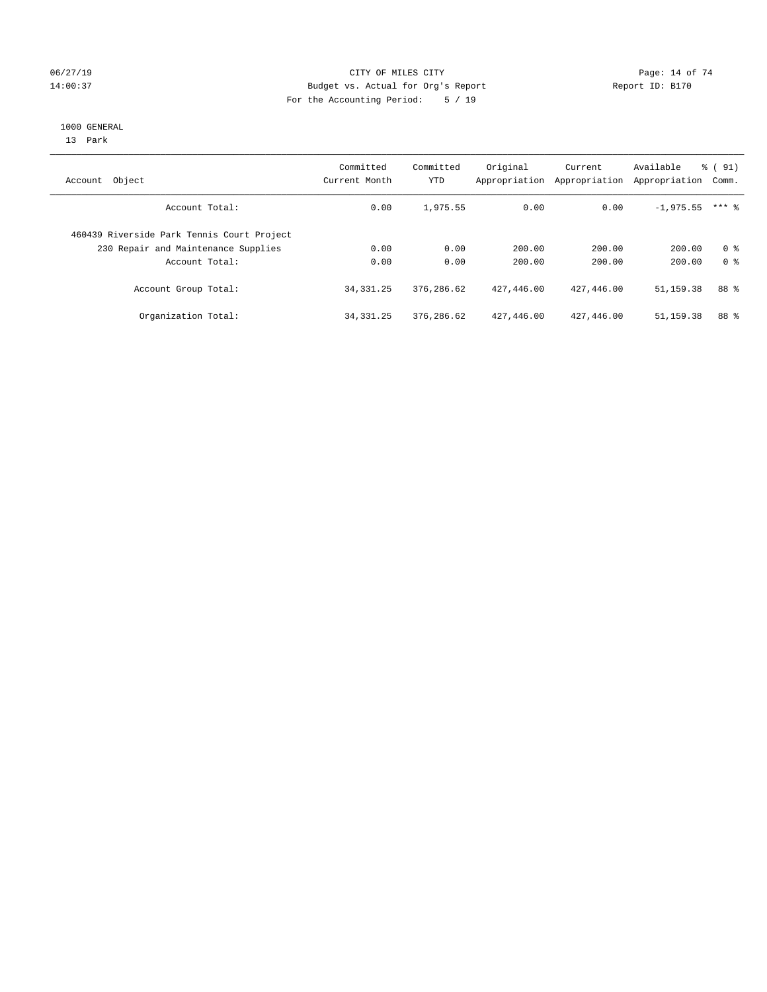### 06/27/19 **Page: 14 of 74** CITY OF MILES CITY **Page: 14 of 74** 14:00:37 Budget vs. Actual for Org's Report Report ID: B170 For the Accounting Period: 5 / 19

#### 1000 GENERAL

13 Park

| Account Object                             | Committed<br>Current Month | Committed<br>YTD | Original<br>Appropriation | Current<br>Appropriation | Available<br>Appropriation | $\frac{1}{6}$ (91)<br>Comm. |
|--------------------------------------------|----------------------------|------------------|---------------------------|--------------------------|----------------------------|-----------------------------|
| Account Total:                             | 0.00                       | 1,975.55         | 0.00                      | 0.00                     | $-1,975.55$                | $***$ 2                     |
| 460439 Riverside Park Tennis Court Project |                            |                  |                           |                          |                            |                             |
| 230 Repair and Maintenance Supplies        | 0.00                       | 0.00             | 200.00                    | 200.00                   | 200.00                     | 0 <sup>8</sup>              |
| Account Total:                             | 0.00                       | 0.00             | 200.00                    | 200.00                   | 200.00                     | 0 <sup>8</sup>              |
| Account Group Total:                       | 34, 331. 25                | 376,286.62       | 427,446.00                | 427,446.00               | 51,159.38                  | 88 %                        |
| Organization Total:                        | 34, 331. 25                | 376,286.62       | 427,446.00                | 427,446.00               | 51, 159. 38                | 88 %                        |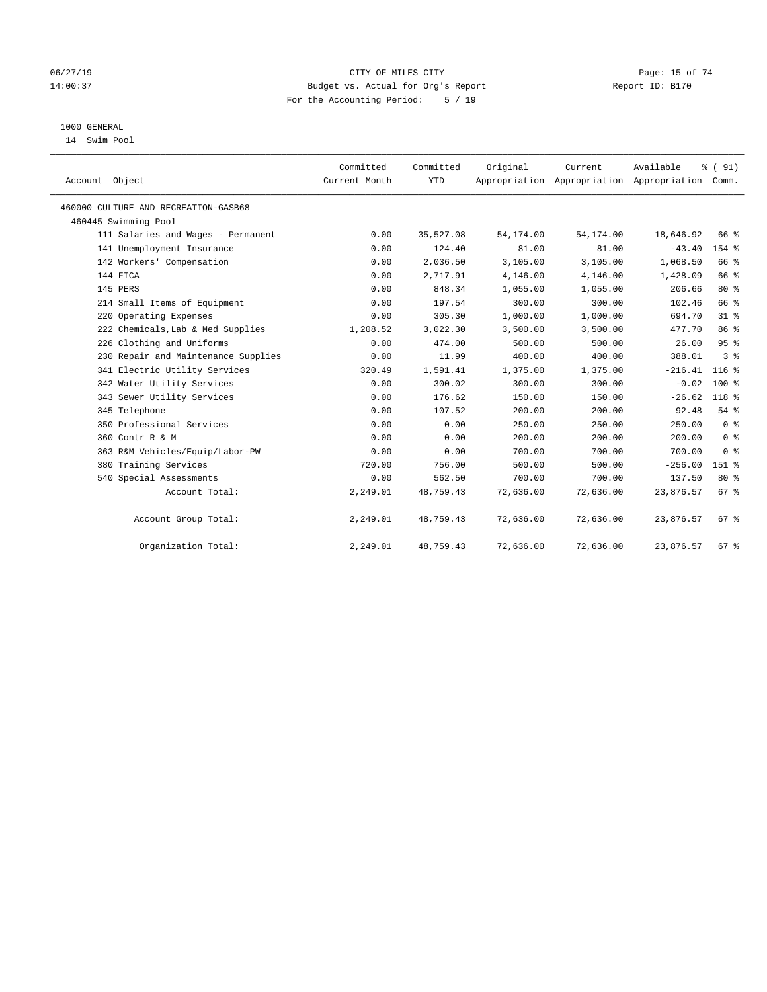### 06/27/19 **Page: 15 of 74** CITY OF MILES CITY **CITY Page: 15 of 74** 14:00:37 Budget vs. Actual for Org's Report Report ID: B170 For the Accounting Period: 5 / 19

# 1000 GENERAL

14 Swim Pool

| Account Object                       | Committed<br>Current Month | Committed<br><b>YTD</b> | Original  | Current<br>Appropriation Appropriation Appropriation Comm. | Available | % (91)             |  |
|--------------------------------------|----------------------------|-------------------------|-----------|------------------------------------------------------------|-----------|--------------------|--|
| 460000 CULTURE AND RECREATION-GASB68 |                            |                         |           |                                                            |           |                    |  |
| 460445 Swimming Pool                 |                            |                         |           |                                                            |           |                    |  |
| 111 Salaries and Wages - Permanent   | 0.00                       | 35,527.08               | 54,174.00 | 54, 174.00                                                 | 18,646.92 | 66 %               |  |
| 141 Unemployment Insurance           | 0.00                       | 124.40                  | 81.00     | 81.00                                                      | $-43.40$  | 154 %              |  |
| 142 Workers' Compensation            | 0.00                       | 2,036.50                | 3,105.00  | 3,105.00                                                   | 1,068.50  | 66 %               |  |
| 144 FICA                             | 0.00                       | 2,717.91                | 4,146.00  | 4,146.00                                                   | 1,428.09  | 66 %               |  |
| 145 PERS                             | 0.00                       | 848.34                  | 1,055.00  | 1,055.00                                                   | 206.66    | $80*$              |  |
| 214 Small Items of Equipment         | 0.00                       | 197.54                  | 300.00    | 300.00                                                     | 102.46    | 66 %               |  |
| 220 Operating Expenses               | 0.00                       | 305.30                  | 1,000.00  | 1,000.00                                                   | 694.70    | 31.8               |  |
| 222 Chemicals, Lab & Med Supplies    | 1,208.52                   | 3,022.30                | 3,500.00  | 3,500.00                                                   | 477.70    | 86 %               |  |
| 226 Clothing and Uniforms            | 0.00                       | 474.00                  | 500.00    | 500.00                                                     | 26.00     | 95%                |  |
| 230 Repair and Maintenance Supplies  | 0.00                       | 11.99                   | 400.00    | 400.00                                                     | 388.01    | 3 <sup>8</sup>     |  |
| 341 Electric Utility Services        | 320.49                     | 1,591.41                | 1,375.00  | 1,375.00                                                   | $-216.41$ | 116 <sup>8</sup>   |  |
| 342 Water Utility Services           | 0.00                       | 300.02                  | 300.00    | 300.00                                                     | $-0.02$   | $100*$             |  |
| 343 Sewer Utility Services           | 0.00                       | 176.62                  | 150.00    | 150.00                                                     | $-26.62$  | 118 %              |  |
| 345 Telephone                        | 0.00                       | 107.52                  | 200.00    | 200.00                                                     | 92.48     | 54%                |  |
| 350 Professional Services            | 0.00                       | 0.00                    | 250.00    | 250.00                                                     | 250.00    | 0 <sup>8</sup>     |  |
| 360 Contr R & M                      | 0.00                       | 0.00                    | 200.00    | 200.00                                                     | 200.00    | 0 <sup>8</sup>     |  |
| 363 R&M Vehicles/Equip/Labor-PW      | 0.00                       | 0.00                    | 700.00    | 700.00                                                     | 700.00    | 0 <sup>8</sup>     |  |
| 380 Training Services                | 720.00                     | 756.00                  | 500.00    | 500.00                                                     | $-256.00$ | $151$ %            |  |
| 540 Special Assessments              | 0.00                       | 562.50                  | 700.00    | 700.00                                                     | 137.50    | 80 %               |  |
| Account Total:                       | 2,249.01                   | 48,759.43               | 72,636.00 | 72,636.00                                                  | 23,876.57 | 67 <sup>8</sup>    |  |
| Account Group Total:                 | 2,249.01                   | 48,759.43               | 72,636.00 | 72,636.00                                                  | 23,876.57 | $67$ $\frac{6}{3}$ |  |
| Organization Total:                  | 2,249.01                   | 48,759.43               | 72,636.00 | 72,636.00                                                  | 23,876.57 | $67$ %             |  |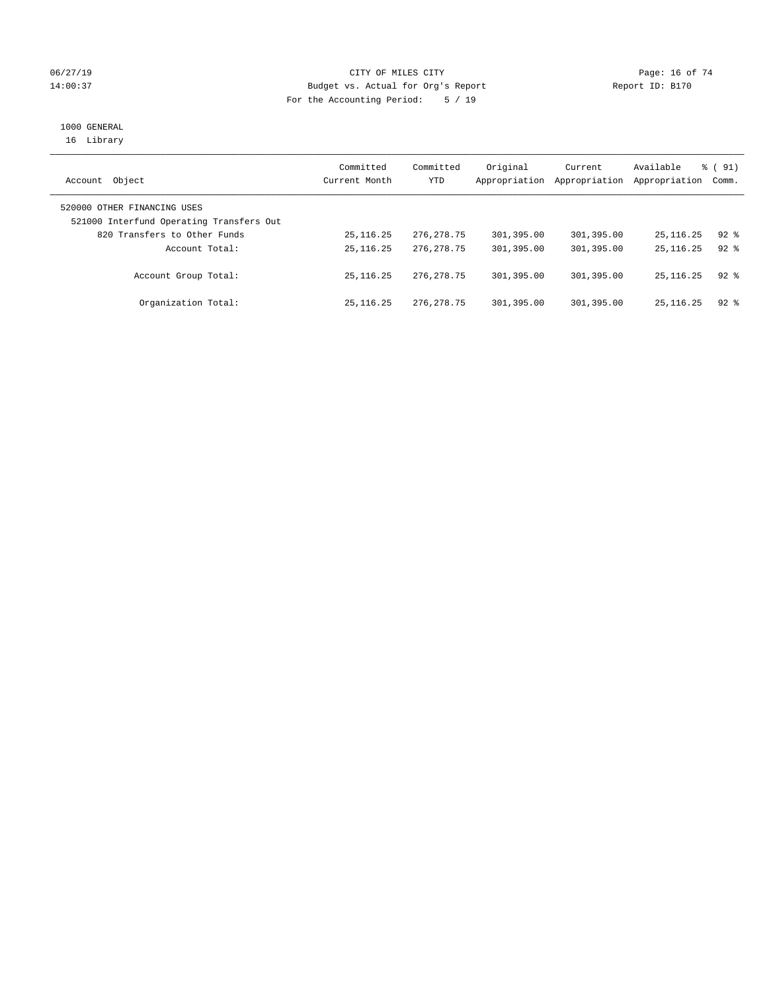### 06/27/19 **Page: 16 of 74** CITY OF MILES CITY **Page: 16 of 74** 14:00:37 Budget vs. Actual for Org's Report Report ID: B170 For the Accounting Period: 5 / 19

# 1000 GENERAL

16 Library

| Object<br>Account                                                       | Committed<br>Current Month | Committed<br>YTD | Original<br>Appropriation | Current<br>Appropriation | Available<br>Appropriation | $\frac{1}{6}$ (91)<br>Comm. |
|-------------------------------------------------------------------------|----------------------------|------------------|---------------------------|--------------------------|----------------------------|-----------------------------|
| 520000 OTHER FINANCING USES<br>521000 Interfund Operating Transfers Out |                            |                  |                           |                          |                            |                             |
| 820 Transfers to Other Funds                                            | 25, 116. 25                | 276, 278. 75     | 301,395.00                | 301,395.00               | 25, 116. 25                | $92$ $%$                    |
| Account Total:                                                          | 25, 116. 25                | 276, 278. 75     | 301,395.00                | 301,395.00               | 25, 116, 25                | $92*$                       |
| Account Group Total:                                                    | 25, 116, 25                | 276, 278. 75     | 301,395.00                | 301,395.00               | 25, 116, 25                | $92$ $%$                    |
| Organization Total:                                                     | 25, 116, 25                | 276, 278. 75     | 301,395.00                | 301,395.00               | 25, 116, 25                | $92$ $%$                    |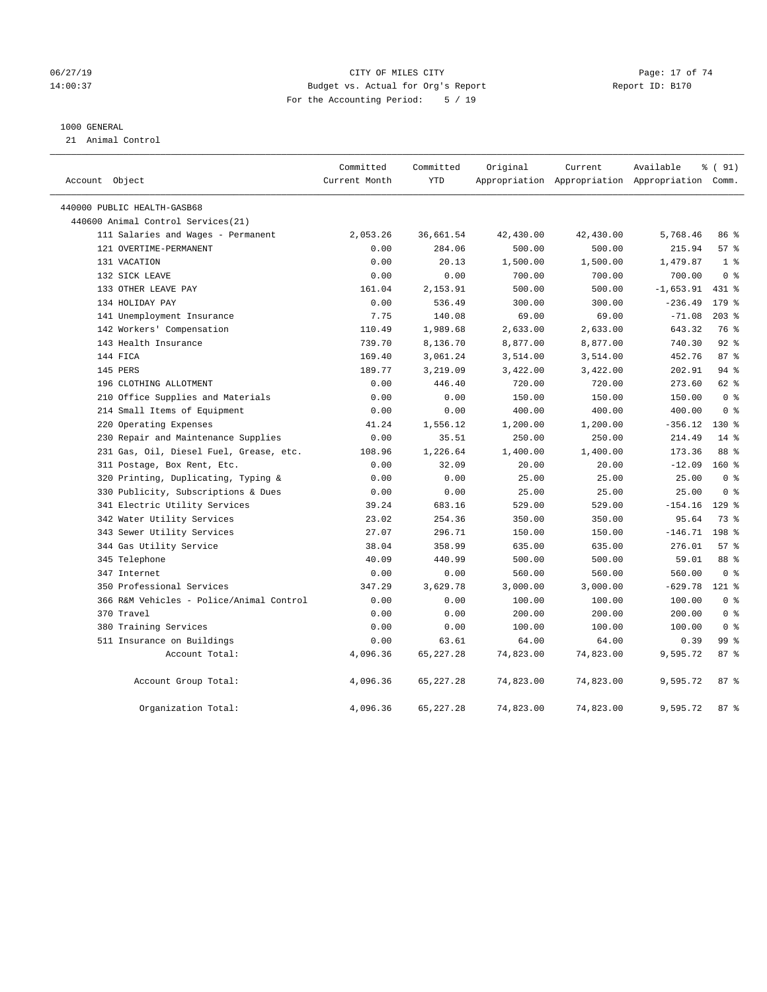### 06/27/19 **Page: 17 of 74** CITY OF MILES CITY **Page: 17 of 74** 14:00:37 Budget vs. Actual for Org's Report Report ID: B170 For the Accounting Period: 5 / 19

#### 1000 GENERAL

21 Animal Control

| Account Object                           | Committed<br>Current Month | Committed<br>YTD | Original  | Current<br>Appropriation Appropriation Appropriation Comm. | Available   | % (91)         |  |
|------------------------------------------|----------------------------|------------------|-----------|------------------------------------------------------------|-------------|----------------|--|
| 440000 PUBLIC HEALTH-GASB68              |                            |                  |           |                                                            |             |                |  |
| 440600 Animal Control Services(21)       |                            |                  |           |                                                            |             |                |  |
| 111 Salaries and Wages - Permanent       | 2,053.26                   | 36,661.54        | 42,430.00 | 42,430.00                                                  | 5,768.46    | 86 %           |  |
| 121 OVERTIME-PERMANENT                   | 0.00                       | 284.06           | 500.00    | 500.00                                                     | 215.94      | 57%            |  |
| 131 VACATION                             | 0.00                       | 20.13            | 1,500.00  | 1,500.00                                                   | 1,479.87    | 1 <sup>°</sup> |  |
| 132 SICK LEAVE                           | 0.00                       | 0.00             | 700.00    | 700.00                                                     | 700.00      | 0 <sup>8</sup> |  |
| 133 OTHER LEAVE PAY                      | 161.04                     | 2,153.91         | 500.00    | 500.00                                                     | $-1,653.91$ | 431 %          |  |
| 134 HOLIDAY PAY                          | 0.00                       | 536.49           | 300.00    | 300.00                                                     | $-236.49$   | $179$ %        |  |
| 141 Unemployment Insurance               | 7.75                       | 140.08           | 69.00     | 69.00                                                      | $-71.08$    | $203$ %        |  |
| 142 Workers' Compensation                | 110.49                     | 1,989.68         | 2,633.00  | 2,633.00                                                   | 643.32      | 76 %           |  |
| 143 Health Insurance                     | 739.70                     | 8,136.70         | 8,877.00  | 8,877.00                                                   | 740.30      | $92$ $%$       |  |
| 144 FICA                                 | 169.40                     | 3,061.24         | 3,514.00  | 3,514.00                                                   | 452.76      | 87%            |  |
| 145 PERS                                 | 189.77                     | 3,219.09         | 3,422.00  | 3,422.00                                                   | 202.91      | $94$ %         |  |
| 196 CLOTHING ALLOTMENT                   | 0.00                       | 446.40           | 720.00    | 720.00                                                     | 273.60      | 62 %           |  |
| 210 Office Supplies and Materials        | 0.00                       | 0.00             | 150.00    | 150.00                                                     | 150.00      | 0 <sup>8</sup> |  |
| 214 Small Items of Equipment             | 0.00                       | 0.00             | 400.00    | 400.00                                                     | 400.00      | 0 <sup>8</sup> |  |
| 220 Operating Expenses                   | 41.24                      | 1,556.12         | 1,200.00  | 1,200.00                                                   | $-356.12$   | $130*$         |  |
| 230 Repair and Maintenance Supplies      | 0.00                       | 35.51            | 250.00    | 250.00                                                     | 214.49      | $14*$          |  |
| 231 Gas, Oil, Diesel Fuel, Grease, etc.  | 108.96                     | 1,226.64         | 1,400.00  | 1,400.00                                                   | 173.36      | 88 %           |  |
| 311 Postage, Box Rent, Etc.              | 0.00                       | 32.09            | 20.00     | 20.00                                                      | $-12.09$    | $160*$         |  |
| 320 Printing, Duplicating, Typing &      | 0.00                       | 0.00             | 25.00     | 25.00                                                      | 25.00       | 0 <sup>8</sup> |  |
| 330 Publicity, Subscriptions & Dues      | 0.00                       | 0.00             | 25.00     | 25.00                                                      | 25.00       | 0 <sup>8</sup> |  |
| 341 Electric Utility Services            | 39.24                      | 683.16           | 529.00    | 529.00                                                     | $-154.16$   | $129$ %        |  |
| 342 Water Utility Services               | 23.02                      | 254.36           | 350.00    | 350.00                                                     | 95.64       | 73 %           |  |
| 343 Sewer Utility Services               | 27.07                      | 296.71           | 150.00    | 150.00                                                     | $-146.71$   | 198 %          |  |
| 344 Gas Utility Service                  | 38.04                      | 358.99           | 635.00    | 635.00                                                     | 276.01      | 57%            |  |
| 345 Telephone                            | 40.09                      | 440.99           | 500.00    | 500.00                                                     | 59.01       | 88 %           |  |
| 347 Internet                             | 0.00                       | 0.00             | 560.00    | 560.00                                                     | 560.00      | 0 <sup>8</sup> |  |
| 350 Professional Services                | 347.29                     | 3,629.78         | 3,000.00  | 3,000.00                                                   | $-629.78$   | $121$ %        |  |
| 366 R&M Vehicles - Police/Animal Control | 0.00                       | 0.00             | 100.00    | 100.00                                                     | 100.00      | 0 <sup>8</sup> |  |
| 370 Travel                               | 0.00                       | 0.00             | 200.00    | 200.00                                                     | 200.00      | 0 <sup>8</sup> |  |
| 380 Training Services                    | 0.00                       | 0.00             | 100.00    | 100.00                                                     | 100.00      | 0 <sup>8</sup> |  |
| 511 Insurance on Buildings               | 0.00                       | 63.61            | 64.00     | 64.00                                                      | 0.39        | 99 %           |  |
| Account Total:                           | 4,096.36                   | 65, 227. 28      | 74,823.00 | 74,823.00                                                  | 9,595.72    | 87%            |  |
| Account Group Total:                     | 4,096.36                   | 65,227.28        | 74,823.00 | 74,823.00                                                  | 9,595.72    | 87%            |  |
| Organization Total:                      | 4,096.36                   | 65, 227. 28      | 74,823.00 | 74,823.00                                                  | 9,595.72    | 87%            |  |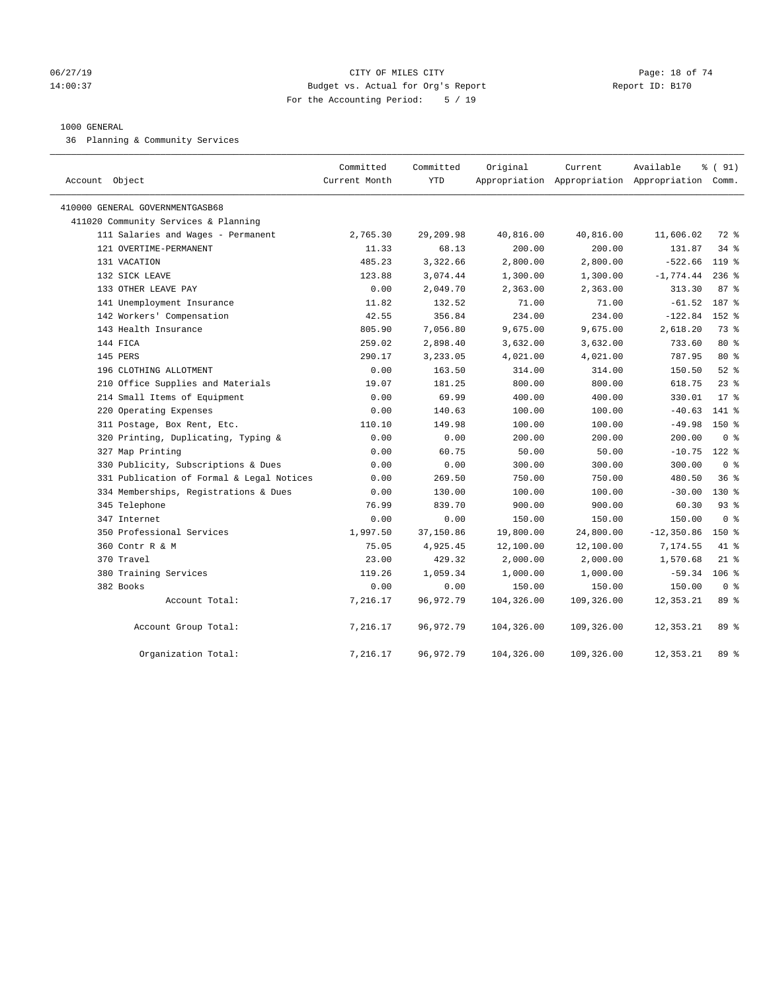### 06/27/19 **Page: 18 of 74** CITY OF MILES CITY **CITY Page: 18 of 74** 14:00:37 Budget vs. Actual for Org's Report Report ID: B170 For the Accounting Period: 5 / 19

#### 1000 GENERAL

36 Planning & Community Services

| Account Object |                                           | Committed<br>Current Month | Committed<br><b>YTD</b> | Original   | Current    | Available<br>Appropriation Appropriation Appropriation Comm. | % (91)         |  |
|----------------|-------------------------------------------|----------------------------|-------------------------|------------|------------|--------------------------------------------------------------|----------------|--|
|                | 410000 GENERAL GOVERNMENTGASB68           |                            |                         |            |            |                                                              |                |  |
|                | 411020 Community Services & Planning      |                            |                         |            |            |                                                              |                |  |
|                | 111 Salaries and Wages - Permanent        | 2,765.30                   | 29,209.98               | 40,816.00  | 40,816.00  | 11,606.02                                                    | 72 %           |  |
|                | 121 OVERTIME-PERMANENT                    | 11.33                      | 68.13                   | 200.00     | 200.00     | 131.87                                                       | 34 %           |  |
|                | 131 VACATION                              | 485.23                     | 3,322.66                | 2,800.00   | 2,800.00   | $-522.66$                                                    | $119$ %        |  |
|                | 132 SICK LEAVE                            | 123.88                     | 3,074.44                | 1,300.00   | 1,300.00   | $-1,774.44$                                                  | $236$ %        |  |
|                | 133 OTHER LEAVE PAY                       | 0.00                       | 2,049.70                | 2,363.00   | 2,363.00   | 313.30                                                       | 87%            |  |
|                | 141 Unemployment Insurance                | 11.82                      | 132.52                  | 71.00      | 71.00      | $-61.52$                                                     | 187 %          |  |
|                | 142 Workers' Compensation                 | 42.55                      | 356.84                  | 234.00     | 234.00     | $-122.84$                                                    | $152$ $%$      |  |
|                | 143 Health Insurance                      | 805.90                     | 7,056.80                | 9,675.00   | 9,675.00   | 2,618.20                                                     | 73 %           |  |
|                | 144 FICA                                  | 259.02                     | 2,898.40                | 3,632.00   | 3,632.00   | 733.60                                                       | 80 %           |  |
|                | 145 PERS                                  | 290.17                     | 3,233.05                | 4,021.00   | 4,021.00   | 787.95                                                       | 80 %           |  |
|                | 196 CLOTHING ALLOTMENT                    | 0.00                       | 163.50                  | 314.00     | 314.00     | 150.50                                                       | $52$ $%$       |  |
|                | 210 Office Supplies and Materials         | 19.07                      | 181.25                  | 800.00     | 800.00     | 618.75                                                       | $23$ $%$       |  |
|                | 214 Small Items of Equipment              | 0.00                       | 69.99                   | 400.00     | 400.00     | 330.01                                                       | $17*$          |  |
|                | 220 Operating Expenses                    | 0.00                       | 140.63                  | 100.00     | 100.00     | $-40.63$                                                     | $141$ %        |  |
|                | 311 Postage, Box Rent, Etc.               | 110.10                     | 149.98                  | 100.00     | 100.00     | $-49.98$                                                     | $150*$         |  |
|                | 320 Printing, Duplicating, Typing &       | 0.00                       | 0.00                    | 200.00     | 200.00     | 200.00                                                       | 0 <sup>8</sup> |  |
|                | 327 Map Printing                          | 0.00                       | 60.75                   | 50.00      | 50.00      | $-10.75$                                                     | $122$ %        |  |
|                | 330 Publicity, Subscriptions & Dues       | 0.00                       | 0.00                    | 300.00     | 300.00     | 300.00                                                       | 0 <sup>8</sup> |  |
|                | 331 Publication of Formal & Legal Notices | 0.00                       | 269.50                  | 750.00     | 750.00     | 480.50                                                       | 36%            |  |
|                | 334 Memberships, Registrations & Dues     | 0.00                       | 130.00                  | 100.00     | 100.00     | $-30.00$                                                     | $130*$         |  |
|                | 345 Telephone                             | 76.99                      | 839.70                  | 900.00     | 900.00     | 60.30                                                        | $93$ $%$       |  |
|                | 347 Internet                              | 0.00                       | 0.00                    | 150.00     | 150.00     | 150.00                                                       | 0 <sup>8</sup> |  |
|                | 350 Professional Services                 | 1,997.50                   | 37,150.86               | 19,800.00  | 24,800.00  | $-12, 350.86$                                                | $150*$         |  |
|                | 360 Contr R & M                           | 75.05                      | 4,925.45                | 12,100.00  | 12,100.00  | 7,174.55                                                     | 41.8           |  |
|                | 370 Travel                                | 23.00                      | 429.32                  | 2,000.00   | 2,000.00   | 1,570.68                                                     | $21$ %         |  |
|                | 380 Training Services                     | 119.26                     | 1,059.34                | 1,000.00   | 1,000.00   | $-59.34$                                                     | $106$ %        |  |
|                | 382 Books                                 | 0.00                       | 0.00                    | 150.00     | 150.00     | 150.00                                                       | 0 <sup>8</sup> |  |
|                | Account Total:                            | 7,216.17                   | 96, 972. 79             | 104,326.00 | 109,326.00 | 12,353.21                                                    | 89 %           |  |
|                | Account Group Total:                      | 7,216.17                   | 96, 972. 79             | 104,326.00 | 109,326.00 | 12,353.21                                                    | 89 %           |  |
|                | Organization Total:                       | 7,216.17                   | 96, 972. 79             | 104,326.00 | 109,326.00 | 12, 353. 21                                                  | 89 %           |  |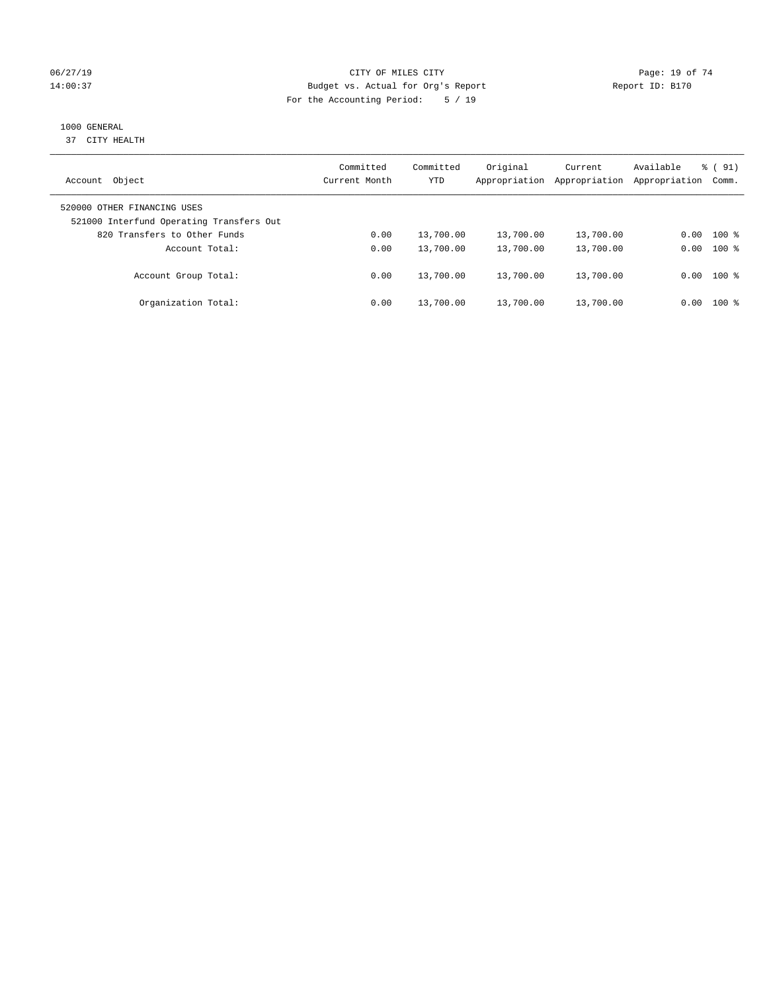### 06/27/19 **Page: 19 of 74** CITY OF MILES CITY **CITY Page: 19 of 74** 14:00:37 Budget vs. Actual for Org's Report Report ID: B170 For the Accounting Period: 5 / 19

# 1000 GENERAL

37 CITY HEALTH

| Object<br>Account                                                       | Committed<br>Current Month | Committed<br><b>YTD</b> | Original<br>Appropriation | Current<br>Appropriation | Available<br>Appropriation | % (91)<br>Comm. |
|-------------------------------------------------------------------------|----------------------------|-------------------------|---------------------------|--------------------------|----------------------------|-----------------|
| 520000 OTHER FINANCING USES<br>521000 Interfund Operating Transfers Out |                            |                         |                           |                          |                            |                 |
| 820 Transfers to Other Funds                                            | 0.00                       | 13,700.00               | 13,700.00                 | 13,700.00                | 0.00                       | $100*$          |
| Account Total:                                                          | 0.00                       | 13,700.00               | 13,700.00                 | 13,700.00                | 0.00                       | $100$ %         |
| Account Group Total:                                                    | 0.00                       | 13,700.00               | 13,700.00                 | 13,700.00                |                            | $0.00$ 100 %    |
| Organization Total:                                                     | 0.00                       | 13,700.00               | 13,700.00                 | 13,700.00                | 0.00                       | $100$ %         |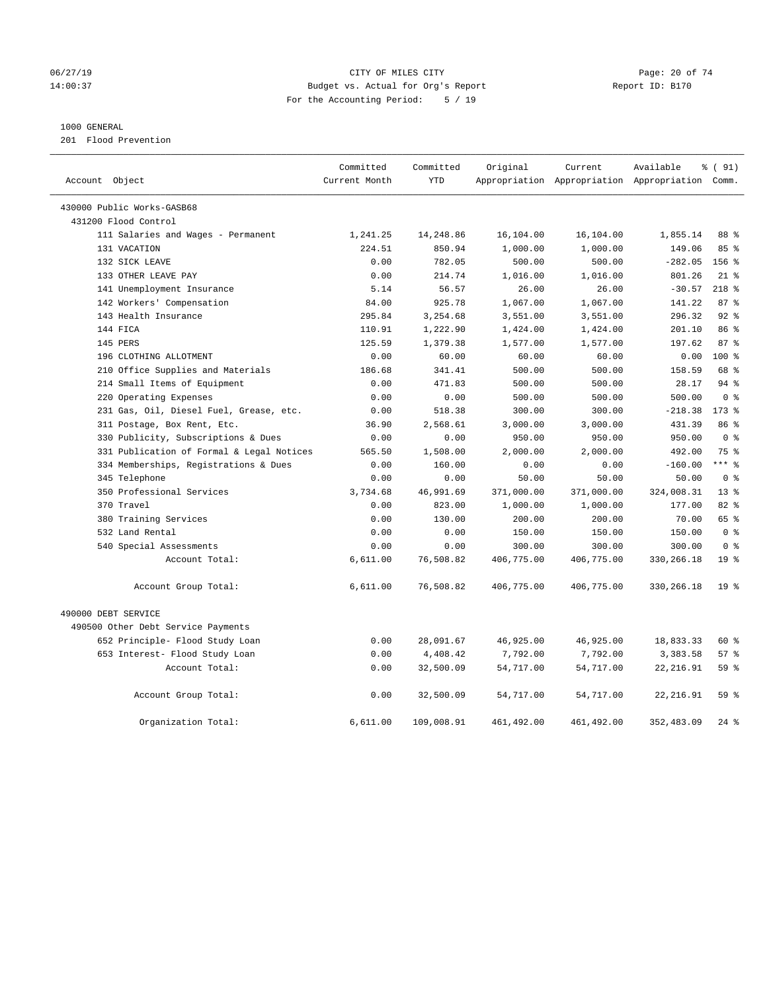### 06/27/19 Page: 20 of 74 14:00:37 Budget vs. Actual for Org's Report Report ID: B170 For the Accounting Period: 5 / 19

#### 1000 GENERAL

201 Flood Prevention

| Account Object                            | Committed<br>Current Month | Committed<br><b>YTD</b> | Original   | Current     | Available<br>Appropriation Appropriation Appropriation Comm. | % (91)          |
|-------------------------------------------|----------------------------|-------------------------|------------|-------------|--------------------------------------------------------------|-----------------|
|                                           |                            |                         |            |             |                                                              |                 |
| 430000 Public Works-GASB68                |                            |                         |            |             |                                                              |                 |
| 431200 Flood Control                      |                            |                         |            |             |                                                              |                 |
| 111 Salaries and Wages - Permanent        | 1,241.25                   | 14,248.86               | 16,104.00  | 16,104.00   | 1,855.14                                                     | 88 %            |
| 131 VACATION                              | 224.51                     | 850.94                  | 1,000.00   | 1,000.00    | 149.06                                                       | 85%             |
| 132 SICK LEAVE                            | 0.00                       | 782.05                  | 500.00     | 500.00      | $-282.05$                                                    | $156$ %         |
| 133 OTHER LEAVE PAY                       | 0.00                       | 214.74                  | 1,016.00   | 1,016.00    | 801.26                                                       | $21$ %          |
| 141 Unemployment Insurance                | 5.14                       | 56.57                   | 26.00      | 26.00       | $-30.57$                                                     | $218$ %         |
| 142 Workers' Compensation                 | 84.00                      | 925.78                  | 1,067.00   | 1,067.00    | 141.22                                                       | 87%             |
| 143 Health Insurance                      | 295.84                     | 3,254.68                | 3,551.00   | 3,551.00    | 296.32                                                       | 92.8            |
| 144 FICA                                  | 110.91                     | 1,222.90                | 1,424.00   | 1,424.00    | 201.10                                                       | 86 %            |
| 145 PERS                                  | 125.59                     | 1,379.38                | 1,577.00   | 1,577.00    | 197.62                                                       | 87%             |
| 196 CLOTHING ALLOTMENT                    | 0.00                       | 60.00                   | 60.00      | 60.00       | 0.00                                                         | $100*$          |
| 210 Office Supplies and Materials         | 186.68                     | 341.41                  | 500.00     | 500.00      | 158.59                                                       | 68 %            |
| 214 Small Items of Equipment              | 0.00                       | 471.83                  | 500.00     | 500.00      | 28.17                                                        | $94$ %          |
| 220 Operating Expenses                    | 0.00                       | 0.00                    | 500.00     | 500.00      | 500.00                                                       | 0 <sup>8</sup>  |
| 231 Gas, Oil, Diesel Fuel, Grease, etc.   | 0.00                       | 518.38                  | 300.00     | 300.00      | $-218.38$                                                    | $173$ $%$       |
| 311 Postage, Box Rent, Etc.               | 36.90                      | 2,568.61                | 3,000.00   | 3,000.00    | 431.39                                                       | 86 %            |
| 330 Publicity, Subscriptions & Dues       | 0.00                       | 0.00                    | 950.00     | 950.00      | 950.00                                                       | 0 <sup>8</sup>  |
| 331 Publication of Formal & Legal Notices | 565.50                     | 1,508.00                | 2,000.00   | 2,000.00    | 492.00                                                       | 75 %            |
| 334 Memberships, Registrations & Dues     | 0.00                       | 160.00                  | 0.00       | 0.00        | $-160.00$                                                    | $***$ %         |
| 345 Telephone                             | 0.00                       | 0.00                    | 50.00      | 50.00       | 50.00                                                        | 0 <sup>8</sup>  |
| 350 Professional Services                 | 3,734.68                   | 46,991.69               | 371,000.00 | 371,000.00  | 324,008.31                                                   | 13 <sup>8</sup> |
| 370 Travel                                | 0.00                       | 823.00                  | 1,000.00   | 1,000.00    | 177.00                                                       | 82 %            |
| 380 Training Services                     | 0.00                       | 130.00                  | 200.00     | 200.00      | 70.00                                                        | 65 %            |
| 532 Land Rental                           | 0.00                       | 0.00                    | 150.00     | 150.00      | 150.00                                                       | 0 <sup>8</sup>  |
| 540 Special Assessments                   | 0.00                       | 0.00                    | 300.00     | 300.00      | 300.00                                                       | 0 <sup>8</sup>  |
| Account Total:                            | 6,611.00                   | 76,508.82               | 406,775.00 | 406,775.00  | 330,266.18                                                   | 19 <sup>°</sup> |
| Account Group Total:                      | 6,611.00                   | 76,508.82               | 406,775.00 | 406,775.00  | 330, 266.18                                                  | 19 <sup>8</sup> |
| 490000 DEBT SERVICE                       |                            |                         |            |             |                                                              |                 |
| 490500 Other Debt Service Payments        |                            |                         |            |             |                                                              |                 |
| 652 Principle- Flood Study Loan           | 0.00                       | 28,091.67               | 46,925.00  | 46,925.00   | 18,833.33                                                    | 60 %            |
| 653 Interest- Flood Study Loan            | 0.00                       | 4,408.42                | 7,792.00   | 7,792.00    | 3,383.58                                                     | 57%             |
| Account Total:                            | 0.00                       | 32,500.09               | 54,717.00  | 54,717.00   | 22, 216.91                                                   | 59%             |
| Account Group Total:                      | 0.00                       | 32,500.09               | 54,717.00  | 54,717.00   | 22, 216.91                                                   | 59 %            |
| Organization Total:                       | 6,611.00                   | 109,008.91              | 461,492.00 | 461, 492.00 | 352,483.09                                                   | $24$ %          |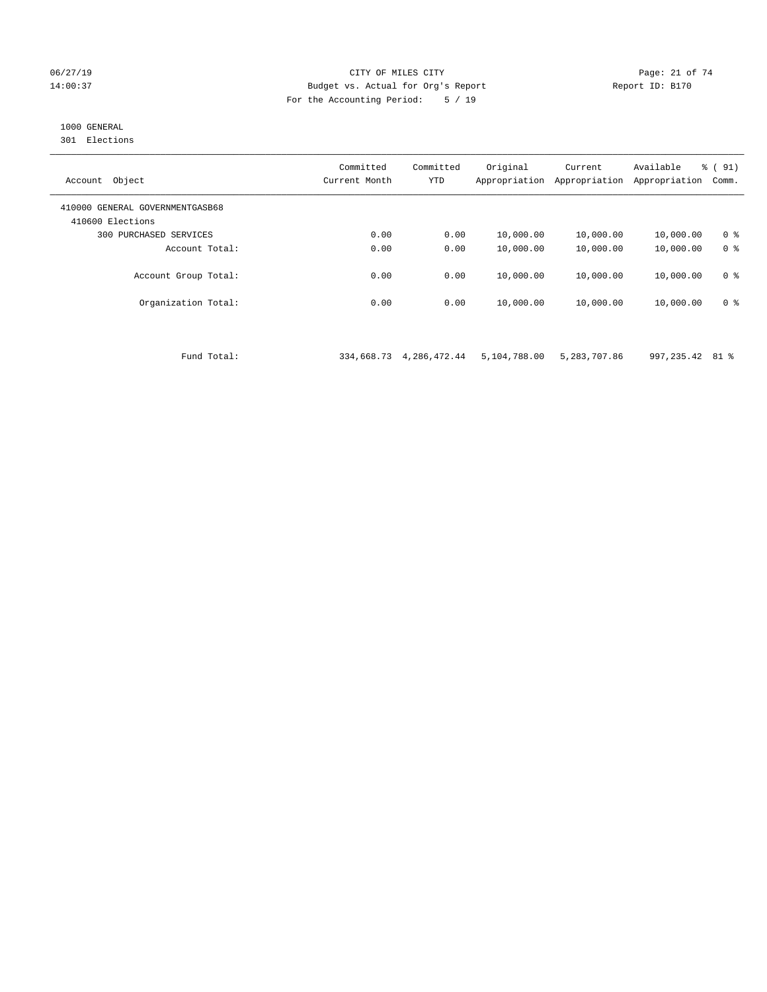#### 06/27/19 Page: 21 of 74 14:00:37 Budget vs. Actual for Org's Report Report ID: B170 For the Accounting Period: 5 / 19

# 1000 GENERAL

301 Elections

| Object<br>Account                                   | Committed<br>Current Month | Committed<br>YTD | Original<br>Appropriation | Current<br>Appropriation | Available<br>Appropriation | % (91)<br>Comm. |
|-----------------------------------------------------|----------------------------|------------------|---------------------------|--------------------------|----------------------------|-----------------|
| 410000 GENERAL GOVERNMENTGASB68<br>410600 Elections |                            |                  |                           |                          |                            |                 |
| PURCHASED SERVICES<br>300                           | 0.00                       | 0.00             | 10,000.00                 | 10,000.00                | 10,000.00                  | 0 <sup>8</sup>  |
| Account Total:                                      | 0.00                       | 0.00             | 10,000.00                 | 10,000.00                | 10,000.00                  | 0 <sup>8</sup>  |
| Account Group Total:                                | 0.00                       | 0.00             | 10,000.00                 | 10,000.00                | 10,000.00                  | 0 <sup>8</sup>  |
| Organization Total:                                 | 0.00                       | 0.00             | 10,000.00                 | 10,000.00                | 10,000.00                  | 0 <sup>8</sup>  |

Fund Total: 334,668.73 4,286,472.44 5,104,788.00 5,283,707.86 997,235.42 81 %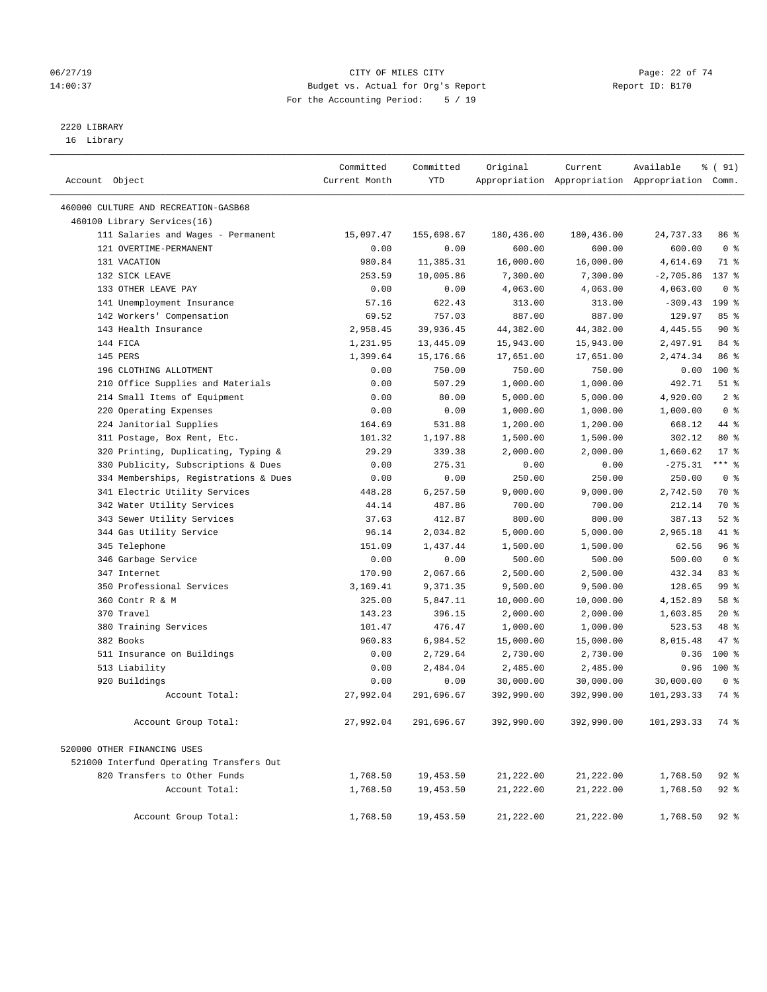### 06/27/19 Page: 22 of 74 14:00:37 Budget vs. Actual for Org's Report Report ID: B170 For the Accounting Period: 5 / 19

————————————————————————————————————————————————————————————————————————————————————————————————————————————————————————————————————

# 2220 LIBRARY

16 Library

|                                          | Committed        | Committed        | Original              | Current               | Available                                       | % (91)                  |
|------------------------------------------|------------------|------------------|-----------------------|-----------------------|-------------------------------------------------|-------------------------|
| Account Object                           | Current Month    | YTD              |                       |                       | Appropriation Appropriation Appropriation Comm. |                         |
| 460000 CULTURE AND RECREATION-GASB68     |                  |                  |                       |                       |                                                 |                         |
| 460100 Library Services(16)              |                  |                  |                       |                       |                                                 |                         |
| 111 Salaries and Wages - Permanent       | 15,097.47        | 155,698.67       | 180,436.00            | 180,436.00            | 24,737.33                                       | 86 %                    |
| 121 OVERTIME-PERMANENT                   | 0.00             | 0.00             | 600.00                | 600.00                | 600.00                                          | 0 <sup>8</sup>          |
| 131 VACATION                             | 980.84           | 11,385.31        | 16,000.00             | 16,000.00             | 4,614.69                                        | 71 %                    |
| 132 SICK LEAVE                           | 253.59           | 10,005.86        | 7,300.00              | 7,300.00              | $-2,705.86$                                     | 137 %                   |
| 133 OTHER LEAVE PAY                      | 0.00             | 0.00             | 4,063.00              | 4,063.00              | 4,063.00                                        | 0 <sup>8</sup>          |
| 141 Unemployment Insurance               | 57.16            | 622.43           | 313.00                | 313.00                | $-309.43$                                       | 199 %                   |
| 142 Workers' Compensation                | 69.52            | 757.03           | 887.00                | 887.00                | 129.97                                          | 85%                     |
| 143 Health Insurance                     | 2,958.45         | 39,936.45        | 44,382.00             | 44,382.00             | 4,445.55                                        | $90*$                   |
| 144 FICA                                 | 1,231.95         | 13,445.09        | 15,943.00             | 15,943.00             | 2,497.91                                        | 84 %                    |
| 145 PERS                                 | 1,399.64         | 15,176.66        | 17,651.00             | 17,651.00             | 2,474.34                                        | 86 %                    |
| 196 CLOTHING ALLOTMENT                   | 0.00             | 750.00           | 750.00                | 750.00                | 0.00                                            | $100*$                  |
| 210 Office Supplies and Materials        | 0.00             | 507.29           | 1,000.00              | 1,000.00              | 492.71                                          | $51$ %                  |
| 214 Small Items of Equipment             | 0.00             | 80.00            | 5,000.00              | 5,000.00              | 4,920.00                                        | 2 <sup>°</sup>          |
| 220 Operating Expenses                   | 0.00             | 0.00             | 1,000.00              | 1,000.00              | 1,000.00                                        | 0 <sup>8</sup>          |
| 224 Janitorial Supplies                  | 164.69           | 531.88           | 1,200.00              | 1,200.00              | 668.12                                          | 44 %                    |
| 311 Postage, Box Rent, Etc.              | 101.32           | 1,197.88         | 1,500.00              | 1,500.00              | 302.12                                          | 80 %                    |
| 320 Printing, Duplicating, Typing &      | 29.29            | 339.38           | 2,000.00              | 2,000.00              | 1,660.62                                        | $17*$                   |
| 330 Publicity, Subscriptions & Dues      | 0.00             | 275.31           | 0.00                  | 0.00                  | $-275.31$                                       | $***$ $_{8}$            |
| 334 Memberships, Registrations & Dues    | 0.00             | 0.00             | 250.00                | 250.00                | 250.00                                          | 0 <sup>8</sup>          |
| 341 Electric Utility Services            | 448.28           | 6,257.50         | 9,000.00              | 9,000.00              | 2,742.50                                        | 70 %                    |
| 342 Water Utility Services               | 44.14            | 487.86           | 700.00                | 700.00                | 212.14                                          | 70 %                    |
| 343 Sewer Utility Services               | 37.63            | 412.87           | 800.00                | 800.00                | 387.13                                          | $52$ $%$                |
| 344 Gas Utility Service                  | 96.14            | 2,034.82         | 5,000.00              | 5,000.00              | 2,965.18                                        | 41 %                    |
| 345 Telephone                            | 151.09           | 1,437.44         | 1,500.00              | 1,500.00              | 62.56                                           | 96%                     |
| 346 Garbage Service                      | 0.00             | 0.00             | 500.00                | 500.00                | 500.00                                          | 0 <sup>8</sup>          |
| 347 Internet                             | 170.90           | 2,067.66         | 2,500.00              | 2,500.00              | 432.34                                          | 83 %                    |
| 350 Professional Services                | 3,169.41         | 9,371.35         | 9,500.00              | 9,500.00              | 128.65                                          | 99 <sub>8</sub><br>58 % |
| 360 Contr R & M<br>370 Travel            | 325.00           | 5,847.11         | 10,000.00             | 10,000.00             | 4,152.89                                        | $20*$                   |
|                                          | 143.23           | 396.15<br>476.47 | 2,000.00              | 2,000.00              | 1,603.85<br>523.53                              | 48 %                    |
| 380 Training Services<br>382 Books       | 101.47<br>960.83 | 6,984.52         | 1,000.00<br>15,000.00 | 1,000.00<br>15,000.00 | 8,015.48                                        | 47 %                    |
| 511 Insurance on Buildings               | 0.00             | 2,729.64         | 2,730.00              | 2,730.00              | 0.36                                            | $100*$                  |
| 513 Liability                            | 0.00             | 2,484.04         | 2,485.00              | 2,485.00              | 0.96                                            | 100 %                   |
| 920 Buildings                            | 0.00             | 0.00             | 30,000.00             | 30,000.00             | 30,000.00                                       | 0 <sup>8</sup>          |
| Account Total:                           | 27,992.04        | 291,696.67       | 392,990.00            | 392,990.00            | 101,293.33                                      | 74 %                    |
|                                          |                  |                  |                       |                       |                                                 |                         |
| Account Group Total:                     | 27,992.04        | 291,696.67       | 392,990.00            | 392,990.00            | 101,293.33                                      | 74 %                    |
| 520000 OTHER FINANCING USES              |                  |                  |                       |                       |                                                 |                         |
| 521000 Interfund Operating Transfers Out |                  |                  |                       |                       |                                                 |                         |
| 820 Transfers to Other Funds             | 1,768.50         | 19,453.50        | 21,222.00             | 21,222.00             | 1,768.50                                        | $92$ $%$                |
| Account Total:                           | 1,768.50         | 19,453.50        | 21,222.00             | 21,222.00             | 1,768.50                                        | $92$ $%$                |
| Account Group Total:                     | 1,768.50         | 19,453.50        | 21,222.00             | 21,222.00             | 1,768.50                                        | $92$ $%$                |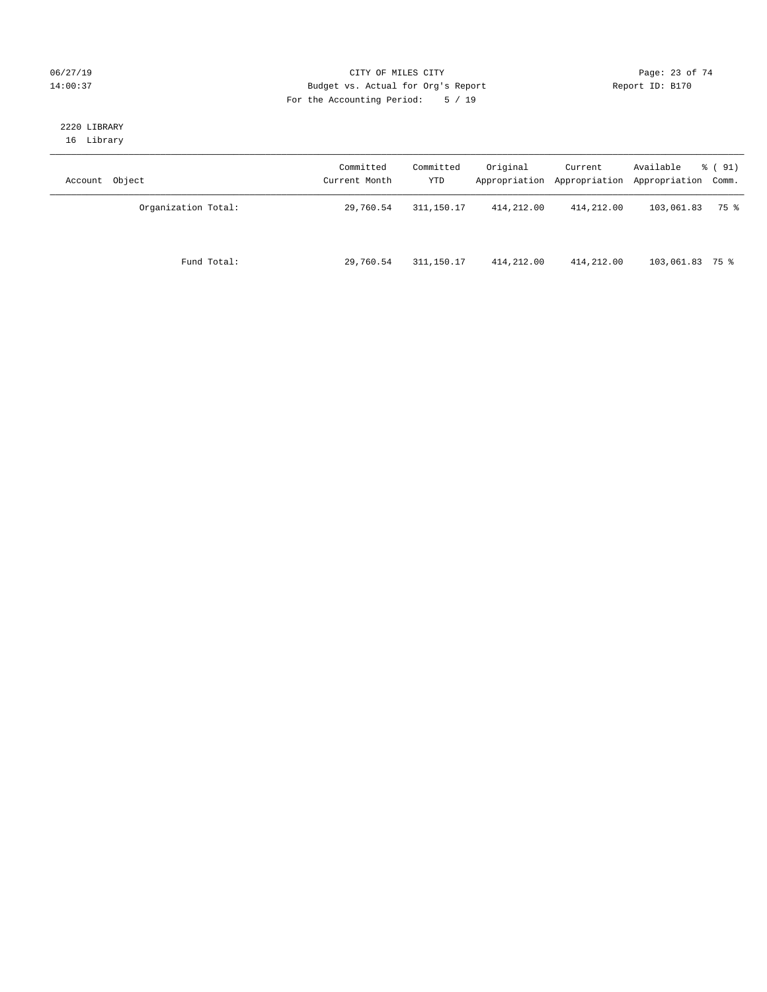### 06/27/19 Page: 23 of 74 14:00:37 Budget vs. Actual for Org's Report Report ID: B170 For the Accounting Period: 5 / 19

#### 2220 LIBRARY 16 Library

| Account Object      | Committed<br>Current Month | Committed<br>YTD | Original   | Current    | Available<br>Appropriation Appropriation Appropriation Comm. | % ( 91) |
|---------------------|----------------------------|------------------|------------|------------|--------------------------------------------------------------|---------|
| Organization Total: | 29,760.54                  | 311, 150. 17     | 414,212.00 | 414,212.00 | 103,061.83                                                   | 75 %    |
| Fund Total:         | 29,760.54                  | 311,150.17       | 414,212.00 | 414,212.00 | 103,061.83 75 %                                              |         |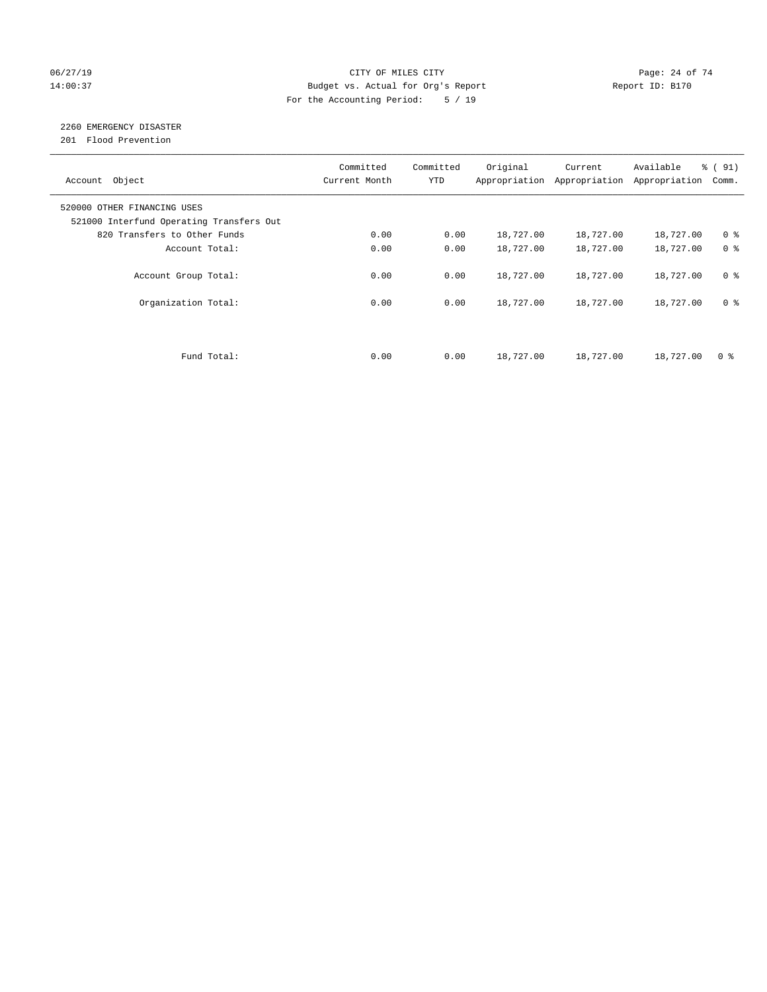### 06/27/19 Page: 24 of 74 14:00:37 Budget vs. Actual for Org's Report Report ID: B170 For the Accounting Period: 5 / 19

# 2260 EMERGENCY DISASTER

201 Flood Prevention

| Account Object                                                          | Committed<br>Current Month | Committed<br><b>YTD</b> | Original  | Current<br>Appropriation Appropriation | Available<br>Appropriation | % (91)<br>Comm. |
|-------------------------------------------------------------------------|----------------------------|-------------------------|-----------|----------------------------------------|----------------------------|-----------------|
| 520000 OTHER FINANCING USES<br>521000 Interfund Operating Transfers Out |                            |                         |           |                                        |                            |                 |
| 820 Transfers to Other Funds                                            | 0.00                       | 0.00                    | 18,727.00 | 18,727.00                              | 18,727.00                  | 0 <sup>8</sup>  |
| Account Total:                                                          | 0.00                       | 0.00                    | 18,727.00 | 18,727.00                              | 18,727.00                  | 0 <sup>8</sup>  |
| Account Group Total:                                                    | 0.00                       | 0.00                    | 18,727.00 | 18,727.00                              | 18,727.00                  | 0 <sup>8</sup>  |
| Organization Total:                                                     | 0.00                       | 0.00                    | 18,727.00 | 18,727.00                              | 18,727.00                  | 0 <sup>8</sup>  |
|                                                                         |                            |                         |           |                                        |                            |                 |
| Fund Total:                                                             | 0.00                       | 0.00                    | 18,727.00 | 18,727.00                              | 18,727.00                  | 0 %             |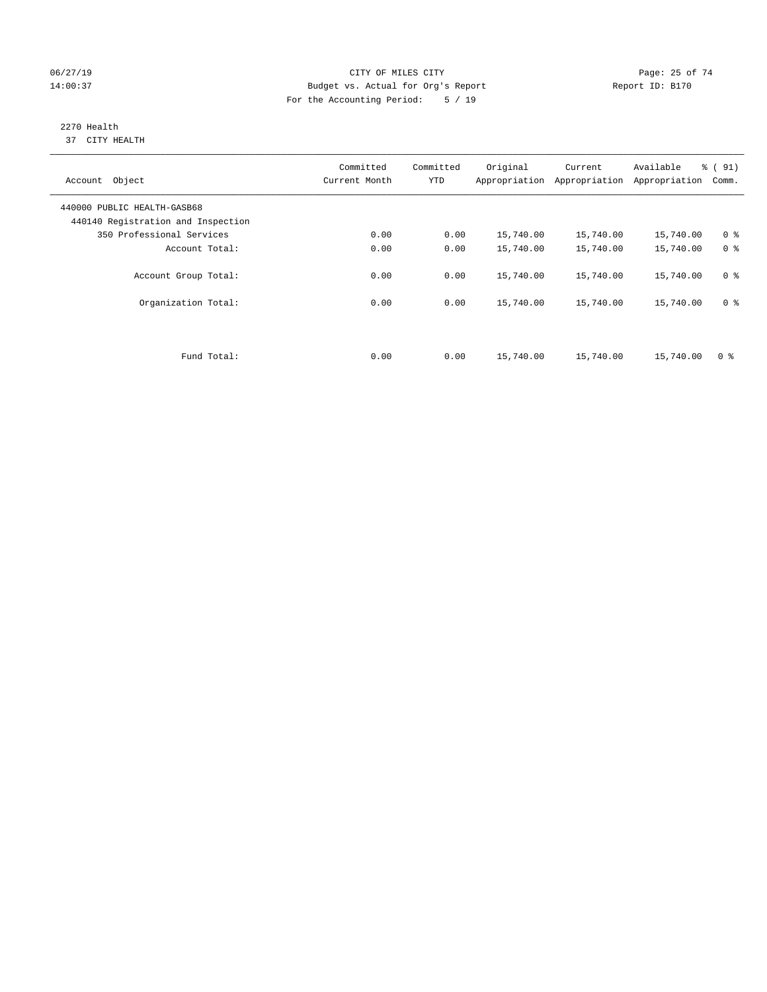### 06/27/19 Page: 25 of 74 14:00:37 Budget vs. Actual for Org's Report Report ID: B170 For the Accounting Period: 5 / 19

#### 2270 Health 37 CITY HEALTH

| Account Object                                                    | Committed<br>Current Month | Committed<br><b>YTD</b> | Original  | Current<br>Appropriation Appropriation | Available<br>Appropriation | % (91)<br>Comm. |
|-------------------------------------------------------------------|----------------------------|-------------------------|-----------|----------------------------------------|----------------------------|-----------------|
| 440000 PUBLIC HEALTH-GASB68<br>440140 Registration and Inspection |                            |                         |           |                                        |                            |                 |
| 350 Professional Services                                         | 0.00                       | 0.00                    | 15,740.00 | 15,740.00                              | 15,740.00                  | 0 <sup>8</sup>  |
| Account Total:                                                    | 0.00                       | 0.00                    | 15,740.00 | 15,740.00                              | 15,740.00                  | 0 <sup>8</sup>  |
| Account Group Total:                                              | 0.00                       | 0.00                    | 15,740.00 | 15,740.00                              | 15,740.00                  | 0 <sup>8</sup>  |
| Organization Total:                                               | 0.00                       | 0.00                    | 15,740.00 | 15,740.00                              | 15,740.00                  | 0 <sup>8</sup>  |
|                                                                   |                            |                         |           |                                        |                            |                 |
| Fund Total:                                                       | 0.00                       | 0.00                    | 15,740.00 | 15,740.00                              | 15,740.00                  | 0 %             |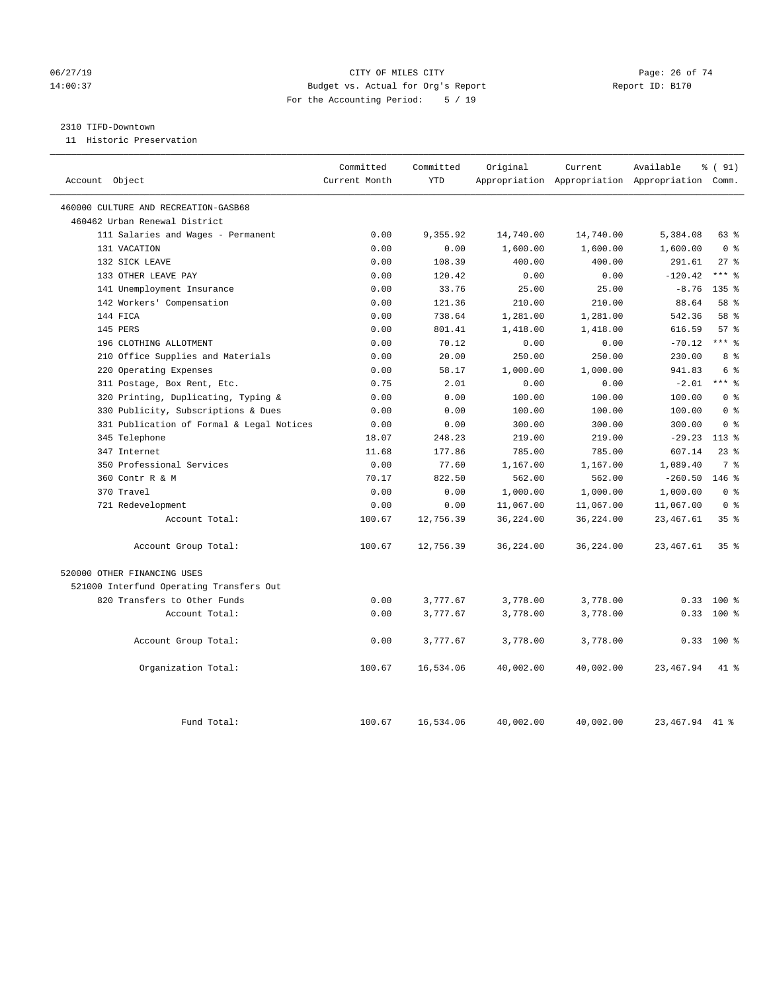### 06/27/19 **Page: 26 of 74** CITY OF MILES CITY **CITY Page: 26 of 74** 14:00:37 Budget vs. Actual for Org's Report Report ID: B170 For the Accounting Period: 5 / 19

#### 2310 TIFD-Downtown

11 Historic Preservation

| Account Object                            | Committed<br>Current Month | Committed<br><b>YTD</b> | Original  | Current   | Available<br>Appropriation Appropriation Appropriation Comm. | % (91)               |
|-------------------------------------------|----------------------------|-------------------------|-----------|-----------|--------------------------------------------------------------|----------------------|
| 460000 CULTURE AND RECREATION-GASB68      |                            |                         |           |           |                                                              |                      |
| 460462 Urban Renewal District             |                            |                         |           |           |                                                              |                      |
| 111 Salaries and Wages - Permanent        | 0.00                       | 9,355.92                | 14,740.00 | 14,740.00 | 5,384.08                                                     | 63%                  |
| 131 VACATION                              | 0.00                       | 0.00                    | 1,600.00  | 1,600.00  | 1,600.00                                                     | 0 <sup>8</sup>       |
| 132 SICK LEAVE                            | 0.00                       | 108.39                  | 400.00    | 400.00    | 291.61                                                       | $27$ %               |
| 133 OTHER LEAVE PAY                       | 0.00                       | 120.42                  | 0.00      | 0.00      | $-120.42$                                                    | $***$ $%$            |
| 141 Unemployment Insurance                | 0.00                       | 33.76                   | 25.00     | 25.00     | $-8.76$                                                      | 135 <sub>8</sub>     |
| 142 Workers' Compensation                 | 0.00                       | 121.36                  | 210.00    | 210.00    | 88.64                                                        | 58 %                 |
| 144 FICA                                  | 0.00                       | 738.64                  | 1,281.00  | 1,281.00  | 542.36                                                       | 58 %                 |
| 145 PERS                                  | 0.00                       | 801.41                  | 1,418.00  | 1,418.00  | 616.59                                                       | 57%                  |
| 196 CLOTHING ALLOTMENT                    | 0.00                       | 70.12                   | 0.00      | 0.00      | $-70.12$                                                     | $***$ 2              |
| 210 Office Supplies and Materials         | 0.00                       | 20.00                   | 250.00    | 250.00    | 230.00                                                       | 8 %                  |
| 220 Operating Expenses                    | 0.00                       | 58.17                   | 1,000.00  | 1,000.00  | 941.83                                                       | 6 %                  |
| 311 Postage, Box Rent, Etc.               | 0.75                       | 2.01                    | 0.00      | 0.00      | $-2.01$                                                      | $***$ $_{8}^{\circ}$ |
| 320 Printing, Duplicating, Typing &       | 0.00                       | 0.00                    | 100.00    | 100.00    | 100.00                                                       | 0 <sup>8</sup>       |
| 330 Publicity, Subscriptions & Dues       | 0.00                       | 0.00                    | 100.00    | 100.00    | 100.00                                                       | 0 <sup>8</sup>       |
| 331 Publication of Formal & Legal Notices | 0.00                       | 0.00                    | 300.00    | 300.00    | 300.00                                                       | 0 <sup>8</sup>       |
| 345 Telephone                             | 18.07                      | 248.23                  | 219.00    | 219.00    | $-29.23$                                                     | $113$ %              |
| 347 Internet                              | 11.68                      | 177.86                  | 785.00    | 785.00    | 607.14                                                       | $23$ $%$             |
| 350 Professional Services                 | 0.00                       | 77.60                   | 1,167.00  | 1,167.00  | 1,089.40                                                     | 7 %                  |
| 360 Contr R & M                           | 70.17                      | 822.50                  | 562.00    | 562.00    | $-260.50$                                                    | 146%                 |
| 370 Travel                                | 0.00                       | 0.00                    | 1,000.00  | 1,000.00  | 1,000.00                                                     | 0 <sup>8</sup>       |
| 721 Redevelopment                         | 0.00                       | 0.00                    | 11,067.00 | 11,067.00 | 11,067.00                                                    | 0 <sup>8</sup>       |
| Account Total:                            | 100.67                     | 12,756.39               | 36,224.00 | 36,224.00 | 23, 467.61                                                   | 35%                  |
| Account Group Total:                      | 100.67                     | 12,756.39               | 36,224.00 | 36,224.00 | 23, 467.61                                                   | 35%                  |
| 520000 OTHER FINANCING USES               |                            |                         |           |           |                                                              |                      |
| 521000 Interfund Operating Transfers Out  |                            |                         |           |           |                                                              |                      |
| 820 Transfers to Other Funds              | 0.00                       | 3,777.67                | 3,778.00  | 3,778.00  | 0.33                                                         | $100$ %              |
| Account Total:                            | 0.00                       | 3,777.67                | 3,778.00  | 3,778.00  | 0.33                                                         | $100*$               |
| Account Group Total:                      | 0.00                       | 3,777.67                | 3,778.00  | 3,778.00  |                                                              | $0.33$ 100 %         |
| Organization Total:                       | 100.67                     | 16,534.06               | 40,002.00 | 40,002.00 | 23,467.94                                                    | $41*$                |
| Fund Total:                               | 100.67                     | 16,534.06               | 40,002.00 | 40,002.00 | 23, 467. 94 41 %                                             |                      |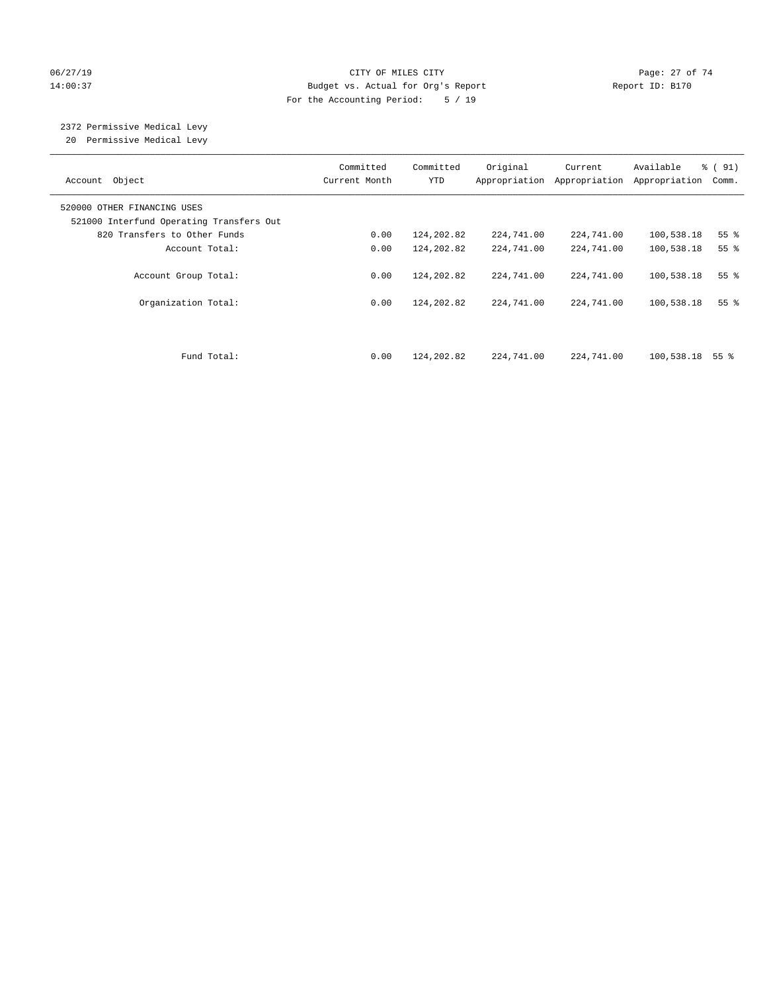### 06/27/19 Page: 27 of 74 14:00:37 Budget vs. Actual for Org's Report Report ID: B170 For the Accounting Period: 5 / 19

# 2372 Permissive Medical Levy

20 Permissive Medical Levy

| Account Object                                                          | Committed<br>Current Month | Committed<br><b>YTD</b> | Original<br>Appropriation | Current<br>Appropriation | Available<br>Appropriation | % (91)<br>Comm. |
|-------------------------------------------------------------------------|----------------------------|-------------------------|---------------------------|--------------------------|----------------------------|-----------------|
| 520000 OTHER FINANCING USES<br>521000 Interfund Operating Transfers Out |                            |                         |                           |                          |                            |                 |
| 820 Transfers to Other Funds                                            | 0.00                       | 124,202.82              | 224,741.00                | 224,741.00               | 100,538.18                 | 55 <sup>8</sup> |
| Account Total:                                                          | 0.00                       | 124,202.82              | 224,741.00                | 224,741.00               | 100,538.18                 | 55 <sup>8</sup> |
| Account Group Total:                                                    | 0.00                       | 124,202.82              | 224,741.00                | 224,741.00               | 100,538.18                 | 55 <sup>8</sup> |
| Organization Total:                                                     | 0.00                       | 124,202.82              | 224,741.00                | 224,741.00               | 100,538.18                 | 55 <sup>8</sup> |
| Fund Total:                                                             | 0.00                       | 124,202.82              | 224,741.00                | 224,741.00               | 100,538.18                 | 55 %            |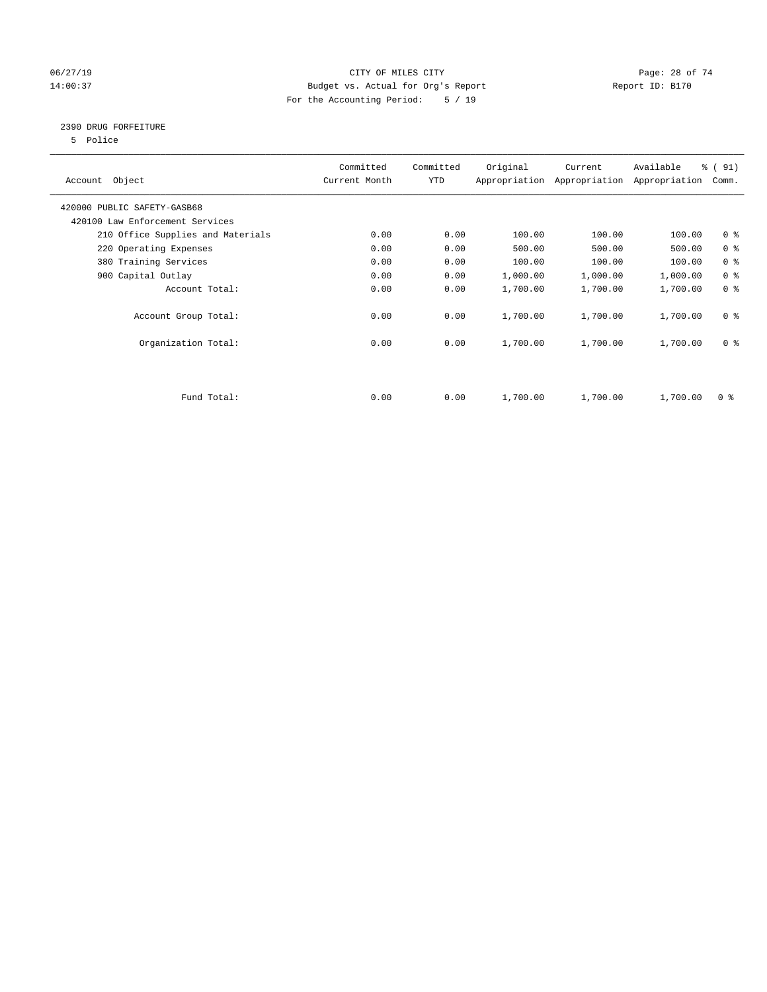### 06/27/19 **Page: 28 of 74** CITY OF MILES CITY **CITY Page: 28 of 74** 14:00:37 Budget vs. Actual for Org's Report Report ID: B170 For the Accounting Period: 5 / 19

### 2390 DRUG FORFEITURE

5 Police

| Account Object                    | Committed<br>Current Month | Committed<br>YTD | Original | Current<br>Appropriation Appropriation | Available<br>Appropriation | % (91)<br>Comm. |
|-----------------------------------|----------------------------|------------------|----------|----------------------------------------|----------------------------|-----------------|
| 420000 PUBLIC SAFETY-GASB68       |                            |                  |          |                                        |                            |                 |
| 420100 Law Enforcement Services   |                            |                  |          |                                        |                            |                 |
| 210 Office Supplies and Materials | 0.00                       | 0.00             | 100.00   | 100.00                                 | 100.00                     | 0 <sub>8</sub>  |
| 220 Operating Expenses            | 0.00                       | 0.00             | 500.00   | 500.00                                 | 500.00                     | 0 <sup>8</sup>  |
| 380 Training Services             | 0.00                       | 0.00             | 100.00   | 100.00                                 | 100.00                     | 0 <sup>8</sup>  |
| 900 Capital Outlay                | 0.00                       | 0.00             | 1,000.00 | 1,000.00                               | 1,000.00                   | 0 <sup>8</sup>  |
| Account Total:                    | 0.00                       | 0.00             | 1,700.00 | 1,700.00                               | 1,700.00                   | 0 <sup>8</sup>  |
| Account Group Total:              | 0.00                       | 0.00             | 1,700.00 | 1,700.00                               | 1,700.00                   | 0 <sup>8</sup>  |
| Organization Total:               | 0.00                       | 0.00             | 1,700.00 | 1,700.00                               | 1,700.00                   | 0 <sup>8</sup>  |
|                                   |                            |                  |          |                                        |                            |                 |
| Fund Total:                       | 0.00                       | 0.00             | 1,700.00 | 1,700.00                               | 1,700.00                   | 0 %             |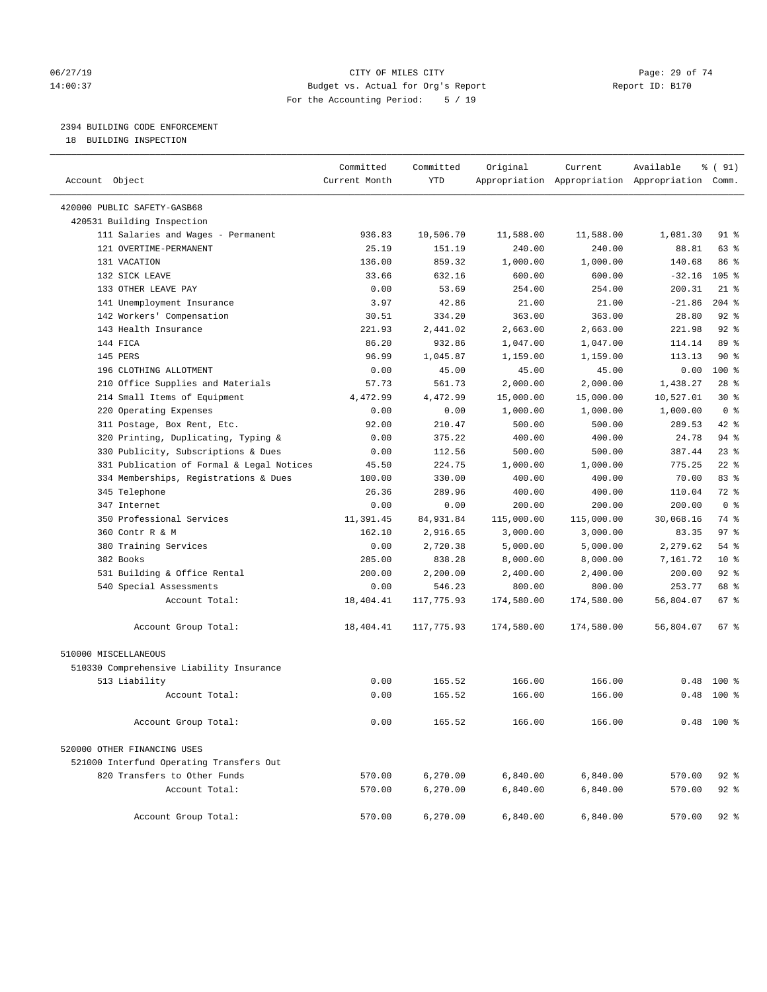### 06/27/19 **Page: 29 of 74** CITY OF MILES CITY **CITY Page: 29 of 74** 14:00:37 Budget vs. Actual for Org's Report Report ID: B170 For the Accounting Period: 5 / 19

### 2394 BUILDING CODE ENFORCEMENT

18 BUILDING INSPECTION

| Account Object                            | Committed<br>Current Month | Committed<br><b>YTD</b> | Original   | Current    | Available<br>Appropriation Appropriation Appropriation Comm. | % ( 91)          |
|-------------------------------------------|----------------------------|-------------------------|------------|------------|--------------------------------------------------------------|------------------|
| 420000 PUBLIC SAFETY-GASB68               |                            |                         |            |            |                                                              |                  |
| 420531 Building Inspection                |                            |                         |            |            |                                                              |                  |
| 111 Salaries and Wages - Permanent        | 936.83                     | 10,506.70               | 11,588.00  | 11,588.00  | 1,081.30                                                     | 91 %             |
| 121 OVERTIME-PERMANENT                    | 25.19                      | 151.19                  | 240.00     | 240.00     | 88.81                                                        | 63 %             |
| 131 VACATION                              | 136.00                     | 859.32                  | 1,000.00   | 1,000.00   | 140.68                                                       | 86 %             |
| 132 SICK LEAVE                            | 33.66                      | 632.16                  | 600.00     | 600.00     | $-32.16$                                                     | 105 <sup>8</sup> |
| 133 OTHER LEAVE PAY                       | 0.00                       | 53.69                   | 254.00     | 254.00     | 200.31                                                       | $21$ %           |
| 141 Unemployment Insurance                | 3.97                       | 42.86                   | 21.00      | 21.00      | $-21.86$                                                     | $204$ %          |
| 142 Workers' Compensation                 | 30.51                      | 334.20                  | 363.00     | 363.00     | 28.80                                                        | 92%              |
| 143 Health Insurance                      | 221.93                     | 2,441.02                | 2,663.00   | 2,663.00   | 221.98                                                       | $92$ %           |
| 144 FICA                                  | 86.20                      | 932.86                  | 1,047.00   | 1,047.00   | 114.14                                                       | 89 %             |
| 145 PERS                                  | 96.99                      | 1,045.87                | 1,159.00   | 1,159.00   | 113.13                                                       | $90*$            |
| 196 CLOTHING ALLOTMENT                    | 0.00                       | 45.00                   | 45.00      | 45.00      | 0.00                                                         | 100 %            |
| 210 Office Supplies and Materials         | 57.73                      | 561.73                  | 2,000.00   | 2,000.00   | 1,438.27                                                     | $28$ %           |
| 214 Small Items of Equipment              | 4.472.99                   | 4,472.99                | 15,000.00  | 15,000.00  | 10,527.01                                                    | $30*$            |
| 220 Operating Expenses                    | 0.00                       | 0.00                    | 1,000.00   | 1,000.00   | 1,000.00                                                     | 0 <sup>8</sup>   |
| 311 Postage, Box Rent, Etc.               | 92.00                      | 210.47                  | 500.00     | 500.00     | 289.53                                                       | 42 %             |
| 320 Printing, Duplicating, Typing &       | 0.00                       | 375.22                  | 400.00     | 400.00     | 24.78                                                        | 94 %             |
| 330 Publicity, Subscriptions & Dues       | 0.00                       | 112.56                  | 500.00     | 500.00     | 387.44                                                       | 23%              |
| 331 Publication of Formal & Legal Notices | 45.50                      | 224.75                  | 1,000.00   | 1,000.00   | 775.25                                                       | $22$ %           |
| 334 Memberships, Registrations & Dues     | 100.00                     | 330.00                  | 400.00     | 400.00     | 70.00                                                        | 83%              |
| 345 Telephone                             | 26.36                      | 289.96                  | 400.00     | 400.00     | 110.04                                                       | 72 %             |
| 347 Internet                              | 0.00                       | 0.00                    | 200.00     | 200.00     | 200.00                                                       | 0 <sup>8</sup>   |
| 350 Professional Services                 | 11,391.45                  | 84,931.84               | 115,000.00 | 115,000.00 | 30,068.16                                                    | 74 %             |
| 360 Contr R & M                           | 162.10                     | 2,916.65                | 3,000.00   | 3,000.00   | 83.35                                                        | 97 <sub>8</sub>  |
| 380 Training Services                     | 0.00                       | 2,720.38                | 5,000.00   | 5,000.00   | 2,279.62                                                     | 54%              |
| 382 Books                                 | 285.00                     | 838.28                  | 8,000.00   | 8,000.00   | 7,161.72                                                     | $10*$            |
| 531 Building & Office Rental              | 200.00                     | 2,200.00                | 2,400.00   | 2,400.00   | 200.00                                                       | $92$ %           |
| 540 Special Assessments                   | 0.00                       | 546.23                  | 800.00     | 800.00     | 253.77                                                       | 68 %             |
| Account Total:                            | 18,404.41                  | 117,775.93              | 174,580.00 | 174,580.00 | 56,804.07                                                    | $67$ %           |
| Account Group Total:                      | 18,404.41                  | 117,775.93              | 174,580.00 | 174,580.00 | 56,804.07                                                    | $67$ %           |
| 510000 MISCELLANEOUS                      |                            |                         |            |            |                                                              |                  |
| 510330 Comprehensive Liability Insurance  |                            |                         |            |            |                                                              |                  |
| 513 Liability                             | 0.00                       | 165.52                  | 166.00     | 166.00     | 0.48                                                         | $100*$           |
| Account Total:                            | 0.00                       | 165.52                  | 166.00     | 166.00     | 0.48                                                         | $100*$           |
| Account Group Total:                      | 0.00                       | 165.52                  | 166.00     | 166.00     |                                                              | $0.48$ 100 %     |
| 520000 OTHER FINANCING USES               |                            |                         |            |            |                                                              |                  |
| 521000 Interfund Operating Transfers Out  |                            |                         |            |            |                                                              |                  |
| 820 Transfers to Other Funds              | 570.00                     | 6,270.00                | 6,840.00   | 6,840.00   | 570.00                                                       | $92$ %           |
| Account Total:                            | 570.00                     | 6,270.00                | 6,840.00   | 6,840.00   | 570.00                                                       | $92$ %           |
| Account Group Total:                      | 570.00                     | 6,270.00                | 6,840.00   | 6,840.00   | 570.00                                                       | $92$ $%$         |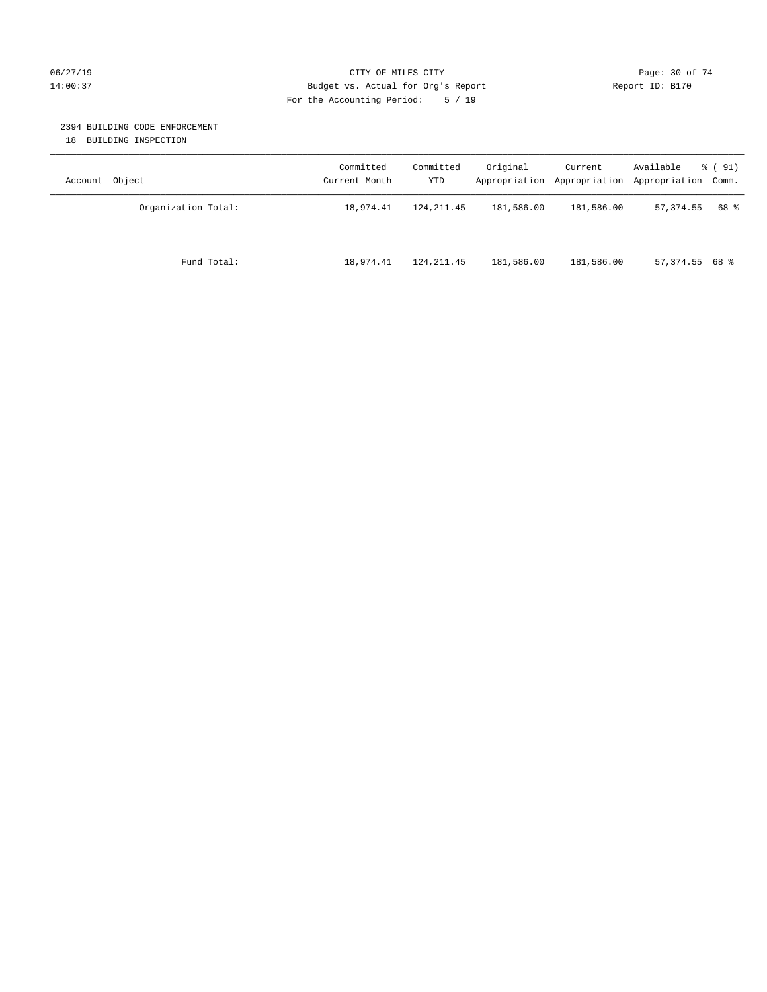### 06/27/19 Page: 30 of 74 14:00:37 Budget vs. Actual for Org's Report Report ID: B170 For the Accounting Period: 5 / 19

### 2394 BUILDING CODE ENFORCEMENT

18 BUILDING INSPECTION

| Account Object      | Committed<br>Current Month | Committed<br>YTD | Original   | Current<br>Appropriation Appropriation | Available<br>Appropriation Comm. | % ( 91) |
|---------------------|----------------------------|------------------|------------|----------------------------------------|----------------------------------|---------|
| Organization Total: | 18,974.41                  | 124, 211, 45     | 181,586.00 | 181,586.00                             | 57,374.55                        | 68 %    |
| Fund Total:         | 18,974.41                  | 124, 211.45      | 181,586.00 | 181,586.00                             | $57,374.55$ 68 %                 |         |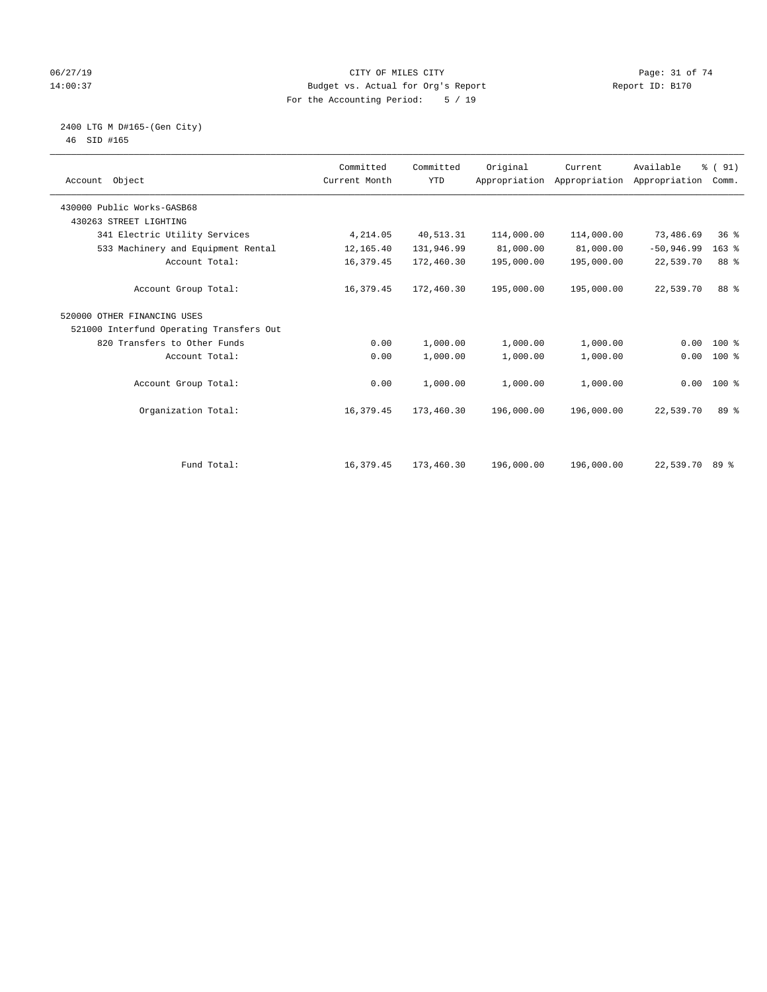### 06/27/19 Page: 31 of 74 14:00:37 Budget vs. Actual for Org's Report Report ID: B170 For the Accounting Period: 5 / 19

#### 2400 LTG M D#165-(Gen City) 46 SID #165

| Account Object                           | Committed<br>Current Month | Committed<br><b>YTD</b> | Original   | Current<br>Appropriation Appropriation | Available<br>Appropriation | % (91)<br>Comm. |  |
|------------------------------------------|----------------------------|-------------------------|------------|----------------------------------------|----------------------------|-----------------|--|
| 430000 Public Works-GASB68               |                            |                         |            |                                        |                            |                 |  |
| 430263 STREET LIGHTING                   |                            |                         |            |                                        |                            |                 |  |
| 341 Electric Utility Services            | 4,214.05                   | 40,513.31               | 114,000.00 | 114,000.00                             | 73,486.69                  | $36*$           |  |
| 533 Machinery and Equipment Rental       | 12,165.40                  | 131,946.99              | 81,000.00  | 81,000.00                              | $-50,946.99$               | $163$ %         |  |
| Account Total:                           | 16,379.45                  | 172,460.30              | 195,000.00 | 195,000.00                             | 22,539.70                  | 88 %            |  |
| Account Group Total:                     | 16,379.45                  | 172,460.30              | 195,000.00 | 195,000.00                             | 22,539.70                  | 88 %            |  |
| 520000 OTHER FINANCING USES              |                            |                         |            |                                        |                            |                 |  |
| 521000 Interfund Operating Transfers Out |                            |                         |            |                                        |                            |                 |  |
| 820 Transfers to Other Funds             | 0.00                       | 1,000.00                | 1,000.00   | 1,000.00                               | 0.00                       | $100*$          |  |
| Account Total:                           | 0.00                       | 1,000.00                | 1,000.00   | 1,000.00                               | 0.00                       | $100*$          |  |
| Account Group Total:                     | 0.00                       | 1,000.00                | 1,000.00   | 1,000.00                               |                            | $0.00$ 100 %    |  |
| Organization Total:                      | 16,379.45                  | 173,460.30              | 196,000.00 | 196,000.00                             | 22,539.70                  | 89 %            |  |
|                                          |                            |                         |            |                                        |                            |                 |  |
| Fund Total:                              | 16,379.45                  | 173,460.30              | 196,000.00 | 196,000.00                             | 22,539.70 89 %             |                 |  |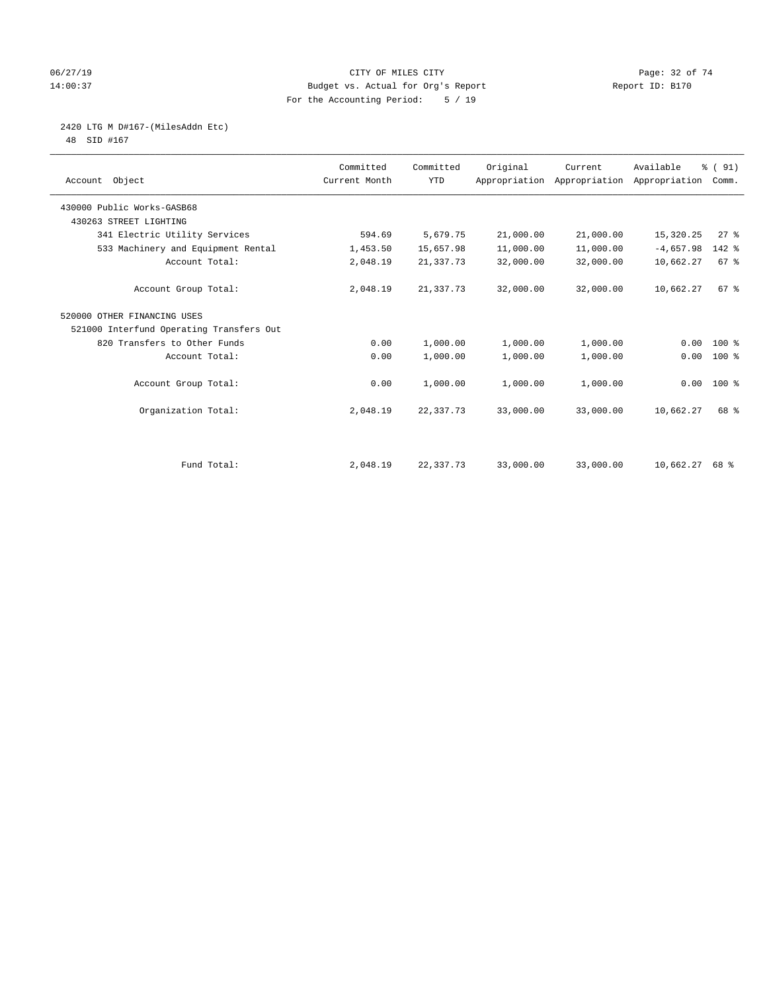### 06/27/19 Page: 32 of 74 14:00:37 Budget vs. Actual for Org's Report Report ID: B170 For the Accounting Period: 5 / 19

# 2420 LTG M D#167-(MilesAddn Etc)

48 SID #167

| Account Object                           | Committed<br>Current Month | Committed<br><b>YTD</b> | Original  | Current<br>Appropriation Appropriation | Available<br>Appropriation | % (91)<br>Comm. |  |
|------------------------------------------|----------------------------|-------------------------|-----------|----------------------------------------|----------------------------|-----------------|--|
| 430000 Public Works-GASB68               |                            |                         |           |                                        |                            |                 |  |
| 430263 STREET LIGHTING                   |                            |                         |           |                                        |                            |                 |  |
| 341 Electric Utility Services            | 594.69                     | 5,679.75                | 21,000.00 | 21,000.00                              | 15,320.25                  | 27%             |  |
| 533 Machinery and Equipment Rental       | 1,453.50                   | 15,657.98               | 11,000.00 | 11,000.00                              | $-4,657.98$                | 142 %           |  |
| Account Total:                           | 2,048.19                   | 21, 337. 73             | 32,000.00 | 32,000.00                              | 10,662.27                  | 67 %            |  |
| Account Group Total:                     | 2,048.19                   | 21,337.73               | 32,000.00 | 32,000.00                              | 10,662.27                  | 67 <sup>8</sup> |  |
| 520000 OTHER FINANCING USES              |                            |                         |           |                                        |                            |                 |  |
| 521000 Interfund Operating Transfers Out |                            |                         |           |                                        |                            |                 |  |
| 820 Transfers to Other Funds             | 0.00                       | 1,000.00                | 1,000.00  | 1,000.00                               | 0.00                       | $100*$          |  |
| Account Total:                           | 0.00                       | 1,000.00                | 1,000.00  | 1,000.00                               | 0.00                       | 100 %           |  |
| Account Group Total:                     | 0.00                       | 1,000.00                | 1,000.00  | 1,000.00                               |                            | $0.00$ 100 %    |  |
| Organization Total:                      | 2,048.19                   | 22, 337. 73             | 33,000.00 | 33,000.00                              | 10,662.27                  | 68 %            |  |
|                                          |                            |                         |           |                                        |                            |                 |  |
| Fund Total:                              | 2,048.19                   | 22, 337. 73             | 33,000.00 | 33,000.00                              | $10,662.27$ 68 %           |                 |  |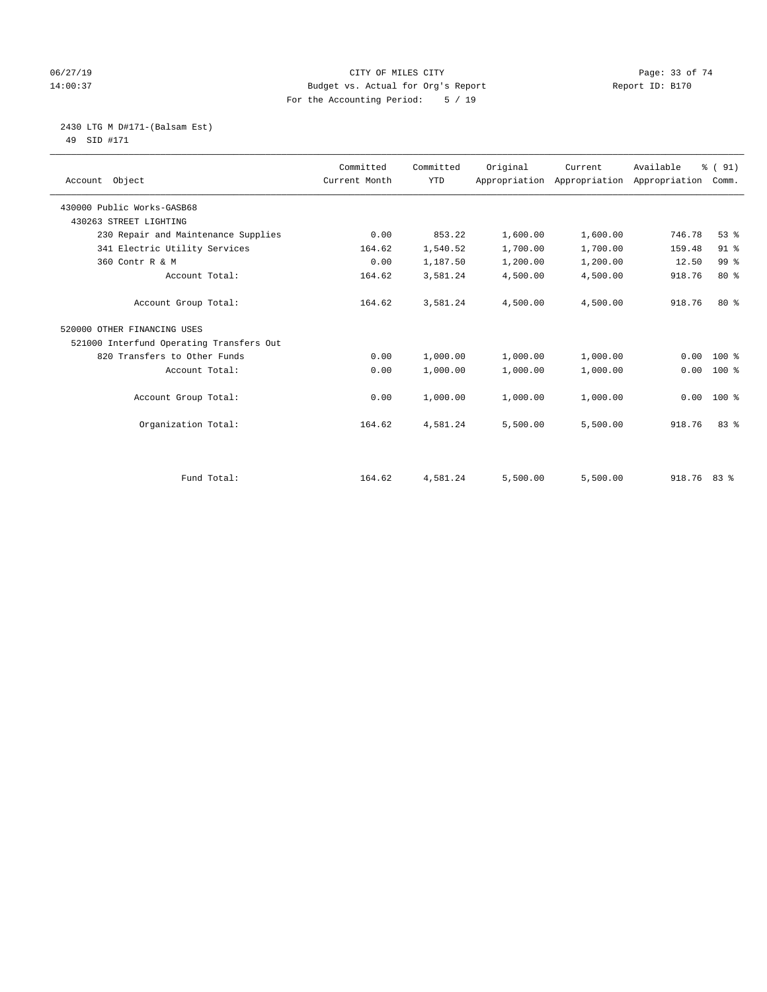### 06/27/19 Page: 33 of 74 14:00:37 Budget vs. Actual for Org's Report Report ID: B170 For the Accounting Period: 5 / 19

#### 2430 LTG M D#171-(Balsam Est) 49 SID #171

| Account Object                           | Committed<br>Current Month | Committed<br><b>YTD</b> | Original | Current  | Available<br>Appropriation Appropriation Appropriation Comm. | % (91)          |
|------------------------------------------|----------------------------|-------------------------|----------|----------|--------------------------------------------------------------|-----------------|
| 430000 Public Works-GASB68               |                            |                         |          |          |                                                              |                 |
| 430263 STREET LIGHTING                   |                            |                         |          |          |                                                              |                 |
| 230 Repair and Maintenance Supplies      | 0.00                       | 853.22                  | 1,600.00 | 1,600.00 | 746.78                                                       | 53%             |
| 341 Electric Utility Services            | 164.62                     | 1,540.52                | 1,700.00 | 1,700.00 | 159.48                                                       | 91 %            |
| 360 Contr R & M                          | 0.00                       | 1,187.50                | 1,200.00 | 1,200.00 | 12.50                                                        | 99 <sup>°</sup> |
| Account Total:                           | 164.62                     | 3,581.24                | 4,500.00 | 4,500.00 | 918.76                                                       | $80*$           |
| Account Group Total:                     | 164.62                     | 3,581.24                | 4,500.00 | 4,500.00 | 918.76                                                       | $80*$           |
| 520000 OTHER FINANCING USES              |                            |                         |          |          |                                                              |                 |
| 521000 Interfund Operating Transfers Out |                            |                         |          |          |                                                              |                 |
| 820 Transfers to Other Funds             | 0.00                       | 1,000.00                | 1,000.00 | 1,000.00 | 0.00                                                         | $100*$          |
| Account Total:                           | 0.00                       | 1,000.00                | 1,000.00 | 1,000.00 | 0.00                                                         | $100*$          |
| Account Group Total:                     | 0.00                       | 1,000.00                | 1,000.00 | 1,000.00 | 0.00                                                         | $100*$          |
| Organization Total:                      | 164.62                     | 4,581.24                | 5,500.00 | 5,500.00 | 918.76                                                       | 83%             |
|                                          |                            |                         |          |          |                                                              |                 |
| Fund Total:                              | 164.62                     | 4,581.24                | 5,500.00 | 5,500.00 | 918.76 83 %                                                  |                 |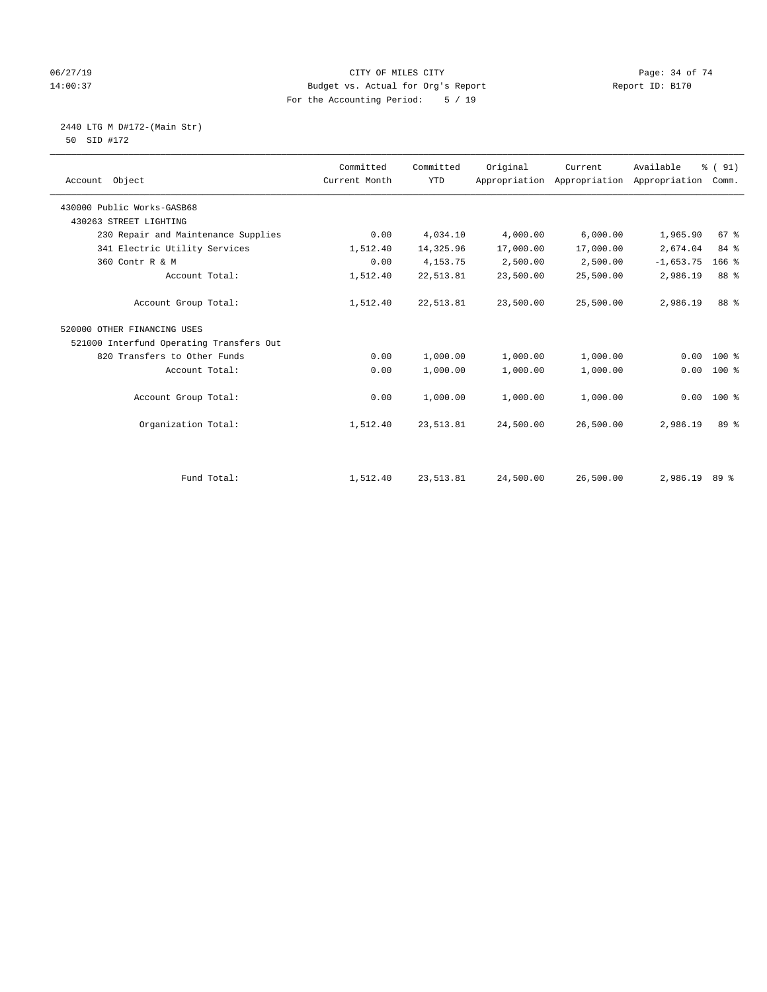#### 06/27/19 CITY OF MILES CITY CHES CONTRIGENTS CONTRIGES 2019 Page: 34 of 74 Page: 34 of 74 Page: 34 of 74 Page: 34 of 74 Budget vs. Actual for Org's Report 14:00:37 Budget vs. Actual for Org's Report Report ID: B170 For the Accounting Period: 5 / 19

 2440 LTG M D#172-(Main Str) 50 SID #172

| Account Object                           | Committed<br>Current Month | Committed<br><b>YTD</b> | Original  | Current<br>Appropriation Appropriation Appropriation Comm. | Available     | % (91)  |  |
|------------------------------------------|----------------------------|-------------------------|-----------|------------------------------------------------------------|---------------|---------|--|
| 430000 Public Works-GASB68               |                            |                         |           |                                                            |               |         |  |
| 430263 STREET LIGHTING                   |                            |                         |           |                                                            |               |         |  |
| 230 Repair and Maintenance Supplies      | 0.00                       | 4,034.10                | 4,000.00  | 6,000.00                                                   | 1,965.90      | 67 %    |  |
| 341 Electric Utility Services            | 1,512.40                   | 14,325.96               | 17,000.00 | 17,000.00                                                  | 2,674.04      | 84 %    |  |
| 360 Contr R & M                          | 0.00                       | 4, 153. 75              | 2,500.00  | 2,500.00                                                   | $-1,653.75$   | $166$ % |  |
| Account Total:                           | 1,512.40                   | 22,513.81               | 23,500.00 | 25,500.00                                                  | 2,986.19      | 88 %    |  |
| Account Group Total:                     | 1,512.40                   | 22,513.81               | 23,500.00 | 25,500.00                                                  | 2,986.19      | 88 %    |  |
| 520000 OTHER FINANCING USES              |                            |                         |           |                                                            |               |         |  |
| 521000 Interfund Operating Transfers Out |                            |                         |           |                                                            |               |         |  |
| 820 Transfers to Other Funds             | 0.00                       | 1,000.00                | 1,000.00  | 1,000.00                                                   | 0.00          | $100$ % |  |
| Account Total:                           | 0.00                       | 1,000.00                | 1,000.00  | 1,000.00                                                   | 0.00          | 100 %   |  |
| Account Group Total:                     | 0.00                       | 1,000.00                | 1,000.00  | 1,000.00                                                   | 0.00          | $100*$  |  |
| Organization Total:                      | 1,512.40                   | 23, 513.81              | 24,500.00 | 26,500.00                                                  | 2,986.19      | 89 %    |  |
|                                          |                            |                         |           |                                                            |               |         |  |
| Fund Total:                              | 1,512.40                   | 23, 513.81              | 24,500.00 | 26,500.00                                                  | 2,986.19 89 % |         |  |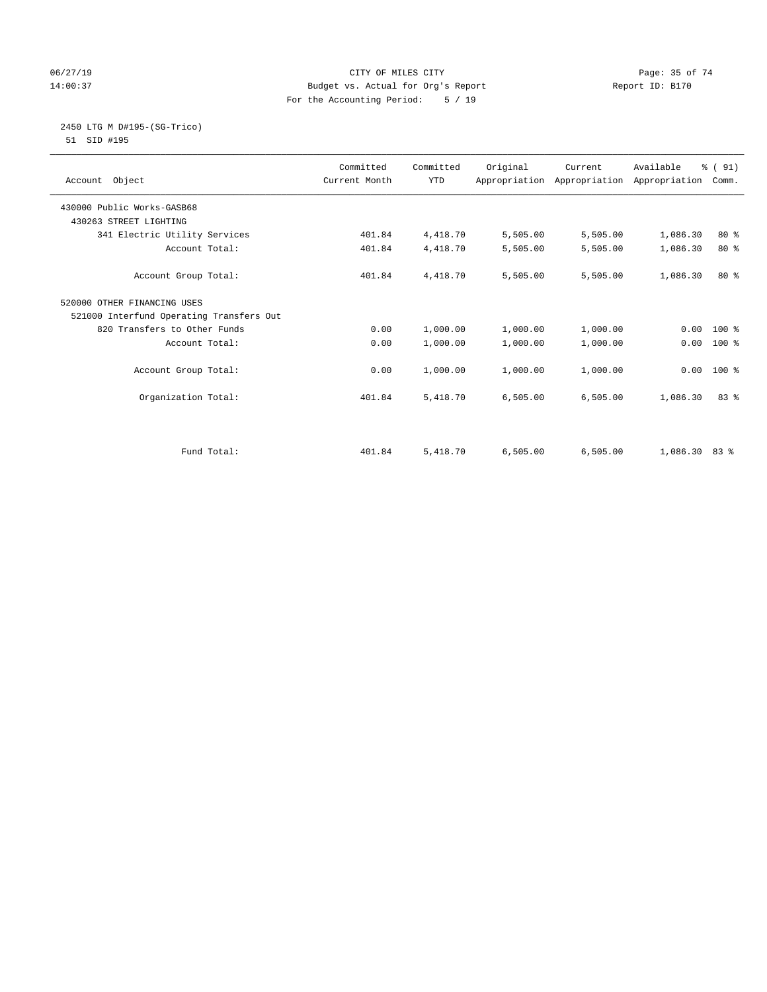### 06/27/19 **Page: 35 of 74** CITY OF MILES CITY **CITY Page: 35 of 74** 14:00:37 Budget vs. Actual for Org's Report Report ID: B170 For the Accounting Period: 5 / 19

#### 2450 LTG M D#195-(SG-Trico) 51 SID #195

| Account Object                           | Committed<br>Current Month | Committed<br><b>YTD</b> | Original | Current<br>Appropriation Appropriation Appropriation | Available       | % (91)<br>Comm. |
|------------------------------------------|----------------------------|-------------------------|----------|------------------------------------------------------|-----------------|-----------------|
| 430000 Public Works-GASB68               |                            |                         |          |                                                      |                 |                 |
| 430263 STREET LIGHTING                   |                            |                         |          |                                                      |                 |                 |
| 341 Electric Utility Services            | 401.84                     | 4,418.70                | 5,505.00 | 5,505.00                                             | 1,086.30        | $80*$           |
| Account Total:                           | 401.84                     | 4,418.70                | 5,505.00 | 5,505.00                                             | 1,086.30        | $80*$           |
| Account Group Total:                     | 401.84                     | 4,418.70                | 5,505.00 | 5,505.00                                             | 1,086.30        | $80*$           |
| 520000 OTHER FINANCING USES              |                            |                         |          |                                                      |                 |                 |
| 521000 Interfund Operating Transfers Out |                            |                         |          |                                                      |                 |                 |
| 820 Transfers to Other Funds             | 0.00                       | 1,000.00                | 1,000.00 | 1,000.00                                             | 0.00            | $100*$          |
| Account Total:                           | 0.00                       | 1,000.00                | 1,000.00 | 1,000.00                                             | 0.00            | $100*$          |
| Account Group Total:                     | 0.00                       | 1,000.00                | 1,000.00 | 1,000.00                                             | 0.00            | $100*$          |
| Organization Total:                      | 401.84                     | 5,418.70                | 6,505.00 | 6,505.00                                             | 1,086.30        | 83%             |
|                                          |                            |                         |          |                                                      |                 |                 |
| Fund Total:                              | 401.84                     | 5,418.70                | 6.505.00 | 6.505.00                                             | $1.086.30$ 83 % |                 |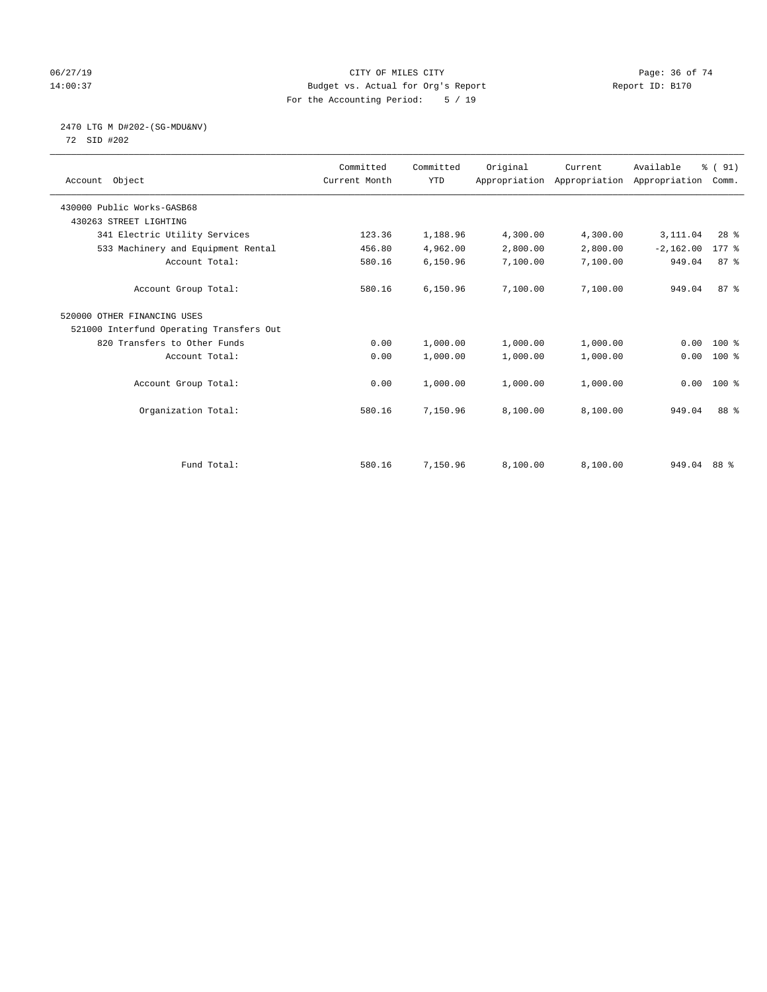### 06/27/19 **Page: 36 of 74** CITY OF MILES CITY **CITY Page: 36 of 74** 14:00:37 Budget vs. Actual for Org's Report Report ID: B170 For the Accounting Period: 5 / 19

# 2470 LTG M D#202-(SG-MDU&NV)

72 SID #202

| Account Object                           | Committed<br>Current Month | Committed<br><b>YTD</b> | Original | Current<br>Appropriation Appropriation Appropriation | Available   | % (91)<br>Comm.     |  |
|------------------------------------------|----------------------------|-------------------------|----------|------------------------------------------------------|-------------|---------------------|--|
| 430000 Public Works-GASB68               |                            |                         |          |                                                      |             |                     |  |
| 430263 STREET LIGHTING                   |                            |                         |          |                                                      |             |                     |  |
| 341 Electric Utility Services            | 123.36                     | 1,188.96                | 4,300.00 | 4,300.00                                             | 3,111.04    | $28$ $%$            |  |
| 533 Machinery and Equipment Rental       | 456.80                     | 4,962.00                | 2,800.00 | 2,800.00                                             | $-2,162.00$ | $177$ $\frac{6}{5}$ |  |
| Account Total:                           | 580.16                     | 6,150.96                | 7,100.00 | 7,100.00                                             | 949.04      | 87%                 |  |
| Account Group Total:                     | 580.16                     | 6,150.96                | 7,100.00 | 7,100.00                                             | 949.04      | 87%                 |  |
| 520000 OTHER FINANCING USES              |                            |                         |          |                                                      |             |                     |  |
| 521000 Interfund Operating Transfers Out |                            |                         |          |                                                      |             |                     |  |
| 820 Transfers to Other Funds             | 0.00                       | 1,000.00                | 1,000.00 | 1,000.00                                             | 0.00        | $100*$              |  |
| Account Total:                           | 0.00                       | 1,000.00                | 1,000.00 | 1,000.00                                             | 0.00        | $100$ %             |  |
| Account Group Total:                     | 0.00                       | 1,000.00                | 1,000.00 | 1,000.00                                             | 0.00        | $100*$              |  |
| Organization Total:                      | 580.16                     | 7,150.96                | 8,100.00 | 8,100.00                                             | 949.04      | 88 %                |  |
|                                          |                            |                         |          |                                                      |             |                     |  |
| Fund Total:                              | 580.16                     | 7,150.96                | 8,100.00 | 8,100.00                                             | 949.04 88 % |                     |  |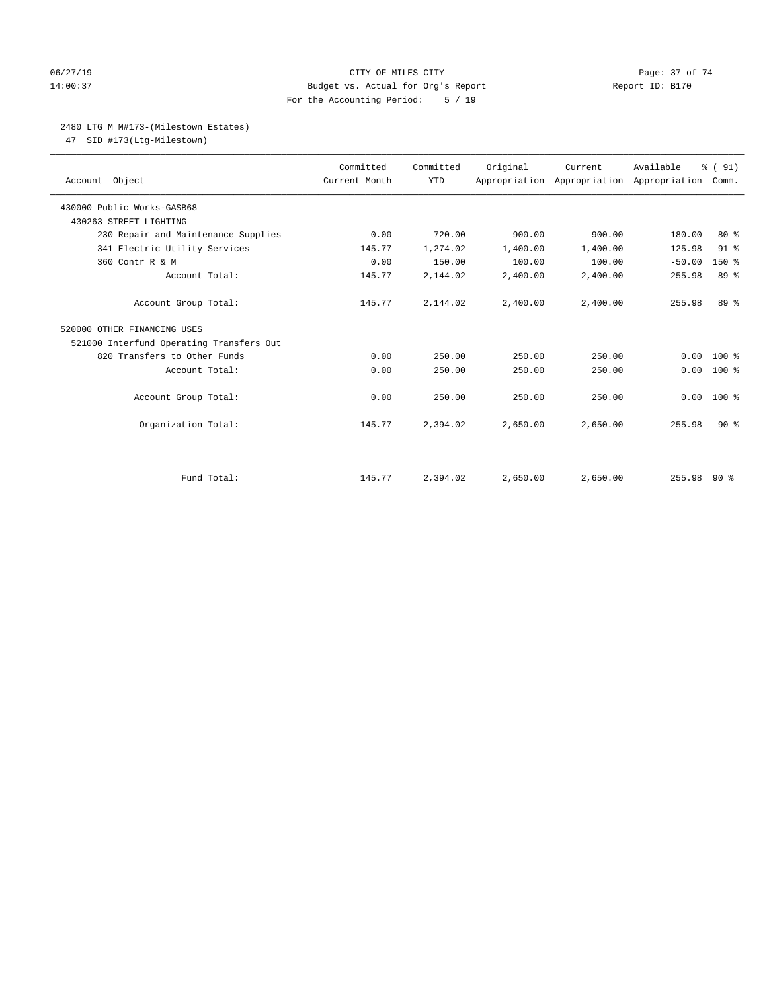#### 06/27/19 Page: 37 of 74 14:00:37 Budget vs. Actual for Org's Report Report ID: B170 For the Accounting Period: 5 / 19

# 2480 LTG M M#173-(Milestown Estates)

47 SID #173(Ltg-Milestown)

| Account Object                           | Committed<br>Current Month | Committed<br><b>YTD</b> | Original | Current  | Available<br>Appropriation Appropriation Appropriation | % (91)<br>Comm. |
|------------------------------------------|----------------------------|-------------------------|----------|----------|--------------------------------------------------------|-----------------|
| 430000 Public Works-GASB68               |                            |                         |          |          |                                                        |                 |
| 430263 STREET LIGHTING                   |                            |                         |          |          |                                                        |                 |
| 230 Repair and Maintenance Supplies      | 0.00                       | 720.00                  | 900.00   | 900.00   | 180.00                                                 | $80*$           |
| 341 Electric Utility Services            | 145.77                     | 1,274.02                | 1,400.00 | 1,400.00 | 125.98                                                 | $91$ %          |
| 360 Contr R & M                          | 0.00                       | 150.00                  | 100.00   | 100.00   | $-50.00$                                               | $150*$          |
| Account Total:                           | 145.77                     | 2,144.02                | 2,400.00 | 2,400.00 | 255.98                                                 | 89 %            |
| Account Group Total:                     | 145.77                     | 2,144.02                | 2,400.00 | 2,400.00 | 255.98                                                 | 89 %            |
| 520000 OTHER FINANCING USES              |                            |                         |          |          |                                                        |                 |
| 521000 Interfund Operating Transfers Out |                            |                         |          |          |                                                        |                 |
| 820 Transfers to Other Funds             | 0.00                       | 250.00                  | 250.00   | 250.00   | 0.00                                                   | $100*$          |
| Account Total:                           | 0.00                       | 250.00                  | 250.00   | 250.00   | 0.00                                                   | $100$ %         |
| Account Group Total:                     | 0.00                       | 250.00                  | 250.00   | 250.00   | 0.00                                                   | $100*$          |
| Organization Total:                      | 145.77                     | 2,394.02                | 2,650.00 | 2,650.00 | 255.98                                                 | 90%             |
|                                          |                            |                         |          |          |                                                        |                 |
| Fund Total:                              | 145.77                     | 2,394.02                | 2,650.00 | 2,650.00 | 255.98 90 %                                            |                 |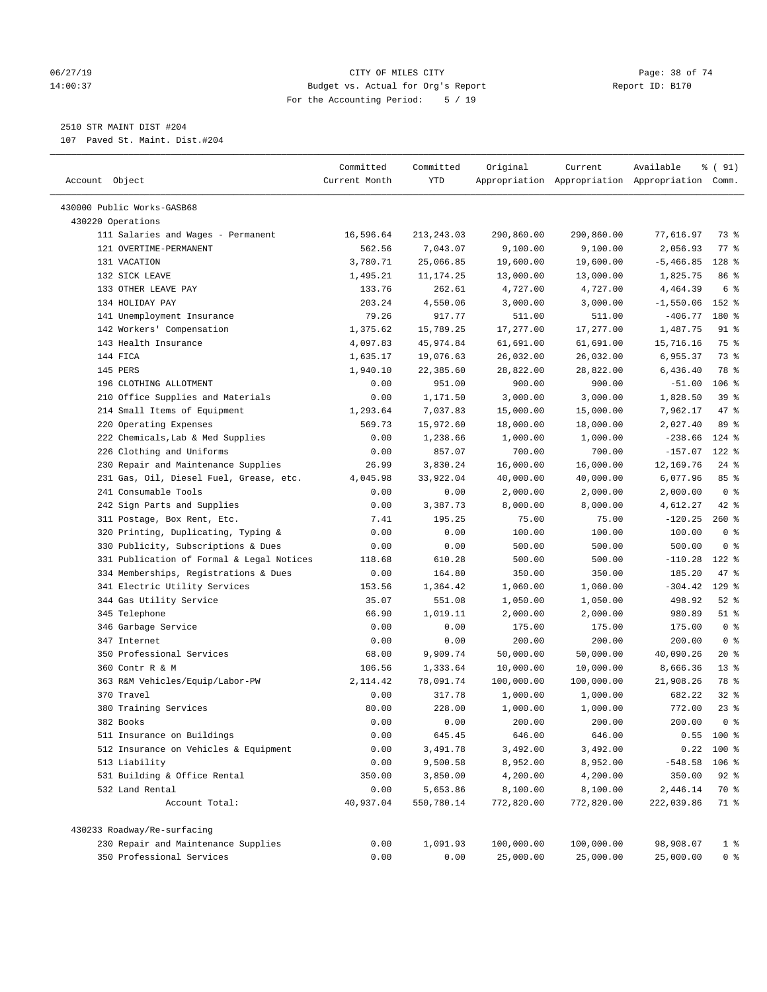#### 06/27/19 Page: 38 of 74 14:00:37 Budget vs. Actual for Org's Report Report ID: B170 For the Accounting Period: 5 / 19

————————————————————————————————————————————————————————————————————————————————————————————————————————————————————————————————————

# 2510 STR MAINT DIST #204

107 Paved St. Maint. Dist.#204

|                                                 | Committed     | Committed   | Original   | Current    | Available                                       | % ( 91)        |  |
|-------------------------------------------------|---------------|-------------|------------|------------|-------------------------------------------------|----------------|--|
| Account Object                                  | Current Month | YTD         |            |            | Appropriation Appropriation Appropriation Comm. |                |  |
|                                                 |               |             |            |            |                                                 |                |  |
| 430000 Public Works-GASB68<br>430220 Operations |               |             |            |            |                                                 |                |  |
| 111 Salaries and Wages - Permanent              | 16,596.64     | 213, 243.03 | 290,860.00 | 290,860.00 | 77,616.97                                       | 73 %           |  |
| 121 OVERTIME-PERMANENT                          | 562.56        | 7,043.07    | 9,100.00   | 9,100.00   | 2,056.93                                        | $77$ $%$       |  |
| 131 VACATION                                    | 3,780.71      | 25,066.85   | 19,600.00  | 19,600.00  | $-5,466.85$                                     | 128 %          |  |
| 132 SICK LEAVE                                  | 1,495.21      | 11,174.25   | 13,000.00  | 13,000.00  | 1,825.75                                        | 86 %           |  |
| 133 OTHER LEAVE PAY                             | 133.76        | 262.61      | 4,727.00   | 4,727.00   | 4,464.39                                        | 6 <sup>°</sup> |  |
| 134 HOLIDAY PAY                                 | 203.24        | 4,550.06    | 3,000.00   | 3,000.00   | $-1,550.06$                                     | 152 %          |  |
| 141 Unemployment Insurance                      | 79.26         | 917.77      | 511.00     | 511.00     | $-406.77$                                       | 180 %          |  |
| 142 Workers' Compensation                       | 1,375.62      | 15,789.25   | 17,277.00  | 17,277.00  | 1,487.75                                        | $91$ %         |  |
| 143 Health Insurance                            | 4,097.83      | 45,974.84   | 61,691.00  | 61,691.00  | 15,716.16                                       | 75 %           |  |
| 144 FICA                                        | 1,635.17      | 19,076.63   | 26,032.00  | 26,032.00  | 6,955.37                                        | 73 %           |  |
| 145 PERS                                        | 1,940.10      | 22,385.60   | 28,822.00  | 28,822.00  | 6,436.40                                        | 78 %           |  |
| 196 CLOTHING ALLOTMENT                          | 0.00          | 951.00      | 900.00     | 900.00     | $-51.00$                                        | $106$ %        |  |
| 210 Office Supplies and Materials               | 0.00          | 1,171.50    | 3,000.00   | 3,000.00   | 1,828.50                                        | 39%            |  |
| 214 Small Items of Equipment                    | 1,293.64      | 7,037.83    | 15,000.00  | 15,000.00  | 7,962.17                                        | 47 %           |  |
| 220 Operating Expenses                          | 569.73        | 15,972.60   | 18,000.00  | 18,000.00  | 2,027.40                                        | 89 %           |  |
| 222 Chemicals, Lab & Med Supplies               | 0.00          | 1,238.66    | 1,000.00   | 1,000.00   | $-238.66$                                       | $124$ %        |  |
| 226 Clothing and Uniforms                       | 0.00          | 857.07      | 700.00     | 700.00     | $-157.07$                                       | $122$ %        |  |
| 230 Repair and Maintenance Supplies             | 26.99         | 3,830.24    | 16,000.00  | 16,000.00  | 12,169.76                                       | $24$ %         |  |
| 231 Gas, Oil, Diesel Fuel, Grease, etc.         | 4,045.98      | 33,922.04   | 40,000.00  | 40,000.00  | 6,077.96                                        | 85%            |  |
| 241 Consumable Tools                            | 0.00          | 0.00        | 2,000.00   | 2,000.00   | 2,000.00                                        | 0 <sup>8</sup> |  |
| 242 Sign Parts and Supplies                     | 0.00          | 3,387.73    | 8,000.00   | 8,000.00   | 4,612.27                                        | 42 %           |  |
| 311 Postage, Box Rent, Etc.                     | 7.41          | 195.25      | 75.00      | 75.00      | $-120.25$                                       | $260$ %        |  |
| 320 Printing, Duplicating, Typing &             | 0.00          | 0.00        | 100.00     | 100.00     | 100.00                                          | 0 <sup>8</sup> |  |
| 330 Publicity, Subscriptions & Dues             | 0.00          | 0.00        | 500.00     | 500.00     | 500.00                                          | 0 <sup>8</sup> |  |
| 331 Publication of Formal & Legal Notices       | 118.68        | 610.28      | 500.00     | 500.00     | $-110.28$                                       | $122$ %        |  |
| 334 Memberships, Registrations & Dues           | 0.00          | 164.80      | 350.00     | 350.00     | 185.20                                          | 47 %           |  |
| 341 Electric Utility Services                   | 153.56        | 1,364.42    | 1,060.00   | 1,060.00   | $-304.42$                                       | $129$ %        |  |
| 344 Gas Utility Service                         | 35.07         | 551.08      | 1,050.00   | 1,050.00   | 498.92                                          | $52$ $%$       |  |
| 345 Telephone                                   | 66.90         | 1,019.11    | 2,000.00   | 2,000.00   | 980.89                                          | $51$ %         |  |
| 346 Garbage Service                             | 0.00          | 0.00        | 175.00     | 175.00     | 175.00                                          | 0 <sup>8</sup> |  |
| 347 Internet                                    | 0.00          | 0.00        | 200.00     | 200.00     | 200.00                                          | 0 <sup>8</sup> |  |
| 350 Professional Services                       | 68.00         | 9,909.74    | 50,000.00  | 50,000.00  | 40,090.26                                       | $20*$          |  |
| 360 Contr R & M                                 | 106.56        | 1,333.64    | 10,000.00  | 10,000.00  | 8,666.36                                        | $13*$          |  |
| 363 R&M Vehicles/Equip/Labor-PW                 | 2, 114.42     | 78,091.74   | 100,000.00 | 100,000.00 | 21,908.26                                       | 78 %           |  |
| 370 Travel                                      | 0.00          | 317.78      | 1,000.00   | 1,000.00   | 682.22                                          | $32$ $%$       |  |
| 380 Training Services                           | 80.00         | 228.00      | 1,000.00   | 1,000.00   | 772.00                                          | $23$ $%$       |  |
| 382 Books                                       | 0.00          | 0.00        | 200.00     | 200.00     | 200.00                                          | 0 %            |  |
| 511 Insurance on Buildings                      | 0.00          | 645.45      | 646.00     | 646.00     |                                                 | $0.55$ 100 %   |  |
| 512 Insurance on Vehicles & Equipment           | 0.00          | 3,491.78    | 3,492.00   | 3,492.00   |                                                 | $0.22$ 100 %   |  |
| 513 Liability                                   | 0.00          | 9,500.58    | 8,952.00   | 8,952.00   | $-548.58$ 106 %                                 |                |  |
| 531 Building & Office Rental                    | 350.00        | 3,850.00    | 4,200.00   | 4,200.00   | 350.00                                          | $92$ %         |  |
| 532 Land Rental                                 | 0.00          | 5,653.86    | 8,100.00   | 8,100.00   | 2,446.14                                        | 70 %           |  |
| Account Total:                                  | 40,937.04     | 550,780.14  | 772,820.00 | 772,820.00 | 222,039.86                                      | 71 %           |  |
| 430233 Roadway/Re-surfacing                     |               |             |            |            |                                                 |                |  |
| 230 Repair and Maintenance Supplies             | 0.00          | 1,091.93    | 100,000.00 | 100,000.00 | 98,908.07                                       | 1 <sup>°</sup> |  |
| 350 Professional Services                       | 0.00          | 0.00        | 25,000.00  | 25,000.00  | 25,000.00                                       | 0 <sup>8</sup> |  |
|                                                 |               |             |            |            |                                                 |                |  |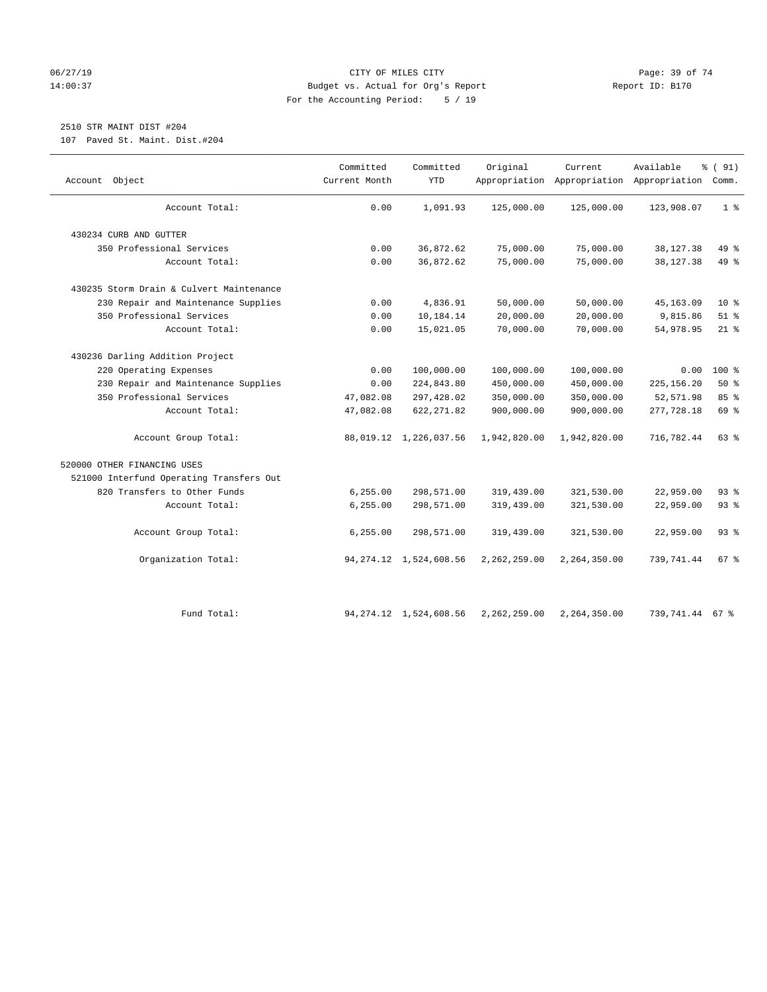# 06/27/19 **Page: 39 of 74** CITY OF MILES CITY **CITY Page: 39 of 74** 14:00:37 Budget vs. Actual for Org's Report Report ID: B170 For the Accounting Period: 5 / 19

# 2510 STR MAINT DIST #204

107 Paved St. Maint. Dist.#204

| Object<br>Account                        | Committed<br>Current Month | Committed<br><b>YTD</b>   | Original     | Current      | Available<br>Appropriation Appropriation Appropriation Comm. | % (91)          |
|------------------------------------------|----------------------------|---------------------------|--------------|--------------|--------------------------------------------------------------|-----------------|
| Account Total:                           | 0.00                       | 1,091.93                  | 125,000.00   | 125,000.00   | 123,908.07                                                   | 1 <sup>°</sup>  |
| 430234 CURB AND GUTTER                   |                            |                           |              |              |                                                              |                 |
| 350 Professional Services                | 0.00                       | 36,872.62                 | 75,000.00    | 75,000.00    | 38, 127. 38                                                  | 49 %            |
| Account Total:                           | 0.00                       | 36,872.62                 | 75,000.00    | 75,000.00    | 38, 127. 38                                                  | 49 %            |
| 430235 Storm Drain & Culvert Maintenance |                            |                           |              |              |                                                              |                 |
| 230 Repair and Maintenance Supplies      | 0.00                       | 4,836.91                  | 50,000.00    | 50,000.00    | 45, 163.09                                                   | $10*$           |
| 350 Professional Services                | 0.00                       | 10,184.14                 | 20,000.00    | 20,000.00    | 9,815.86                                                     | $51$ %          |
| Account Total:                           | 0.00                       | 15,021.05                 | 70,000.00    | 70,000.00    | 54,978.95                                                    | $21$ %          |
| 430236 Darling Addition Project          |                            |                           |              |              |                                                              |                 |
| 220 Operating Expenses                   | 0.00                       | 100,000.00                | 100,000.00   | 100,000.00   | 0.00                                                         | $100$ %         |
| 230 Repair and Maintenance Supplies      | 0.00                       | 224,843.80                | 450,000.00   | 450,000.00   | 225, 156.20                                                  | 50%             |
| 350 Professional Services                | 47,082.08                  | 297,428.02                | 350,000.00   | 350,000.00   | 52,571.98                                                    | 85 %            |
| Account Total:                           | 47,082.08                  | 622, 271.82               | 900,000.00   | 900,000.00   | 277,728.18                                                   | 69 %            |
| Account Group Total:                     |                            | 88,019.12 1,226,037.56    | 1,942,820.00 | 1,942,820.00 | 716,782.44                                                   | 63 %            |
| 520000 OTHER FINANCING USES              |                            |                           |              |              |                                                              |                 |
| 521000 Interfund Operating Transfers Out |                            |                           |              |              |                                                              |                 |
| 820 Transfers to Other Funds             | 6, 255.00                  | 298,571.00                | 319,439.00   | 321,530.00   | 22,959.00                                                    | 93%             |
| Account Total:                           | 6, 255.00                  | 298,571.00                | 319,439.00   | 321,530.00   | 22,959.00                                                    | 93%             |
| Account Group Total:                     | 6, 255.00                  | 298,571.00                | 319,439.00   | 321,530.00   | 22,959.00                                                    | 93 %            |
| Organization Total:                      |                            | 94, 274.12 1, 524, 608.56 | 2,262,259.00 | 2,264,350.00 | 739,741.44                                                   | 67 <sup>8</sup> |
| Fund Total:                              |                            | 94, 274.12 1, 524, 608.56 | 2,262,259.00 | 2,264,350.00 | 739,741.44                                                   | 67 %            |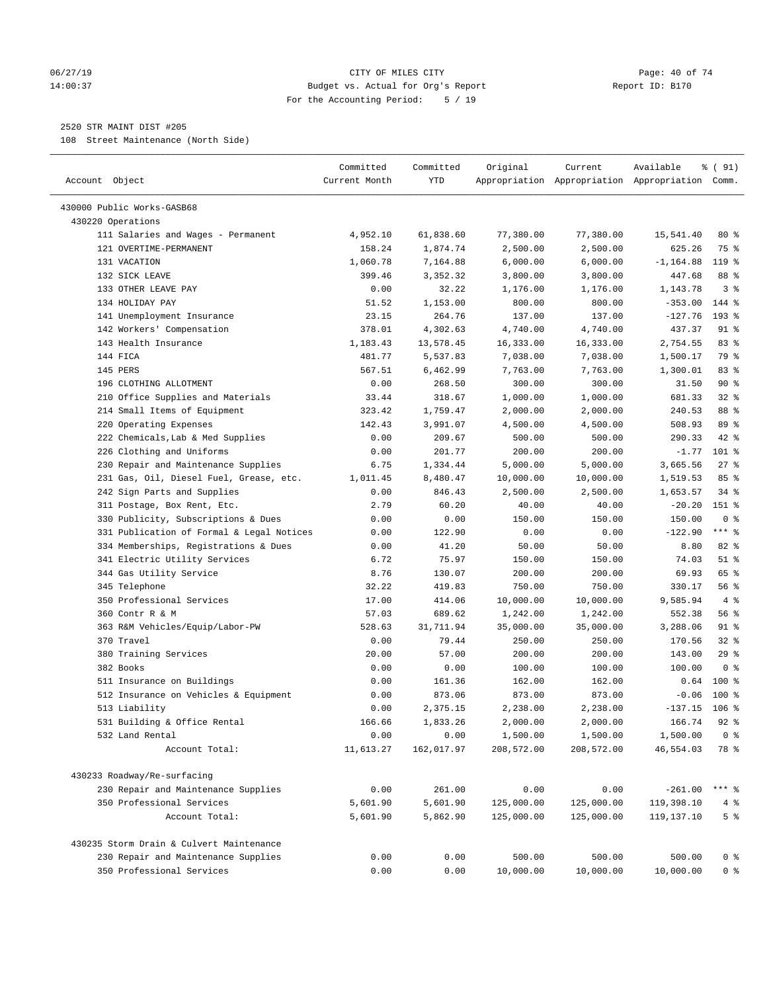# 06/27/19 **Page: 40 of 74** CITY OF MILES CITY **Page: 40 of 74** 14:00:37 Budget vs. Actual for Org's Report Report ID: B170 For the Accounting Period: 5 / 19

————————————————————————————————————————————————————————————————————————————————————————————————————————————————————————————————————

# 2520 STR MAINT DIST #205

108 Street Maintenance (North Side)

| Account Object                            | Committed<br>Current Month | Committed<br>YTD | Original   | Current    | Available<br>Appropriation Appropriation Appropriation Comm. | % ( 91)        |
|-------------------------------------------|----------------------------|------------------|------------|------------|--------------------------------------------------------------|----------------|
| 430000 Public Works-GASB68                |                            |                  |            |            |                                                              |                |
| 430220 Operations                         |                            |                  |            |            |                                                              |                |
| 111 Salaries and Wages - Permanent        | 4,952.10                   | 61,838.60        | 77,380.00  | 77,380.00  | 15,541.40                                                    | 80%            |
| 121 OVERTIME-PERMANENT                    | 158.24                     | 1,874.74         | 2,500.00   | 2,500.00   | 625.26                                                       | 75 %           |
| 131 VACATION                              | 1,060.78                   | 7,164.88         | 6,000.00   | 6,000.00   | $-1, 164.88$                                                 | 119 %          |
| 132 SICK LEAVE                            | 399.46                     | 3,352.32         | 3,800.00   | 3,800.00   | 447.68                                                       | 88 %           |
| 133 OTHER LEAVE PAY                       | 0.00                       | 32.22            | 1,176.00   | 1,176.00   | 1,143.78                                                     | 3 <sup>8</sup> |
| 134 HOLIDAY PAY                           | 51.52                      | 1,153.00         | 800.00     | 800.00     | $-353.00$                                                    | 144 %          |
| 141 Unemployment Insurance                | 23.15                      | 264.76           | 137.00     | 137.00     | $-127.76$                                                    | 193 %          |
| 142 Workers' Compensation                 | 378.01                     | 4,302.63         | 4,740.00   | 4,740.00   | 437.37                                                       | $91$ %         |
| 143 Health Insurance                      | 1,183.43                   | 13,578.45        | 16,333.00  | 16,333.00  | 2,754.55                                                     | 83%            |
| 144 FICA                                  | 481.77                     | 5,537.83         | 7,038.00   | 7,038.00   | 1,500.17                                                     | 79 %           |
| 145 PERS                                  | 567.51                     | 6,462.99         | 7,763.00   | 7,763.00   | 1,300.01                                                     | 83%            |
| 196 CLOTHING ALLOTMENT                    | 0.00                       | 268.50           | 300.00     | 300.00     | 31.50                                                        | 90%            |
| 210 Office Supplies and Materials         | 33.44                      | 318.67           | 1,000.00   | 1,000.00   | 681.33                                                       | 32%            |
| 214 Small Items of Equipment              | 323.42                     | 1,759.47         | 2,000.00   | 2,000.00   | 240.53                                                       | 88 %           |
| 220 Operating Expenses                    | 142.43                     | 3,991.07         | 4,500.00   | 4,500.00   | 508.93                                                       | 89 %           |
| 222 Chemicals, Lab & Med Supplies         | 0.00                       | 209.67           | 500.00     | 500.00     | 290.33                                                       | 42 %           |
| 226 Clothing and Uniforms                 | 0.00                       | 201.77           | 200.00     | 200.00     | $-1.77$                                                      | $101$ %        |
| 230 Repair and Maintenance Supplies       | 6.75                       | 1,334.44         | 5,000.00   | 5,000.00   | 3,665.56                                                     | $27$ %         |
| 231 Gas, Oil, Diesel Fuel, Grease, etc.   | 1,011.45                   | 8,480.47         | 10,000.00  | 10,000.00  | 1,519.53                                                     | 85 %           |
| 242 Sign Parts and Supplies               | 0.00                       | 846.43           | 2,500.00   | 2,500.00   | 1,653.57                                                     | $34$ $%$       |
| 311 Postage, Box Rent, Etc.               | 2.79                       | 60.20            | 40.00      | 40.00      | $-20.20$                                                     | 151 %          |
| 330 Publicity, Subscriptions & Dues       | 0.00                       | 0.00             | 150.00     | 150.00     | 150.00                                                       | 0 <sup>8</sup> |
| 331 Publication of Formal & Legal Notices | 0.00                       | 122.90           | 0.00       | 0.00       | $-122.90$                                                    | $***$ $_{8}$   |
| 334 Memberships, Registrations & Dues     | 0.00                       | 41.20            | 50.00      | 50.00      | 8.80                                                         | 82 %           |
| 341 Electric Utility Services             | 6.72                       | 75.97            | 150.00     | 150.00     | 74.03                                                        | $51$ %         |
| 344 Gas Utility Service                   | 8.76                       | 130.07           | 200.00     | 200.00     | 69.93                                                        | 65 %           |
| 345 Telephone                             | 32.22                      | 419.83           | 750.00     | 750.00     | 330.17                                                       | 56%            |
| 350 Professional Services                 | 17.00                      | 414.06           | 10,000.00  | 10,000.00  | 9,585.94                                                     | 4%             |
| 360 Contr R & M                           | 57.03                      | 689.62           | 1,242.00   | 1,242.00   | 552.38                                                       | 56%            |
| 363 R&M Vehicles/Equip/Labor-PW           | 528.63                     | 31,711.94        | 35,000.00  | 35,000.00  | 3,288.06                                                     | $91$ %         |
| 370 Travel                                | 0.00                       | 79.44            | 250.00     | 250.00     | 170.56                                                       | $32$ $%$       |
| 380 Training Services                     | 20.00                      | 57.00            | 200.00     | 200.00     | 143.00                                                       | 29%            |
| 382 Books                                 | 0.00                       | 0.00             | 100.00     | 100.00     | 100.00                                                       | 0 <sup>8</sup> |
| 511 Insurance on Buildings                | 0.00                       | 161.36           | 162.00     | 162.00     | 0.64                                                         | 100 %          |
| 512 Insurance on Vehicles & Equipment     | 0.00                       | 873.06           | 873.00     | 873.00     | $-0.06$                                                      | $100*$         |
| 513 Liability                             | 0.00                       | 2,375.15         | 2,238.00   | 2,238.00   | $-137.15$                                                    | $106$ %        |
| 531 Building & Office Rental              | 166.66                     | 1,833.26         | 2,000.00   | 2,000.00   | 166.74                                                       | $92$ $%$       |
| 532 Land Rental                           | 0.00                       | 0.00             | 1,500.00   | 1,500.00   | 1,500.00                                                     | 0 <sup>8</sup> |
| Account Total:                            | 11,613.27                  | 162,017.97       | 208,572.00 | 208,572.00 | 46,554.03                                                    | 78 %           |
| 430233 Roadway/Re-surfacing               |                            |                  |            |            |                                                              |                |
| 230 Repair and Maintenance Supplies       | 0.00                       | 261.00           | 0.00       | 0.00       | $-261.00$                                                    | $***$ $-$      |
| 350 Professional Services                 | 5,601.90                   | 5,601.90         | 125,000.00 | 125,000.00 | 119,398.10                                                   | 4%             |
| Account Total:                            | 5,601.90                   | 5,862.90         | 125,000.00 | 125,000.00 | 119,137.10                                                   | 5 <sup>°</sup> |
| 430235 Storm Drain & Culvert Maintenance  |                            |                  |            |            |                                                              |                |
| 230 Repair and Maintenance Supplies       | 0.00                       | 0.00             | 500.00     | 500.00     | 500.00                                                       | 0 <sup>8</sup> |
| 350 Professional Services                 | 0.00                       | 0.00             | 10,000.00  | 10,000.00  | 10,000.00                                                    | $0$ %          |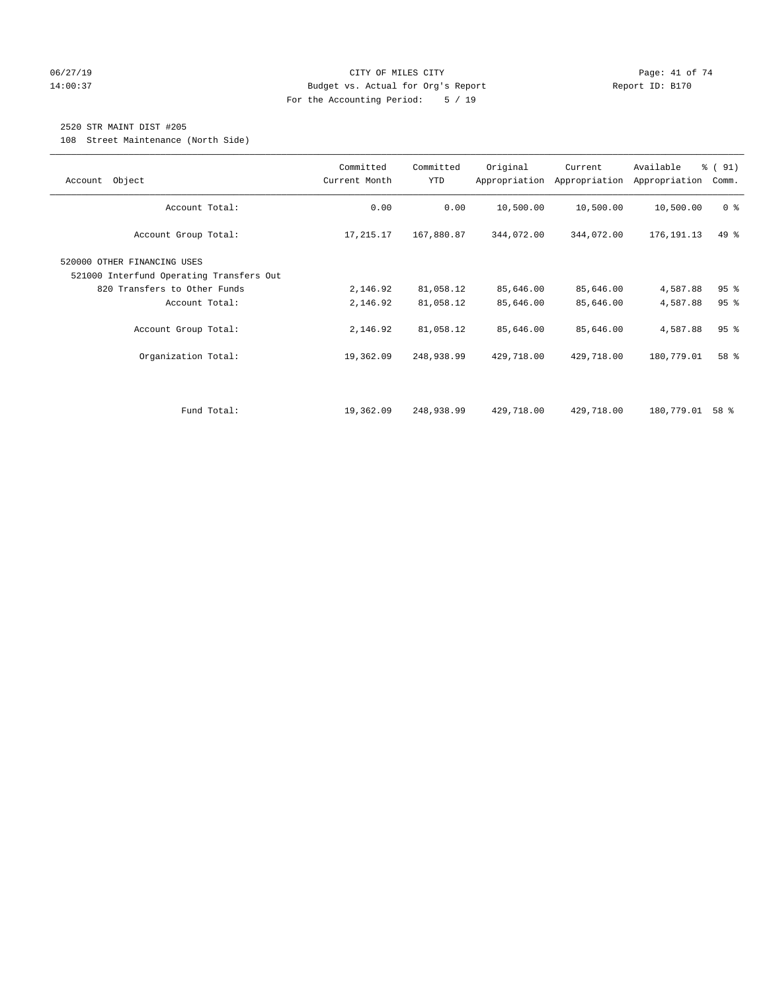# 06/27/19 Page: 41 of 74 14:00:37 Budget vs. Actual for Org's Report Report ID: B170 For the Accounting Period: 5 / 19

# 2520 STR MAINT DIST #205

108 Street Maintenance (North Side)

| Object<br>Account                                                       | Committed<br>Current Month | Committed<br>YTD | Original   | Current<br>Appropriation Appropriation | Available<br>Appropriation | % (91)<br>Comm. |
|-------------------------------------------------------------------------|----------------------------|------------------|------------|----------------------------------------|----------------------------|-----------------|
| Account Total:                                                          | 0.00                       | 0.00             | 10,500.00  | 10,500.00                              | 10,500.00                  | 0 <sup>8</sup>  |
| Account Group Total:                                                    | 17,215.17                  | 167,880.87       | 344,072.00 | 344,072.00                             | 176,191.13                 | $49*$           |
| 520000 OTHER FINANCING USES<br>521000 Interfund Operating Transfers Out |                            |                  |            |                                        |                            |                 |
| 820 Transfers to Other Funds                                            | 2,146.92                   | 81,058.12        | 85,646.00  | 85,646.00                              | 4,587.88                   | 95 <sup>8</sup> |
| Account Total:                                                          | 2,146.92                   | 81,058.12        | 85,646.00  | 85,646.00                              | 4,587.88                   | 95 <sup>8</sup> |
| Account Group Total:                                                    | 2,146.92                   | 81,058.12        | 85,646.00  | 85,646.00                              | 4,587.88                   | 95 <sup>8</sup> |
| Organization Total:                                                     | 19,362.09                  | 248,938.99       | 429,718.00 | 429,718.00                             | 180,779.01                 | 58 %            |
|                                                                         |                            |                  |            |                                        |                            |                 |
| Fund Total:                                                             | 19,362.09                  | 248,938.99       | 429,718.00 | 429,718.00                             | 180,779.01                 | 58 %            |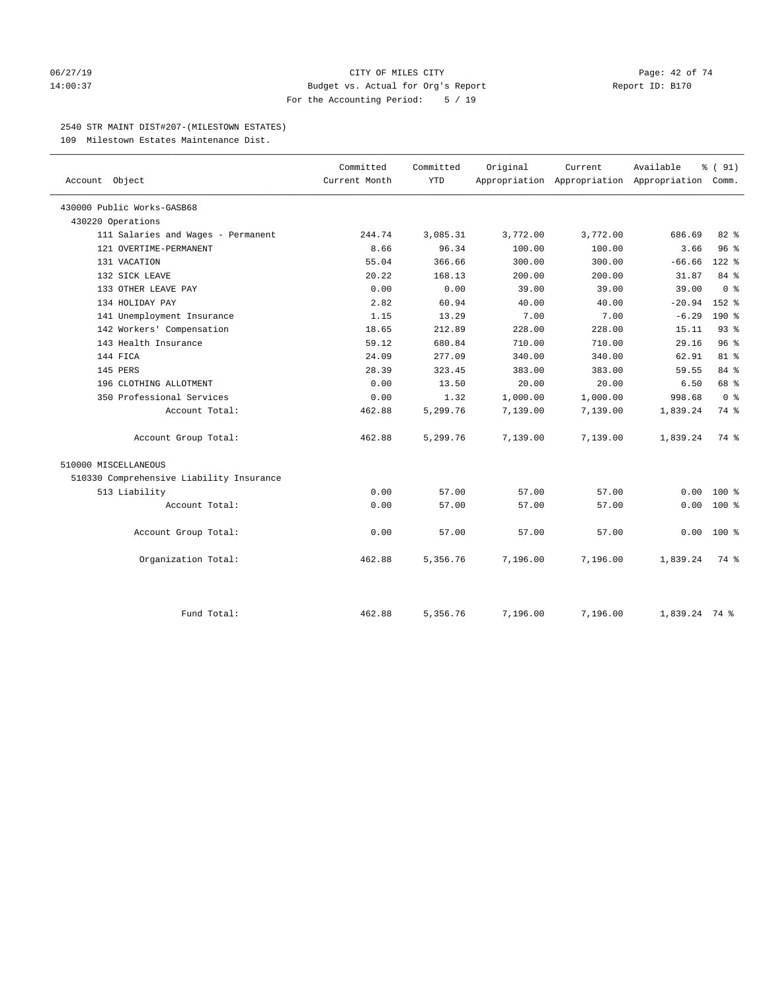#### 06/27/19 Page: 42 of 74 14:00:37 Budget vs. Actual for Org's Report Report ID: B170 For the Accounting Period: 5 / 19

#### 2540 STR MAINT DIST#207-(MILESTOWN ESTATES)

109 Milestown Estates Maintenance Dist.

|                                          | Committed     | Committed  | Original | Current                                         | Available     | % (91)         |
|------------------------------------------|---------------|------------|----------|-------------------------------------------------|---------------|----------------|
| Account Object                           | Current Month | <b>YTD</b> |          | Appropriation Appropriation Appropriation Comm. |               |                |
| 430000 Public Works-GASB68               |               |            |          |                                                 |               |                |
| 430220 Operations                        |               |            |          |                                                 |               |                |
| 111 Salaries and Wages - Permanent       | 244.74        | 3,085.31   | 3,772.00 | 3,772.00                                        | 686.69        | 82%            |
| 121 OVERTIME-PERMANENT                   | 8.66          | 96.34      | 100.00   | 100.00                                          | 3.66          | 96%            |
| 131 VACATION                             | 55.04         | 366.66     | 300.00   | 300.00                                          | $-66.66$      | $122$ %        |
| 132 SICK LEAVE                           | 20.22         | 168.13     | 200.00   | 200.00                                          | 31.87         | 84 %           |
| 133 OTHER LEAVE PAY                      | 0.00          | 0.00       | 39.00    | 39.00                                           | 39.00         | 0 <sup>8</sup> |
| 134 HOLIDAY PAY                          | 2.82          | 60.94      | 40.00    | 40.00                                           | $-20.94$      | $152$ $%$      |
| 141 Unemployment Insurance               | 1.15          | 13.29      | 7.00     | 7.00                                            | $-6.29$       | 190 %          |
| 142 Workers' Compensation                | 18.65         | 212.89     | 228.00   | 228.00                                          | 15.11         | 93%            |
| 143 Health Insurance                     | 59.12         | 680.84     | 710.00   | 710.00                                          | 29.16         | 96%            |
| 144 FICA                                 | 24.09         | 277.09     | 340.00   | 340.00                                          | 62.91         | $81 - 8$       |
| 145 PERS                                 | 28.39         | 323.45     | 383.00   | 383.00                                          | 59.55         | 84 %           |
| 196 CLOTHING ALLOTMENT                   | 0.00          | 13.50      | 20.00    | 20.00                                           | 6.50          | 68 %           |
| 350 Professional Services                | 0.00          | 1.32       | 1,000.00 | 1,000.00                                        | 998.68        | 0 <sup>8</sup> |
| Account Total:                           | 462.88        | 5,299.76   | 7,139.00 | 7,139.00                                        | 1,839.24      | 74 %           |
| Account Group Total:                     | 462.88        | 5,299.76   | 7,139.00 | 7,139.00                                        | 1,839.24      | 74 %           |
| 510000 MISCELLANEOUS                     |               |            |          |                                                 |               |                |
| 510330 Comprehensive Liability Insurance |               |            |          |                                                 |               |                |
| 513 Liability                            | 0.00          | 57.00      | 57.00    | 57.00                                           | 0.00          | $100*$         |
| Account Total:                           | 0.00          | 57.00      | 57.00    | 57.00                                           | 0.00          | $100*$         |
| Account Group Total:                     | 0.00          | 57.00      | 57.00    | 57.00                                           | 0.00          | $100*$         |
| Organization Total:                      | 462.88        | 5,356.76   | 7,196.00 | 7,196.00                                        | 1,839.24      | 74 %           |
| Fund Total:                              | 462.88        | 5,356.76   | 7,196.00 | 7,196.00                                        | 1,839.24 74 % |                |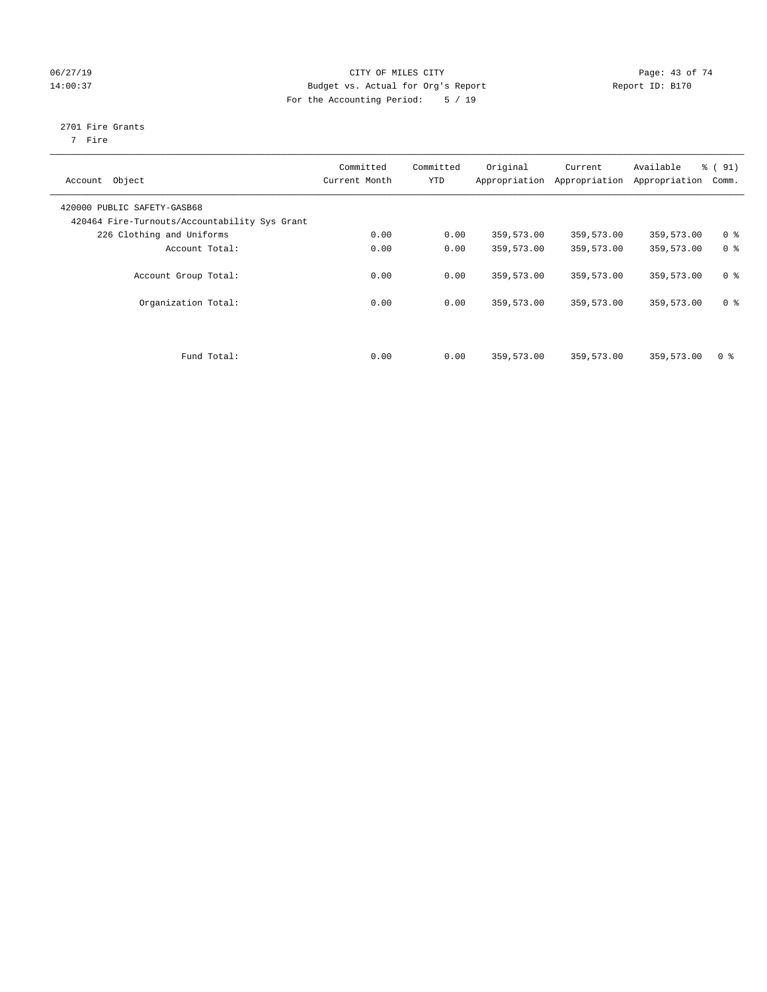# 06/27/19 Page: 43 of 74 14:00:37 Budget vs. Actual for Org's Report Report ID: B170 For the Accounting Period: 5 / 19

# 2701 Fire Grants

7 Fire

| Object<br>Account                                                            | Committed<br>Current Month | Committed<br><b>YTD</b> | Original<br>Appropriation | Current<br>Appropriation | Available<br>Appropriation | % (91)<br>Comm. |
|------------------------------------------------------------------------------|----------------------------|-------------------------|---------------------------|--------------------------|----------------------------|-----------------|
| 420000 PUBLIC SAFETY-GASB68<br>420464 Fire-Turnouts/Accountability Sys Grant |                            |                         |                           |                          |                            |                 |
| 226 Clothing and Uniforms                                                    | 0.00                       | 0.00                    | 359,573.00                | 359,573.00               | 359,573.00                 | 0 <sup>8</sup>  |
| Account Total:                                                               | 0.00                       | 0.00                    | 359,573.00                | 359,573.00               | 359,573.00                 | 0 <sup>8</sup>  |
| Account Group Total:                                                         | 0.00                       | 0.00                    | 359,573.00                | 359,573.00               | 359,573.00                 | 0 <sup>8</sup>  |
| Organization Total:                                                          | 0.00                       | 0.00                    | 359,573.00                | 359,573.00               | 359,573.00                 | 0 <sup>8</sup>  |
| Fund Total:                                                                  | 0.00                       | 0.00                    | 359,573.00                | 359,573.00               | 359,573.00                 | 0 <sup>8</sup>  |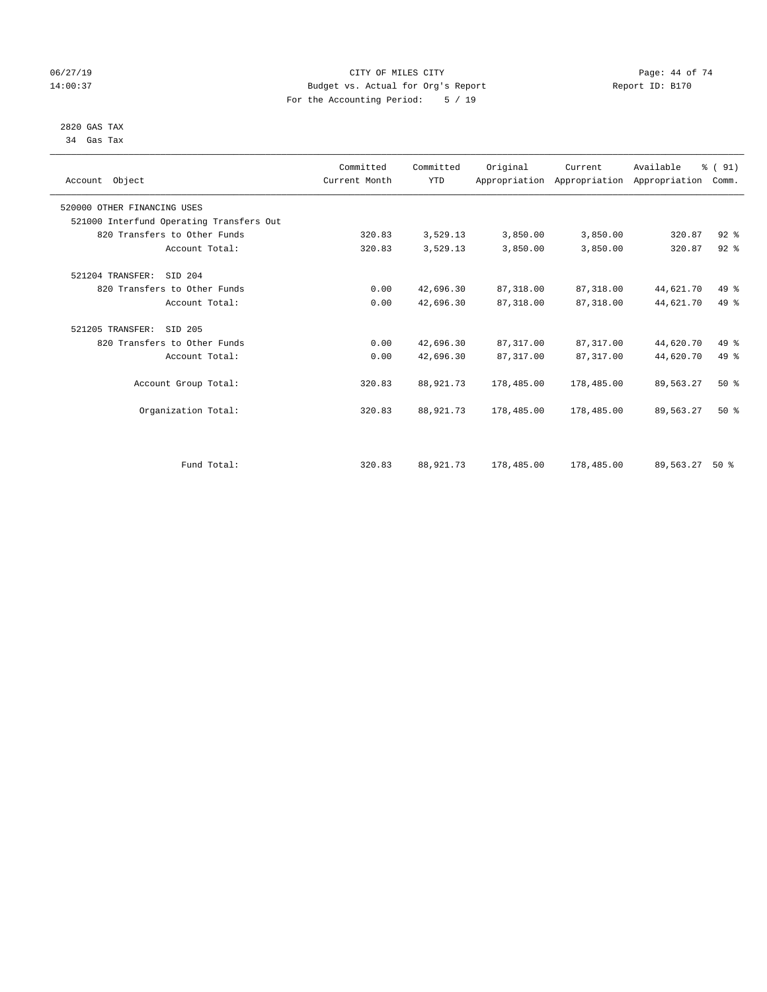# 06/27/19 Page: 44 of 74 14:00:37 Budget vs. Actual for Org's Report Report ID: B170 For the Accounting Period: 5 / 19

#### 2820 GAS TAX 34 Gas Tax

| Account Object                           | Committed<br>Current Month | Committed<br><b>YTD</b> | Original   | Current    | Available<br>Appropriation Appropriation Appropriation | % (91)<br>Comm. |  |
|------------------------------------------|----------------------------|-------------------------|------------|------------|--------------------------------------------------------|-----------------|--|
| 520000 OTHER FINANCING USES              |                            |                         |            |            |                                                        |                 |  |
| 521000 Interfund Operating Transfers Out |                            |                         |            |            |                                                        |                 |  |
| 820 Transfers to Other Funds             | 320.83                     | 3,529.13                | 3,850.00   | 3,850.00   | 320.87                                                 | $92$ $%$        |  |
| Account Total:                           | 320.83                     | 3,529.13                | 3,850.00   | 3,850.00   | 320.87                                                 | $92$ $%$        |  |
| 521204 TRANSFER:<br>SID 204              |                            |                         |            |            |                                                        |                 |  |
| 820 Transfers to Other Funds             | 0.00                       | 42,696.30               | 87,318.00  | 87,318.00  | 44,621.70                                              | 49 %            |  |
| Account Total:                           | 0.00                       | 42,696.30               | 87,318.00  | 87,318.00  | 44,621.70                                              | $49*$           |  |
| 521205 TRANSFER:<br>SID 205              |                            |                         |            |            |                                                        |                 |  |
| 820 Transfers to Other Funds             | 0.00                       | 42,696.30               | 87, 317.00 | 87, 317.00 | 44,620.70                                              | 49 %            |  |
| Account Total:                           | 0.00                       | 42,696.30               | 87, 317.00 | 87,317.00  | 44,620.70                                              | 49 %            |  |
| Account Group Total:                     | 320.83                     | 88,921.73               | 178,485.00 | 178,485.00 | 89,563.27                                              | $50*$           |  |
| Organization Total:                      | 320.83                     | 88,921.73               | 178,485.00 | 178,485.00 | 89,563.27                                              | $50*$           |  |
|                                          |                            |                         |            |            |                                                        |                 |  |
| Fund Total:                              | 320.83                     | 88,921.73               | 178,485.00 | 178,485.00 | 89,563.27                                              | $50*$           |  |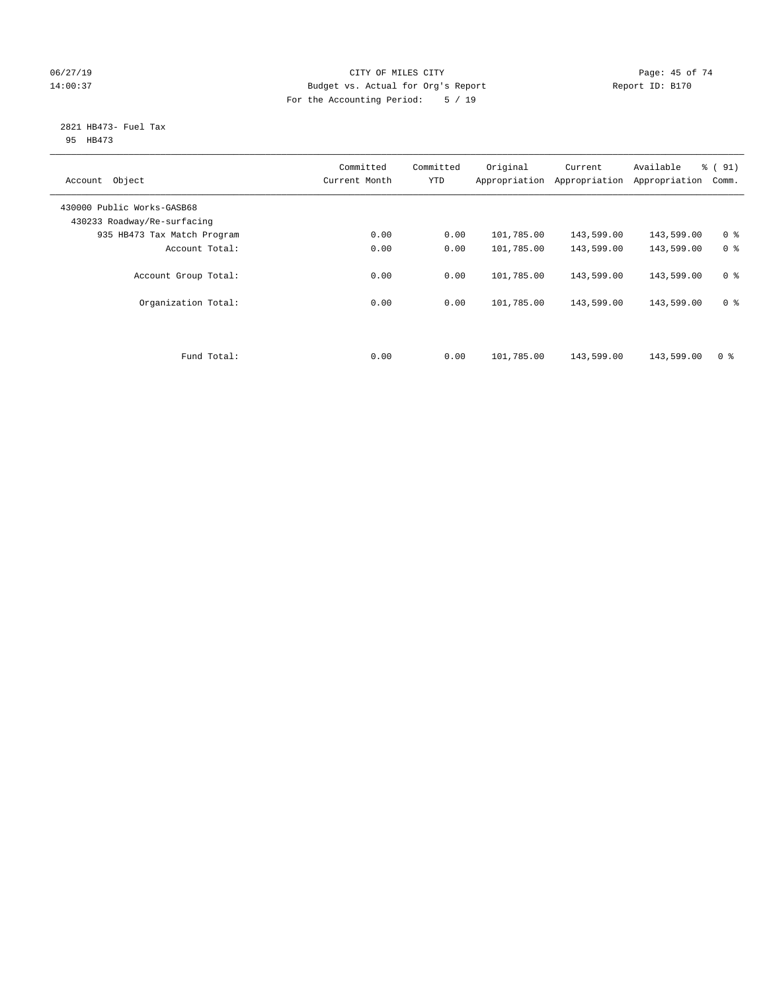# 06/27/19 Page: 45 of 74 14:00:37 Budget vs. Actual for Org's Report Report ID: B170 For the Accounting Period: 5 / 19

#### 2821 HB473- Fuel Tax 95 HB473

| Object<br>Account                                         | Committed<br>Current Month | Committed<br><b>YTD</b> | Original<br>Appropriation | Current<br>Appropriation | Available<br>Appropriation | % (91)<br>Comm. |
|-----------------------------------------------------------|----------------------------|-------------------------|---------------------------|--------------------------|----------------------------|-----------------|
| 430000 Public Works-GASB68<br>430233 Roadway/Re-surfacing |                            |                         |                           |                          |                            |                 |
| 935 HB473 Tax Match Program                               | 0.00                       | 0.00                    | 101,785.00                | 143,599.00               | 143,599.00                 | 0 <sup>8</sup>  |
| Account Total:                                            | 0.00                       | 0.00                    | 101,785.00                | 143,599.00               | 143,599.00                 | 0 <sup>8</sup>  |
| Account Group Total:                                      | 0.00                       | 0.00                    | 101,785.00                | 143,599.00               | 143,599.00                 | 0 <sup>8</sup>  |
| Organization Total:                                       | 0.00                       | 0.00                    | 101,785.00                | 143,599.00               | 143,599.00                 | 0 <sup>8</sup>  |
|                                                           |                            |                         |                           |                          |                            |                 |
| Fund Total:                                               | 0.00                       | 0.00                    | 101,785.00                | 143,599.00               | 143,599.00                 | 0 <sup>8</sup>  |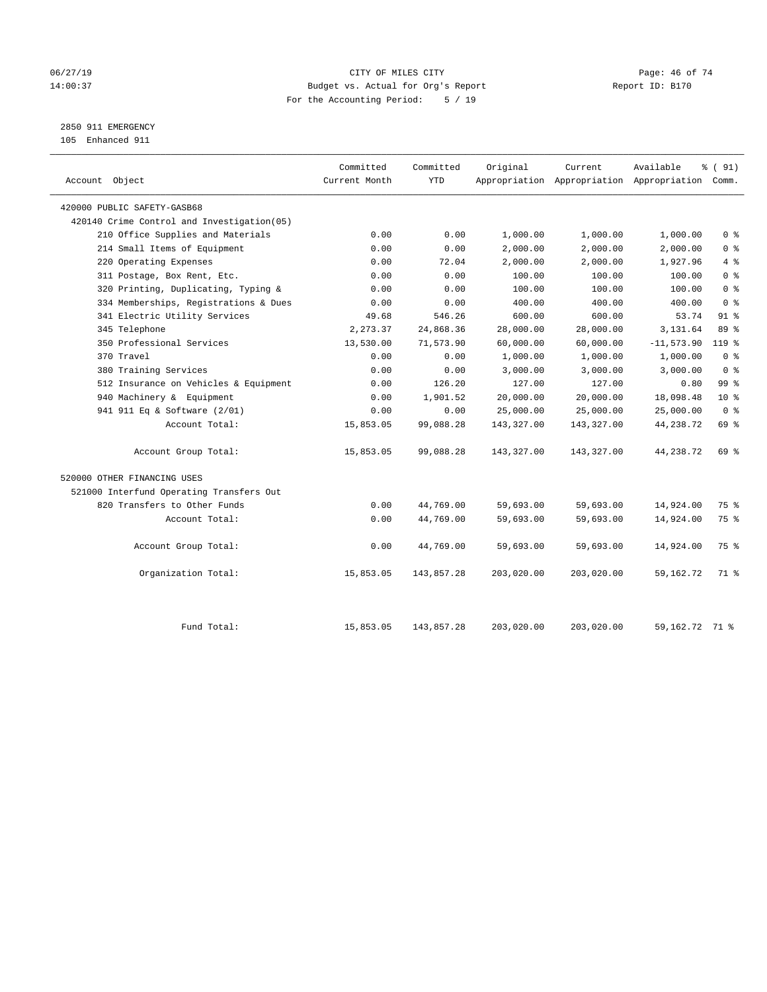# 06/27/19 **Page: 46 of 74** CITY OF MILES CITY **Page: 46 of 74** 14:00:37 Budget vs. Actual for Org's Report Report ID: B170 For the Accounting Period: 5 / 19

# 2850 911 EMERGENCY

105 Enhanced 911

| Account Object                              | Committed<br>Current Month | Committed<br><b>YTD</b> | Original   | Current    | Available<br>Appropriation Appropriation Appropriation Comm. | % (91)          |
|---------------------------------------------|----------------------------|-------------------------|------------|------------|--------------------------------------------------------------|-----------------|
| 420000 PUBLIC SAFETY-GASB68                 |                            |                         |            |            |                                                              |                 |
| 420140 Crime Control and Investigation (05) |                            |                         |            |            |                                                              |                 |
| 210 Office Supplies and Materials           | 0.00                       | 0.00                    | 1,000.00   | 1,000.00   | 1,000.00                                                     | 0 <sup>8</sup>  |
| 214 Small Items of Equipment                | 0.00                       | 0.00                    | 2,000.00   | 2,000.00   | 2,000.00                                                     | 0 <sup>8</sup>  |
| 220 Operating Expenses                      | 0.00                       | 72.04                   | 2,000.00   | 2,000.00   | 1,927.96                                                     | 4%              |
| 311 Postage, Box Rent, Etc.                 | 0.00                       | 0.00                    | 100.00     | 100.00     | 100.00                                                       | 0 <sup>8</sup>  |
| 320 Printing, Duplicating, Typing &         | 0.00                       | 0.00                    | 100.00     | 100.00     | 100.00                                                       | 0 <sup>8</sup>  |
| 334 Memberships, Registrations & Dues       | 0.00                       | 0.00                    | 400.00     | 400.00     | 400.00                                                       | 0 <sup>8</sup>  |
| 341 Electric Utility Services               | 49.68                      | 546.26                  | 600.00     | 600.00     | 53.74                                                        | $91$ %          |
| 345 Telephone                               | 2,273.37                   | 24,868.36               | 28,000.00  | 28,000.00  | 3,131.64                                                     | 89 %            |
| 350 Professional Services                   | 13,530.00                  | 71,573.90               | 60,000.00  | 60,000.00  | $-11, 573.90$                                                | $119*$          |
| 370 Travel                                  | 0.00                       | 0.00                    | 1,000.00   | 1,000.00   | 1,000.00                                                     | 0 <sup>8</sup>  |
| 380 Training Services                       | 0.00                       | 0.00                    | 3,000.00   | 3,000.00   | 3,000.00                                                     | 0 <sup>8</sup>  |
| 512 Insurance on Vehicles & Equipment       | 0.00                       | 126.20                  | 127.00     | 127.00     | 0.80                                                         | 99 <sub>8</sub> |
| 940 Machinery & Equipment                   | 0.00                       | 1,901.52                | 20,000.00  | 20,000.00  | 18,098.48                                                    | 10 <sup>8</sup> |
| 941 911 Eq & Software (2/01)                | 0.00                       | 0.00                    | 25,000.00  | 25,000.00  | 25,000.00                                                    | 0 <sup>8</sup>  |
| Account Total:                              | 15,853.05                  | 99,088.28               | 143,327.00 | 143,327.00 | 44,238.72                                                    | 69 %            |
| Account Group Total:                        | 15,853.05                  | 99,088.28               | 143,327.00 | 143,327.00 | 44,238.72                                                    | 69 %            |
| 520000 OTHER FINANCING USES                 |                            |                         |            |            |                                                              |                 |
| 521000 Interfund Operating Transfers Out    |                            |                         |            |            |                                                              |                 |
| 820 Transfers to Other Funds                | 0.00                       | 44,769.00               | 59,693.00  | 59,693.00  | 14,924.00                                                    | 75 %            |
| Account Total:                              | 0.00                       | 44,769.00               | 59,693.00  | 59,693.00  | 14,924.00                                                    | 75 %            |
| Account Group Total:                        | 0.00                       | 44,769.00               | 59,693.00  | 59,693.00  | 14,924.00                                                    | 75 %            |
| Organization Total:                         | 15,853.05                  | 143,857.28              | 203,020.00 | 203,020.00 | 59,162.72                                                    | 71 %            |
| Fund Total:                                 | 15,853.05                  | 143,857.28              | 203,020.00 | 203,020.00 | 59, 162. 72 71 %                                             |                 |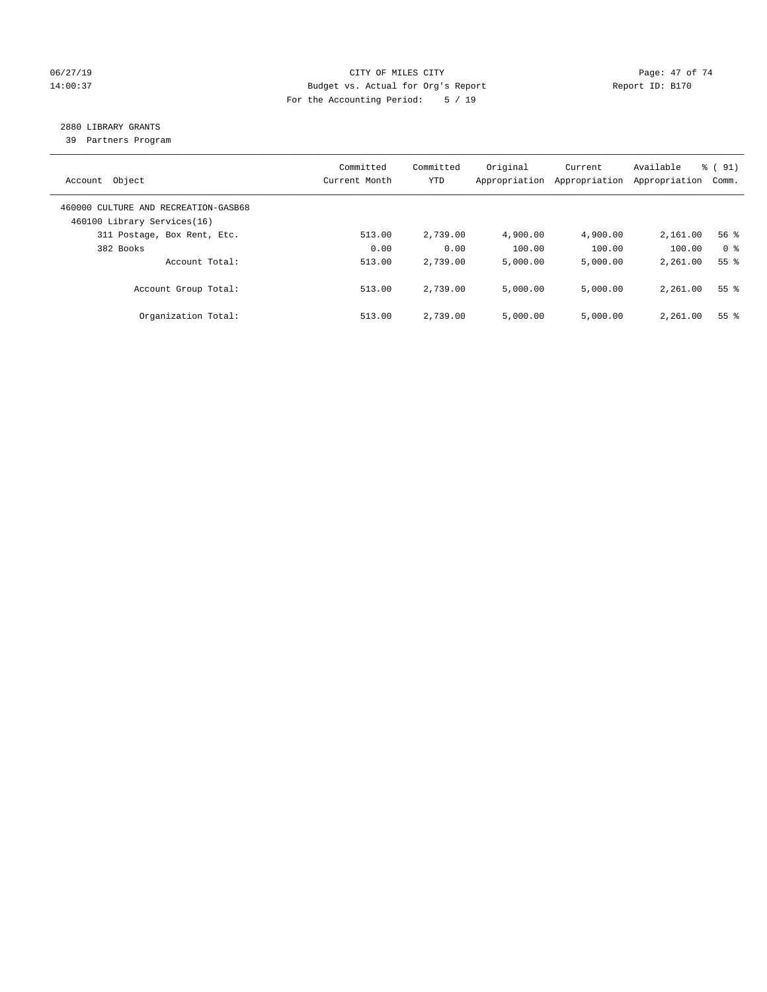# 06/27/19 Page: 47 of 74 14:00:37 Budget vs. Actual for Org's Report Report ID: B170 For the Accounting Period: 5 / 19

# 2880 LIBRARY GRANTS

39 Partners Program

| Account Object                                                      | Committed<br>Current Month | Committed<br><b>YTD</b> | Original<br>Appropriation | Current<br>Appropriation | Available<br>Appropriation | % (91)<br>Comm. |
|---------------------------------------------------------------------|----------------------------|-------------------------|---------------------------|--------------------------|----------------------------|-----------------|
| 460000 CULTURE AND RECREATION-GASB68<br>460100 Library Services(16) |                            |                         |                           |                          |                            |                 |
| 311 Postage, Box Rent, Etc.                                         | 513.00                     | 2,739.00                | 4,900.00                  | 4,900.00                 | 2,161.00                   | 56%             |
| 382 Books                                                           | 0.00                       | 0.00                    | 100.00                    | 100.00                   | 100.00                     | 0 <sup>8</sup>  |
| Account Total:                                                      | 513.00                     | 2,739.00                | 5,000.00                  | 5,000.00                 | 2,261.00                   | 55 <sup>8</sup> |
| Account Group Total:                                                | 513.00                     | 2,739.00                | 5,000.00                  | 5,000.00                 | 2,261.00                   | 55 <sup>8</sup> |
| Organization Total:                                                 | 513.00                     | 2,739.00                | 5.000.00                  | 5,000.00                 | 2,261.00                   | 55 <sup>8</sup> |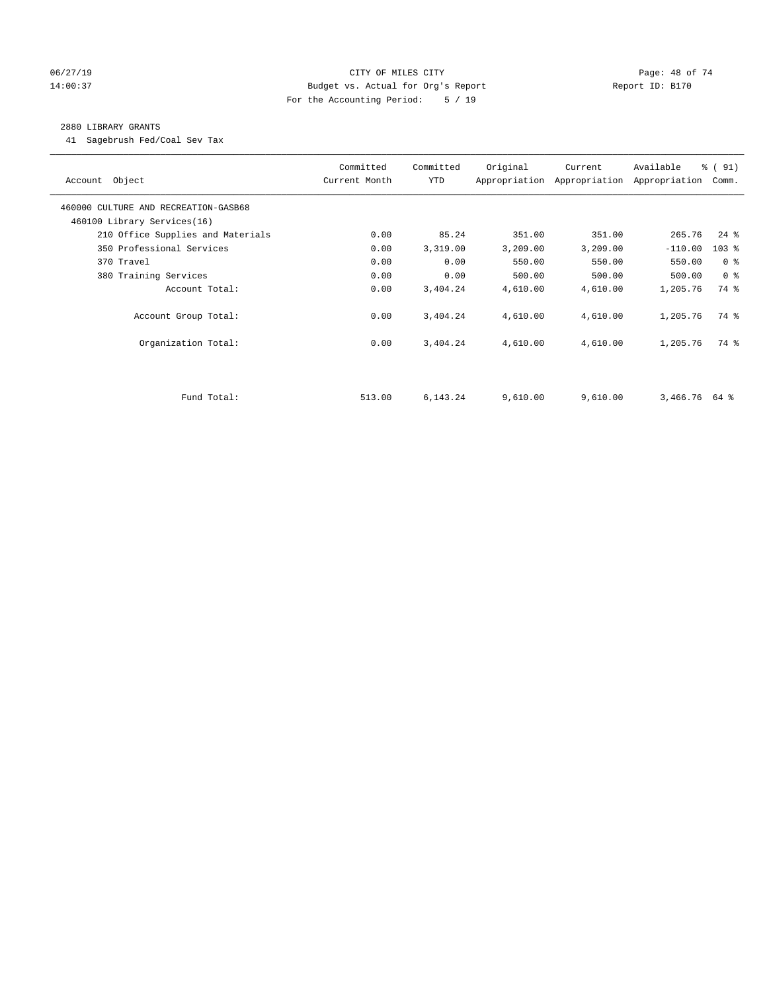# 06/27/19 **Page: 48 of 74** CITY OF MILES CITY **CITY Page: 48 of 74** 14:00:37 Budget vs. Actual for Org's Report Report ID: B170 For the Accounting Period: 5 / 19

#### 2880 LIBRARY GRANTS

41 Sagebrush Fed/Coal Sev Tax

| Account Object                       | Committed<br>Current Month | Committed<br>YTD | Original | Current<br>Appropriation Appropriation | Available<br>Appropriation | % (91)<br>Comm. |
|--------------------------------------|----------------------------|------------------|----------|----------------------------------------|----------------------------|-----------------|
| 460000 CULTURE AND RECREATION-GASB68 |                            |                  |          |                                        |                            |                 |
| 460100 Library Services(16)          |                            |                  |          |                                        |                            |                 |
| 210 Office Supplies and Materials    | 0.00                       | 85.24            | 351.00   | 351.00                                 | 265.76                     | $24$ %          |
| 350 Professional Services            | 0.00                       | 3,319.00         | 3,209.00 | 3,209.00                               | $-110.00$                  | $103$ %         |
| 370 Travel                           | 0.00                       | 0.00             | 550.00   | 550.00                                 | 550.00                     | 0 <sup>8</sup>  |
| 380 Training Services                | 0.00                       | 0.00             | 500.00   | 500.00                                 | 500.00                     | 0 <sup>8</sup>  |
| Account Total:                       | 0.00                       | 3,404.24         | 4,610.00 | 4,610.00                               | 1,205.76                   | 74 %            |
| Account Group Total:                 | 0.00                       | 3,404.24         | 4,610.00 | 4,610.00                               | 1,205.76                   | 74 %            |
| Organization Total:                  | 0.00                       | 3,404.24         | 4,610.00 | 4,610.00                               | 1,205.76                   | 74 %            |
|                                      |                            |                  |          |                                        |                            |                 |
| Fund Total:                          | 513.00                     | 6,143.24         | 9,610.00 | 9,610.00                               | $3,466.76$ 64 %            |                 |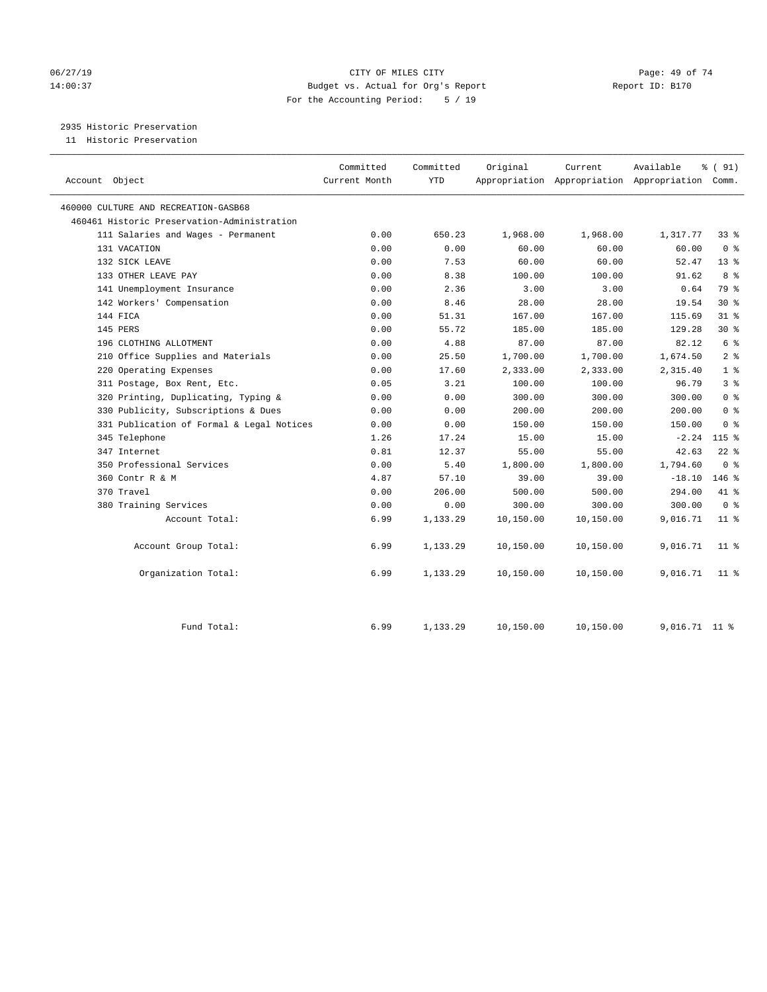# 06/27/19 **Page: 49 of 74** CITY OF MILES CITY **CITY Page: 49 of 74** 14:00:37 Budget vs. Actual for Org's Report Report ID: B170 For the Accounting Period: 5 / 19

2935 Historic Preservation

11 Historic Preservation

| Account Object                              | Committed<br>Current Month | Committed<br><b>YTD</b> | Original  | Current   | Available<br>Appropriation Appropriation Appropriation Comm. | % (91)         |
|---------------------------------------------|----------------------------|-------------------------|-----------|-----------|--------------------------------------------------------------|----------------|
| 460000 CULTURE AND RECREATION-GASB68        |                            |                         |           |           |                                                              |                |
| 460461 Historic Preservation-Administration |                            |                         |           |           |                                                              |                |
| 111 Salaries and Wages - Permanent          | 0.00                       | 650.23                  | 1,968.00  | 1,968.00  | 1,317.77                                                     | 338            |
| 131 VACATION                                | 0.00                       | 0.00                    | 60.00     | 60.00     | 60.00                                                        | 0 <sup>8</sup> |
| 132 SICK LEAVE                              | 0.00                       | 7.53                    | 60.00     | 60.00     | 52.47                                                        | $13*$          |
| 133 OTHER LEAVE PAY                         | 0.00                       | 8.38                    | 100.00    | 100.00    | 91.62                                                        | 8 %            |
| 141 Unemployment Insurance                  | 0.00                       | 2.36                    | 3.00      | 3.00      | 0.64                                                         | 79 %           |
| 142 Workers' Compensation                   | 0.00                       | 8.46                    | 28.00     | 28.00     | 19.54                                                        | $30*$          |
| 144 FICA                                    | 0.00                       | 51.31                   | 167.00    | 167.00    | 115.69                                                       | $31$ %         |
| 145 PERS                                    | 0.00                       | 55.72                   | 185.00    | 185.00    | 129.28                                                       | $30*$          |
| 196 CLOTHING ALLOTMENT                      | 0.00                       | 4.88                    | 87.00     | 87.00     | 82.12                                                        | 6 %            |
| 210 Office Supplies and Materials           | 0.00                       | 25.50                   | 1,700.00  | 1,700.00  | 1,674.50                                                     | 2 <sup>°</sup> |
| 220 Operating Expenses                      | 0.00                       | 17.60                   | 2,333.00  | 2,333.00  | 2,315.40                                                     | 1 <sup>8</sup> |
| 311 Postage, Box Rent, Etc.                 | 0.05                       | 3.21                    | 100.00    | 100.00    | 96.79                                                        | 3 <sup>8</sup> |
| 320 Printing, Duplicating, Typing &         | 0.00                       | 0.00                    | 300.00    | 300.00    | 300.00                                                       | 0 <sup>8</sup> |
| 330 Publicity, Subscriptions & Dues         | 0.00                       | 0.00                    | 200.00    | 200.00    | 200.00                                                       | 0 <sup>8</sup> |
| 331 Publication of Formal & Legal Notices   | 0.00                       | 0.00                    | 150.00    | 150.00    | 150.00                                                       | 0 <sup>8</sup> |
| 345 Telephone                               | 1.26                       | 17.24                   | 15.00     | 15.00     | $-2.24$                                                      | $115$ %        |
| 347 Internet                                | 0.81                       | 12.37                   | 55.00     | 55.00     | 42.63                                                        | $22$ %         |
| 350 Professional Services                   | 0.00                       | 5.40                    | 1,800.00  | 1,800.00  | 1,794.60                                                     | 0 <sup>8</sup> |
| 360 Contr R & M                             | 4.87                       | 57.10                   | 39.00     | 39.00     | $-18.10$                                                     | $146$ %        |
| 370 Travel                                  | 0.00                       | 206.00                  | 500.00    | 500.00    | 294.00                                                       | 41 %           |
| 380 Training Services                       | 0.00                       | 0.00                    | 300.00    | 300.00    | 300.00                                                       | 0 <sup>8</sup> |
| Account Total:                              | 6.99                       | 1,133.29                | 10,150.00 | 10,150.00 | 9,016.71                                                     | $11$ %         |
| Account Group Total:                        | 6.99                       | 1,133.29                | 10,150.00 | 10,150.00 | 9,016.71                                                     | $11$ %         |
| Organization Total:                         | 6.99                       | 1,133.29                | 10,150.00 | 10,150.00 | 9,016.71                                                     | $11$ %         |
| Fund Total:                                 | 6.99                       | 1,133.29                | 10,150.00 | 10,150.00 | 9,016.71 11 %                                                |                |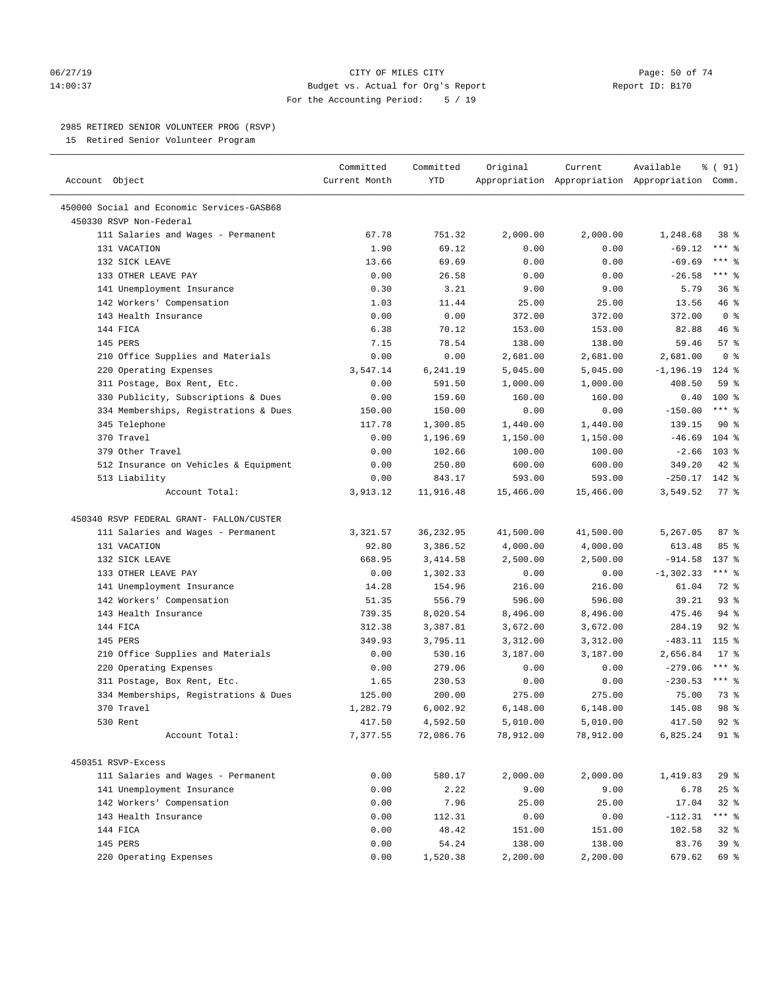#### 06/27/19 Page: 50 of 74 14:00:37 Budget vs. Actual for Org's Report Report ID: B170 For the Accounting Period: 5 / 19

————————————————————————————————————————————————————————————————————————————————————————————————————————————————————————————————————

# 2985 RETIRED SENIOR VOLUNTEER PROG (RSVP)

15 Retired Senior Volunteer Program

|                                                          | Committed     | Committed      | Original         | Current          | Available                                       | % (91)             |  |
|----------------------------------------------------------|---------------|----------------|------------------|------------------|-------------------------------------------------|--------------------|--|
| Account Object                                           | Current Month | YTD            |                  |                  | Appropriation Appropriation Appropriation Comm. |                    |  |
| 450000 Social and Economic Services-GASB68               |               |                |                  |                  |                                                 |                    |  |
| 450330 RSVP Non-Federal                                  |               |                |                  |                  |                                                 |                    |  |
| 111 Salaries and Wages - Permanent                       | 67.78         | 751.32         | 2,000.00         | 2,000.00         | 1,248.68                                        | 38 %               |  |
| 131 VACATION                                             | 1.90          | 69.12          | 0.00             | 0.00             | $-69.12$                                        | $***$ $-$          |  |
| 132 SICK LEAVE                                           | 13.66         | 69.69          | 0.00             | 0.00             | $-69.69$                                        | $***$ $%$          |  |
| 133 OTHER LEAVE PAY                                      | 0.00          | 26.58          | 0.00             | 0.00             | $-26.58$                                        | $***$ $-$          |  |
| 141 Unemployment Insurance                               | 0.30          | 3.21           | 9.00             | 9.00             | 5.79                                            | 36%                |  |
| 142 Workers' Compensation                                | 1.03          | 11.44          | 25.00            | 25.00            | 13.56                                           | 46 %               |  |
| 143 Health Insurance                                     | 0.00          | 0.00           | 372.00           | 372.00           | 372.00                                          | 0 <sup>8</sup>     |  |
| 144 FICA                                                 | 6.38          | 70.12          | 153.00           | 153.00           | 82.88                                           | 46 %               |  |
| 145 PERS                                                 | 7.15          | 78.54          | 138.00           | 138.00           | 59.46                                           | 57%                |  |
| 210 Office Supplies and Materials                        | 0.00          | 0.00           | 2,681.00         | 2,681.00         | 2,681.00                                        | 0 <sup>8</sup>     |  |
| 220 Operating Expenses                                   | 3,547.14      | 6,241.19       | 5,045.00         | 5,045.00         | $-1, 196.19$                                    | $124$ %            |  |
| 311 Postage, Box Rent, Etc.                              | 0.00          | 591.50         | 1,000.00         | 1,000.00         | 408.50                                          | 59 %               |  |
| 330 Publicity, Subscriptions & Dues                      | 0.00          | 159.60         | 160.00           | 160.00           | 0.40                                            | $100*$             |  |
| 334 Memberships, Registrations & Dues                    | 150.00        | 150.00         | 0.00             | 0.00             | $-150.00$                                       | $***$ $-$          |  |
| 345 Telephone                                            | 117.78        | 1,300.85       | 1,440.00         | 1,440.00         | 139.15                                          | $90*$              |  |
| 370 Travel                                               | 0.00          | 1,196.69       | 1,150.00         | 1,150.00         | $-46.69$                                        | $104$ %            |  |
| 379 Other Travel                                         | 0.00          | 102.66         | 100.00           | 100.00           | $-2.66$                                         | 103 <sub>8</sub>   |  |
| 512 Insurance on Vehicles & Equipment                    | 0.00          | 250.80         | 600.00           | 600.00           | 349.20                                          | $42$ %             |  |
| 513 Liability                                            | 0.00          | 843.17         | 593.00           | 593.00           | $-250.17$                                       | 142 %              |  |
| Account Total:                                           | 3,913.12      | 11,916.48      | 15,466.00        | 15,466.00        | 3,549.52                                        | $77$ $\frac{6}{9}$ |  |
|                                                          |               |                |                  |                  |                                                 |                    |  |
| 450340 RSVP FEDERAL GRANT- FALLON/CUSTER                 |               |                |                  |                  |                                                 |                    |  |
| 111 Salaries and Wages - Permanent                       | 3,321.57      | 36,232.95      | 41,500.00        | 41,500.00        | 5,267.05                                        | 87 %               |  |
| 131 VACATION                                             | 92.80         | 3,386.52       | 4,000.00         | 4,000.00         | 613.48                                          | 85%                |  |
| 132 SICK LEAVE                                           | 668.95        | 3,414.58       | 2,500.00         | 2,500.00         | $-914.58$                                       | 137 %              |  |
| 133 OTHER LEAVE PAY                                      | 0.00          | 1,302.33       | 0.00             | 0.00             | $-1, 302.33$                                    | $***$ $%$          |  |
| 141 Unemployment Insurance                               | 14.28         | 154.96         | 216.00           | 216.00           | 61.04                                           | 72 %               |  |
| 142 Workers' Compensation                                | 51.35         | 556.79         | 596.00           | 596.00           | 39.21                                           | $93$ $%$           |  |
| 143 Health Insurance                                     | 739.35        | 8,020.54       | 8,496.00         | 8,496.00         | 475.46                                          | $94$ %             |  |
| 144 FICA                                                 | 312.38        | 3,387.81       | 3,672.00         | 3,672.00         | 284.19                                          | $92$ $%$           |  |
| 145 PERS                                                 | 349.93        | 3,795.11       | 3,312.00         | 3,312.00         | $-483.11$                                       | $115$ %            |  |
| 210 Office Supplies and Materials                        | 0.00          | 530.16         | 3,187.00         | 3,187.00         | 2,656.84                                        | $17*$              |  |
| 220 Operating Expenses                                   | 0.00          | 279.06         | 0.00             | 0.00             | $-279.06$                                       | $***$ $%$          |  |
| 311 Postage, Box Rent, Etc.                              | 1.65          | 230.53         | 0.00             | 0.00             | $-230.53$                                       | $***$ $%$          |  |
| 334 Memberships, Registrations & Dues                    | 125.00        | 200.00         | 275.00           | 275.00           | 75.00                                           | 73 %               |  |
| 370 Travel                                               | 1,282.79      | 6,002.92       | 6,148.00         | 6,148.00         | 145.08                                          | 98 %               |  |
| 530 Rent                                                 | 417.50        | 4,592.50       | 5,010.00         | 5,010.00         | 417.50                                          | $92$ $%$           |  |
| Account Total:                                           | 7,377.55      | 72,086.76      | 78,912.00        | 78,912.00        | 6,825.24                                        | 91 %               |  |
|                                                          |               |                |                  |                  |                                                 |                    |  |
| 450351 RSVP-Excess<br>111 Salaries and Wages - Permanent |               |                |                  |                  |                                                 |                    |  |
|                                                          | 0.00<br>0.00  | 580.17<br>2.22 | 2,000.00<br>9.00 | 2,000.00<br>9.00 | 1,419.83<br>6.78                                | 29%                |  |
| 141 Unemployment Insurance                               |               |                |                  |                  |                                                 | $25$ $%$           |  |
| 142 Workers' Compensation                                | 0.00          | 7.96           | 25.00            | 25.00            | 17.04                                           | $32$ $%$<br>*** %  |  |
| 143 Health Insurance                                     | 0.00          | 112.31         | 0.00             | 0.00             | $-112.31$                                       |                    |  |
| 144 FICA                                                 | 0.00          | 48.42          | 151.00           | 151.00           | 102.58                                          | $32$ $%$           |  |
| 145 PERS                                                 | 0.00          | 54.24          | 138.00           | 138.00           | 83.76                                           | 39 %               |  |
| 220 Operating Expenses                                   | 0.00          | 1,520.38       | 2,200.00         | 2,200.00         | 679.62                                          | 69 %               |  |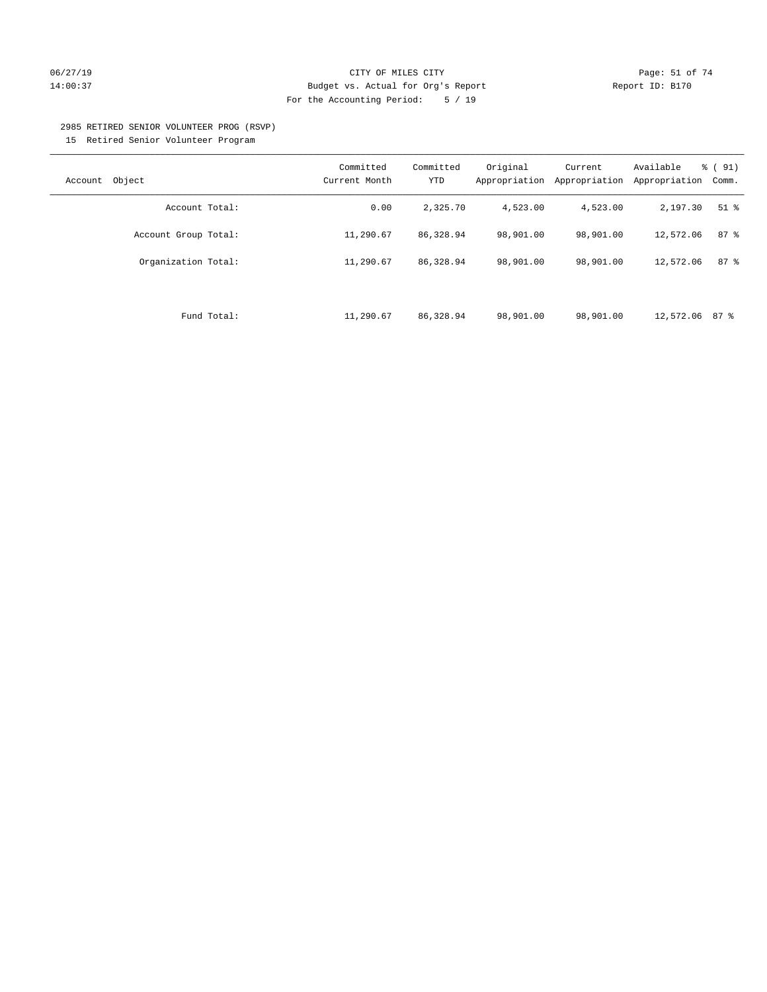# 06/27/19 Page: 51 of 74 14:00:37 Budget vs. Actual for Org's Report Report ID: B170 For the Accounting Period: 5 / 19

#### 2985 RETIRED SENIOR VOLUNTEER PROG (RSVP)

15 Retired Senior Volunteer Program

| Object<br>Account    | Committed<br>Current Month | Committed<br>YTD | Original<br>Appropriation | Current<br>Appropriation | Available<br>Appropriation | % (91)<br>Comm. |
|----------------------|----------------------------|------------------|---------------------------|--------------------------|----------------------------|-----------------|
| Account Total:       | 0.00                       | 2,325.70         | 4,523.00                  | 4,523.00                 | 2,197.30                   | $51$ %          |
| Account Group Total: | 11,290.67                  | 86,328.94        | 98,901.00                 | 98,901.00                | 12,572.06                  | 87%             |
| Organization Total:  | 11,290.67                  | 86,328.94        | 98,901.00                 | 98,901.00                | 12,572.06                  | 87%             |
|                      |                            |                  |                           |                          |                            |                 |
| Fund Total:          | 11,290.67                  | 86,328.94        | 98,901.00                 | 98,901.00                | 12,572.06 87 %             |                 |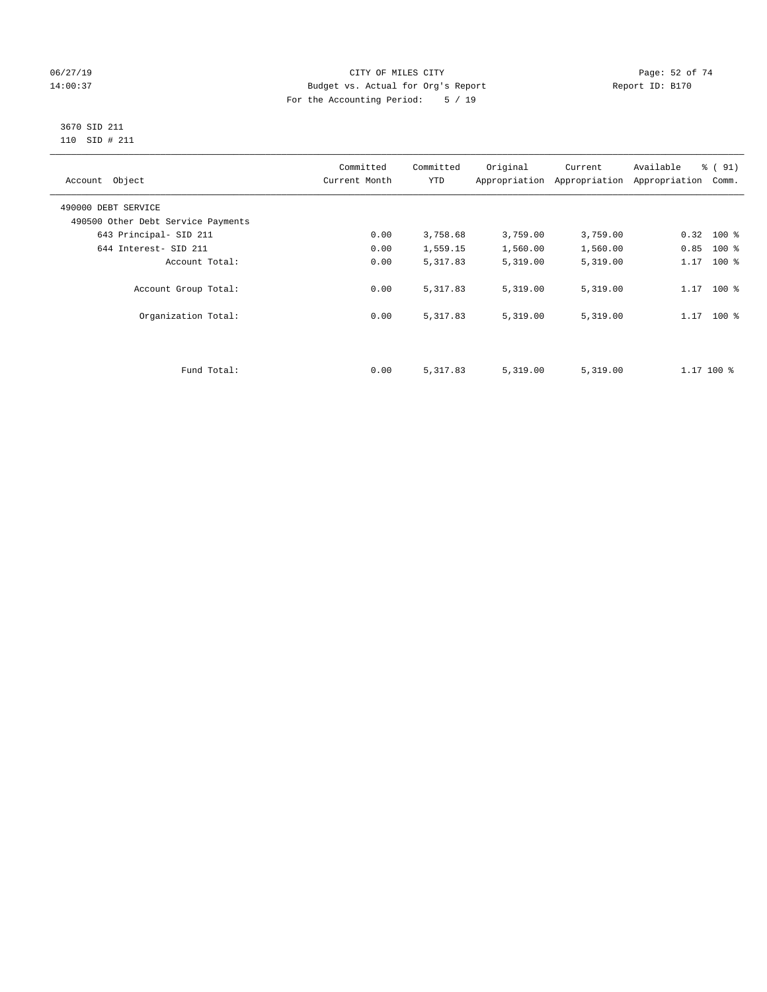# 06/27/19 **Page: 52 of 74** CITY OF MILES CITY **CITY Page: 52 of 74** 14:00:37 Budget vs. Actual for Org's Report Report ID: B170 For the Accounting Period: 5 / 19

#### 3670 SID 211 110 SID # 211

| Account Object                     | Committed<br>Current Month | Committed<br><b>YTD</b> | Original | Current<br>Appropriation Appropriation | Available<br>Appropriation | % (91)<br>Comm. |
|------------------------------------|----------------------------|-------------------------|----------|----------------------------------------|----------------------------|-----------------|
| 490000 DEBT SERVICE                |                            |                         |          |                                        |                            |                 |
| 490500 Other Debt Service Payments |                            |                         |          |                                        |                            |                 |
| 643 Principal- SID 211             | 0.00                       | 3,758.68                | 3,759.00 | 3,759.00                               | $0.32$ 100 %               |                 |
| 644 Interest- SID 211              | 0.00                       | 1,559.15                | 1,560.00 | 1,560.00                               | 0.85                       | $100*$          |
| Account Total:                     | 0.00                       | 5,317.83                | 5,319.00 | 5,319.00                               | 1.17                       | $100*$          |
| Account Group Total:               | 0.00                       | 5,317.83                | 5,319.00 | 5,319.00                               | $1.17$ 100 %               |                 |
| Organization Total:                | 0.00                       | 5,317.83                | 5,319.00 | 5,319.00                               | $1.17$ 100 %               |                 |
|                                    |                            |                         |          |                                        |                            |                 |
| Fund Total:                        | 0.00                       | 5,317.83                | 5,319.00 | 5,319.00                               | $1.17$ 100 $\frac{6}{3}$   |                 |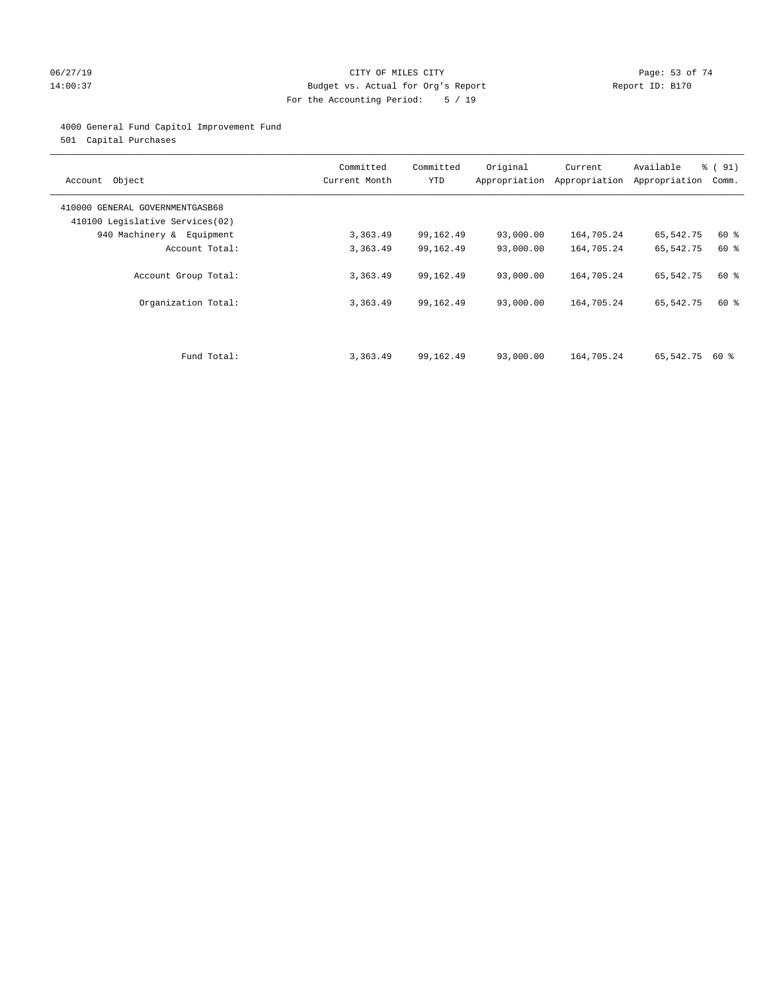# 06/27/19 Page: 53 of 74 14:00:37 Budget vs. Actual for Org's Report Report ID: B170 For the Accounting Period: 5 / 19

# 4000 General Fund Capitol Improvement Fund

501 Capital Purchases

| Account Object                                                     | Committed<br>Current Month | Committed<br><b>YTD</b> | Original  | Current<br>Appropriation Appropriation | Available<br>Appropriation | % (91)<br>Comm. |
|--------------------------------------------------------------------|----------------------------|-------------------------|-----------|----------------------------------------|----------------------------|-----------------|
| 410000 GENERAL GOVERNMENTGASB68<br>410100 Legislative Services(02) |                            |                         |           |                                        |                            |                 |
| 940 Machinery & Equipment                                          | 3,363.49                   | 99,162.49               | 93,000.00 | 164,705.24                             | 65,542.75                  | 60 %            |
| Account Total:                                                     | 3,363.49                   | 99,162.49               | 93,000.00 | 164,705.24                             | 65,542.75                  | 60 %            |
| Account Group Total:                                               | 3,363.49                   | 99,162.49               | 93,000.00 | 164,705.24                             | 65,542.75                  | 60 %            |
| Organization Total:                                                | 3,363.49                   | 99,162.49               | 93,000.00 | 164,705.24                             | 65,542.75                  | 60 %            |
|                                                                    |                            |                         |           |                                        |                            |                 |
| Fund Total:                                                        | 3,363.49                   | 99,162.49               | 93,000.00 | 164,705.24                             | 65,542.75                  | 60 %            |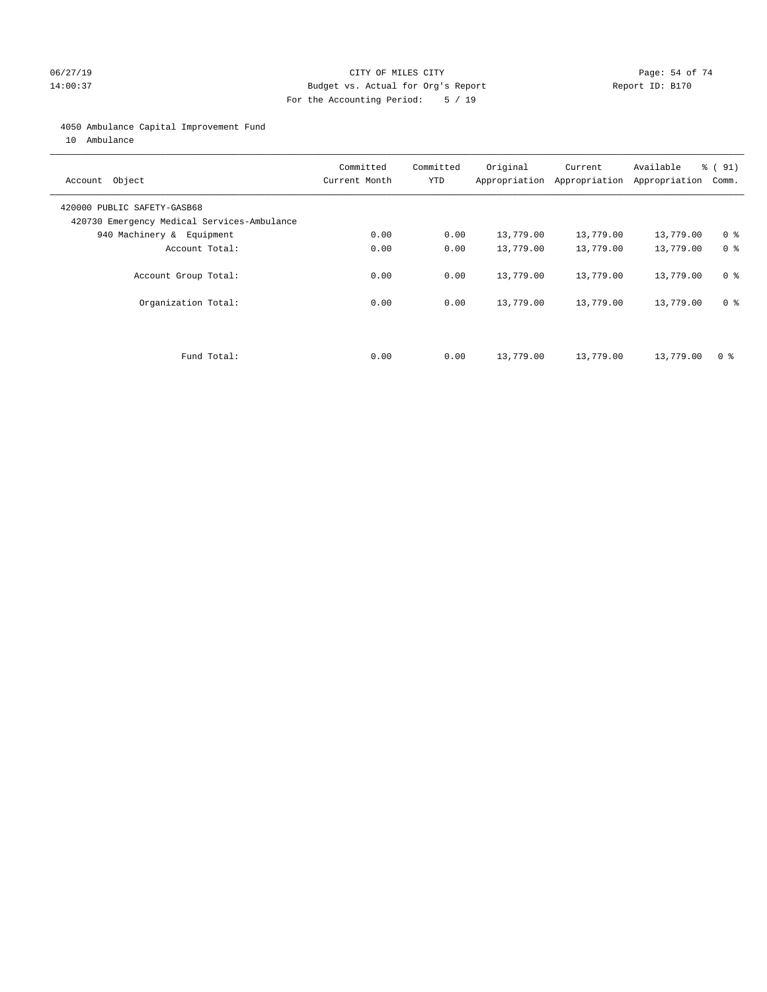# 06/27/19 Page: 54 of 74 14:00:37 Budget vs. Actual for Org's Report Report ID: B170 For the Accounting Period: 5 / 19

#### 4050 Ambulance Capital Improvement Fund

10 Ambulance

| Account Object                                                             | Committed<br>Current Month | Committed<br><b>YTD</b> | Original  | Current<br>Appropriation Appropriation | Available<br>Appropriation | % (91)<br>Comm. |
|----------------------------------------------------------------------------|----------------------------|-------------------------|-----------|----------------------------------------|----------------------------|-----------------|
| 420000 PUBLIC SAFETY-GASB68<br>420730 Emergency Medical Services-Ambulance |                            |                         |           |                                        |                            |                 |
| 940 Machinery & Equipment                                                  | 0.00                       | 0.00                    | 13,779.00 | 13,779.00                              | 13,779.00                  | 0 <sup>8</sup>  |
| Account Total:                                                             | 0.00                       | 0.00                    | 13,779.00 | 13,779.00                              | 13,779.00                  | 0 <sup>8</sup>  |
| Account Group Total:                                                       | 0.00                       | 0.00                    | 13,779.00 | 13,779.00                              | 13,779.00                  | 0 <sup>8</sup>  |
| Organization Total:                                                        | 0.00                       | 0.00                    | 13,779.00 | 13,779.00                              | 13,779.00                  | 0 <sup>8</sup>  |
|                                                                            |                            |                         |           |                                        |                            |                 |
| Fund Total:                                                                | 0.00                       | 0.00                    | 13,779.00 | 13,779.00                              | 13,779.00                  | 0 %             |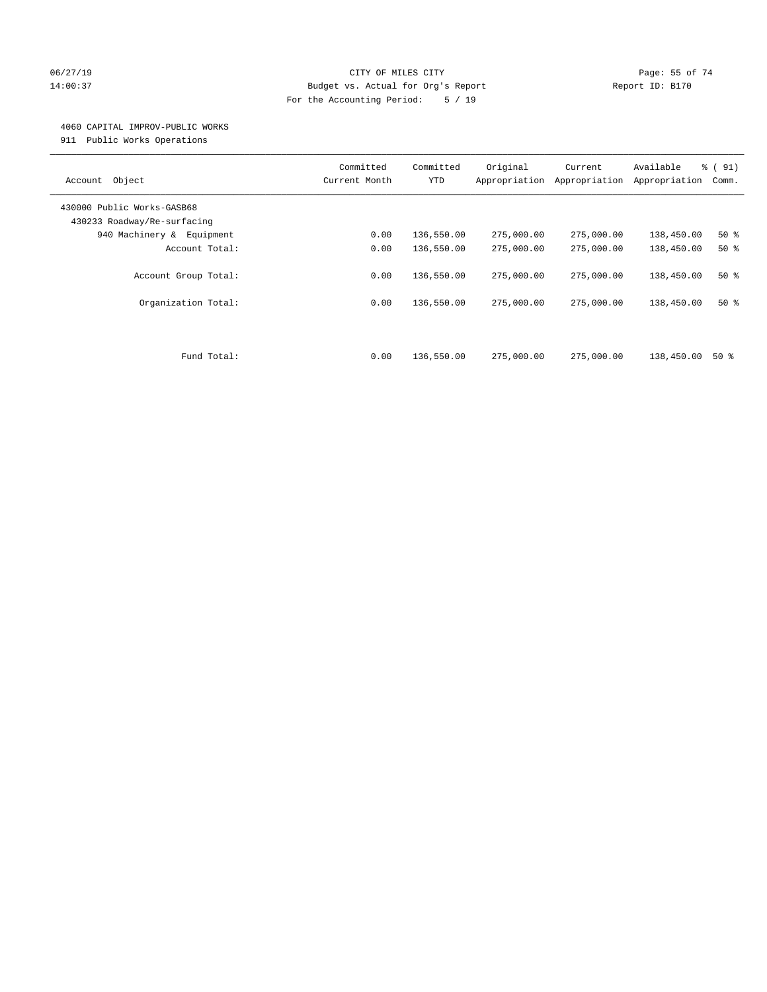# 06/27/19 Page: 55 of 74 14:00:37 Budget vs. Actual for Org's Report Report ID: B170 For the Accounting Period: 5 / 19

#### 4060 CAPITAL IMPROV-PUBLIC WORKS

911 Public Works Operations

| Object<br>Account                                         | Committed<br>Current Month | Committed<br><b>YTD</b> | Original<br>Appropriation | Current<br>Appropriation | Available<br>Appropriation | % (91)<br>Comm. |
|-----------------------------------------------------------|----------------------------|-------------------------|---------------------------|--------------------------|----------------------------|-----------------|
| 430000 Public Works-GASB68<br>430233 Roadway/Re-surfacing |                            |                         |                           |                          |                            |                 |
| 940 Machinery &<br>Equipment                              | 0.00                       | 136,550.00              | 275,000.00                | 275,000.00               | 138,450.00                 | $50*$           |
| Account Total:                                            | 0.00                       | 136,550.00              | 275,000.00                | 275,000.00               | 138,450.00                 | $50*$           |
| Account Group Total:                                      | 0.00<br>0.00               | 136,550.00              | 275,000.00                | 275,000.00               | 138,450.00<br>138,450.00   | $50*$           |
| Organization Total:                                       |                            | 136,550.00              | 275,000.00                | 275,000.00               |                            | $50*$           |
| Fund Total:                                               | 0.00                       | 136,550.00              | 275,000.00                | 275,000.00               | 138,450.00                 | 50%             |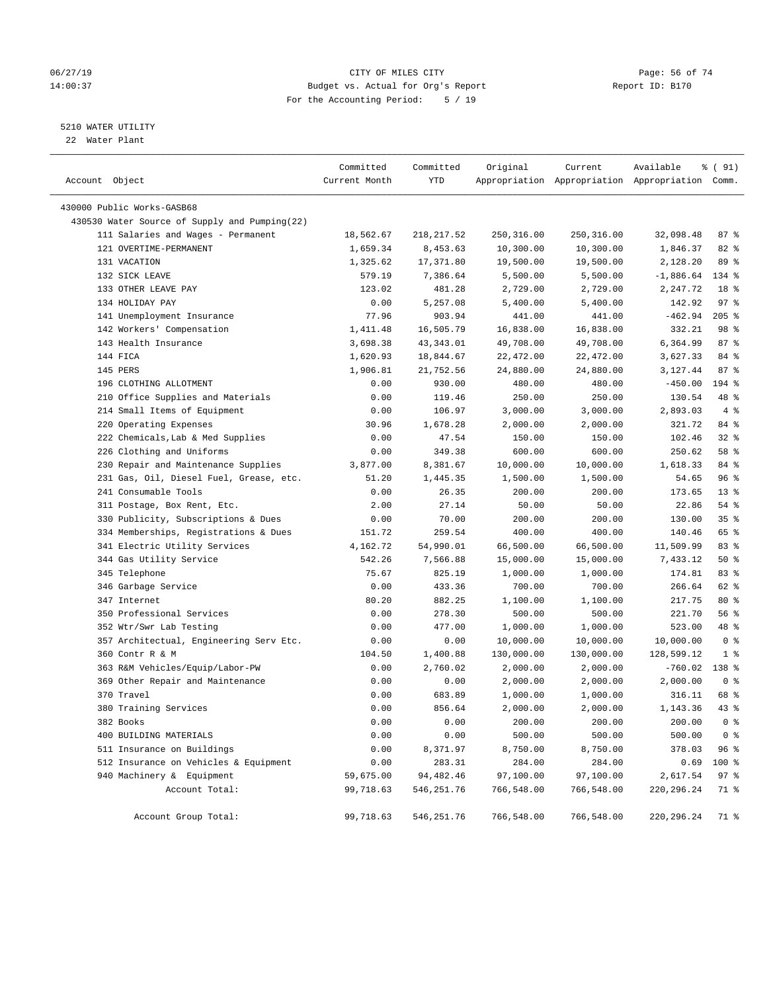# 06/27/19 **Page: 56 of 74** CITY OF MILES CITY **CITY Page: 56 of 74** 14:00:37 Budget vs. Actual for Org's Report Report ID: B170 For the Accounting Period: 5 / 19

————————————————————————————————————————————————————————————————————————————————————————————————————————————————————————————————————

# 5210 WATER UTILITY

22 Water Plant

|                                               | Committed     | Committed   | Original   | Current    | Available                                       | 8 ( 91)         |  |
|-----------------------------------------------|---------------|-------------|------------|------------|-------------------------------------------------|-----------------|--|
| Account Object                                | Current Month | YTD         |            |            | Appropriation Appropriation Appropriation Comm. |                 |  |
| 430000 Public Works-GASB68                    |               |             |            |            |                                                 |                 |  |
| 430530 Water Source of Supply and Pumping(22) |               |             |            |            |                                                 |                 |  |
| 111 Salaries and Wages - Permanent            | 18,562.67     | 218,217.52  | 250,316.00 | 250,316.00 | 32,098.48                                       | 87%             |  |
| 121 OVERTIME-PERMANENT                        | 1,659.34      | 8,453.63    | 10,300.00  | 10,300.00  | 1,846.37                                        | $82$ $%$        |  |
| 131 VACATION                                  | 1,325.62      | 17,371.80   | 19,500.00  | 19,500.00  | 2,128.20                                        | 89 %            |  |
| 132 SICK LEAVE                                | 579.19        | 7,386.64    | 5,500.00   | 5,500.00   | $-1,886.64$                                     | 134 %           |  |
| 133 OTHER LEAVE PAY                           | 123.02        | 481.28      | 2,729.00   | 2,729.00   | 2,247.72                                        | 18 %            |  |
| 134 HOLIDAY PAY                               | 0.00          | 5,257.08    | 5,400.00   | 5,400.00   | 142.92                                          | 97 <sup>°</sup> |  |
| 141 Unemployment Insurance                    | 77.96         | 903.94      | 441.00     | 441.00     | $-462.94$                                       | $205$ %         |  |
| 142 Workers' Compensation                     | 1,411.48      | 16,505.79   | 16,838.00  | 16,838.00  | 332.21                                          | 98 %            |  |
| 143 Health Insurance                          | 3,698.38      | 43,343.01   | 49,708.00  | 49,708.00  | 6,364.99                                        | 87%             |  |
| 144 FICA                                      | 1,620.93      | 18,844.67   | 22,472.00  | 22,472.00  | 3,627.33                                        | 84 %            |  |
| 145 PERS                                      | 1,906.81      | 21,752.56   | 24,880.00  | 24,880.00  | 3,127.44                                        | 87%             |  |
| 196 CLOTHING ALLOTMENT                        | 0.00          | 930.00      | 480.00     | 480.00     | $-450.00$                                       | 194 %           |  |
| 210 Office Supplies and Materials             | 0.00          | 119.46      | 250.00     | 250.00     | 130.54                                          | 48 %            |  |
| 214 Small Items of Equipment                  | 0.00          | 106.97      | 3,000.00   | 3,000.00   | 2,893.03                                        | 4%              |  |
| 220 Operating Expenses                        | 30.96         | 1,678.28    | 2,000.00   | 2,000.00   | 321.72                                          | 84 %            |  |
| 222 Chemicals, Lab & Med Supplies             | 0.00          | 47.54       | 150.00     | 150.00     | 102.46                                          | $32$ $%$        |  |
| 226 Clothing and Uniforms                     | 0.00          | 349.38      | 600.00     | 600.00     | 250.62                                          | 58 %            |  |
| 230 Repair and Maintenance Supplies           | 3,877.00      | 8,381.67    | 10,000.00  | 10,000.00  | 1,618.33                                        | 84 %            |  |
| 231 Gas, Oil, Diesel Fuel, Grease, etc.       | 51.20         | 1,445.35    | 1,500.00   | 1,500.00   | 54.65                                           | 96%             |  |
| 241 Consumable Tools                          | 0.00          | 26.35       | 200.00     | 200.00     | 173.65                                          | $13*$           |  |
| 311 Postage, Box Rent, Etc.                   | 2.00          | 27.14       | 50.00      | 50.00      | 22.86                                           | $54$ %          |  |
| 330 Publicity, Subscriptions & Dues           | 0.00          | 70.00       | 200.00     | 200.00     | 130.00                                          | 35%             |  |
| 334 Memberships, Registrations & Dues         | 151.72        | 259.54      | 400.00     | 400.00     | 140.46                                          | 65 %            |  |
| 341 Electric Utility Services                 | 4,162.72      | 54,990.01   | 66,500.00  | 66,500.00  | 11,509.99                                       | 83%             |  |
| 344 Gas Utility Service                       | 542.26        | 7,566.88    | 15,000.00  | 15,000.00  | 7,433.12                                        | 50%             |  |
| 345 Telephone                                 | 75.67         | 825.19      | 1,000.00   | 1,000.00   | 174.81                                          | 83%             |  |
| 346 Garbage Service                           | 0.00          | 433.36      | 700.00     | 700.00     | 266.64                                          | 62 %            |  |
| 347 Internet                                  | 80.20         | 882.25      | 1,100.00   | 1,100.00   | 217.75                                          | $80*$           |  |
| 350 Professional Services                     | 0.00          | 278.30      | 500.00     | 500.00     | 221.70                                          | 56%             |  |
| 352 Wtr/Swr Lab Testing                       | 0.00          | 477.00      | 1,000.00   | 1,000.00   | 523.00                                          | 48 %            |  |
| 357 Architectual, Engineering Serv Etc.       | 0.00          | 0.00        | 10,000.00  | 10,000.00  | 10,000.00                                       | 0 <sup>8</sup>  |  |
| 360 Contr R & M                               | 104.50        | 1,400.88    | 130,000.00 | 130,000.00 | 128,599.12                                      | 1 <sup>8</sup>  |  |
| 363 R&M Vehicles/Equip/Labor-PW               | 0.00          | 2,760.02    | 2,000.00   | 2,000.00   | -760.02                                         | 138 %           |  |
| 369 Other Repair and Maintenance              | 0.00          | 0.00        | 2,000.00   | 2,000.00   | 2,000.00                                        | 0 <sup>8</sup>  |  |
| 370 Travel                                    | 0.00          | 683.89      | 1,000.00   | 1,000.00   | 316.11                                          | 68 %            |  |
| 380 Training Services                         | 0.00          | 856.64      | 2,000.00   | 2,000.00   | 1,143.36                                        | $43$ $%$        |  |
| 382 Books                                     | 0.00          | 0.00        | 200.00     | 200.00     | 200.00                                          | 0 <sup>8</sup>  |  |
| 400 BUILDING MATERIALS                        | 0.00          | 0.00        | 500.00     | 500.00     | 500.00                                          | 0 <sup>8</sup>  |  |
| 511 Insurance on Buildings                    | 0.00          | 8,371.97    | 8,750.00   | 8,750.00   | 378.03                                          | 96%             |  |
| 512 Insurance on Vehicles & Equipment         | 0.00          | 283.31      | 284.00     | 284.00     | 0.69                                            | 100 %           |  |
| 940 Machinery & Equipment                     | 59,675.00     | 94,482.46   | 97,100.00  | 97,100.00  | 2,617.54                                        | 97%             |  |
| Account Total:                                | 99,718.63     | 546, 251.76 | 766,548.00 | 766,548.00 | 220, 296. 24                                    | 71 %            |  |
| Account Group Total:                          | 99,718.63     | 546, 251.76 | 766,548.00 | 766,548.00 | 220, 296. 24                                    | 71 %            |  |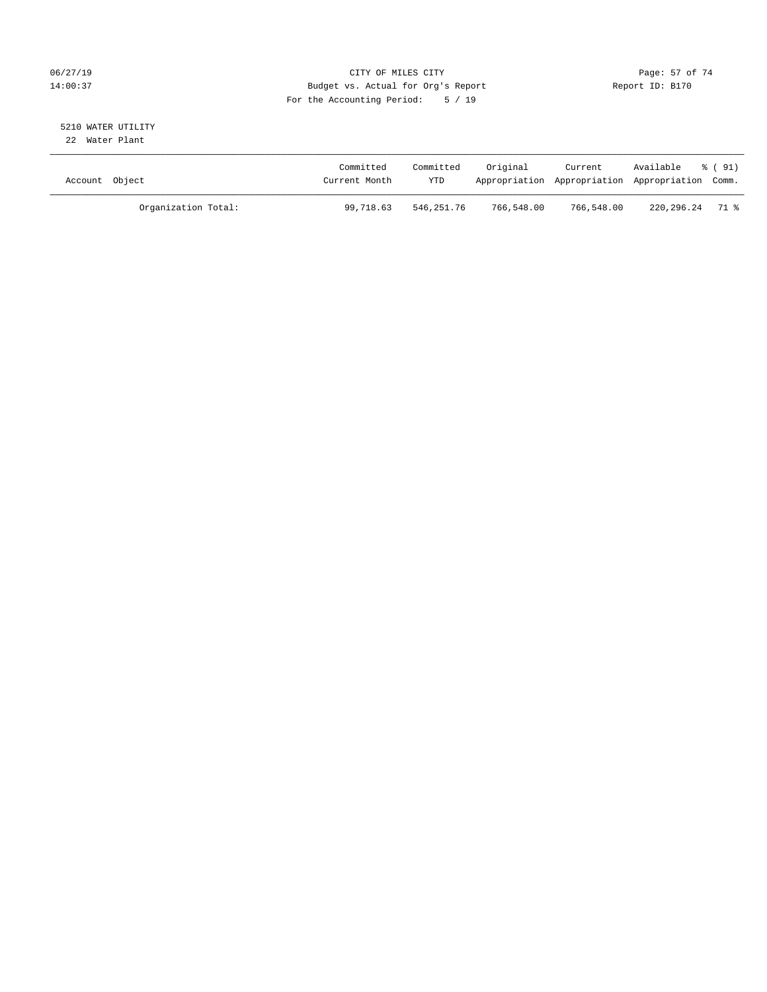# 06/27/19 Page: 57 of 74 14:00:37 Budget vs. Actual for Org's Report Report ID: B170 For the Accounting Period: 5 / 19

#### 5210 WATER UTILITY 22 Water Plant

| Account Object |                     | Committed<br>Current Month | Committed<br><b>YTD</b> | Original   | Current    | Available<br>Appropriation Appropriation Appropriation Comm. | % (91) |
|----------------|---------------------|----------------------------|-------------------------|------------|------------|--------------------------------------------------------------|--------|
|                | Organization Total: | 99,718.63                  | 546,251.76              | 766,548.00 | 766,548.00 | 220,296.24 71 %                                              |        |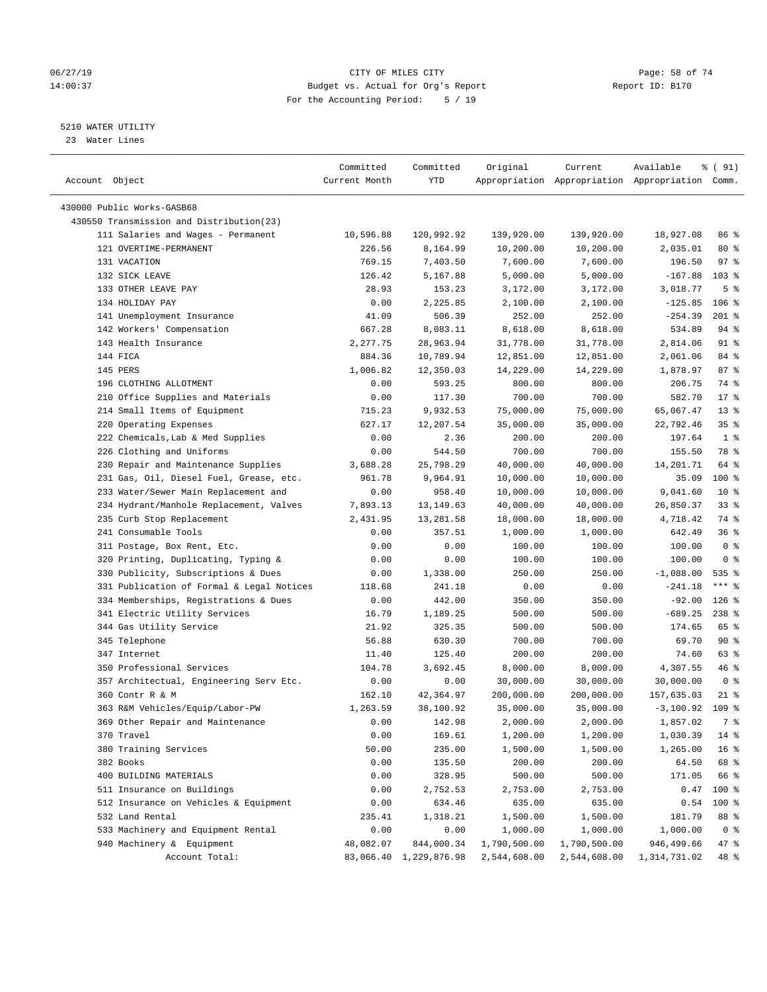# 06/27/19 **Page: 58 of 74** CITY OF MILES CITY **CITY Page: 58 of 74** 14:00:37 Budget vs. Actual for Org's Report Report ID: B170 For the Accounting Period: 5 / 19

————————————————————————————————————————————————————————————————————————————————————————————————————————————————————————————————————

#### 5210 WATER UTILITY

23 Water Lines

|                                                              | Committed     | Committed              | Original     | Current      | Available                                       | % ( 91)         |
|--------------------------------------------------------------|---------------|------------------------|--------------|--------------|-------------------------------------------------|-----------------|
| Account Object                                               | Current Month | YTD                    |              |              | Appropriation Appropriation Appropriation Comm. |                 |
|                                                              |               |                        |              |              |                                                 |                 |
| 430000 Public Works-GASB68                                   |               |                        |              |              |                                                 |                 |
| 430550 Transmission and Distribution(23)                     |               |                        |              |              |                                                 |                 |
| 111 Salaries and Wages - Permanent<br>121 OVERTIME-PERMANENT | 10,596.88     | 120,992.92             | 139,920.00   | 139,920.00   | 18,927.08                                       | 86 %            |
|                                                              | 226.56        | 8,164.99               | 10,200.00    | 10,200.00    | 2,035.01                                        | 80%             |
| 131 VACATION                                                 | 769.15        | 7,403.50               | 7,600.00     | 7,600.00     | 196.50                                          | 97%             |
| 132 SICK LEAVE                                               | 126.42        | 5,167.88               | 5,000.00     | 5,000.00     | $-167.88$                                       | $103*$          |
| 133 OTHER LEAVE PAY                                          | 28.93         | 153.23                 | 3,172.00     | 3,172.00     | 3,018.77                                        | 5 <sup>°</sup>  |
| 134 HOLIDAY PAY                                              | 0.00          | 2,225.85               | 2,100.00     | 2,100.00     | $-125.85$                                       | $106$ %         |
| 141 Unemployment Insurance                                   | 41.09         | 506.39                 | 252.00       | 252.00       | $-254.39$                                       | $201$ %         |
| 142 Workers' Compensation                                    | 667.28        | 8,083.11               | 8,618.00     | 8,618.00     | 534.89                                          | 94 %            |
| 143 Health Insurance                                         | 2,277.75      | 28,963.94              | 31,778.00    | 31,778.00    | 2,814.06                                        | 91 %            |
| 144 FICA                                                     | 884.36        | 10,789.94              | 12,851.00    | 12,851.00    | 2,061.06                                        | 84 %            |
| 145 PERS                                                     | 1,006.82      | 12,350.03              | 14,229.00    | 14,229.00    | 1,878.97                                        | 87%             |
| 196 CLOTHING ALLOTMENT                                       | 0.00          | 593.25                 | 800.00       | 800.00       | 206.75                                          | 74 %            |
| 210 Office Supplies and Materials                            | 0.00          | 117.30                 | 700.00       | 700.00       | 582.70                                          | $17*$           |
| 214 Small Items of Equipment                                 | 715.23        | 9,932.53               | 75,000.00    | 75,000.00    | 65,067.47                                       | $13*$           |
| 220 Operating Expenses                                       | 627.17        | 12,207.54              | 35,000.00    | 35,000.00    | 22,792.46                                       | 35%             |
| 222 Chemicals, Lab & Med Supplies                            | 0.00          | 2.36                   | 200.00       | 200.00       | 197.64                                          | 1 <sup>°</sup>  |
| 226 Clothing and Uniforms                                    | 0.00          | 544.50                 | 700.00       | 700.00       | 155.50                                          | 78 %            |
| 230 Repair and Maintenance Supplies                          | 3,688.28      | 25,798.29              | 40,000.00    | 40,000.00    | 14,201.71                                       | 64 %            |
| 231 Gas, Oil, Diesel Fuel, Grease, etc.                      | 961.78        | 9,964.91               | 10,000.00    | 10,000.00    | 35.09                                           | 100 %           |
| 233 Water/Sewer Main Replacement and                         | 0.00          | 958.40                 | 10,000.00    | 10,000.00    | 9,041.60                                        | $10*$           |
| 234 Hydrant/Manhole Replacement, Valves                      | 7,893.13      | 13, 149.63             | 40,000.00    | 40,000.00    | 26,850.37                                       | 33%             |
| 235 Curb Stop Replacement                                    | 2,431.95      | 13,281.58              | 18,000.00    | 18,000.00    | 4,718.42                                        | 74 %            |
| 241 Consumable Tools                                         | 0.00          | 357.51                 | 1,000.00     | 1,000.00     | 642.49                                          | 36%             |
| 311 Postage, Box Rent, Etc.                                  | 0.00          | 0.00                   | 100.00       | 100.00       | 100.00                                          | 0 <sup>8</sup>  |
| 320 Printing, Duplicating, Typing &                          | 0.00          | 0.00                   | 100.00       | 100.00       | 100.00                                          | 0 <sup>8</sup>  |
| 330 Publicity, Subscriptions & Dues                          | 0.00          | 1,338.00               | 250.00       | 250.00       | $-1,088.00$                                     | $535$ $%$       |
| 331 Publication of Formal & Legal Notices                    | 118.68        | 241.18                 | 0.00         | 0.00         | $-241.18$                                       | $***$ $8$       |
| 334 Memberships, Registrations & Dues                        | 0.00          | 442.00                 | 350.00       | 350.00       | $-92.00$                                        | $126$ %         |
| 341 Electric Utility Services                                | 16.79         | 1,189.25               | 500.00       | 500.00       | $-689.25$                                       | $238$ %         |
| 344 Gas Utility Service                                      | 21.92         | 325.35                 | 500.00       | 500.00       | 174.65                                          | 65 %            |
| 345 Telephone                                                | 56.88         | 630.30                 | 700.00       | 700.00       | 69.70                                           | 90%             |
| 347 Internet                                                 | 11.40         | 125.40                 | 200.00       | 200.00       | 74.60                                           | 63 %            |
| 350 Professional Services                                    | 104.78        | 3,692.45               | 8,000.00     | 8,000.00     | 4,307.55                                        | 46 %            |
| 357 Architectual, Engineering Serv Etc.                      | 0.00          | 0.00                   | 30,000.00    | 30,000.00    | 30,000.00                                       | 0 <sup>8</sup>  |
| 360 Contr R & M                                              | 162.10        | 42,364.97              | 200,000.00   | 200,000.00   | 157,635.03                                      | $21$ %          |
| 363 R&M Vehicles/Equip/Labor-PW                              | 1,263.59      | 38,100.92              | 35,000.00    | 35,000.00    | $-3,100.92$                                     | $109$ %         |
| 369 Other Repair and Maintenance                             | 0.00          | 142.98                 | 2,000.00     | 2,000.00     | 1,857.02                                        | 7 %             |
| 370 Travel                                                   | 0.00          | 169.61                 | 1,200.00     | 1,200.00     | 1,030.39                                        | $14*$           |
| 380 Training Services                                        | 50.00         | 235.00                 | 1,500.00     | 1,500.00     | 1,265.00                                        | 16 <sup>8</sup> |
| 382 Books                                                    | 0.00          | 135.50                 | 200.00       | 200.00       | 64.50                                           | 68 %            |
| 400 BUILDING MATERIALS                                       | 0.00          | 328.95                 | 500.00       | 500.00       | 171.05                                          | 66 %            |
| 511 Insurance on Buildings                                   | 0.00          | 2,752.53               | 2,753.00     | 2,753.00     | 0.47                                            | $100$ %         |
| 512 Insurance on Vehicles & Equipment                        | 0.00          | 634.46                 | 635.00       | 635.00       | 0.54                                            | 100 %           |
| 532 Land Rental                                              | 235.41        | 1,318.21               | 1,500.00     | 1,500.00     | 181.79                                          | 88 %            |
| 533 Machinery and Equipment Rental                           | 0.00          | 0.00                   | 1,000.00     | 1,000.00     | 1,000.00                                        | 0 <sup>8</sup>  |
| 940 Machinery & Equipment                                    | 48,082.07     | 844,000.34             | 1,790,500.00 | 1,790,500.00 | 946,499.66                                      | 47 %            |
| Account Total:                                               |               | 83,066.40 1,229,876.98 | 2,544,608.00 | 2,544,608.00 | 1,314,731.02                                    | 48 %            |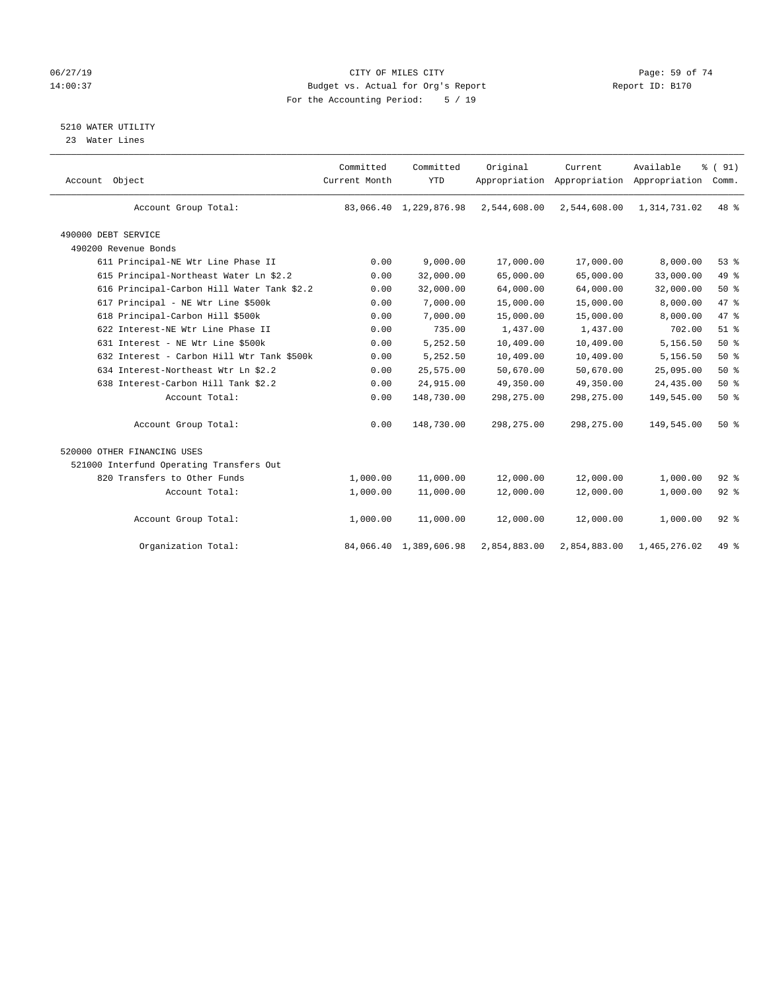# 06/27/19 **Page: 59 of 74** CITY OF MILES CITY **CITY Page: 59 of 74** 14:00:37 Budget vs. Actual for Org's Report Report ID: B170 For the Accounting Period: 5 / 19

5210 WATER UTILITY

23 Water Lines

| Account Object                             | Committed<br>Current Month | Committed<br><b>YTD</b> | Original     | Current<br>Appropriation Appropriation Appropriation | Available    | % (91)<br>Comm. |
|--------------------------------------------|----------------------------|-------------------------|--------------|------------------------------------------------------|--------------|-----------------|
| Account Group Total:                       |                            | 83,066.40 1,229,876.98  | 2,544,608.00 | 2,544,608.00                                         | 1,314,731.02 | 48 %            |
| 490000 DEBT SERVICE                        |                            |                         |              |                                                      |              |                 |
| 490200 Revenue Bonds                       |                            |                         |              |                                                      |              |                 |
| 611 Principal-NE Wtr Line Phase II         | 0.00                       | 9,000.00                | 17,000.00    | 17,000.00                                            | 8,000.00     | 53%             |
| 615 Principal-Northeast Water Ln \$2.2     | 0.00                       | 32,000.00               | 65,000.00    | 65,000.00                                            | 33,000.00    | 49 %            |
| 616 Principal-Carbon Hill Water Tank \$2.2 | 0.00                       | 32,000.00               | 64,000.00    | 64,000.00                                            | 32,000.00    | 50%             |
| 617 Principal - NE Wtr Line \$500k         | 0.00                       | 7,000.00                | 15,000.00    | 15,000.00                                            | 8,000.00     | 47 %            |
| 618 Principal-Carbon Hill \$500k           | 0.00                       | 7,000.00                | 15,000.00    | 15,000.00                                            | 8,000.00     | 47 %            |
| 622 Interest-NE Wtr Line Phase II          | 0.00                       | 735.00                  | 1,437.00     | 1,437.00                                             | 702.00       | $51$ $%$        |
| 631 Interest - NE Wtr Line \$500k          | 0.00                       | 5,252.50                | 10,409.00    | 10,409.00                                            | 5,156.50     | 50%             |
| 632 Interest - Carbon Hill Wtr Tank \$500k | 0.00                       | 5,252.50                | 10,409.00    | 10,409.00                                            | 5,156.50     | 50%             |
| 634 Interest-Northeast Wtr Ln \$2.2        | 0.00                       | 25,575.00               | 50,670.00    | 50,670.00                                            | 25,095.00    | 50%             |
| 638 Interest-Carbon Hill Tank \$2.2        | 0.00                       | 24,915.00               | 49,350.00    | 49,350.00                                            | 24,435.00    | 50%             |
| Account Total:                             | 0.00                       | 148,730.00              | 298, 275.00  | 298,275.00                                           | 149,545.00   | 50%             |
| Account Group Total:                       | 0.00                       | 148,730.00              | 298, 275.00  | 298, 275.00                                          | 149,545.00   | 50%             |
| 520000 OTHER FINANCING USES                |                            |                         |              |                                                      |              |                 |
| 521000 Interfund Operating Transfers Out   |                            |                         |              |                                                      |              |                 |
| 820 Transfers to Other Funds               | 1,000.00                   | 11,000.00               | 12,000.00    | 12,000.00                                            | 1,000.00     | $92$ $%$        |
| Account Total:                             | 1,000.00                   | 11,000.00               | 12,000.00    | 12,000.00                                            | 1,000.00     | $92$ $%$        |
| Account Group Total:                       | 1,000.00                   | 11,000.00               | 12,000.00    | 12,000.00                                            | 1,000.00     | $92$ $%$        |
| Organization Total:                        |                            | 84,066.40 1,389,606.98  | 2,854,883.00 | 2,854,883.00                                         | 1,465,276.02 | 49 %            |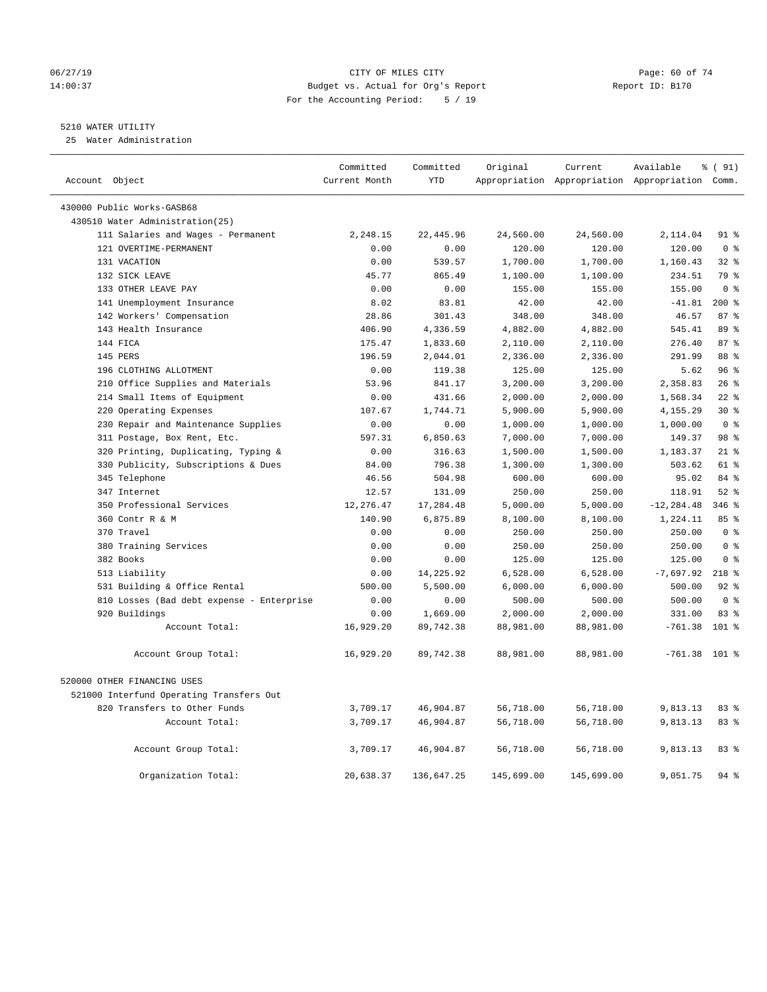#### 06/27/19 Page: 60 of 74 14:00:37 Budget vs. Actual for Org's Report Report ID: B170 For the Accounting Period: 5 / 19

# 5210 WATER UTILITY

25 Water Administration

| Account Object                            | Committed<br>Current Month | Committed<br><b>YTD</b> | Original   | Current    | Available<br>Appropriation Appropriation Appropriation Comm. | % (91)         |
|-------------------------------------------|----------------------------|-------------------------|------------|------------|--------------------------------------------------------------|----------------|
| 430000 Public Works-GASB68                |                            |                         |            |            |                                                              |                |
| 430510 Water Administration(25)           |                            |                         |            |            |                                                              |                |
| 111 Salaries and Wages - Permanent        | 2,248.15                   | 22,445.96               | 24,560.00  | 24,560.00  | 2,114.04                                                     | 91 %           |
| 121 OVERTIME-PERMANENT                    | 0.00                       | 0.00                    | 120.00     | 120.00     | 120.00                                                       | 0 <sup>8</sup> |
| 131 VACATION                              | 0.00                       | 539.57                  | 1,700.00   | 1,700.00   | 1,160.43                                                     | $32$ $%$       |
| 132 SICK LEAVE                            | 45.77                      | 865.49                  | 1,100.00   | 1,100.00   | 234.51                                                       | 79 %           |
| 133 OTHER LEAVE PAY                       | 0.00                       | 0.00                    | 155.00     | 155.00     | 155.00                                                       | 0 <sup>8</sup> |
| 141 Unemployment Insurance                | 8.02                       | 83.81                   | 42.00      | 42.00      | $-41.81$                                                     | $200*$         |
| 142 Workers' Compensation                 | 28.86                      | 301.43                  | 348.00     | 348.00     | 46.57                                                        | 87%            |
| 143 Health Insurance                      | 406.90                     | 4,336.59                | 4,882.00   | 4,882.00   | 545.41                                                       | 89 %           |
| 144 FICA                                  | 175.47                     | 1,833.60                | 2,110.00   | 2,110.00   | 276.40                                                       | 87%            |
| 145 PERS                                  | 196.59                     | 2,044.01                | 2,336.00   | 2,336.00   | 291.99                                                       | 88 %           |
| 196 CLOTHING ALLOTMENT                    | 0.00                       | 119.38                  | 125.00     | 125.00     | 5.62                                                         | 96%            |
| 210 Office Supplies and Materials         | 53.96                      | 841.17                  | 3,200.00   | 3,200.00   | 2,358.83                                                     | 26%            |
| 214 Small Items of Equipment              | 0.00                       | 431.66                  | 2,000.00   | 2,000.00   | 1,568.34                                                     | $22$ %         |
| 220 Operating Expenses                    | 107.67                     | 1,744.71                | 5,900.00   | 5,900.00   | 4,155.29                                                     | $30*$          |
| 230 Repair and Maintenance Supplies       | 0.00                       | 0.00                    | 1,000.00   | 1,000.00   | 1,000.00                                                     | 0 <sup>8</sup> |
| 311 Postage, Box Rent, Etc.               | 597.31                     | 6,850.63                | 7,000.00   | 7,000.00   | 149.37                                                       | 98 %           |
| 320 Printing, Duplicating, Typing &       | 0.00                       | 316.63                  | 1,500.00   | 1,500.00   | 1,183.37                                                     | $21$ %         |
| 330 Publicity, Subscriptions & Dues       | 84.00                      | 796.38                  | 1,300.00   | 1,300.00   | 503.62                                                       | 61 %           |
| 345 Telephone                             | 46.56                      | 504.98                  | 600.00     | 600.00     | 95.02                                                        | 84 %           |
| 347 Internet                              | 12.57                      | 131.09                  | 250.00     | 250.00     | 118.91                                                       | $52$ $%$       |
| 350 Professional Services                 | 12,276.47                  | 17,284.48               | 5,000.00   | 5,000.00   | $-12, 284.48$                                                | $346$ $%$      |
| 360 Contr R & M                           | 140.90                     | 6,875.89                | 8,100.00   | 8,100.00   | 1,224.11                                                     | 85 %           |
| 370 Travel                                | 0.00                       | 0.00                    | 250.00     | 250.00     | 250.00                                                       | 0 <sup>8</sup> |
| 380 Training Services                     | 0.00                       | 0.00                    | 250.00     | 250.00     | 250.00                                                       | 0 <sup>8</sup> |
| 382 Books                                 | 0.00                       | 0.00                    | 125.00     | 125.00     | 125.00                                                       | 0 <sup>8</sup> |
| 513 Liability                             | 0.00                       | 14,225.92               | 6,528.00   | 6,528.00   | $-7,697.92$                                                  | $218$ %        |
| 531 Building & Office Rental              | 500.00                     | 5,500.00                | 6,000.00   | 6,000.00   | 500.00                                                       | 92%            |
| 810 Losses (Bad debt expense - Enterprise | 0.00                       | 0.00                    | 500.00     | 500.00     | 500.00                                                       | 0 <sup>8</sup> |
| 920 Buildings                             | 0.00                       | 1,669.00                | 2,000.00   | 2,000.00   | 331.00                                                       | 83 %           |
| Account Total:                            | 16,929.20                  | 89,742.38               | 88,981.00  | 88,981.00  | $-761.38$                                                    | 101 %          |
| Account Group Total:                      | 16,929.20                  | 89,742.38               | 88,981.00  | 88,981.00  | $-761.38$ 101 %                                              |                |
| 520000 OTHER FINANCING USES               |                            |                         |            |            |                                                              |                |
| 521000 Interfund Operating Transfers Out  |                            |                         |            |            |                                                              |                |
| 820 Transfers to Other Funds              | 3,709.17                   | 46,904.87               | 56,718.00  | 56,718.00  | 9,813.13                                                     | 83 %           |
| Account Total:                            | 3,709.17                   | 46,904.87               | 56,718.00  | 56,718.00  | 9,813.13                                                     | 83 %           |
| Account Group Total:                      | 3,709.17                   | 46,904.87               | 56,718.00  | 56,718.00  | 9,813.13                                                     | 83%            |
| Organization Total:                       | 20,638.37                  | 136,647.25              | 145,699.00 | 145,699.00 | 9,051.75                                                     | 94%            |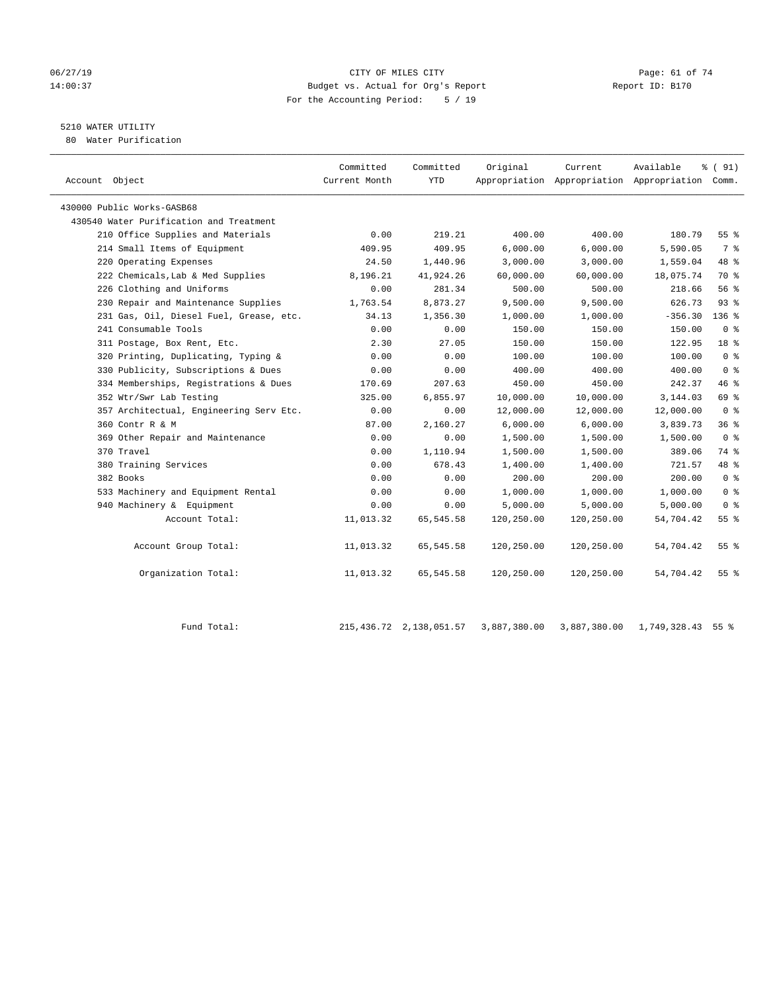#### 06/27/19 Page: 61 of 74 14:00:37 Budget vs. Actual for Org's Report Report ID: B170 For the Accounting Period: 5 / 19

# 5210 WATER UTILITY

80 Water Purification

| Account Object                          | Committed<br>Current Month | Committed<br><b>YTD</b> | Original   | Current    | Available<br>Appropriation Appropriation Appropriation Comm. | % ( 91)         |  |
|-----------------------------------------|----------------------------|-------------------------|------------|------------|--------------------------------------------------------------|-----------------|--|
|                                         |                            |                         |            |            |                                                              |                 |  |
| 430000 Public Works-GASB68              |                            |                         |            |            |                                                              |                 |  |
| 430540 Water Purification and Treatment |                            |                         |            |            |                                                              |                 |  |
| 210 Office Supplies and Materials       | 0.00                       | 219.21                  | 400.00     | 400.00     | 180.79                                                       | 55%             |  |
| 214 Small Items of Equipment            | 409.95                     | 409.95                  | 6,000.00   | 6,000.00   | 5,590.05                                                     | 7 %             |  |
| 220 Operating Expenses                  | 24.50                      | 1,440.96                | 3,000.00   | 3,000.00   | 1,559.04                                                     | 48 %            |  |
| 222 Chemicals, Lab & Med Supplies       | 8,196.21                   | 41,924.26               | 60,000.00  | 60,000.00  | 18,075.74                                                    | 70 %            |  |
| 226 Clothing and Uniforms               | 0.00                       | 281.34                  | 500.00     | 500.00     | 218.66                                                       | 56%             |  |
| 230 Repair and Maintenance Supplies     | 1,763.54                   | 8,873.27                | 9,500.00   | 9,500.00   | 626.73                                                       | $93$ $%$        |  |
| 231 Gas, Oil, Diesel Fuel, Grease, etc. | 34.13                      | 1,356.30                | 1,000.00   | 1,000.00   | $-356.30$                                                    | $136$ $%$       |  |
| 241 Consumable Tools                    | 0.00                       | 0.00                    | 150.00     | 150.00     | 150.00                                                       | 0 <sup>8</sup>  |  |
| 311 Postage, Box Rent, Etc.             | 2.30                       | 27.05                   | 150.00     | 150.00     | 122.95                                                       | 18 %            |  |
| 320 Printing, Duplicating, Typing &     | 0.00                       | 0.00                    | 100.00     | 100.00     | 100.00                                                       | 0 <sup>8</sup>  |  |
| 330 Publicity, Subscriptions & Dues     | 0.00                       | 0.00                    | 400.00     | 400.00     | 400.00                                                       | 0 <sup>8</sup>  |  |
| 334 Memberships, Registrations & Dues   | 170.69                     | 207.63                  | 450.00     | 450.00     | 242.37                                                       | 46%             |  |
| 352 Wtr/Swr Lab Testing                 | 325.00                     | 6,855.97                | 10,000.00  | 10,000.00  | 3,144.03                                                     | 69 %            |  |
| 357 Architectual, Engineering Serv Etc. | 0.00                       | 0.00                    | 12,000.00  | 12,000.00  | 12,000.00                                                    | 0 <sup>8</sup>  |  |
| 360 Contr R & M                         | 87.00                      | 2,160.27                | 6.000.00   | 6.000.00   | 3,839.73                                                     | 36 <sup>8</sup> |  |
| 369 Other Repair and Maintenance        | 0.00                       | 0.00                    | 1,500.00   | 1,500.00   | 1,500.00                                                     | 0 <sup>8</sup>  |  |
| 370 Travel                              | 0.00                       | 1,110.94                | 1,500.00   | 1,500.00   | 389.06                                                       | 74 %            |  |
| 380 Training Services                   | 0.00                       | 678.43                  | 1,400.00   | 1,400.00   | 721.57                                                       | 48 %            |  |
| 382 Books                               | 0.00                       | 0.00                    | 200.00     | 200.00     | 200.00                                                       | 0 <sup>8</sup>  |  |
| 533 Machinery and Equipment Rental      | 0.00                       | 0.00                    | 1,000.00   | 1,000.00   | 1,000.00                                                     | 0 <sup>8</sup>  |  |
| 940 Machinery & Equipment               | 0.00                       | 0.00                    | 5,000.00   | 5,000.00   | 5,000.00                                                     | 0 <sup>8</sup>  |  |
| Account Total:                          | 11,013.32                  | 65,545.58               | 120,250.00 | 120,250.00 | 54,704.42                                                    | 55 <sup>8</sup> |  |
|                                         |                            |                         |            |            |                                                              |                 |  |
| Account Group Total:                    | 11,013.32                  | 65,545.58               | 120,250.00 | 120,250.00 | 54,704.42                                                    | 55 %            |  |
|                                         |                            |                         |            |            |                                                              |                 |  |
| Organization Total:                     | 11,013.32                  | 65,545.58               | 120,250.00 | 120,250.00 | 54,704.42                                                    | 55 <sup>8</sup> |  |
|                                         |                            |                         |            |            |                                                              |                 |  |

Fund Total: 215,436.72 2,138,051.57 3,887,380.00 3,887,380.00 1,749,328.43 55 %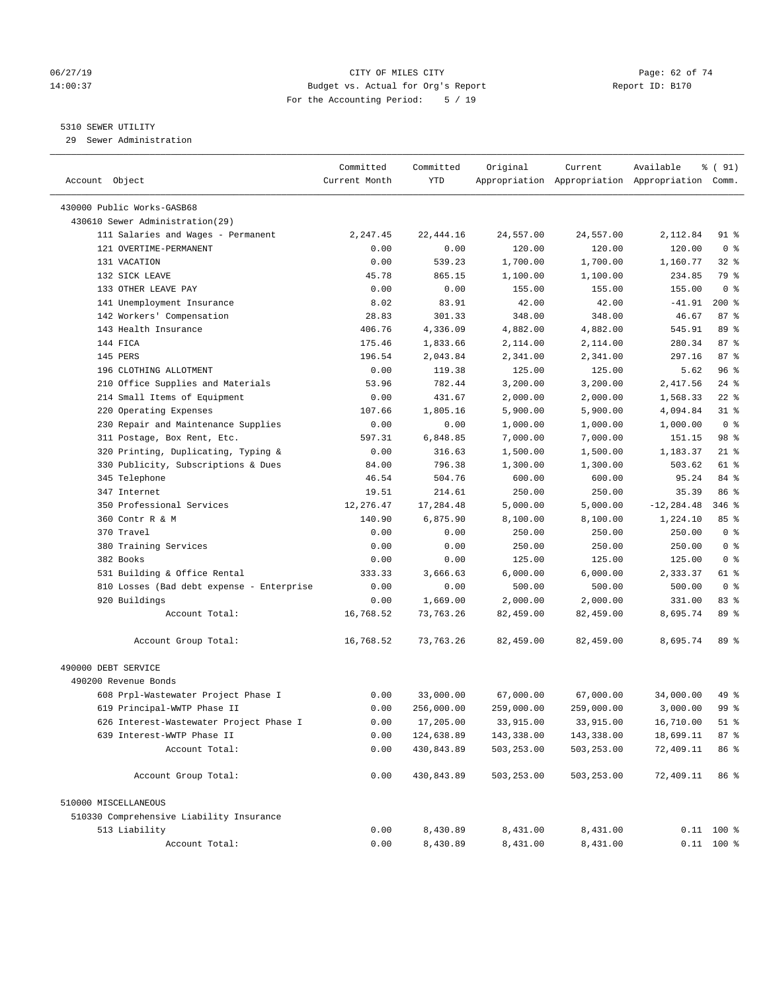#### 06/27/19 Page: 62 of 74 14:00:37 Budget vs. Actual for Org's Report Report ID: B170 For the Accounting Period: 5 / 19

————————————————————————————————————————————————————————————————————————————————————————————————————————————————————————————————————

#### 5310 SEWER UTILITY

29 Sewer Administration

|                                           | Committed     | Committed  | Original   | Current                                         | Available     | % ( 91)         |
|-------------------------------------------|---------------|------------|------------|-------------------------------------------------|---------------|-----------------|
| Account Object                            | Current Month | YTD        |            | Appropriation Appropriation Appropriation Comm. |               |                 |
| 430000 Public Works-GASB68                |               |            |            |                                                 |               |                 |
| 430610 Sewer Administration(29)           |               |            |            |                                                 |               |                 |
|                                           |               |            |            |                                                 |               |                 |
| 111 Salaries and Wages - Permanent        | 2,247.45      | 22, 444.16 | 24,557.00  | 24,557.00                                       | 2,112.84      | 91 %            |
| 121 OVERTIME-PERMANENT                    | 0.00          | 0.00       | 120.00     | 120.00                                          | 120.00        | 0 <sup>8</sup>  |
| 131 VACATION                              | 0.00          | 539.23     | 1,700.00   | 1,700.00                                        | 1,160.77      | $32$ $%$        |
| 132 SICK LEAVE                            | 45.78         | 865.15     | 1,100.00   | 1,100.00                                        | 234.85        | 79 %            |
| 133 OTHER LEAVE PAY                       | 0.00          | 0.00       | 155.00     | 155.00                                          | 155.00        | 0 <sup>8</sup>  |
| 141 Unemployment Insurance                | 8.02          | 83.91      | 42.00      | 42.00                                           | $-41.91$      | $200*$          |
| 142 Workers' Compensation                 | 28.83         | 301.33     | 348.00     | 348.00                                          | 46.67         | 87%             |
| 143 Health Insurance                      | 406.76        | 4,336.09   | 4,882.00   | 4,882.00                                        | 545.91        | 89 %            |
| 144 FICA                                  | 175.46        | 1,833.66   | 2,114.00   | 2,114.00                                        | 280.34        | 87%             |
| 145 PERS                                  | 196.54        | 2,043.84   | 2,341.00   | 2,341.00                                        | 297.16        | 87%             |
| 196 CLOTHING ALLOTMENT                    | 0.00          | 119.38     | 125.00     | 125.00                                          | 5.62          | 96%             |
| 210 Office Supplies and Materials         | 53.96         | 782.44     | 3,200.00   | 3,200.00                                        | 2,417.56      | $24$ %          |
| 214 Small Items of Equipment              | 0.00          | 431.67     | 2,000.00   | 2,000.00                                        | 1,568.33      | $22$ %          |
| 220 Operating Expenses                    | 107.66        | 1,805.16   | 5,900.00   | 5,900.00                                        | 4,094.84      | $31$ %          |
| 230 Repair and Maintenance Supplies       | 0.00          | 0.00       | 1,000.00   | 1,000.00                                        | 1,000.00      | 0 <sup>8</sup>  |
| 311 Postage, Box Rent, Etc.               | 597.31        | 6,848.85   | 7,000.00   | 7,000.00                                        | 151.15        | 98 %            |
| 320 Printing, Duplicating, Typing &       | 0.00          | 316.63     | 1,500.00   | 1,500.00                                        | 1,183.37      | $21$ %          |
| 330 Publicity, Subscriptions & Dues       | 84.00         | 796.38     | 1,300.00   | 1,300.00                                        | 503.62        | 61 %            |
| 345 Telephone                             | 46.54         | 504.76     | 600.00     | 600.00                                          | 95.24         | 84 %            |
| 347 Internet                              | 19.51         | 214.61     | 250.00     | 250.00                                          | 35.39         | 86 %            |
| 350 Professional Services                 | 12,276.47     | 17,284.48  | 5,000.00   | 5,000.00                                        | $-12, 284.48$ | $346$ %         |
| 360 Contr R & M                           | 140.90        | 6,875.90   | 8,100.00   | 8,100.00                                        | 1,224.10      | 85%             |
| 370 Travel                                | 0.00          | 0.00       | 250.00     | 250.00                                          | 250.00        | 0 <sup>8</sup>  |
| 380 Training Services                     | 0.00          | 0.00       | 250.00     | 250.00                                          | 250.00        | 0 <sup>8</sup>  |
| 382 Books                                 | 0.00          | 0.00       | 125.00     | 125.00                                          | 125.00        | 0 <sup>8</sup>  |
| 531 Building & Office Rental              | 333.33        | 3,666.63   | 6,000.00   | 6,000.00                                        | 2,333.37      | 61 %            |
| 810 Losses (Bad debt expense - Enterprise | 0.00          | 0.00       | 500.00     | 500.00                                          | 500.00        | 0 <sup>8</sup>  |
| 920 Buildings                             | 0.00          | 1,669.00   | 2,000.00   | 2,000.00                                        | 331.00        | 83%             |
| Account Total:                            | 16,768.52     | 73,763.26  | 82,459.00  | 82,459.00                                       | 8,695.74      | 89 %            |
| Account Group Total:                      | 16,768.52     | 73,763.26  | 82,459.00  | 82,459.00                                       | 8,695.74      | 89 %            |
| 490000 DEBT SERVICE                       |               |            |            |                                                 |               |                 |
| 490200 Revenue Bonds                      |               |            |            |                                                 |               |                 |
| 608 Prpl-Wastewater Project Phase I       | 0.00          | 33,000.00  | 67,000.00  | 67,000.00                                       | 34,000.00     | 49 %            |
| 619 Principal-WWTP Phase II               | 0.00          | 256,000.00 | 259,000.00 | 259,000.00                                      | 3,000.00      | 99 %            |
| 626 Interest-Wastewater Project Phase I   | 0.00          | 17,205.00  | 33,915.00  | 33,915.00                                       | 16,710.00     | 51 %            |
| 639 Interest-WWTP Phase II                | 0.00          | 124,638.89 | 143,338.00 | 143,338.00                                      | 18,699.11     | 87 <sub>8</sub> |
| Account Total:                            | 0.00          | 430,843.89 | 503,253.00 | 503,253.00                                      | 72,409.11     | 86 %            |
| Account Group Total:                      | 0.00          | 430,843.89 | 503,253.00 | 503,253.00                                      | 72,409.11     | 86 %            |
| 510000 MISCELLANEOUS                      |               |            |            |                                                 |               |                 |
| 510330 Comprehensive Liability Insurance  |               |            |            |                                                 |               |                 |
| 513 Liability                             | 0.00          | 8,430.89   | 8,431.00   | 8,431.00                                        |               | $0.11$ 100 %    |
| Account Total:                            | 0.00          | 8,430.89   | 8,431.00   | 8,431.00                                        |               | $0.11$ 100 %    |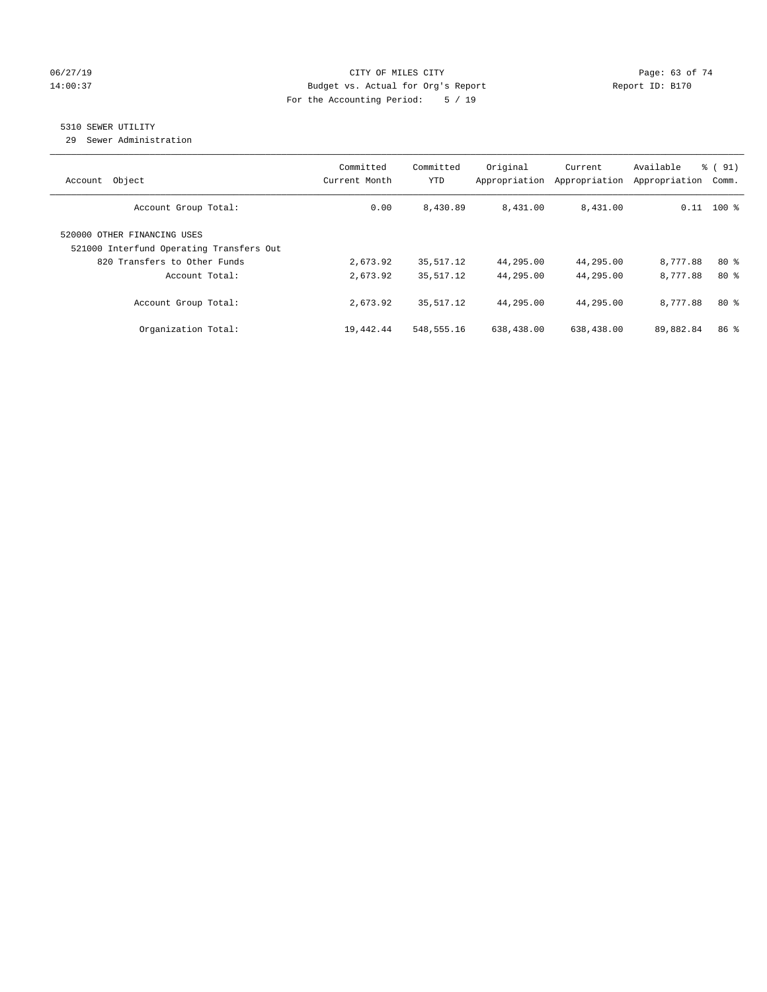# 06/27/19 **Page: 63 of 74** CITY OF MILES CITY **CITY Page: 63 of 74** 14:00:37 Budget vs. Actual for Org's Report Report ID: B170 For the Accounting Period: 5 / 19

# 5310 SEWER UTILITY

29 Sewer Administration

| Object<br>Account                                                                                       | Committed<br>Current Month | Committed<br><b>YTD</b> | Original<br>Appropriation | Current<br>Appropriation | Available<br>Appropriation | % (91)<br>Comm. |
|---------------------------------------------------------------------------------------------------------|----------------------------|-------------------------|---------------------------|--------------------------|----------------------------|-----------------|
| Account Group Total:                                                                                    | 0.00                       | 8,430.89                | 8,431.00                  | 8,431.00                 |                            | $0.11$ 100 %    |
| 520000 OTHER FINANCING USES<br>521000 Interfund Operating Transfers Out<br>820 Transfers to Other Funds | 2,673.92                   | 35,517.12               | 44,295.00                 | 44,295.00                | 8,777.88                   | 80%             |
| Account Total:                                                                                          | 2,673.92                   | 35,517.12               | 44,295.00                 | 44,295.00                | 8,777.88                   | $80*$           |
| Account Group Total:                                                                                    | 2,673.92                   | 35,517.12               | 44,295.00                 | 44,295.00                | 8,777.88                   | $80*$           |
| Organization Total:                                                                                     | 19,442.44                  | 548,555.16              | 638,438.00                | 638,438.00               | 89,882.84                  | 86 <sup>8</sup> |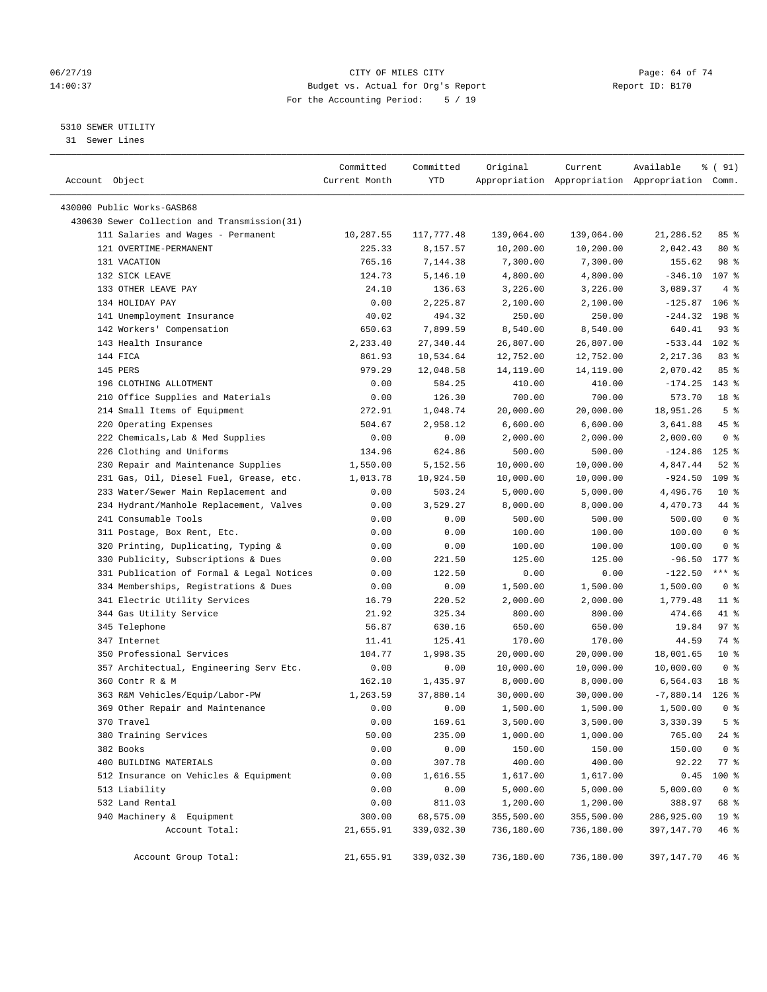# 06/27/19 **Page: 64 of 74** CITY OF MILES CITY **CITY Page: 64 of 74** 14:00:37 Budget vs. Actual for Org's Report Report ID: B170 For the Accounting Period: 5 / 19

————————————————————————————————————————————————————————————————————————————————————————————————————————————————————————————————————

# 5310 SEWER UTILITY

31 Sewer Lines

| Account Object                               | Committed<br>Current Month | Committed<br>YTD | Original   | Current    | Available<br>Appropriation Appropriation Appropriation Comm. | % ( 91)          |  |
|----------------------------------------------|----------------------------|------------------|------------|------------|--------------------------------------------------------------|------------------|--|
| 430000 Public Works-GASB68                   |                            |                  |            |            |                                                              |                  |  |
| 430630 Sewer Collection and Transmission(31) |                            |                  |            |            |                                                              |                  |  |
| 111 Salaries and Wages - Permanent           | 10,287.55                  | 117,777.48       | 139,064.00 | 139,064.00 | 21,286.52                                                    | 85 %             |  |
| 121 OVERTIME-PERMANENT                       | 225.33                     | 8,157.57         | 10,200.00  | 10,200.00  | 2,042.43                                                     | 80 %             |  |
| 131 VACATION                                 | 765.16                     | 7,144.38         | 7,300.00   | 7,300.00   | 155.62                                                       | 98 %             |  |
| 132 SICK LEAVE                               | 124.73                     | 5,146.10         | 4,800.00   | 4,800.00   | $-346.10$                                                    | 107 %            |  |
| 133 OTHER LEAVE PAY                          | 24.10                      | 136.63           | 3,226.00   | 3,226.00   | 3,089.37                                                     | 4%               |  |
| 134 HOLIDAY PAY                              | 0.00                       | 2,225.87         | 2,100.00   | 2,100.00   | $-125.87$                                                    | $106$ %          |  |
| 141 Unemployment Insurance                   | 40.02                      | 494.32           | 250.00     | 250.00     | $-244.32$                                                    | 198 %            |  |
| 142 Workers' Compensation                    | 650.63                     | 7,899.59         | 8,540.00   | 8,540.00   | 640.41                                                       | $93$ $%$         |  |
| 143 Health Insurance                         | 2,233.40                   | 27,340.44        | 26,807.00  | 26,807.00  | $-533.44$                                                    | $102$ %          |  |
| 144 FICA                                     | 861.93                     | 10,534.64        | 12,752.00  | 12,752.00  | 2,217.36                                                     | 83%              |  |
| 145 PERS                                     | 979.29                     | 12,048.58        | 14,119.00  | 14,119.00  | 2,070.42                                                     | 85%              |  |
| 196 CLOTHING ALLOTMENT                       | 0.00                       | 584.25           | 410.00     | 410.00     | $-174.25$                                                    | $143$ %          |  |
| 210 Office Supplies and Materials            | 0.00                       | 126.30           | 700.00     | 700.00     | 573.70                                                       | 18 <sup>°</sup>  |  |
| 214 Small Items of Equipment                 | 272.91                     | 1,048.74         | 20,000.00  | 20,000.00  | 18,951.26                                                    | 5 <sup>°</sup>   |  |
| 220 Operating Expenses                       | 504.67                     | 2,958.12         | 6,600.00   | 6,600.00   | 3,641.88                                                     | 45 %             |  |
| 222 Chemicals, Lab & Med Supplies            | 0.00                       | 0.00             | 2,000.00   | 2,000.00   | 2,000.00                                                     | 0 <sup>8</sup>   |  |
| 226 Clothing and Uniforms                    | 134.96                     | 624.86           | 500.00     | 500.00     | $-124.86$                                                    | $125$ %          |  |
| 230 Repair and Maintenance Supplies          | 1,550.00                   | 5,152.56         | 10,000.00  | 10,000.00  | 4,847.44                                                     | $52$ $%$         |  |
| 231 Gas, Oil, Diesel Fuel, Grease, etc.      | 1,013.78                   | 10,924.50        | 10,000.00  | 10,000.00  | $-924.50$                                                    | 109 <sub>8</sub> |  |
| 233 Water/Sewer Main Replacement and         | 0.00                       | 503.24           | 5,000.00   | 5,000.00   | 4,496.76                                                     | $10*$            |  |
| 234 Hydrant/Manhole Replacement, Valves      | 0.00                       | 3,529.27         | 8,000.00   | 8,000.00   | 4,470.73                                                     | 44 %             |  |
| 241 Consumable Tools                         | 0.00                       | 0.00             | 500.00     | 500.00     | 500.00                                                       | 0 <sup>8</sup>   |  |
| 311 Postage, Box Rent, Etc.                  | 0.00                       | 0.00             | 100.00     | 100.00     | 100.00                                                       | 0 <sup>8</sup>   |  |
| 320 Printing, Duplicating, Typing &          | 0.00                       | 0.00             | 100.00     | 100.00     | 100.00                                                       | 0 <sup>8</sup>   |  |
| 330 Publicity, Subscriptions & Dues          | 0.00                       | 221.50           | 125.00     | 125.00     | $-96.50$                                                     | $177$ %          |  |
| 331 Publication of Formal & Legal Notices    | 0.00                       | 122.50           | 0.00       | 0.00       | $-122.50$                                                    | $***$ $-$        |  |
| 334 Memberships, Registrations & Dues        | 0.00                       | 0.00             | 1,500.00   | 1,500.00   | 1,500.00                                                     | 0 <sup>8</sup>   |  |
| 341 Electric Utility Services                | 16.79                      | 220.52           | 2,000.00   | 2,000.00   | 1,779.48                                                     | $11$ %           |  |
| 344 Gas Utility Service                      | 21.92                      | 325.34           | 800.00     | 800.00     | 474.66                                                       | 41 %             |  |
| 345 Telephone                                | 56.87                      | 630.16           | 650.00     | 650.00     | 19.84                                                        | 97%              |  |
| 347 Internet                                 | 11.41                      | 125.41           | 170.00     | 170.00     | 44.59                                                        | 74 %             |  |
| 350 Professional Services                    | 104.77                     | 1,998.35         | 20,000.00  | 20,000.00  | 18,001.65                                                    | $10*$            |  |
| 357 Architectual, Engineering Serv Etc.      | 0.00                       | 0.00             | 10,000.00  | 10,000.00  | 10,000.00                                                    | 0 <sup>8</sup>   |  |
| 360 Contr R & M                              | 162.10                     | 1,435.97         | 8,000.00   | 8,000.00   | 6,564.03                                                     | 18 %             |  |
| 363 R&M Vehicles/Equip/Labor-PW              | 1,263.59                   | 37,880.14        | 30,000.00  | 30,000.00  | $-7,880.14$                                                  | $126$ %          |  |
| 369 Other Repair and Maintenance             | 0.00                       | 0.00             | 1,500.00   | 1,500.00   | 1,500.00                                                     | 0 <sup>8</sup>   |  |
| 370 Travel                                   | 0.00                       | 169.61           | 3,500.00   | 3,500.00   | 3,330.39                                                     | 5 <sup>8</sup>   |  |
| 380 Training Services                        | 50.00                      | 235.00           | 1,000.00   | 1,000.00   | 765.00                                                       | $24$ %           |  |
| 382 Books                                    | 0.00                       | 0.00             | 150.00     | 150.00     | 150.00                                                       | 0 <sup>8</sup>   |  |
| 400 BUILDING MATERIALS                       | 0.00                       | 307.78           | 400.00     | 400.00     | 92.22                                                        | $77$ %           |  |
| 512 Insurance on Vehicles & Equipment        | 0.00                       | 1,616.55         | 1,617.00   | 1,617.00   | 0.45                                                         | $100$ %          |  |
| 513 Liability                                | 0.00                       | 0.00             | 5,000.00   | 5,000.00   | 5,000.00                                                     | 0 <sup>8</sup>   |  |
| 532 Land Rental                              | 0.00                       | 811.03           | 1,200.00   | 1,200.00   | 388.97                                                       | 68 %             |  |
| 940 Machinery & Equipment                    | 300.00                     | 68,575.00        | 355,500.00 | 355,500.00 | 286,925.00                                                   | 19 <sup>°</sup>  |  |
| Account Total:                               | 21,655.91                  | 339,032.30       | 736,180.00 | 736,180.00 | 397,147.70                                                   | 46 %             |  |
| Account Group Total:                         | 21,655.91                  | 339,032.30       | 736,180.00 | 736,180.00 | 397,147.70                                                   | 46 %             |  |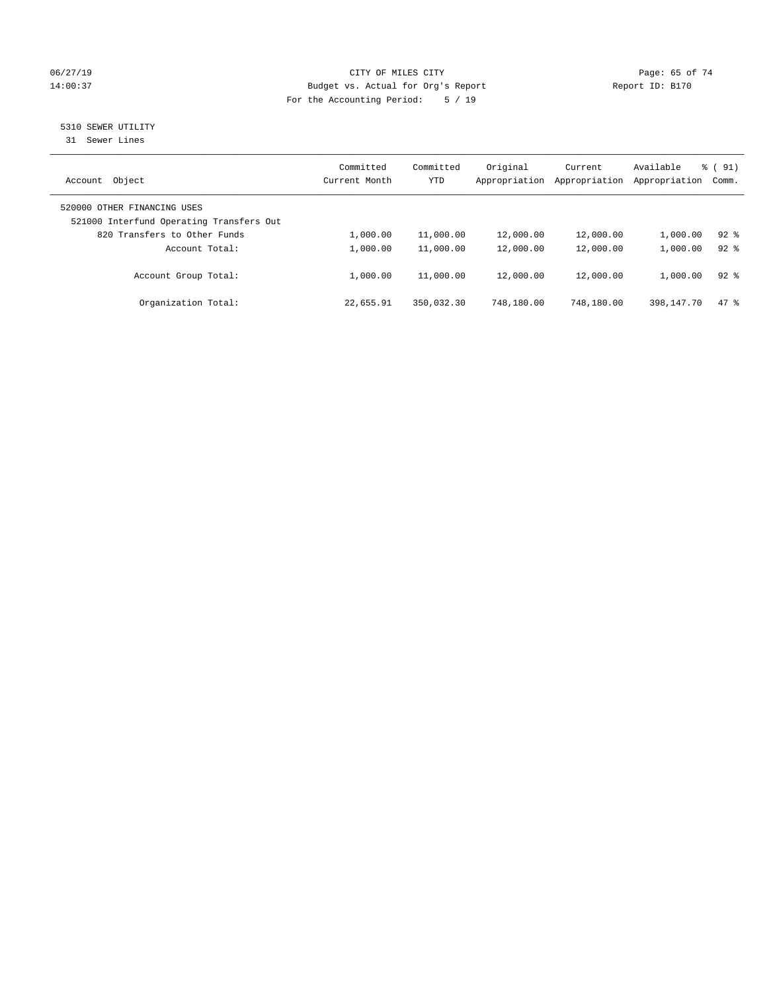# 06/27/19 **Page: 65 of 74** CITY OF MILES CITY **CITY Page: 65 of 74** 14:00:37 Budget vs. Actual for Org's Report Report ID: B170 For the Accounting Period: 5 / 19

# 5310 SEWER UTILITY

31 Sewer Lines

| Object<br>Account                                                       | Committed<br>Current Month | Committed<br>YTD | Original<br>Appropriation | Current<br>Appropriation | Available<br>Appropriation | $\frac{1}{6}$ (91)<br>Comm. |
|-------------------------------------------------------------------------|----------------------------|------------------|---------------------------|--------------------------|----------------------------|-----------------------------|
| 520000 OTHER FINANCING USES<br>521000 Interfund Operating Transfers Out |                            |                  |                           |                          |                            |                             |
| 820 Transfers to Other Funds                                            | 1,000.00                   | 11,000.00        | 12,000.00                 | 12,000.00                | 1,000.00                   | $92$ $%$                    |
| Account Total:                                                          | 1,000.00                   | 11,000.00        | 12,000.00                 | 12,000.00                | 1,000.00                   | $92*$                       |
| Account Group Total:                                                    | 1,000.00                   | 11,000.00        | 12,000.00                 | 12,000.00                | 1,000.00                   | $92*$                       |
| Organization Total:                                                     | 22,655.91                  | 350,032.30       | 748,180.00                | 748,180.00               | 398, 147, 70               | 47.8                        |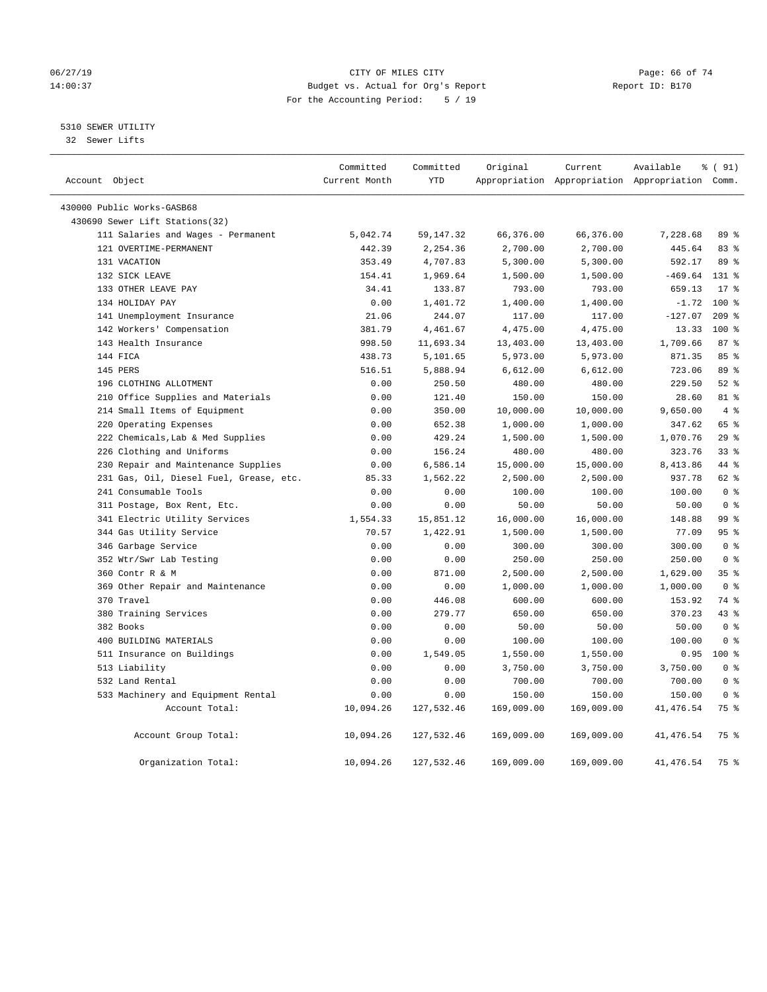# 06/27/19 **Page: 66 of 74** CITY OF MILES CITY **CITY Page: 66 of 74** 14:00:37 Budget vs. Actual for Org's Report Report ID: B170 For the Accounting Period: 5 / 19

# 5310 SEWER UTILITY

32 Sewer Lifts

| Account Object |                                         | Committed<br>Current Month | Committed<br><b>YTD</b> | Original   | Current    | Available<br>Appropriation Appropriation Appropriation Comm. | % (91)         |
|----------------|-----------------------------------------|----------------------------|-------------------------|------------|------------|--------------------------------------------------------------|----------------|
|                | 430000 Public Works-GASB68              |                            |                         |            |            |                                                              |                |
|                | 430690 Sewer Lift Stations(32)          |                            |                         |            |            |                                                              |                |
|                | 111 Salaries and Wages - Permanent      | 5,042.74                   | 59, 147. 32             | 66,376.00  | 66,376.00  | 7,228.68                                                     | 89 %           |
|                | 121 OVERTIME-PERMANENT                  | 442.39                     | 2,254.36                | 2,700.00   | 2,700.00   | 445.64                                                       | 83%            |
|                | 131 VACATION                            | 353.49                     | 4,707.83                | 5,300.00   | 5,300.00   | 592.17                                                       | 89 %           |
|                | 132 SICK LEAVE                          | 154.41                     | 1,969.64                | 1,500.00   | 1,500.00   | $-469.64$                                                    | $131*$         |
|                | 133 OTHER LEAVE PAY                     | 34.41                      | 133.87                  | 793.00     | 793.00     | 659.13                                                       | $17*$          |
|                | 134 HOLIDAY PAY                         | 0.00                       | 1,401.72                | 1,400.00   | 1,400.00   | $-1.72$                                                      | $100*$         |
|                | 141 Unemployment Insurance              | 21.06                      | 244.07                  | 117.00     | 117.00     | $-127.07$                                                    | $209$ %        |
|                | 142 Workers' Compensation               | 381.79                     | 4,461.67                | 4,475.00   | 4,475.00   | 13.33                                                        | 100 %          |
|                | 143 Health Insurance                    | 998.50                     | 11,693.34               | 13,403.00  | 13,403.00  | 1,709.66                                                     | 87%            |
|                | 144 FICA                                | 438.73                     | 5,101.65                | 5,973.00   | 5,973.00   | 871.35                                                       | 85%            |
|                | 145 PERS                                | 516.51                     | 5,888.94                | 6,612.00   | 6,612.00   | 723.06                                                       | 89 %           |
|                | 196 CLOTHING ALLOTMENT                  | 0.00                       | 250.50                  | 480.00     | 480.00     | 229.50                                                       | $52$ $%$       |
|                | 210 Office Supplies and Materials       | 0.00                       | 121.40                  | 150.00     | 150.00     | 28.60                                                        | 81 %           |
|                | 214 Small Items of Equipment            | 0.00                       | 350.00                  | 10,000.00  | 10,000.00  | 9,650.00                                                     | $4\degree$     |
|                | 220 Operating Expenses                  | 0.00                       | 652.38                  | 1,000.00   | 1,000.00   | 347.62                                                       | 65 %           |
|                | 222 Chemicals, Lab & Med Supplies       | 0.00                       | 429.24                  | 1,500.00   | 1,500.00   | 1,070.76                                                     | 29%            |
|                | 226 Clothing and Uniforms               | 0.00                       | 156.24                  | 480.00     | 480.00     | 323.76                                                       | 338            |
|                | 230 Repair and Maintenance Supplies     | 0.00                       | 6,586.14                | 15,000.00  | 15,000.00  | 8,413.86                                                     | 44 %           |
|                | 231 Gas, Oil, Diesel Fuel, Grease, etc. | 85.33                      | 1,562.22                | 2,500.00   | 2,500.00   | 937.78                                                       | $62$ $%$       |
|                | 241 Consumable Tools                    | 0.00                       | 0.00                    | 100.00     | 100.00     | 100.00                                                       | 0 <sup>8</sup> |
|                | 311 Postage, Box Rent, Etc.             | 0.00                       | 0.00                    | 50.00      | 50.00      | 50.00                                                        | 0 <sup>8</sup> |
|                | 341 Electric Utility Services           | 1,554.33                   | 15,851.12               | 16,000.00  | 16,000.00  | 148.88                                                       | 99 %           |
|                | 344 Gas Utility Service                 | 70.57                      | 1,422.91                | 1,500.00   | 1,500.00   | 77.09                                                        | 95%            |
|                | 346 Garbage Service                     | 0.00                       | 0.00                    | 300.00     | 300.00     | 300.00                                                       | 0 <sup>8</sup> |
|                | 352 Wtr/Swr Lab Testing                 | 0.00                       | 0.00                    | 250.00     | 250.00     | 250.00                                                       | 0 <sup>8</sup> |
|                | 360 Contr R & M                         | 0.00                       | 871.00                  | 2,500.00   | 2,500.00   | 1,629.00                                                     | 35%            |
|                | 369 Other Repair and Maintenance        | 0.00                       | 0.00                    | 1,000.00   | 1,000.00   | 1,000.00                                                     | 0 <sup>8</sup> |
|                | 370 Travel                              | 0.00                       | 446.08                  | 600.00     | 600.00     | 153.92                                                       | 74 %           |
|                | 380 Training Services                   | 0.00                       | 279.77                  | 650.00     | 650.00     | 370.23                                                       | 43.8           |
|                | 382 Books                               | 0.00                       | 0.00                    | 50.00      | 50.00      | 50.00                                                        | 0 <sup>8</sup> |
|                | 400 BUILDING MATERIALS                  | 0.00                       | 0.00                    | 100.00     | 100.00     | 100.00                                                       | 0 <sup>8</sup> |
|                | 511 Insurance on Buildings              | 0.00                       | 1,549.05                | 1,550.00   | 1,550.00   | 0.95                                                         | $100*$         |
|                | 513 Liability                           | 0.00                       | 0.00                    | 3,750.00   | 3,750.00   | 3,750.00                                                     | 0 <sup>8</sup> |
|                | 532 Land Rental                         | 0.00                       | 0.00                    | 700.00     | 700.00     | 700.00                                                       | 0 <sup>8</sup> |
|                | 533 Machinery and Equipment Rental      | 0.00                       | 0.00                    | 150.00     | 150.00     | 150.00                                                       | 0 <sup>8</sup> |
|                | Account Total:                          | 10,094.26                  | 127,532.46              | 169,009.00 | 169,009.00 | 41, 476.54                                                   | 75 %           |
|                | Account Group Total:                    | 10,094.26                  | 127,532.46              | 169,009.00 | 169,009.00 | 41, 476.54                                                   | 75 %           |
|                | Organization Total:                     | 10,094.26                  | 127,532.46              | 169,009.00 | 169,009.00 | 41, 476.54                                                   | 75 %           |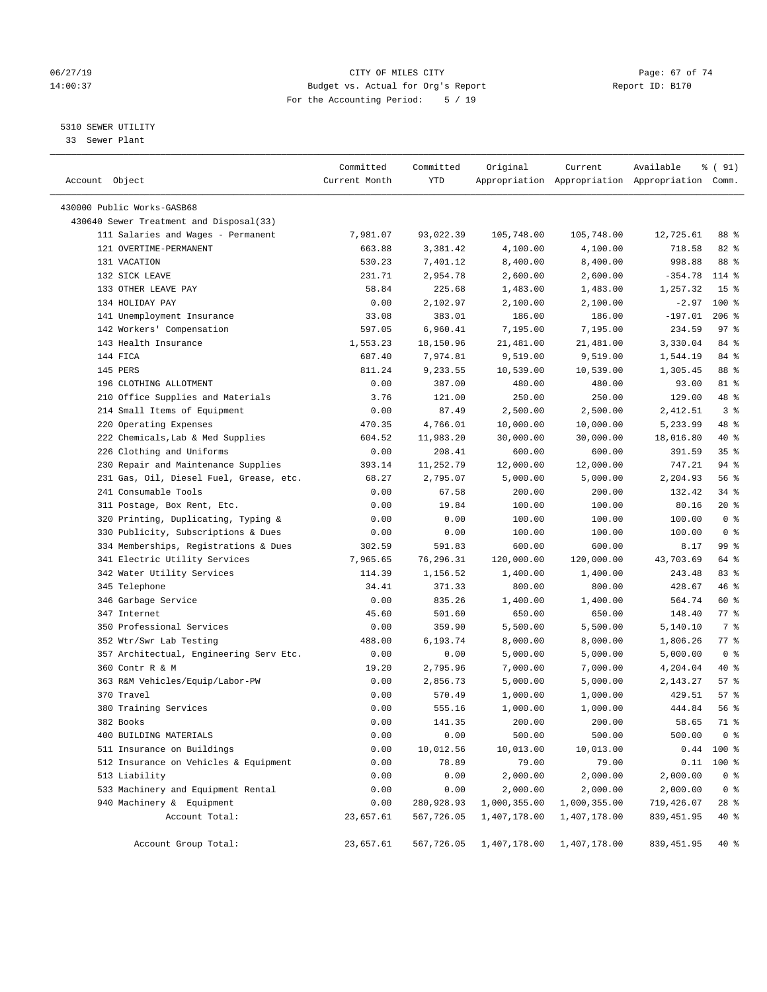# 06/27/19 **Page: 67 of 74** CITY OF MILES CITY **CITY Page: 67 of 74** 14:00:37 Budget vs. Actual for Org's Report Report ID: B170 For the Accounting Period: 5 / 19

————————————————————————————————————————————————————————————————————————————————————————————————————————————————————————————————————

#### 5310 SEWER UTILITY

33 Sewer Plant

|                                                              | Committed          | Committed  | Original     | Current      | Available                                       | % (91)                    |
|--------------------------------------------------------------|--------------------|------------|--------------|--------------|-------------------------------------------------|---------------------------|
| Account Object                                               | Current Month      | YTD        |              |              | Appropriation Appropriation Appropriation Comm. |                           |
| 430000 Public Works-GASB68                                   |                    |            |              |              |                                                 |                           |
| 430640 Sewer Treatment and Disposal(33)                      |                    |            |              |              |                                                 |                           |
|                                                              |                    | 93,022.39  | 105,748.00   | 105,748.00   | 12,725.61                                       | 88 %                      |
| 111 Salaries and Wages - Permanent<br>121 OVERTIME-PERMANENT | 7,981.07<br>663.88 |            |              | 4,100.00     | 718.58                                          | $82$ $%$                  |
|                                                              |                    | 3,381.42   | 4,100.00     |              |                                                 | 88 %                      |
| 131 VACATION                                                 | 530.23             | 7,401.12   | 8,400.00     | 8,400.00     | 998.88                                          |                           |
| 132 SICK LEAVE                                               | 231.71             | 2,954.78   | 2,600.00     | 2,600.00     | $-354.78$                                       | $114*$                    |
| 133 OTHER LEAVE PAY                                          | 58.84              | 225.68     | 1,483.00     | 1,483.00     | 1,257.32                                        | 15 <sup>°</sup><br>$100*$ |
| 134 HOLIDAY PAY                                              | 0.00               | 2,102.97   | 2,100.00     | 2,100.00     | $-2.97$                                         |                           |
| 141 Unemployment Insurance                                   | 33.08              | 383.01     | 186.00       | 186.00       | $-197.01$                                       | $206$ %                   |
| 142 Workers' Compensation                                    | 597.05             | 6,960.41   | 7,195.00     | 7,195.00     | 234.59                                          | $97$ %                    |
| 143 Health Insurance                                         | 1,553.23           | 18,150.96  | 21,481.00    | 21,481.00    | 3,330.04                                        | 84 %                      |
| 144 FICA                                                     | 687.40             | 7,974.81   | 9,519.00     | 9,519.00     | 1,544.19                                        | 84 %                      |
| 145 PERS                                                     | 811.24             | 9,233.55   | 10,539.00    | 10,539.00    | 1,305.45                                        | 88 %                      |
| 196 CLOTHING ALLOTMENT                                       | 0.00               | 387.00     | 480.00       | 480.00       | 93.00                                           | 81 %                      |
| 210 Office Supplies and Materials                            | 3.76               | 121.00     | 250.00       | 250.00       | 129.00                                          | 48 %                      |
| 214 Small Items of Equipment                                 | 0.00               | 87.49      | 2,500.00     | 2,500.00     | 2,412.51                                        | 3 <sup>8</sup>            |
| 220 Operating Expenses                                       | 470.35             | 4,766.01   | 10,000.00    | 10,000.00    | 5,233.99                                        | 48 %                      |
| 222 Chemicals, Lab & Med Supplies                            | 604.52             | 11,983.20  | 30,000.00    | 30,000.00    | 18,016.80                                       | 40 %                      |
| 226 Clothing and Uniforms                                    | 0.00               | 208.41     | 600.00       | 600.00       | 391.59                                          | 35%                       |
| 230 Repair and Maintenance Supplies                          | 393.14             | 11,252.79  | 12,000.00    | 12,000.00    | 747.21                                          | 94 %                      |
| 231 Gas, Oil, Diesel Fuel, Grease, etc.                      | 68.27              | 2,795.07   | 5,000.00     | 5,000.00     | 2,204.93                                        | 56%                       |
| 241 Consumable Tools                                         | 0.00               | 67.58      | 200.00       | 200.00       | 132.42                                          | 34%                       |
| 311 Postage, Box Rent, Etc.                                  | 0.00               | 19.84      | 100.00       | 100.00       | 80.16                                           | $20*$                     |
| 320 Printing, Duplicating, Typing &                          | 0.00               | 0.00       | 100.00       | 100.00       | 100.00                                          | 0 <sup>8</sup>            |
| 330 Publicity, Subscriptions & Dues                          | 0.00               | 0.00       | 100.00       | 100.00       | 100.00                                          | 0 <sup>8</sup>            |
| 334 Memberships, Registrations & Dues                        | 302.59             | 591.83     | 600.00       | 600.00       | 8.17                                            | 99 %                      |
| 341 Electric Utility Services                                | 7,965.65           | 76,296.31  | 120,000.00   | 120,000.00   | 43,703.69                                       | 64 %                      |
| 342 Water Utility Services                                   | 114.39             | 1,156.52   | 1,400.00     | 1,400.00     | 243.48                                          | 83 %                      |
| 345 Telephone                                                | 34.41              | 371.33     | 800.00       | 800.00       | 428.67                                          | 46 %                      |
| 346 Garbage Service                                          | 0.00               | 835.26     | 1,400.00     | 1,400.00     | 564.74                                          | 60 %                      |
| 347 Internet                                                 | 45.60              | 501.60     | 650.00       | 650.00       | 148.40                                          | 77.8                      |
| 350 Professional Services                                    | 0.00               | 359.90     | 5,500.00     | 5,500.00     | 5,140.10                                        | 7 %                       |
| 352 Wtr/Swr Lab Testing                                      | 488.00             | 6,193.74   | 8,000.00     | 8,000.00     | 1,806.26                                        | 77 %                      |
| 357 Architectual, Engineering Serv Etc.                      | 0.00               | 0.00       | 5,000.00     | 5,000.00     | 5,000.00                                        | 0 <sup>8</sup>            |
| 360 Contr R & M                                              | 19.20              | 2,795.96   | 7,000.00     | 7,000.00     | 4,204.04                                        | 40 %                      |
| 363 R&M Vehicles/Equip/Labor-PW                              | 0.00               | 2,856.73   | 5,000.00     | 5,000.00     | 2,143.27                                        | 57%                       |
| 370 Travel                                                   | 0.00               | 570.49     | 1,000.00     | 1,000.00     | 429.51                                          | 57%                       |
| 380 Training Services                                        | 0.00               | 555.16     | 1,000.00     | 1,000.00     | 444.84                                          | 56 %                      |
| 382 Books                                                    | 0.00               | 141.35     | 200.00       | 200.00       | 58.65                                           | 71 %                      |
| 400 BUILDING MATERIALS                                       | 0.00               | 0.00       | 500.00       | 500.00       | 500.00                                          | 0 <sup>8</sup>            |
| 511 Insurance on Buildings                                   | 0.00               | 10,012.56  | 10,013.00    | 10,013.00    | 0.44                                            | $100$ %                   |
| 512 Insurance on Vehicles & Equipment                        | 0.00               | 78.89      | 79.00        | 79.00        | 0.11                                            | 100 %                     |
| 513 Liability                                                | 0.00               | 0.00       | 2,000.00     | 2,000.00     | 2,000.00                                        | 0 <sup>°</sup>            |
| 533 Machinery and Equipment Rental                           | 0.00               | 0.00       | 2,000.00     | 2,000.00     | 2,000.00                                        | 0 <sup>8</sup>            |
| 940 Machinery & Equipment                                    | 0.00               | 280,928.93 | 1,000,355.00 | 1,000,355.00 | 719,426.07                                      | 28 %                      |
| Account Total:                                               | 23,657.61          | 567,726.05 | 1,407,178.00 | 1,407,178.00 | 839,451.95                                      | 40 %                      |
|                                                              |                    |            |              |              |                                                 |                           |
| Account Group Total:                                         | 23,657.61          | 567,726.05 | 1,407,178.00 | 1,407,178.00 | 839, 451.95                                     | $40$ %                    |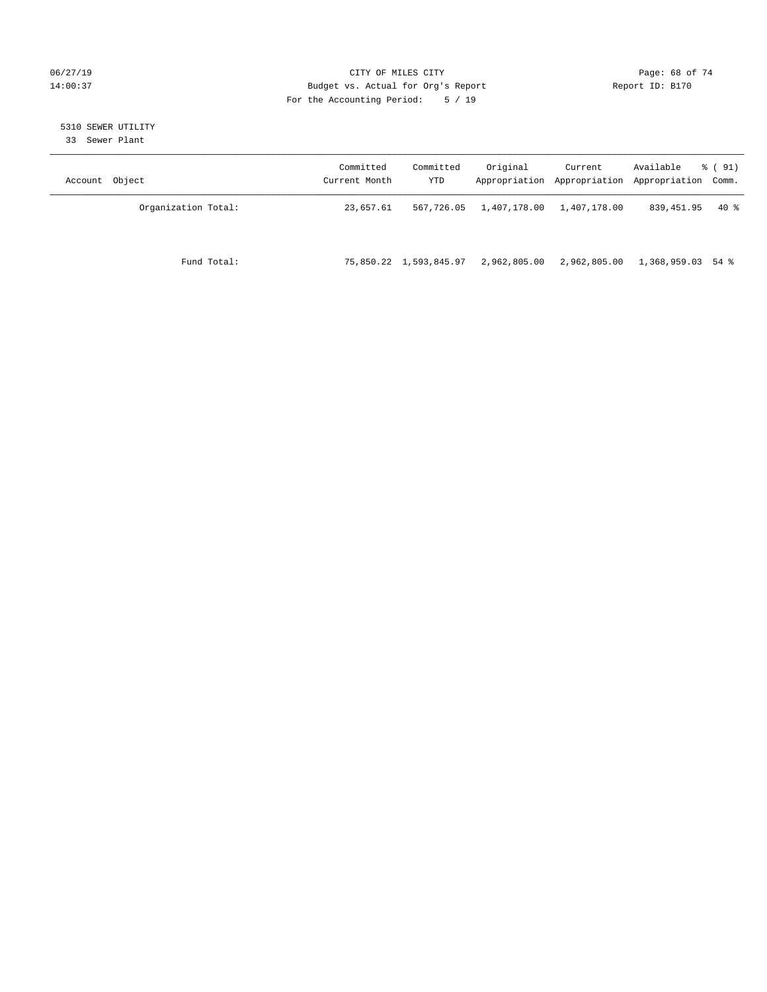# 06/27/19 **Page: 68 of 74** CITY OF MILES CITY **CITY Page: 68 of 74** 14:00:37 Budget vs. Actual for Org's Report Report ID: B170 For the Accounting Period: 5 / 19

# 5310 SEWER UTILITY

33 Sewer Plant

| Account Object      | Committed<br>Current Month | Committed<br>YTD       | Original     | Current<br>Appropriation Appropriation | Available<br>Appropriation Comm. | % ( 91) |
|---------------------|----------------------------|------------------------|--------------|----------------------------------------|----------------------------------|---------|
| Organization Total: | 23,657.61                  | 567,726.05             | 1,407,178.00 | 1,407,178.00                           | 839,451.95                       | $40*$   |
| Fund Total:         |                            | 75,850.22 1,593,845.97 | 2,962,805.00 | 2,962,805.00                           | 1,368,959.03 54 %                |         |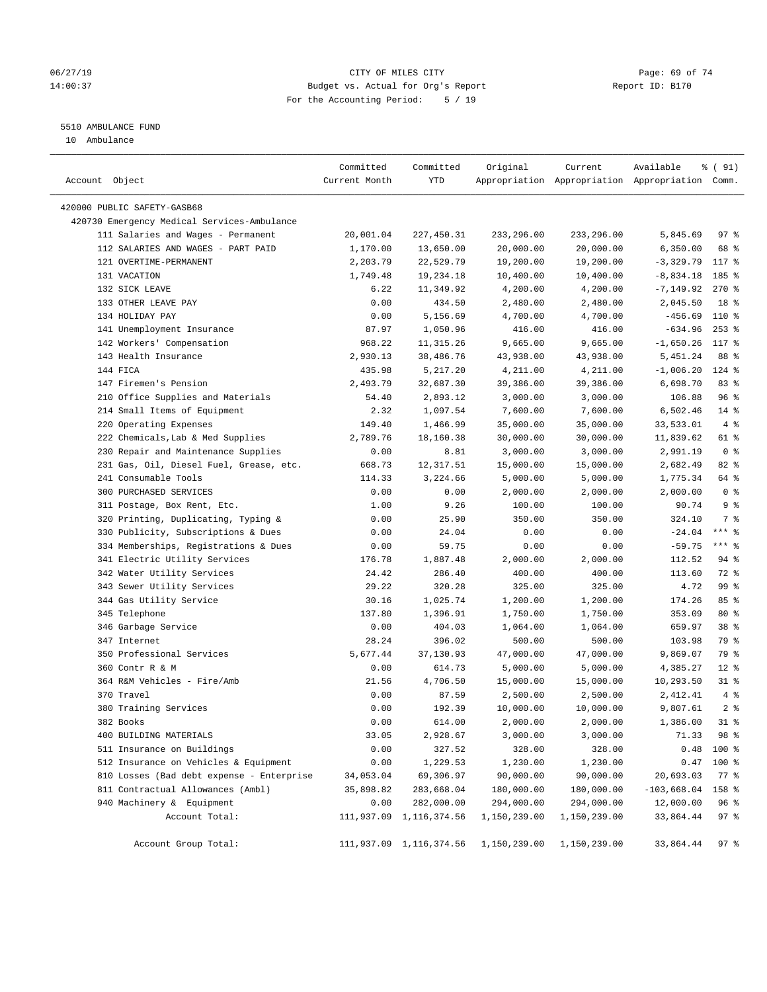# 06/27/19 **Page: 69 of 74** CITY OF MILES CITY **CITY Page: 69 of 74** 14:00:37 Budget vs. Actual for Org's Report Report ID: B170 For the Accounting Period: 5 / 19

————————————————————————————————————————————————————————————————————————————————————————————————————————————————————————————————————

# 5510 AMBULANCE FUND

10 Ambulance

|                                             | Committed     | Committed               | Original                                          | Current      | Available                                       | % ( 91)         |
|---------------------------------------------|---------------|-------------------------|---------------------------------------------------|--------------|-------------------------------------------------|-----------------|
| Account Object                              | Current Month | YTD                     |                                                   |              | Appropriation Appropriation Appropriation Comm. |                 |
|                                             |               |                         |                                                   |              |                                                 |                 |
| 420000 PUBLIC SAFETY-GASB68                 |               |                         |                                                   |              |                                                 |                 |
| 420730 Emergency Medical Services-Ambulance |               |                         |                                                   |              |                                                 |                 |
| 111 Salaries and Wages - Permanent          | 20,001.04     | 227,450.31              | 233,296.00                                        | 233,296.00   | 5,845.69                                        | 97%             |
| 112 SALARIES AND WAGES - PART PAID          | 1,170.00      | 13,650.00               | 20,000.00                                         | 20,000.00    | 6,350.00                                        | 68 %            |
| 121 OVERTIME-PERMANENT                      | 2,203.79      | 22,529.79               | 19,200.00                                         | 19,200.00    | -3,329.79                                       | 117 %           |
| 131 VACATION                                | 1,749.48      | 19,234.18               | 10,400.00                                         | 10,400.00    | $-8,834.18$                                     | $185$ %         |
| 132 SICK LEAVE                              | 6.22          | 11,349.92               | 4,200.00                                          | 4,200.00     | $-7, 149.92$                                    | $270$ %         |
| 133 OTHER LEAVE PAY                         | 0.00          | 434.50                  | 2,480.00                                          | 2,480.00     | 2,045.50                                        | 18 %            |
| 134 HOLIDAY PAY                             | 0.00          | 5,156.69                | 4,700.00                                          | 4,700.00     | $-456.69$                                       | 110 %           |
| 141 Unemployment Insurance                  | 87.97         | 1,050.96                | 416.00                                            | 416.00       | $-634.96$                                       | $253$ $%$       |
| 142 Workers' Compensation                   | 968.22        | 11,315.26               | 9,665.00                                          | 9,665.00     | $-1,650.26$                                     | 117 %           |
| 143 Health Insurance                        | 2,930.13      | 38,486.76               | 43,938.00                                         | 43,938.00    | 5,451.24                                        | 88 %            |
| 144 FICA                                    | 435.98        | 5,217.20                | 4,211.00                                          | 4,211.00     | $-1,006.20$                                     | $124$ %         |
| 147 Firemen's Pension                       | 2,493.79      | 32,687.30               | 39,386.00                                         | 39,386.00    | 6,698.70                                        | 83%             |
| 210 Office Supplies and Materials           | 54.40         | 2,893.12                | 3,000.00                                          | 3,000.00     | 106.88                                          | 96%             |
| 214 Small Items of Equipment                | 2.32          | 1,097.54                | 7,600.00                                          | 7,600.00     | 6,502.46                                        | $14*$           |
| 220 Operating Expenses                      | 149.40        | 1,466.99                | 35,000.00                                         | 35,000.00    | 33,533.01                                       | 4%              |
| 222 Chemicals, Lab & Med Supplies           | 2,789.76      | 18,160.38               | 30,000.00                                         | 30,000.00    | 11,839.62                                       | 61 %            |
| 230 Repair and Maintenance Supplies         | 0.00          | 8.81                    | 3,000.00                                          | 3,000.00     | 2,991.19                                        | 0 <sup>8</sup>  |
| 231 Gas, Oil, Diesel Fuel, Grease, etc.     | 668.73        | 12,317.51               | 15,000.00                                         | 15,000.00    | 2,682.49                                        | 82%             |
| 241 Consumable Tools                        | 114.33        | 3,224.66                | 5,000.00                                          | 5,000.00     | 1,775.34                                        | 64 %            |
| 300 PURCHASED SERVICES                      | 0.00          | 0.00                    | 2,000.00                                          | 2,000.00     | 2,000.00                                        | 0 <sup>8</sup>  |
| 311 Postage, Box Rent, Etc.                 | 1.00          | 9.26                    | 100.00                                            | 100.00       | 90.74                                           | 9%              |
| 320 Printing, Duplicating, Typing &         | 0.00          | 25.90                   | 350.00                                            | 350.00       | 324.10                                          | 7 %             |
| 330 Publicity, Subscriptions & Dues         | 0.00          | 24.04                   | 0.00                                              | 0.00         | $-24.04$                                        | $***$ $%$       |
| 334 Memberships, Registrations & Dues       | 0.00          | 59.75                   | 0.00                                              | 0.00         | $-59.75$                                        | $***$ $-$       |
| 341 Electric Utility Services               | 176.78        | 1,887.48                | 2,000.00                                          | 2,000.00     | 112.52                                          | 94 %            |
| 342 Water Utility Services                  | 24.42         | 286.40                  | 400.00                                            | 400.00       | 113.60                                          | 72 %            |
| 343 Sewer Utility Services                  | 29.22         | 320.28                  | 325.00                                            | 325.00       | 4.72                                            | 99 %            |
| 344 Gas Utility Service                     | 30.16         | 1,025.74                | 1,200.00                                          | 1,200.00     | 174.26                                          | 85%             |
| 345 Telephone                               | 137.80        | 1,396.91                | 1,750.00                                          | 1,750.00     | 353.09                                          | $80*$           |
| 346 Garbage Service                         | 0.00          | 404.03                  | 1,064.00                                          | 1,064.00     | 659.97                                          | 38 <sup>8</sup> |
| 347 Internet                                | 28.24         | 396.02                  | 500.00                                            | 500.00       | 103.98                                          | 79 %            |
| 350 Professional Services                   | 5,677.44      | 37,130.93               | 47,000.00                                         | 47,000.00    | 9,869.07                                        | 79 %            |
| 360 Contr R & M                             | 0.00          | 614.73                  | 5,000.00                                          | 5,000.00     | 4,385.27                                        | $12*$           |
| 364 R&M Vehicles - Fire/Amb                 | 21.56         | 4,706.50                | 15,000.00                                         | 15,000.00    | 10,293.50                                       | $31$ %          |
| 370 Travel                                  | 0.00          | 87.59                   | 2,500.00                                          | 2,500.00     | 2,412.41                                        | 4%              |
| 380 Training Services                       | 0.00          | 192.39                  | 10,000.00                                         | 10,000.00    | 9,807.61                                        | 2 <sup>°</sup>  |
| 382 Books                                   | 0.00          | 614.00                  | 2,000.00                                          | 2,000.00     | 1,386.00                                        | $31$ %          |
| 400 BUILDING MATERIALS                      | 33.05         | 2,928.67                | 3,000.00                                          | 3,000.00     |                                                 | 71.33 98 %      |
| 511 Insurance on Buildings                  | 0.00          | 327.52                  | 328.00                                            | 328.00       |                                                 | $0.48$ 100 %    |
| 512 Insurance on Vehicles & Equipment       | 0.00          | 1,229.53                | 1,230.00                                          | 1,230.00     |                                                 | $0.47$ 100 %    |
| 810 Losses (Bad debt expense - Enterprise   | 34,053.04     | 69,306.97               | 90,000.00                                         | 90,000.00    | 20,693.03                                       | $77$ $%$        |
| 811 Contractual Allowances (Ambl)           | 35,898.82     | 283,668.04              | 180,000.00                                        | 180,000.00   | $-103,668.04$                                   | 158 %           |
| 940 Machinery & Equipment                   | 0.00          | 282,000.00              | 294,000.00                                        | 294,000.00   | 12,000.00                                       | 96 <sup>°</sup> |
| Account Total:                              |               | 111,937.09 1,116,374.56 | 1,150,239.00                                      | 1,150,239.00 | 33,864.44                                       | 97%             |
|                                             |               |                         |                                                   |              |                                                 |                 |
| Account Group Total:                        |               |                         | 111,937.09 1,116,374.56 1,150,239.00 1,150,239.00 |              | 33,864.44 97 %                                  |                 |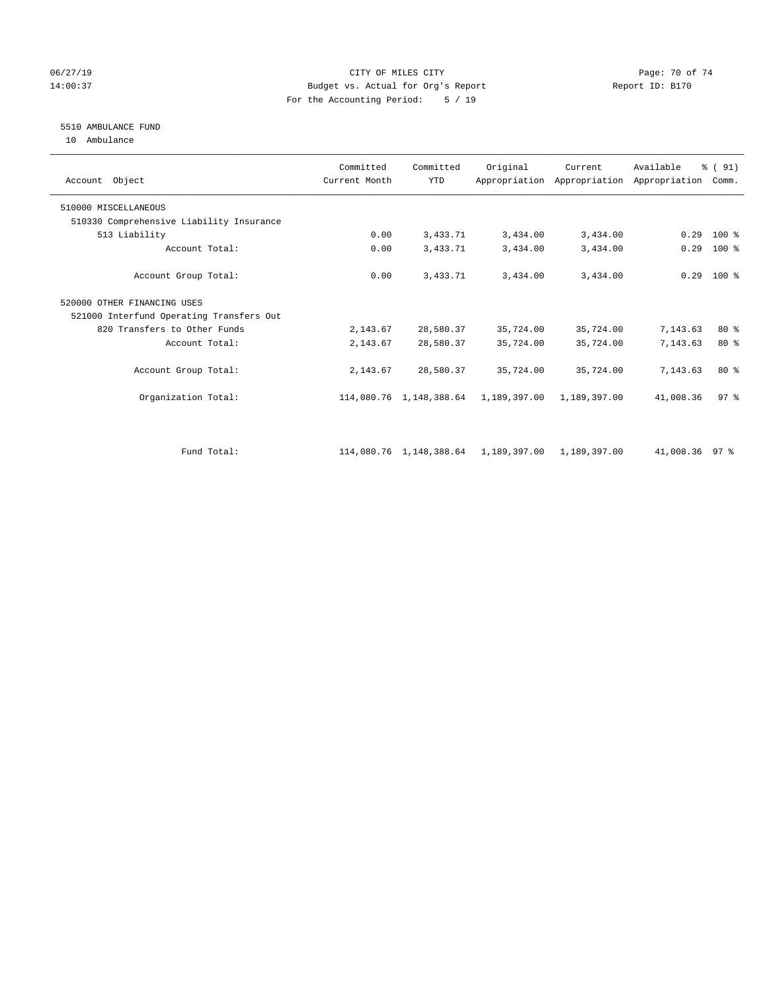#### 06/27/19 Page: 70 of 74 14:00:37 Budget vs. Actual for Org's Report Report ID: B170 For the Accounting Period: 5 / 19

# 5510 AMBULANCE FUND

10 Ambulance

| Account Object                           | Committed<br>Current Month | Committed<br><b>YTD</b> | Original     | Current      | Available<br>Appropriation Appropriation Appropriation | % (91)<br>Comm. |  |
|------------------------------------------|----------------------------|-------------------------|--------------|--------------|--------------------------------------------------------|-----------------|--|
| 510000 MISCELLANEOUS                     |                            |                         |              |              |                                                        |                 |  |
| 510330 Comprehensive Liability Insurance |                            |                         |              |              |                                                        |                 |  |
| 513 Liability                            | 0.00                       | 3,433.71                | 3,434.00     | 3,434.00     | 0.29                                                   | 100 %           |  |
| Account Total:                           | 0.00                       | 3,433.71                | 3,434.00     | 3,434.00     | 0.29                                                   | $100$ %         |  |
| Account Group Total:                     | 0.00                       | 3,433.71                | 3,434.00     | 3,434.00     |                                                        | $0.29$ 100 %    |  |
| 520000 OTHER FINANCING USES              |                            |                         |              |              |                                                        |                 |  |
| 521000 Interfund Operating Transfers Out |                            |                         |              |              |                                                        |                 |  |
| 820 Transfers to Other Funds             | 2,143.67                   | 28,580.37               | 35,724.00    | 35,724.00    | 7,143.63                                               | 80%             |  |
| Account Total:                           | 2,143.67                   | 28,580.37               | 35,724.00    | 35,724.00    | 7,143.63                                               | $80*$           |  |
| Account Group Total:                     | 2,143.67                   | 28,580.37               | 35,724.00    | 35,724.00    | 7,143.63                                               | $80*$           |  |
| Organization Total:                      |                            | 114,080.76 1,148,388.64 | 1,189,397.00 | 1,189,397.00 | 41,008.36                                              | 97 <sup>8</sup> |  |
|                                          |                            |                         |              |              |                                                        |                 |  |
| Fund Total:                              |                            | 114,080.76 1,148,388.64 | 1,189,397.00 | 1,189,397.00 | 41,008.36 97 %                                         |                 |  |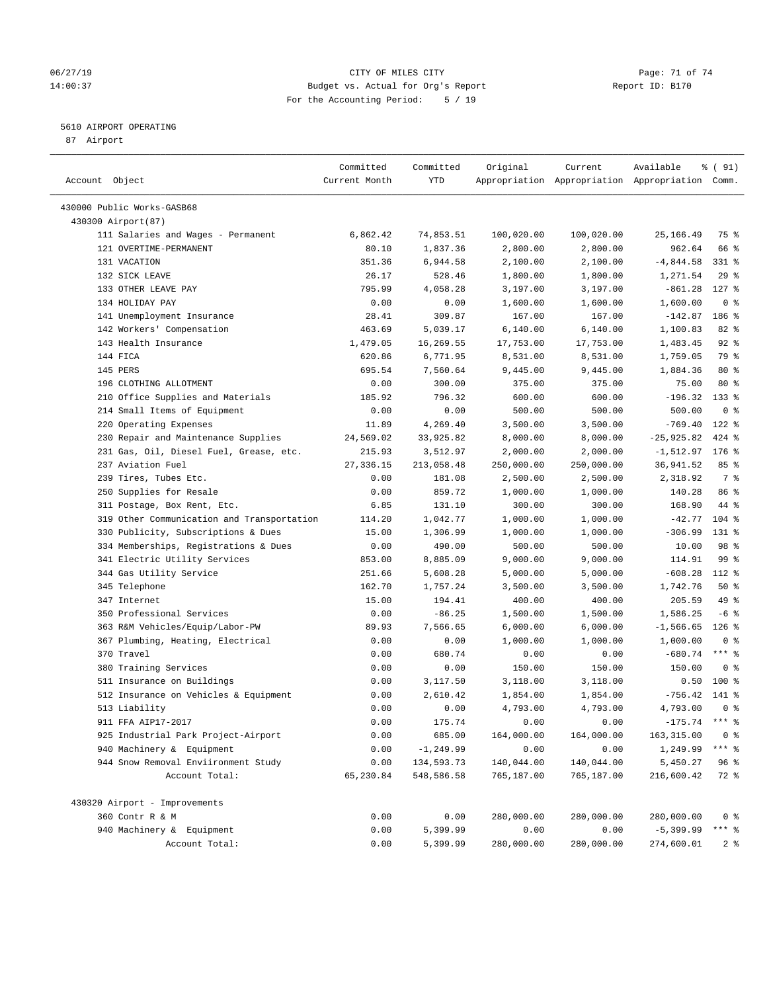#### 06/27/19 Page: 71 of 74 14:00:37 Budget vs. Actual for Org's Report Report ID: B170 For the Accounting Period: 5 / 19

————————————————————————————————————————————————————————————————————————————————————————————————————————————————————————————————————

#### 5610 AIRPORT OPERATING

87 Airport

|                                            | Committed         | Committed    | Original           | Current                  | Available                                       | % ( 91)                        |
|--------------------------------------------|-------------------|--------------|--------------------|--------------------------|-------------------------------------------------|--------------------------------|
| Account Object                             | Current Month     | YTD          |                    |                          | Appropriation Appropriation Appropriation Comm. |                                |
| 430000 Public Works-GASB68                 |                   |              |                    |                          |                                                 |                                |
| 430300 Airport (87)                        |                   |              |                    |                          |                                                 |                                |
| 111 Salaries and Wages - Permanent         | 6,862.42          | 74,853.51    | 100,020.00         | 100,020.00               | 25,166.49                                       | 75 %                           |
| 121 OVERTIME-PERMANENT                     | 80.10             | 1,837.36     | 2,800.00           | 2,800.00                 | 962.64                                          | 66 %                           |
| 131 VACATION                               | 351.36            | 6,944.58     | 2,100.00           | 2,100.00                 | $-4,844.58$                                     | $331$ $%$                      |
| 132 SICK LEAVE                             | 26.17             | 528.46       | 1,800.00           | 1,800.00                 | 1,271.54                                        | $29$ %                         |
| 133 OTHER LEAVE PAY                        | 795.99            | 4,058.28     | 3,197.00           | 3,197.00                 | $-861.28$                                       | $127$ %                        |
| 134 HOLIDAY PAY                            | 0.00              | 0.00         | 1,600.00           | 1,600.00                 | 1,600.00                                        | 0 <sup>8</sup>                 |
| 141 Unemployment Insurance                 | 28.41             | 309.87       | 167.00             | 167.00                   | $-142.87$                                       | 186 %                          |
| 142 Workers' Compensation                  | 463.69            | 5,039.17     | 6,140.00           | 6,140.00                 | 1,100.83                                        | $82$ $%$                       |
| 143 Health Insurance                       | 1,479.05          | 16,269.55    | 17,753.00          | 17,753.00                | 1,483.45                                        | $92$ $%$                       |
| 144 FICA                                   | 620.86            | 6,771.95     | 8,531.00           | 8,531.00                 | 1,759.05                                        | 79 %                           |
| 145 PERS                                   | 695.54            | 7,560.64     | 9,445.00           | 9,445.00                 | 1,884.36                                        | $80*$                          |
| 196 CLOTHING ALLOTMENT                     | 0.00              | 300.00       | 375.00             | 375.00                   | 75.00                                           | $80*$                          |
| 210 Office Supplies and Materials          | 185.92            | 796.32       | 600.00             | 600.00                   | $-196.32$ 133 %                                 |                                |
| 214 Small Items of Equipment               | 0.00              | 0.00         | 500.00             | 500.00                   | 500.00                                          | 0 <sup>8</sup>                 |
| 220 Operating Expenses                     | 11.89             | 4,269.40     | 3,500.00           | 3,500.00                 | $-769.40$                                       | $122$ %                        |
| 230 Repair and Maintenance Supplies        | 24,569.02         | 33,925.82    | 8,000.00           | 8,000.00                 | $-25,925.82$                                    | $424$ $%$                      |
| 231 Gas, Oil, Diesel Fuel, Grease, etc.    | 215.93            | 3,512.97     | 2,000.00           | 2,000.00                 | $-1,512.97$                                     | $176$ %                        |
| 237 Aviation Fuel                          | 27, 336.15        | 213,058.48   | 250,000.00         | 250,000.00               | 36,941.52                                       | 85%                            |
| 239 Tires, Tubes Etc.                      | 0.00              | 181.08       | 2,500.00           | 2,500.00                 | 2,318.92                                        | 7 %                            |
| 250 Supplies for Resale                    | 0.00              | 859.72       | 1,000.00           | 1,000.00                 | 140.28                                          | 86 %                           |
| 311 Postage, Box Rent, Etc.                | 6.85              | 131.10       | 300.00             | 300.00                   | 168.90                                          | 44 %                           |
| 319 Other Communication and Transportation | 114.20            | 1,042.77     | 1,000.00           | 1,000.00                 | $-42.77$                                        | $104$ %                        |
| 330 Publicity, Subscriptions & Dues        | 15.00             | 1,306.99     | 1,000.00           | 1,000.00                 | $-306.99$                                       | 131 %                          |
| 334 Memberships, Registrations & Dues      | 0.00              | 490.00       | 500.00             | 500.00                   | 10.00                                           | 98 %                           |
| 341 Electric Utility Services              | 853.00            | 8,885.09     | 9,000.00           | 9,000.00                 | 114.91                                          | 99%                            |
| 344 Gas Utility Service                    | 251.66            | 5,608.28     | 5,000.00           | 5,000.00                 | $-608.28$                                       | 112 %                          |
| 345 Telephone                              | 162.70            | 1,757.24     | 3,500.00           | 3,500.00                 | 1,742.76                                        | 50%                            |
| 347 Internet                               | 15.00             | 194.41       | 400.00             | 400.00                   | 205.59                                          | 49 %                           |
| 350 Professional Services                  | 0.00              | $-86.25$     | 1,500.00           | 1,500.00                 | 1,586.25                                        | $-6$ %                         |
| 363 R&M Vehicles/Equip/Labor-PW            | 89.93             | 7,566.65     | 6,000.00           | 6,000.00                 | $-1,566.65$                                     | $126$ %                        |
| 367 Plumbing, Heating, Electrical          | 0.00              | 0.00         | 1,000.00           | 1,000.00                 | 1,000.00                                        | 0 <sup>8</sup>                 |
| 370 Travel                                 | 0.00              | 680.74       | 0.00               | 0.00                     | $-680.74$                                       | $***$ $%$                      |
| 380 Training Services                      | 0.00              | 0.00         | 150.00             | 150.00                   | 150.00                                          | 0 <sup>8</sup>                 |
| 511 Insurance on Buildings                 | 0.00              | 3,117.50     | 3,118.00           | 3,118.00                 | 0.50                                            | $100*$                         |
| 512 Insurance on Vehicles & Equipment      | 0.00              | 2,610.42     | 1,854.00           | 1,854.00                 | $-756.42$                                       | 141 %                          |
| 513 Liability                              | 0.00              | 0.00         | 4,793.00           | 4,793.00                 | 4,793.00                                        | 0 <sup>8</sup>                 |
| 911 FFA AIP17-2017                         | 0.00              | 175.74       |                    |                          | $-175.74$                                       | $***$ $\frac{6}{5}$            |
| 925 Industrial Park Project-Airport        | 0.00              | 685.00       | 0.00               | 0.00                     |                                                 |                                |
| 940 Machinery & Equipment                  | 0.00              | $-1, 249.99$ | 164,000.00<br>0.00 | 164,000.00<br>0.00       | 163,315.00<br>1,249.99                          | 0 <sup>8</sup><br>$***$ $_{8}$ |
| 944 Snow Removal Enviironment Study        |                   | 134,593.73   | 140,044.00         |                          |                                                 |                                |
| Account Total:                             | 0.00<br>65,230.84 | 548,586.58   | 765,187.00         | 140,044.00<br>765,187.00 | 5,450.27<br>216,600.42                          | 96%<br>72 %                    |
|                                            |                   |              |                    |                          |                                                 |                                |
| 430320 Airport - Improvements              |                   |              |                    |                          |                                                 |                                |
| 360 Contr R & M                            | 0.00              | 0.00         | 280,000.00         | 280,000.00               | 280,000.00                                      | 0 <sup>8</sup>                 |
| 940 Machinery & Equipment                  | 0.00              | 5,399.99     | 0.00               | 0.00                     | $-5,399.99$                                     | *** 응                          |
| Account Total:                             | 0.00              | 5,399.99     | 280,000.00         | 280,000.00               | 274,600.01                                      | 2 <sub>8</sub>                 |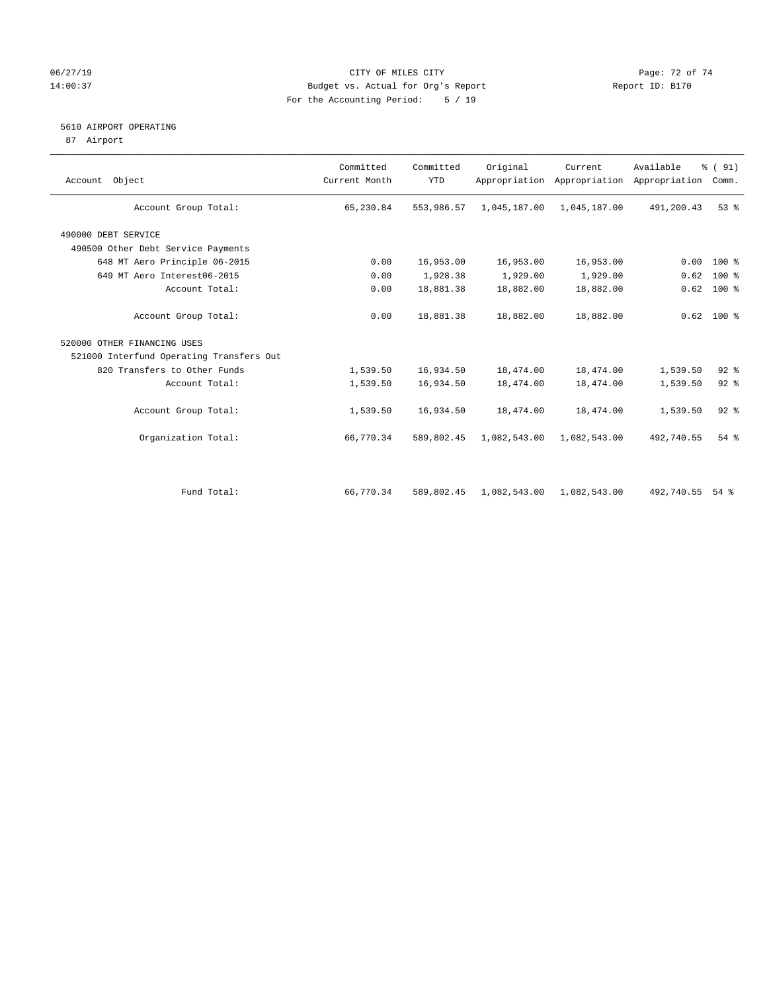# 06/27/19 Page: 72 of 74 14:00:37 Budget vs. Actual for Org's Report Report ID: B170 For the Accounting Period: 5 / 19

# 5610 AIRPORT OPERATING

87 Airport

| Account Object                           | Committed<br>Current Month | Committed<br><b>YTD</b> | Original     | Current      | Available<br>Appropriation Appropriation Appropriation | % (91)<br>Comm. |
|------------------------------------------|----------------------------|-------------------------|--------------|--------------|--------------------------------------------------------|-----------------|
| Account Group Total:                     | 65,230.84                  | 553,986.57              | 1,045,187.00 | 1,045,187.00 | 491,200.43                                             | 53%             |
| 490000 DEBT SERVICE                      |                            |                         |              |              |                                                        |                 |
| 490500 Other Debt Service Payments       |                            |                         |              |              |                                                        |                 |
| 648 MT Aero Principle 06-2015            | 0.00                       | 16,953.00               | 16,953.00    | 16,953.00    | 0.00                                                   | 100 %           |
| 649 MT Aero Interest06-2015              | 0.00                       | 1,928.38                | 1,929.00     | 1,929.00     | 0.62                                                   | $100$ %         |
| Account Total:                           | 0.00                       | 18,881.38               | 18,882.00    | 18,882.00    | 0.62                                                   | $100*$          |
| Account Group Total:                     | 0.00                       | 18,881.38               | 18,882.00    | 18,882.00    |                                                        | $0.62$ 100 %    |
| 520000 OTHER FINANCING USES              |                            |                         |              |              |                                                        |                 |
| 521000 Interfund Operating Transfers Out |                            |                         |              |              |                                                        |                 |
| 820 Transfers to Other Funds             | 1,539.50                   | 16,934.50               | 18,474.00    | 18,474.00    | 1,539.50                                               | $92$ $%$        |
| Account Total:                           | 1,539.50                   | 16,934.50               | 18,474.00    | 18,474.00    | 1,539.50                                               | $92$ $%$        |
| Account Group Total:                     | 1,539.50                   | 16,934.50               | 18,474.00    | 18,474.00    | 1,539.50                                               | $92$ $%$        |
| Organization Total:                      | 66,770.34                  | 589,802.45              | 1,082,543.00 | 1,082,543.00 | 492,740.55                                             | $54$ $%$        |
|                                          |                            |                         |              |              |                                                        |                 |
| Fund Total:                              | 66,770.34                  | 589,802.45              | 1,082,543.00 | 1,082,543.00 | 492,740.55                                             | $54$ $%$        |